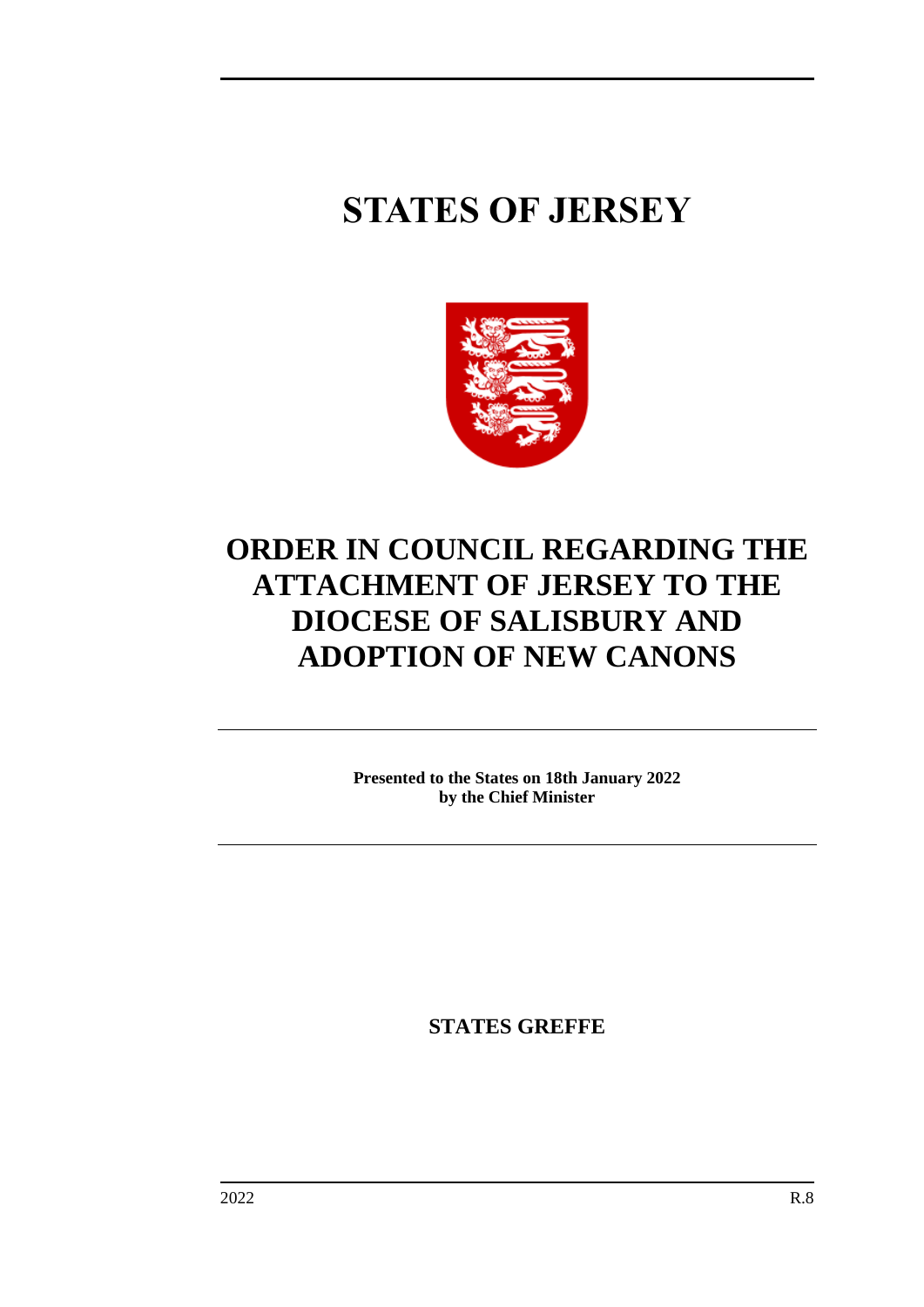# **STATES OF JERSEY**



## **ORDER IN COUNCIL REGARDING THE ATTACHMENT OF JERSEY TO THE DIOCESE OF SALISBURY AND ADOPTION OF NEW CANONS**

**Presented to the States on 18th January 2022 by the Chief Minister**

**STATES GREFFE**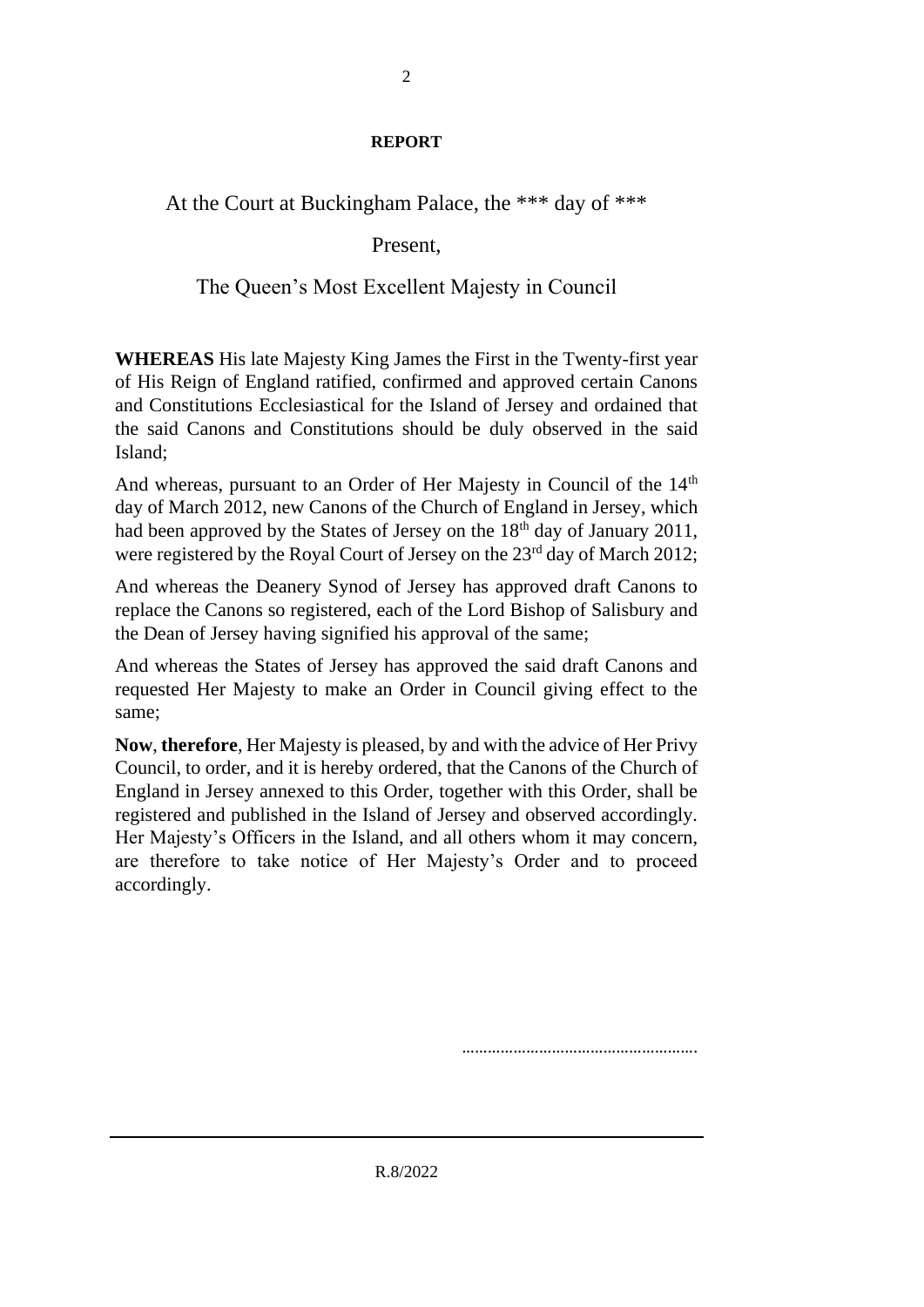#### **REPORT**

At the Court at Buckingham Palace, the \*\*\* day of \*\*\*

Present,

The Queen's Most Excellent Majesty in Council

**WHEREAS** His late Majesty King James the First in the Twenty-first year of His Reign of England ratified, confirmed and approved certain Canons and Constitutions Ecclesiastical for the Island of Jersey and ordained that the said Canons and Constitutions should be duly observed in the said Island;

And whereas, pursuant to an Order of Her Majesty in Council of the  $14<sup>th</sup>$ day of March 2012, new Canons of the Church of England in Jersey, which had been approved by the States of Jersey on the 18<sup>th</sup> day of January 2011, were registered by the Royal Court of Jersey on the 23<sup>rd</sup> day of March 2012;

And whereas the Deanery Synod of Jersey has approved draft Canons to replace the Canons so registered, each of the Lord Bishop of Salisbury and the Dean of Jersey having signified his approval of the same;

And whereas the States of Jersey has approved the said draft Canons and requested Her Majesty to make an Order in Council giving effect to the same;

**Now**, **therefore**, Her Majesty is pleased, by and with the advice of Her Privy Council, to order, and it is hereby ordered, that the Canons of the Church of England in Jersey annexed to this Order, together with this Order, shall be registered and published in the Island of Jersey and observed accordingly. Her Majesty's Officers in the Island, and all others whom it may concern, are therefore to take notice of Her Majesty's Order and to proceed accordingly.

……………………………………………………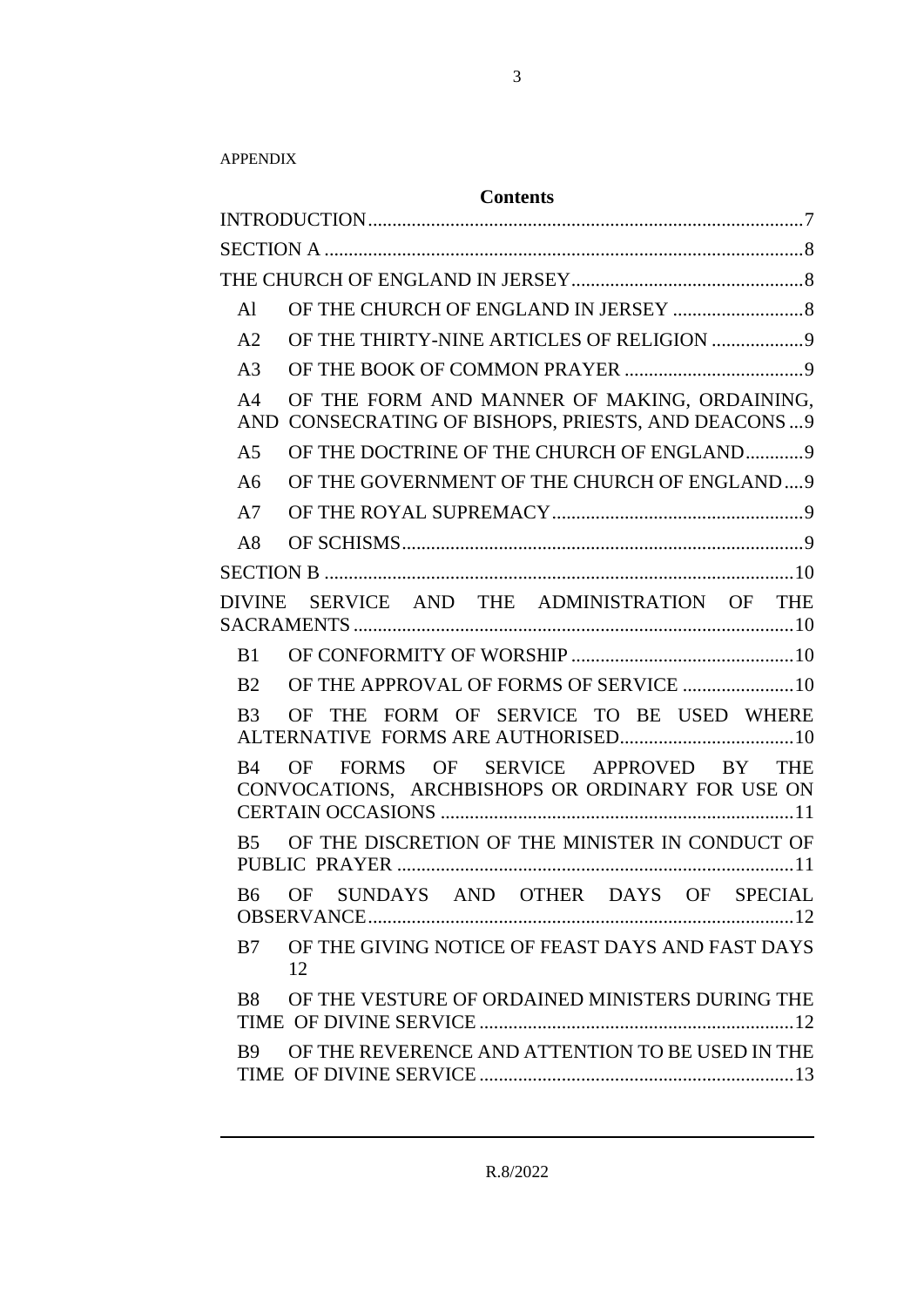APPENDIX

| <b>Contents</b> |                                                                                                   |  |  |  |
|-----------------|---------------------------------------------------------------------------------------------------|--|--|--|
|                 |                                                                                                   |  |  |  |
|                 |                                                                                                   |  |  |  |
|                 |                                                                                                   |  |  |  |
| Al              |                                                                                                   |  |  |  |
| A <sub>2</sub>  |                                                                                                   |  |  |  |
| A <sub>3</sub>  |                                                                                                   |  |  |  |
| A <sub>4</sub>  | OF THE FORM AND MANNER OF MAKING, ORDAINING,                                                      |  |  |  |
| <b>AND</b>      | CONSECRATING OF BISHOPS, PRIESTS, AND DEACONS 9                                                   |  |  |  |
| A <sub>5</sub>  | OF THE DOCTRINE OF THE CHURCH OF ENGLAND9                                                         |  |  |  |
| A6              | OF THE GOVERNMENT OF THE CHURCH OF ENGLAND9                                                       |  |  |  |
| A7              |                                                                                                   |  |  |  |
| A8              |                                                                                                   |  |  |  |
|                 |                                                                                                   |  |  |  |
|                 | DIVINE SERVICE AND THE ADMINISTRATION OF THE                                                      |  |  |  |
| B <sub>1</sub>  |                                                                                                   |  |  |  |
| B <sub>2</sub>  | OF THE APPROVAL OF FORMS OF SERVICE  10                                                           |  |  |  |
| B <sub>3</sub>  | OF THE FORM OF SERVICE TO BE USED WHERE                                                           |  |  |  |
| <b>B4</b>       | OF FORMS OF SERVICE APPROVED BY<br><b>THE</b><br>CONVOCATIONS, ARCHBISHOPS OR ORDINARY FOR USE ON |  |  |  |
| B5              | OF THE DISCRETION OF THE MINISTER IN CONDUCT OF                                                   |  |  |  |
|                 | B6 OF SUNDAYS AND OTHER DAYS OF SPECIAL                                                           |  |  |  |
|                 | B7 OF THE GIVING NOTICE OF FEAST DAYS AND FAST DAYS<br>12                                         |  |  |  |
|                 | B8 OF THE VESTURE OF ORDAINED MINISTERS DURING THE                                                |  |  |  |
|                 | B9 OF THE REVERENCE AND ATTENTION TO BE USED IN THE                                               |  |  |  |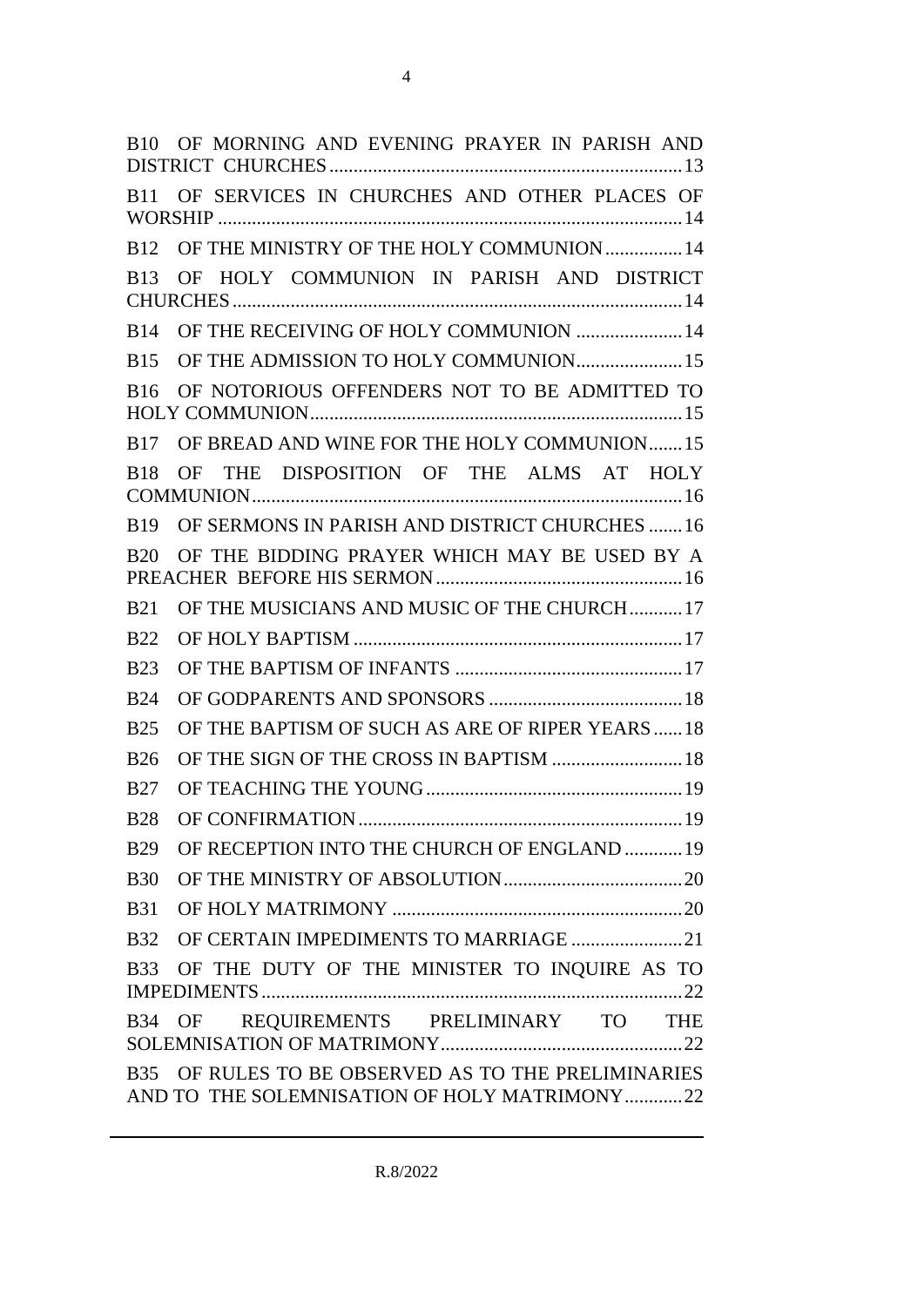B10 [OF MORNING AND EVENING PRAYER IN PARISH AND](#page-12-1)  [DISTRICT CHURCHES.........................................................................13](#page-12-1) B11 [OF SERVICES IN CHURCHES AND OTHER PLACES OF](#page-13-0)  WORSHIP [................................................................................................14](#page-13-0) B12 [OF THE MINISTRY OF THE HOLY COMMUNION................14](#page-13-1) B13 [OF HOLY COMMUNION IN PARISH AND DISTRICT](#page-13-2)  [CHURCHES.............................................................................................14](#page-13-2) B14 [OF THE RECEIVING OF HOLY COMMUNION](#page-13-3) ......................14 B15 [OF THE ADMISSION TO HOLY COMMUNION......................15](#page-14-0) B16 [OF NOTORIOUS OFFENDERS NOT TO BE ADMITTED TO](#page-14-1)  [HOLY COMMUNION.............................................................................15](#page-14-1) B17 [OF BREAD AND WINE FOR THE HOLY COMMUNION.......15](#page-14-2) B18 [OF THE DISPOSITION OF THE ALMS AT HOLY](#page-15-0)  [COMMUNION.........................................................................................16](#page-15-0) B19 [OF SERMONS IN PARISH AND DISTRICT CHURCHES](#page-15-1) .......16 B20 [OF THE BIDDING PRAYER WHICH MAY BE USED BY A](#page-15-2)  [PREACHER BEFORE HIS SERMON...................................................16](#page-15-2) B21 [OF THE MUSICIANS AND MUSIC OF THE CHURCH...........17](#page-16-0) B22 OF HOLY BAPTISM [....................................................................17](#page-16-1) B23 [OF THE BAPTISM OF INFANTS](#page-16-2) ...............................................17 B24 [OF GODPARENTS AND SPONSORS](#page-17-0) ........................................18 B25 [OF THE BAPTISM OF SUCH AS ARE OF RIPER YEARS......18](#page-17-1) B<sub>26</sub> [OF THE SIGN OF THE CROSS IN BAPTISM](#page-17-2) **18** B27 [OF TEACHING THE YOUNG.....................................................19](#page-18-0) B28 [OF CONFIRMATION...................................................................19](#page-18-1) B29 [OF RECEPTION INTO THE CHURCH OF ENGLAND](#page-18-2) ............19 B30 [OF THE MINISTRY OF ABSOLUTION.....................................20](#page-19-0) B31 OF HOLY MATRIMONY [............................................................20](#page-19-1) B32 [OF CERTAIN IMPEDIMENTS TO MARRIAGE](#page-20-0) .........................21 B33 [OF THE DUTY OF THE MINISTER TO INQUIRE AS TO](#page-21-0)  [IMPEDIMENTS.......................................................................................22](#page-21-0) B34 [OF REQUIREMENTS PRELIMINARY TO THE](#page-21-1)  [SOLEMNISATION OF MATRIMONY..................................................22](#page-21-1) B35 [OF RULES TO BE OBSERVED AS TO THE PRELIMINARIES](#page-21-2)  [AND TO THE SOLEMNISATION OF HOLY MATRIMONY............22](#page-21-2)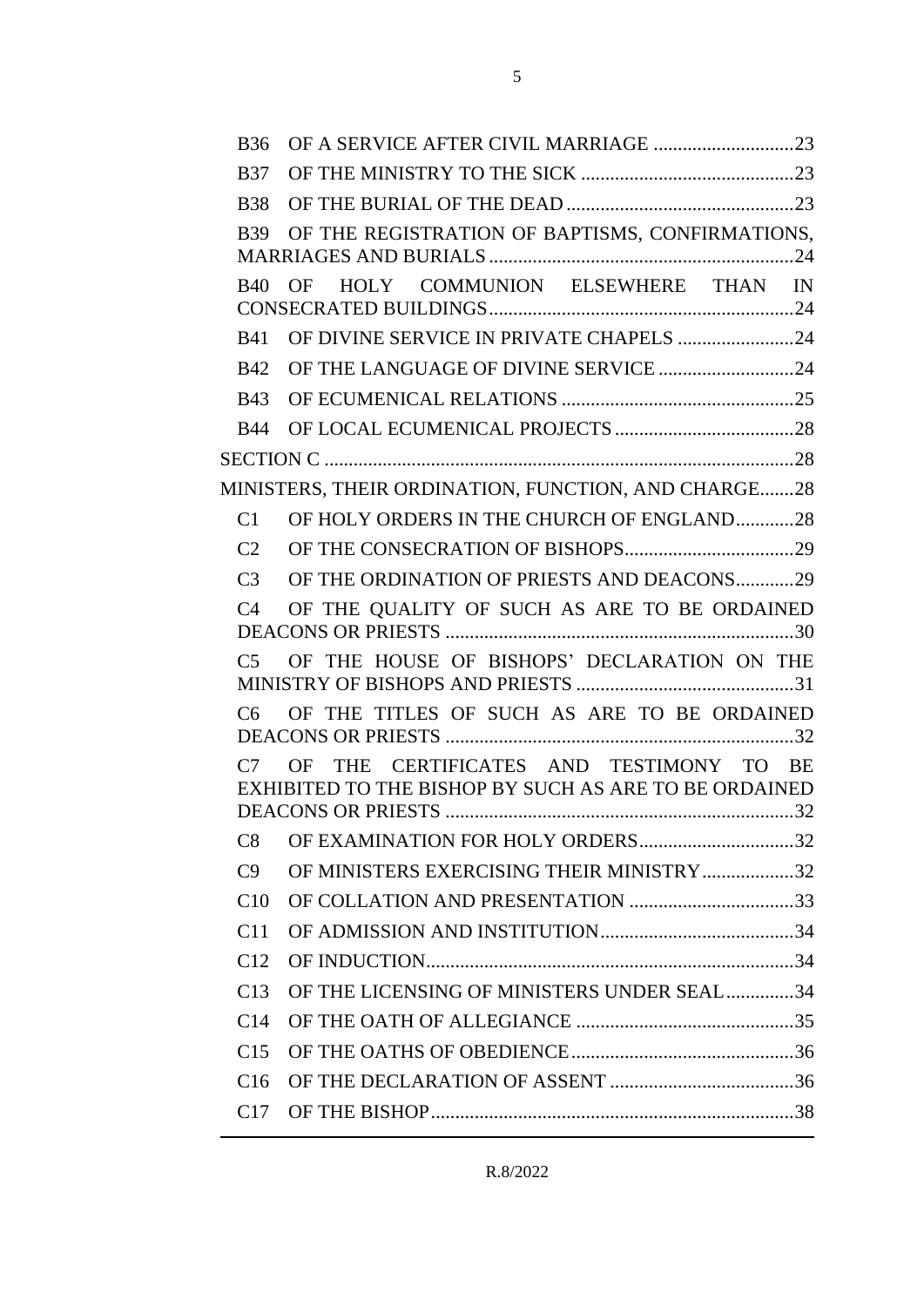| <b>B</b> 36    |                                                                                                  |           |
|----------------|--------------------------------------------------------------------------------------------------|-----------|
| <b>B</b> 37    |                                                                                                  |           |
| <b>B</b> 38    |                                                                                                  |           |
| <b>B</b> 39    | OF THE REGISTRATION OF BAPTISMS, CONFIRMATIONS,                                                  |           |
| <b>B40</b>     | HOLY COMMUNION ELSEWHERE THAN IN<br>OF                                                           |           |
| <b>B41</b>     | OF DIVINE SERVICE IN PRIVATE CHAPELS 24                                                          |           |
| <b>B42</b>     | OF THE LANGUAGE OF DIVINE SERVICE 24                                                             |           |
| <b>B</b> 43    |                                                                                                  |           |
| B44            |                                                                                                  |           |
|                |                                                                                                  |           |
|                | MINISTERS, THEIR ORDINATION, FUNCTION, AND CHARGE28                                              |           |
| C1             | OF HOLY ORDERS IN THE CHURCH OF ENGLAND28                                                        |           |
| C <sub>2</sub> |                                                                                                  |           |
| C <sub>3</sub> | OF THE ORDINATION OF PRIESTS AND DEACONS29                                                       |           |
| C <sub>4</sub> | OF THE QUALITY OF SUCH AS ARE TO BE ORDAINED                                                     |           |
| $C_5$          | OF THE HOUSE OF BISHOPS' DECLARATION ON THE                                                      |           |
| C <sub>6</sub> | OF THE TITLES OF SUCH AS ARE TO BE ORDAINED                                                      |           |
| C7             | THE CERTIFICATES AND TESTIMONY TO<br>OF<br>EXHIBITED TO THE BISHOP BY SUCH AS ARE TO BE ORDAINED | <b>BE</b> |
| C8             |                                                                                                  |           |
| C9             | OF MINISTERS EXERCISING THEIR MINISTRY32                                                         |           |
| C10            |                                                                                                  |           |
| C11            |                                                                                                  |           |
| C12            |                                                                                                  |           |
| C13            | OF THE LICENSING OF MINISTERS UNDER SEAL34                                                       |           |
| C14            |                                                                                                  |           |
| C15            |                                                                                                  |           |
| C16            |                                                                                                  |           |
| C17            |                                                                                                  |           |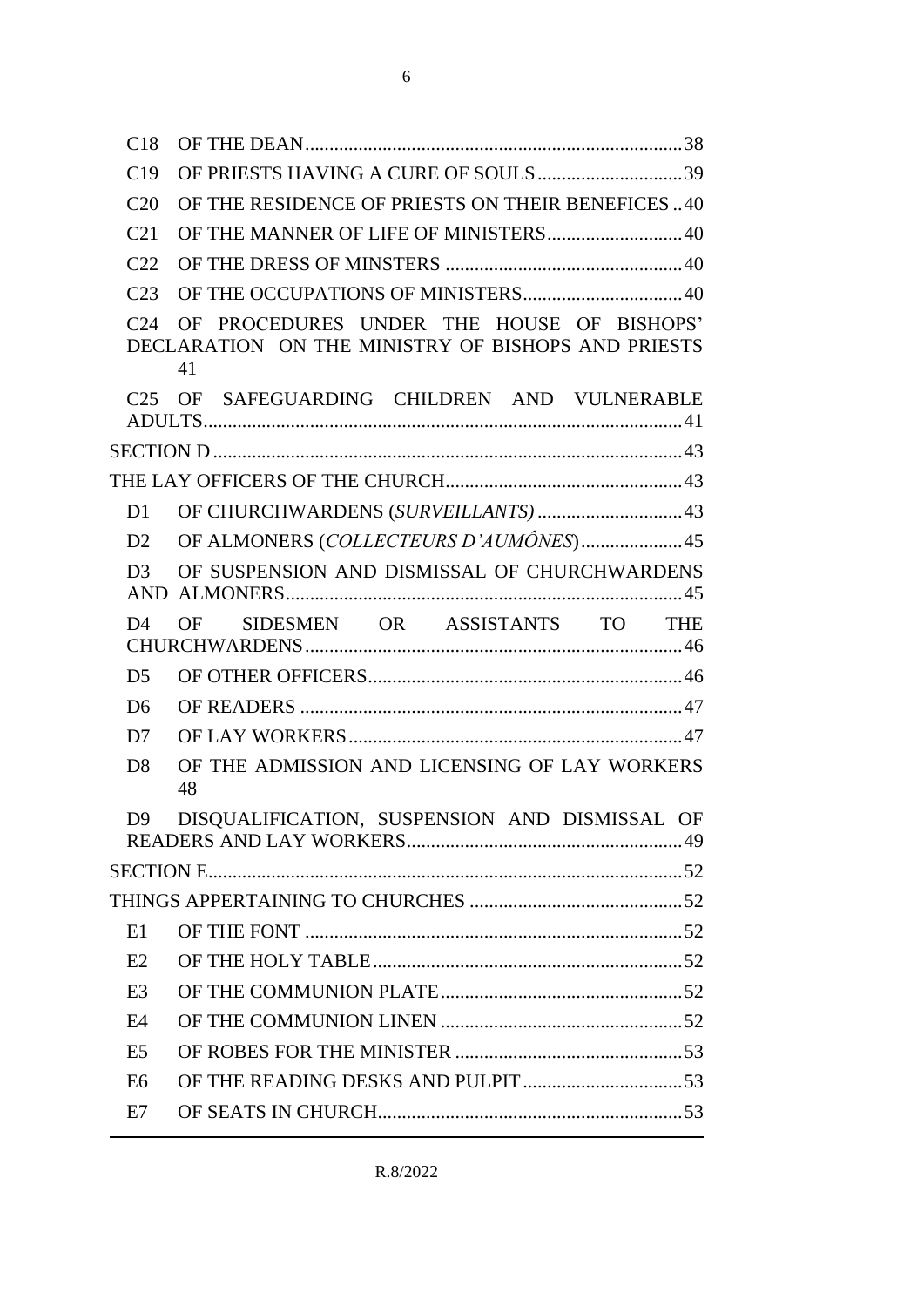| C18             |                                                                                                       |
|-----------------|-------------------------------------------------------------------------------------------------------|
| C19             | OF PRIESTS HAVING A CURE OF SOULS39                                                                   |
| C <sub>20</sub> | OF THE RESIDENCE OF PRIESTS ON THEIR BENEFICES40                                                      |
| C <sub>21</sub> |                                                                                                       |
| C <sub>22</sub> |                                                                                                       |
| C <sub>23</sub> |                                                                                                       |
| C <sub>24</sub> | OF PROCEDURES UNDER THE HOUSE OF BISHOPS'<br>DECLARATION ON THE MINISTRY OF BISHOPS AND PRIESTS<br>41 |
|                 | C25 OF SAFEGUARDING CHILDREN AND VULNERABLE                                                           |
|                 |                                                                                                       |
|                 |                                                                                                       |
| D <sub>1</sub>  | OF CHURCHWARDENS (SURVEILLANTS)  43                                                                   |
| D2              | OF ALMONERS (COLLECTEURS D'AUMÔNES) 45                                                                |
| D <sub>3</sub>  | OF SUSPENSION AND DISMISSAL OF CHURCHWARDENS                                                          |
| D <sub>4</sub>  | SIDESMEN OR ASSISTANTS TO THE<br>OF                                                                   |
| D <sub>5</sub>  |                                                                                                       |
| D <sub>6</sub>  |                                                                                                       |
| D7              |                                                                                                       |
| D <sub>8</sub>  | OF THE ADMISSION AND LICENSING OF LAY WORKERS<br>48                                                   |
| D <sub>9</sub>  | DISQUALIFICATION, SUSPENSION AND DISMISSAL OF                                                         |
|                 |                                                                                                       |
|                 |                                                                                                       |
| E1              |                                                                                                       |
| E2              |                                                                                                       |
| E <sub>3</sub>  |                                                                                                       |
| E4              |                                                                                                       |
| E <sub>5</sub>  |                                                                                                       |
| E <sub>6</sub>  |                                                                                                       |
| E7              |                                                                                                       |

R.8/2022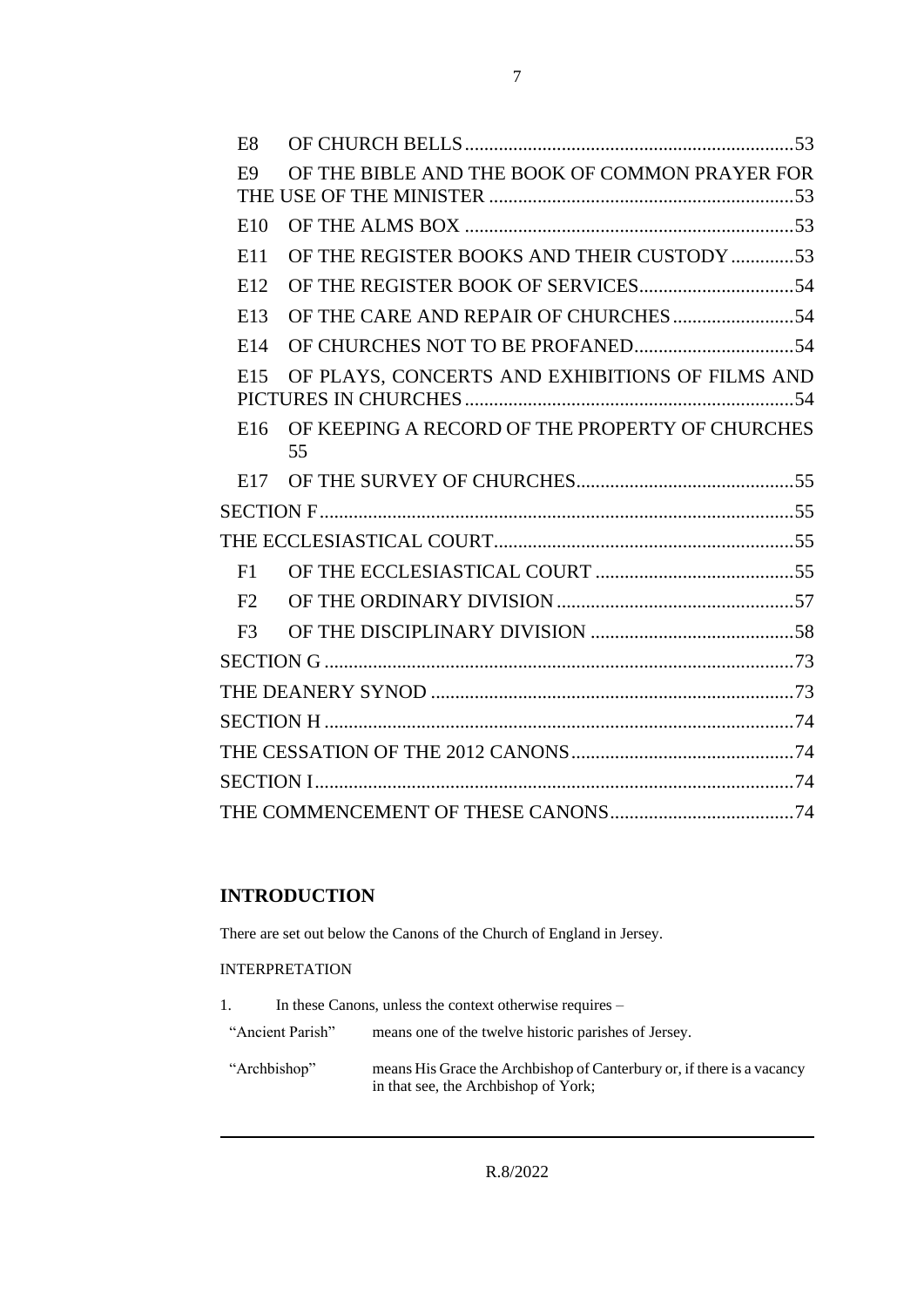| E <sub>8</sub>  |                                                       |  |
|-----------------|-------------------------------------------------------|--|
| E <sub>9</sub>  | OF THE BIBLE AND THE BOOK OF COMMON PRAYER FOR        |  |
| E10             |                                                       |  |
| E11             | OF THE REGISTER BOOKS AND THEIR CUSTODY 53            |  |
| E12             |                                                       |  |
| E13             |                                                       |  |
| E14             |                                                       |  |
| E <sub>15</sub> | OF PLAYS, CONCERTS AND EXHIBITIONS OF FILMS AND       |  |
| E16             | OF KEEPING A RECORD OF THE PROPERTY OF CHURCHES<br>55 |  |
|                 |                                                       |  |
|                 |                                                       |  |
|                 |                                                       |  |
| F1              |                                                       |  |
| F2              |                                                       |  |
| F <sub>3</sub>  |                                                       |  |
|                 |                                                       |  |
|                 |                                                       |  |
|                 |                                                       |  |
|                 |                                                       |  |
|                 |                                                       |  |
|                 |                                                       |  |

#### <span id="page-6-0"></span>**INTRODUCTION**

There are set out below the Canons of the Church of England in Jersey.

#### INTERPRETATION

| In these Canons, unless the context otherwise requires – | 1. |  |  |  |  |  |  |  |  |
|----------------------------------------------------------|----|--|--|--|--|--|--|--|--|
|----------------------------------------------------------|----|--|--|--|--|--|--|--|--|

"Ancient Parish" means one of the twelve historic parishes of Jersey.

"Archbishop" means His Grace the Archbishop of Canterbury or, if there is a vacancy in that see, the Archbishop of York;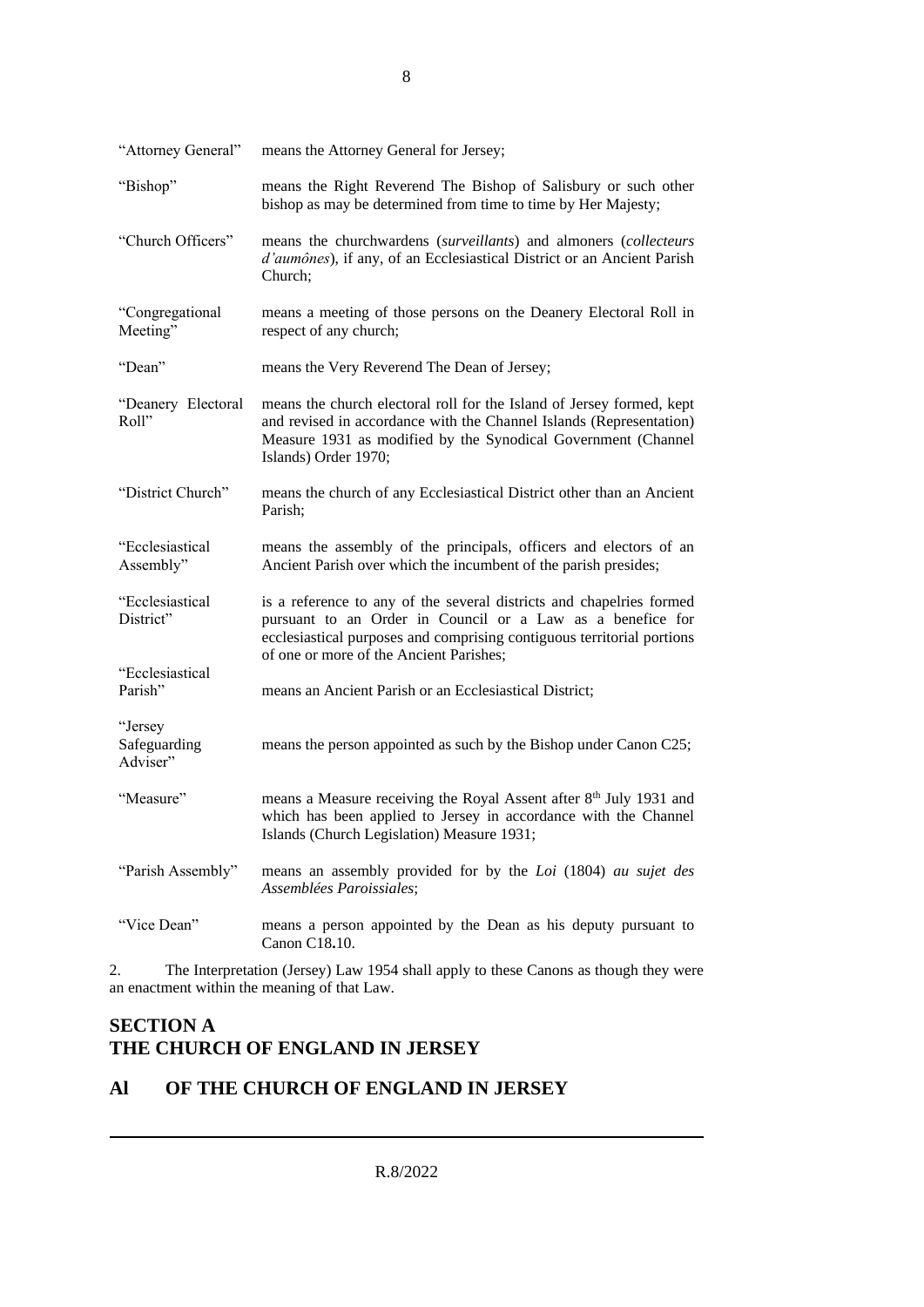| "Attorney General"                  | means the Attorney General for Jersey;                                                                                                                                                                                                                  |
|-------------------------------------|---------------------------------------------------------------------------------------------------------------------------------------------------------------------------------------------------------------------------------------------------------|
| "Bishop"                            | means the Right Reverend The Bishop of Salisbury or such other<br>bishop as may be determined from time to time by Her Majesty;                                                                                                                         |
| "Church Officers"                   | means the churchwardens (surveillants) and almoners (collecteurs<br>d'aumônes), if any, of an Ecclesiastical District or an Ancient Parish<br>Church;                                                                                                   |
| "Congregational<br>Meeting"         | means a meeting of those persons on the Deanery Electoral Roll in<br>respect of any church;                                                                                                                                                             |
| "Dean"                              | means the Very Reverend The Dean of Jersey;                                                                                                                                                                                                             |
| "Deanery Electoral<br>Roll"         | means the church electoral roll for the Island of Jersey formed, kept<br>and revised in accordance with the Channel Islands (Representation)<br>Measure 1931 as modified by the Synodical Government (Channel<br>Islands) Order 1970;                   |
| "District Church"                   | means the church of any Ecclesiastical District other than an Ancient<br>Parish;                                                                                                                                                                        |
| "Ecclesiastical<br>Assembly"        | means the assembly of the principals, officers and electors of an<br>Ancient Parish over which the incumbent of the parish presides;                                                                                                                    |
| "Ecclesiastical<br>District"        | is a reference to any of the several districts and chapelries formed<br>pursuant to an Order in Council or a Law as a benefice for<br>ecclesiastical purposes and comprising contiguous territorial portions<br>of one or more of the Ancient Parishes; |
| "Ecclesiastical<br>Parish"          | means an Ancient Parish or an Ecclesiastical District;                                                                                                                                                                                                  |
| "Jersey<br>Safeguarding<br>Adviser" | means the person appointed as such by the Bishop under Canon C25;                                                                                                                                                                                       |
| "Measure"                           | means a Measure receiving the Royal Assent after 8 <sup>th</sup> July 1931 and<br>which has been applied to Jersey in accordance with the Channel<br>Islands (Church Legislation) Measure 1931;                                                         |
| "Parish Assembly"                   | means an assembly provided for by the Loi (1804) au sujet des<br>Assemblées Paroissiales;                                                                                                                                                               |
| "Vice Dean"                         | means a person appointed by the Dean as his deputy pursuant to<br>Canon C18.10.                                                                                                                                                                         |

2. The Interpretation (Jersey) Law 1954 shall apply to these Canons as though they were an enactment within the meaning of that Law.

#### <span id="page-7-1"></span><span id="page-7-0"></span>**SECTION A THE CHURCH OF ENGLAND IN JERSEY**

## <span id="page-7-2"></span>**Al OF THE CHURCH OF ENGLAND IN JERSEY**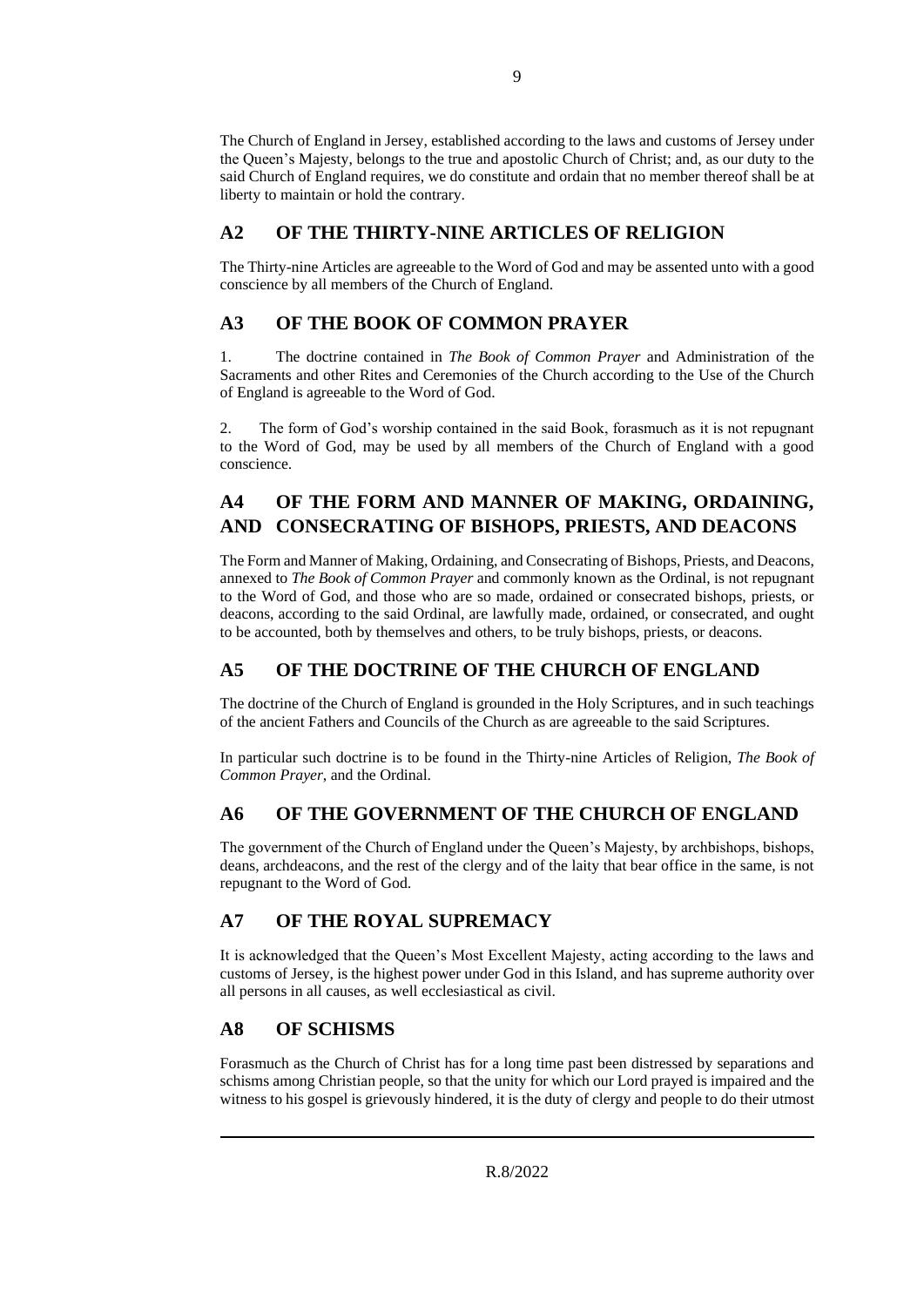The Church of England in Jersey, established according to the laws and customs of Jersey under the Queen's Majesty, belongs to the true and apostolic Church of Christ; and, as our duty to the said Church of England requires, we do constitute and ordain that no member thereof shall be at liberty to maintain or hold the contrary.

### <span id="page-8-0"></span>**A2 OF THE THIRTY-NINE ARTICLES OF RELIGION**

The Thirty-nine Articles are agreeable to the Word of God and may be assented unto with a good conscience by all members of the Church of England.

## <span id="page-8-1"></span>**A3 OF THE BOOK OF COMMON PRAYER**

1. The doctrine contained in *The Book of Common Prayer* and Administration of the Sacraments and other Rites and Ceremonies of the Church according to the Use of the Church of England is agreeable to the Word of God.

2. The form of God's worship contained in the said Book, forasmuch as it is not repugnant to the Word of God, may be used by all members of the Church of England with a good conscience.

## <span id="page-8-2"></span>**A4 OF THE FORM AND MANNER OF MAKING, ORDAINING, AND CONSECRATING OF BISHOPS, PRIESTS, AND DEACONS**

The Form and Manner of Making, Ordaining, and Consecrating of Bishops, Priests, and Deacons, annexed to *The Book of Common Prayer* and commonly known as the Ordinal, is not repugnant to the Word of God, and those who are so made, ordained or consecrated bishops, priests, or deacons, according to the said Ordinal, are lawfully made, ordained, or consecrated, and ought to be accounted, both by themselves and others, to be truly bishops, priests, or deacons.

## <span id="page-8-3"></span>**A5 OF THE DOCTRINE OF THE CHURCH OF ENGLAND**

The doctrine of the Church of England is grounded in the Holy Scriptures, and in such teachings of the ancient Fathers and Councils of the Church as are agreeable to the said Scriptures.

In particular such doctrine is to be found in the Thirty-nine Articles of Religion, *The Book of Common Prayer*, and the Ordinal.

## <span id="page-8-4"></span>**A6 OF THE GOVERNMENT OF THE CHURCH OF ENGLAND**

The government of the Church of England under the Queen's Majesty, by archbishops, bishops, deans, archdeacons, and the rest of the clergy and of the laity that bear office in the same, is not repugnant to the Word of God.

## <span id="page-8-5"></span>**A7 OF THE ROYAL SUPREMACY**

It is acknowledged that the Queen's Most Excellent Majesty, acting according to the laws and customs of Jersey, is the highest power under God in this Island, and has supreme authority over all persons in all causes, as well ecclesiastical as civil.

## <span id="page-8-6"></span>**A8 OF SCHISMS**

Forasmuch as the Church of Christ has for a long time past been distressed by separations and schisms among Christian people, so that the unity for which our Lord prayed is impaired and the witness to his gospel is grievously hindered, it is the duty of clergy and people to do their utmost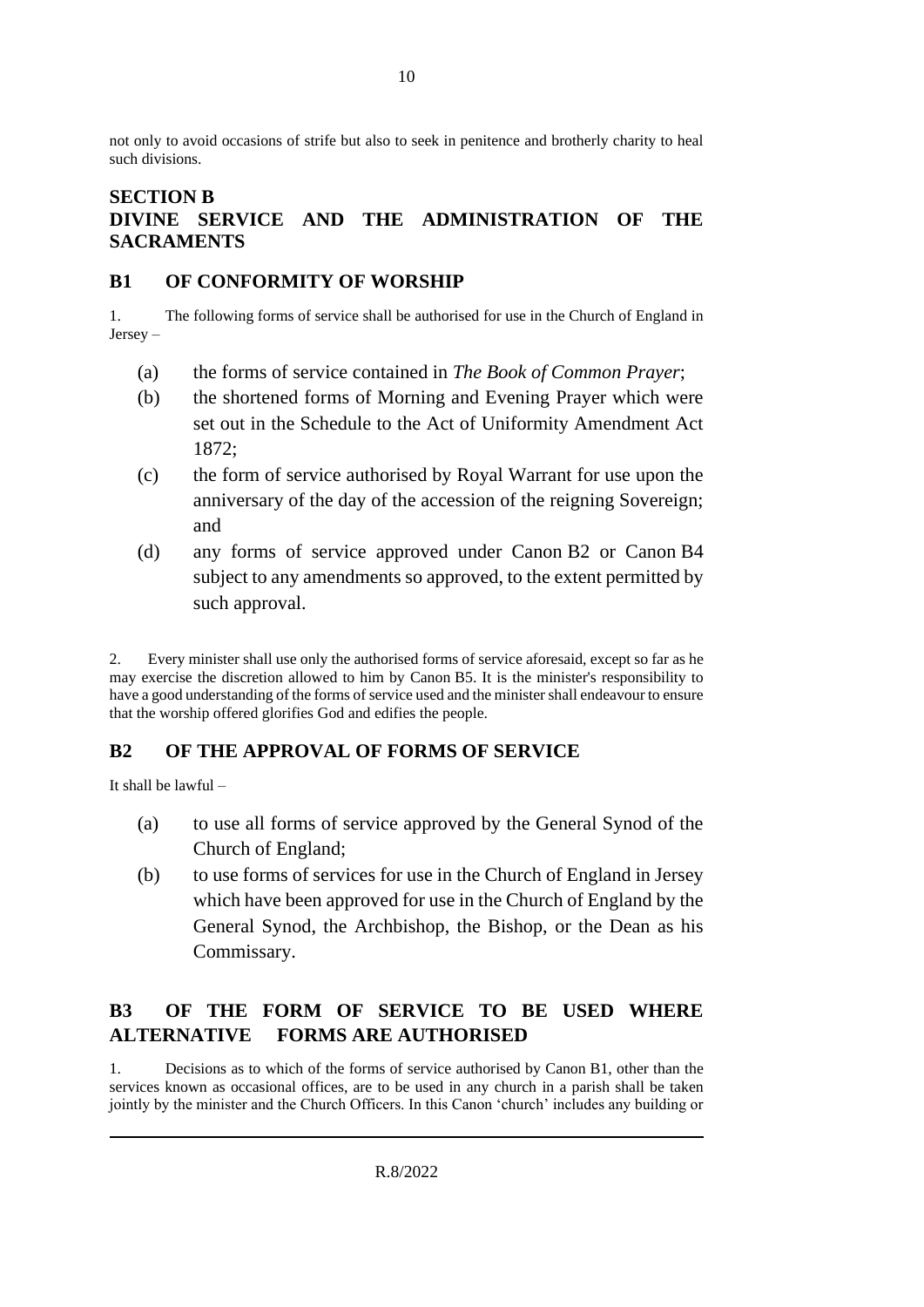not only to avoid occasions of strife but also to seek in penitence and brotherly charity to heal such divisions.

10

#### <span id="page-9-1"></span><span id="page-9-0"></span>**SECTION B DIVINE SERVICE AND THE ADMINISTRATION OF THE SACRAMENTS**

#### <span id="page-9-2"></span>**B1 OF CONFORMITY OF WORSHIP**

1. The following forms of service shall be authorised for use in the Church of England in Jersey –

- (a) the forms of service contained in *The Book of Common Prayer*;
- (b) the shortened forms of Morning and Evening Prayer which were set out in the Schedule to the Act of Uniformity Amendment Act 1872;
- (c) the form of service authorised by Royal Warrant for use upon the anniversary of the day of the accession of the reigning Sovereign; and
- (d) any forms of service approved under Canon B2 or Canon B4 subject to any amendments so approved, to the extent permitted by such approval.

2. Every minister shall use only the authorised forms of service aforesaid, except so far as he may exercise the discretion allowed to him by Canon B5. It is the minister's responsibility to have a good understanding of the forms of service used and the minister shall endeavour to ensure that the worship offered glorifies God and edifies the people.

#### <span id="page-9-3"></span>**B2 OF THE APPROVAL OF FORMS OF SERVICE**

It shall be lawful –

- (a) to use all forms of service approved by the General Synod of the Church of England;
- (b) to use forms of services for use in the Church of England in Jersey which have been approved for use in the Church of England by the General Synod, the Archbishop, the Bishop, or the Dean as his Commissary.

## <span id="page-9-4"></span>**B3 OF THE FORM OF SERVICE TO BE USED WHERE ALTERNATIVE FORMS ARE AUTHORISED**

1. Decisions as to which of the forms of service authorised by Canon B1, other than the services known as occasional offices, are to be used in any church in a parish shall be taken jointly by the minister and the Church Officers. In this Canon 'church' includes any building or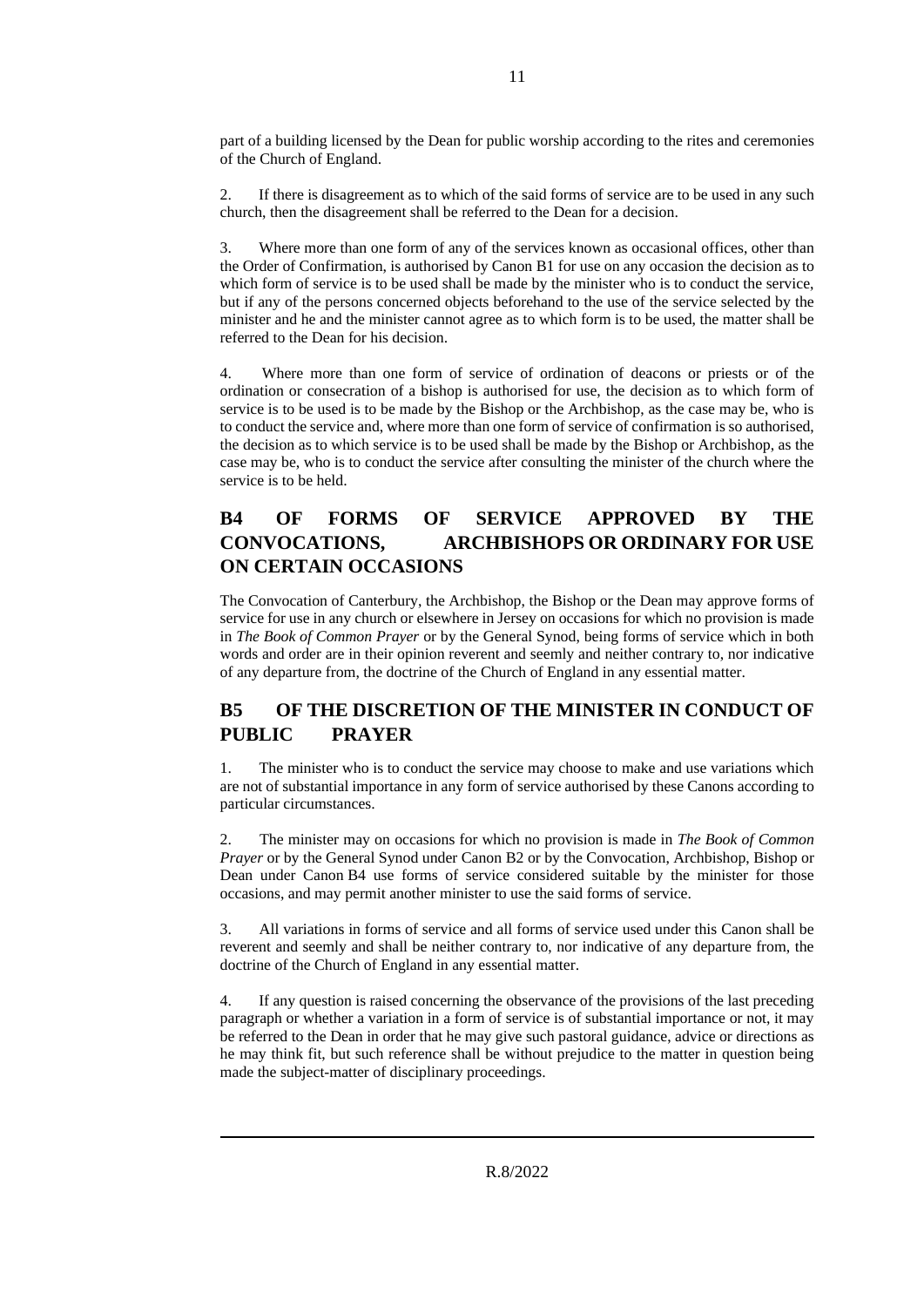part of a building licensed by the Dean for public worship according to the rites and ceremonies of the Church of England.

2. If there is disagreement as to which of the said forms of service are to be used in any such church, then the disagreement shall be referred to the Dean for a decision.

3. Where more than one form of any of the services known as occasional offices, other than the Order of Confirmation, is authorised by Canon B1 for use on any occasion the decision as to which form of service is to be used shall be made by the minister who is to conduct the service, but if any of the persons concerned objects beforehand to the use of the service selected by the minister and he and the minister cannot agree as to which form is to be used, the matter shall be referred to the Dean for his decision.

4. Where more than one form of service of ordination of deacons or priests or of the ordination or consecration of a bishop is authorised for use, the decision as to which form of service is to be used is to be made by the Bishop or the Archbishop, as the case may be, who is to conduct the service and, where more than one form of service of confirmation is so authorised, the decision as to which service is to be used shall be made by the Bishop or Archbishop, as the case may be, who is to conduct the service after consulting the minister of the church where the service is to be held.

## <span id="page-10-0"></span>**B4 OF FORMS OF SERVICE APPROVED BY THE CONVOCATIONS, ARCHBISHOPS OR ORDINARY FOR USE ON CERTAIN OCCASIONS**

The Convocation of Canterbury, the Archbishop, the Bishop or the Dean may approve forms of service for use in any church or elsewhere in Jersey on occasions for which no provision is made in *The Book of Common Prayer* or by the General Synod, being forms of service which in both words and order are in their opinion reverent and seemly and neither contrary to, nor indicative of any departure from, the doctrine of the Church of England in any essential matter.

#### <span id="page-10-1"></span>**B5 OF THE DISCRETION OF THE MINISTER IN CONDUCT OF PUBLIC PRAYER**

1. The minister who is to conduct the service may choose to make and use variations which are not of substantial importance in any form of service authorised by these Canons according to particular circumstances.

2. The minister may on occasions for which no provision is made in *The Book of Common Prayer* or by the General Synod under Canon B2 or by the Convocation, Archbishop, Bishop or Dean under Canon B4 use forms of service considered suitable by the minister for those occasions, and may permit another minister to use the said forms of service.

3. All variations in forms of service and all forms of service used under this Canon shall be reverent and seemly and shall be neither contrary to, nor indicative of any departure from, the doctrine of the Church of England in any essential matter.

4. If any question is raised concerning the observance of the provisions of the last preceding paragraph or whether a variation in a form of service is of substantial importance or not, it may be referred to the Dean in order that he may give such pastoral guidance, advice or directions as he may think fit, but such reference shall be without prejudice to the matter in question being made the subject-matter of disciplinary proceedings.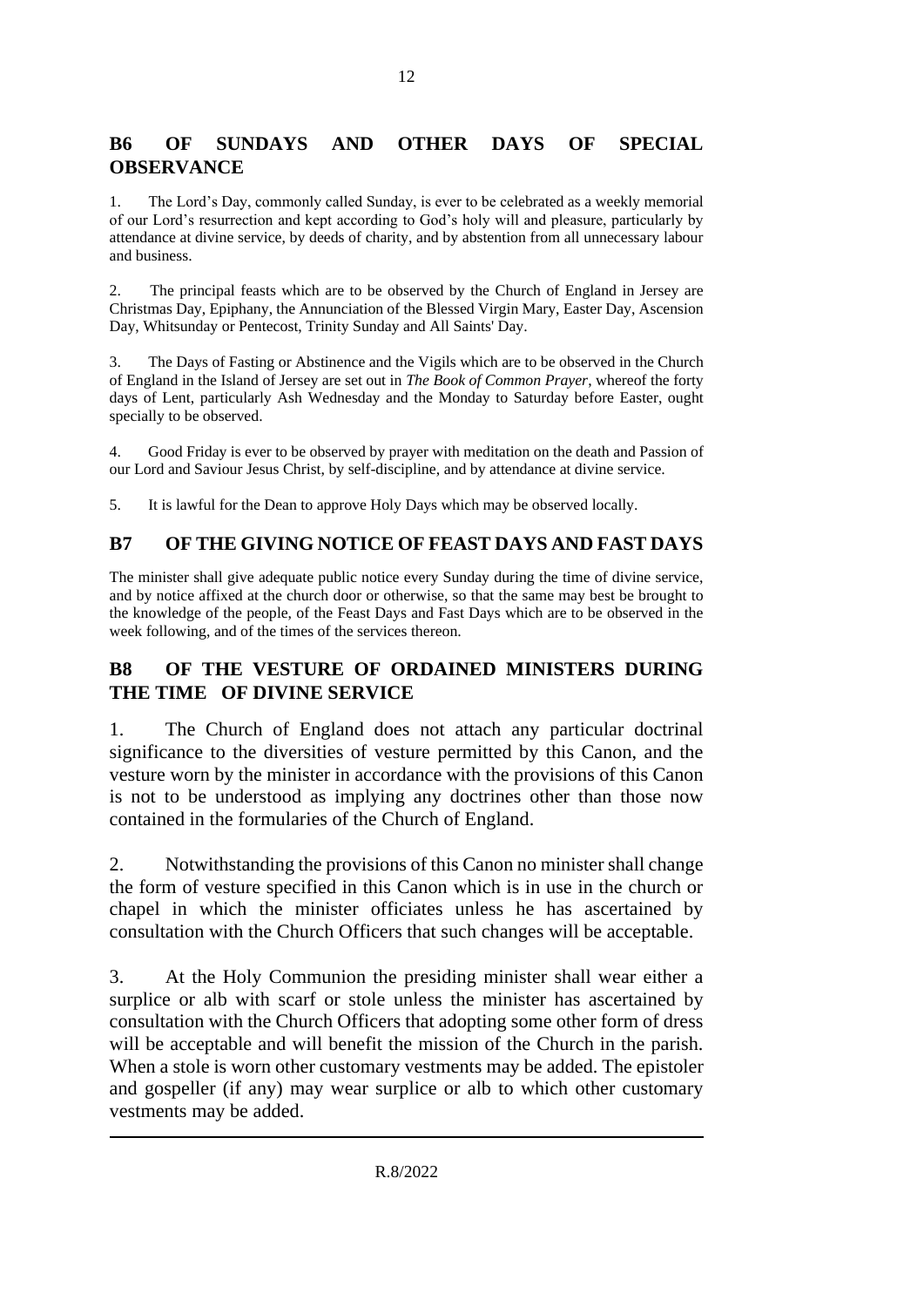## <span id="page-11-0"></span>**B6 OF SUNDAYS AND OTHER DAYS OF SPECIAL OBSERVANCE**

1. The Lord's Day, commonly called Sunday, is ever to be celebrated as a weekly memorial of our Lord's resurrection and kept according to God's holy will and pleasure, particularly by attendance at divine service, by deeds of charity, and by abstention from all unnecessary labour and business.

2. The principal feasts which are to be observed by the Church of England in Jersey are Christmas Day, Epiphany, the Annunciation of the Blessed Virgin Mary, Easter Day, Ascension Day, Whitsunday or Pentecost, Trinity Sunday and All Saints' Day.

3. The Days of Fasting or Abstinence and the Vigils which are to be observed in the Church of England in the Island of Jersey are set out in *The Book of Common Prayer*, whereof the forty days of Lent, particularly Ash Wednesday and the Monday to Saturday before Easter, ought specially to be observed.

4. Good Friday is ever to be observed by prayer with meditation on the death and Passion of our Lord and Saviour Jesus Christ, by self-discipline, and by attendance at divine service.

5. It is lawful for the Dean to approve Holy Days which may be observed locally.

## <span id="page-11-1"></span>**B7 OF THE GIVING NOTICE OF FEAST DAYS AND FAST DAYS**

The minister shall give adequate public notice every Sunday during the time of divine service, and by notice affixed at the church door or otherwise, so that the same may best be brought to the knowledge of the people, of the Feast Days and Fast Days which are to be observed in the week following, and of the times of the services thereon.

## <span id="page-11-2"></span>**B8 OF THE VESTURE OF ORDAINED MINISTERS DURING THE TIME OF DIVINE SERVICE**

1. The Church of England does not attach any particular doctrinal significance to the diversities of vesture permitted by this Canon, and the vesture worn by the minister in accordance with the provisions of this Canon is not to be understood as implying any doctrines other than those now contained in the formularies of the Church of England.

2. Notwithstanding the provisions of this Canon no minister shall change the form of vesture specified in this Canon which is in use in the church or chapel in which the minister officiates unless he has ascertained by consultation with the Church Officers that such changes will be acceptable.

3. At the Holy Communion the presiding minister shall wear either a surplice or alb with scarf or stole unless the minister has ascertained by consultation with the Church Officers that adopting some other form of dress will be acceptable and will benefit the mission of the Church in the parish. When a stole is worn other customary vestments may be added. The epistoler and gospeller (if any) may wear surplice or alb to which other customary vestments may be added.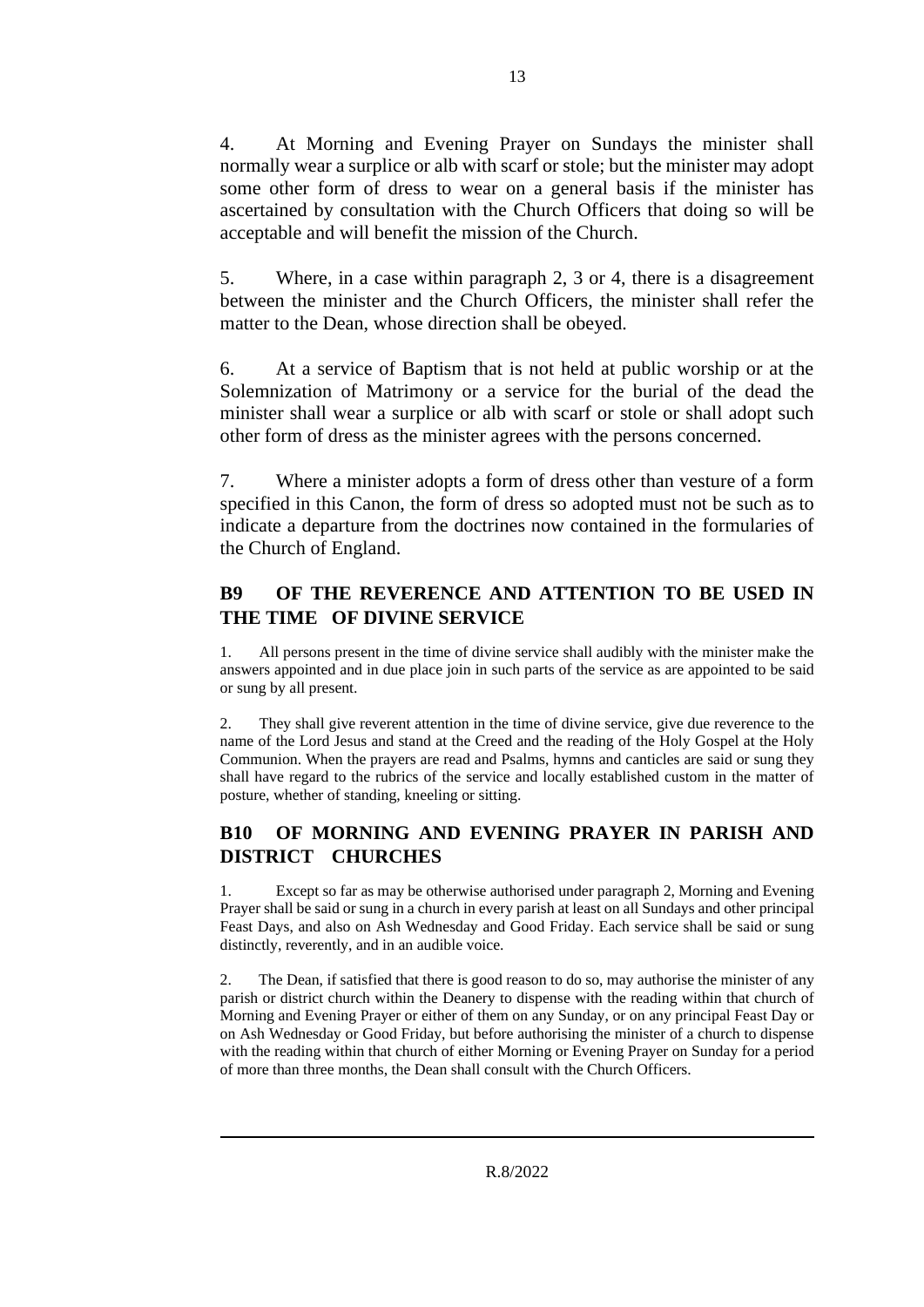4. At Morning and Evening Prayer on Sundays the minister shall normally wear a surplice or alb with scarf or stole; but the minister may adopt some other form of dress to wear on a general basis if the minister has ascertained by consultation with the Church Officers that doing so will be acceptable and will benefit the mission of the Church.

5. Where, in a case within paragraph 2, 3 or 4, there is a disagreement between the minister and the Church Officers, the minister shall refer the matter to the Dean, whose direction shall be obeyed.

6. At a service of Baptism that is not held at public worship or at the Solemnization of Matrimony or a service for the burial of the dead the minister shall wear a surplice or alb with scarf or stole or shall adopt such other form of dress as the minister agrees with the persons concerned.

7. Where a minister adopts a form of dress other than vesture of a form specified in this Canon, the form of dress so adopted must not be such as to indicate a departure from the doctrines now contained in the formularies of the Church of England.

### <span id="page-12-0"></span>**B9 OF THE REVERENCE AND ATTENTION TO BE USED IN THE TIME OF DIVINE SERVICE**

1. All persons present in the time of divine service shall audibly with the minister make the answers appointed and in due place join in such parts of the service as are appointed to be said or sung by all present.

2. They shall give reverent attention in the time of divine service, give due reverence to the name of the Lord Jesus and stand at the Creed and the reading of the Holy Gospel at the Holy Communion. When the prayers are read and Psalms, hymns and canticles are said or sung they shall have regard to the rubrics of the service and locally established custom in the matter of posture, whether of standing, kneeling or sitting.

## <span id="page-12-1"></span>**B10 OF MORNING AND EVENING PRAYER IN PARISH AND DISTRICT CHURCHES**

1. Except so far as may be otherwise authorised under paragraph 2, Morning and Evening Prayer shall be said or sung in a church in every parish at least on all Sundays and other principal Feast Days, and also on Ash Wednesday and Good Friday. Each service shall be said or sung distinctly, reverently, and in an audible voice.

2. The Dean, if satisfied that there is good reason to do so, may authorise the minister of any parish or district church within the Deanery to dispense with the reading within that church of Morning and Evening Prayer or either of them on any Sunday, or on any principal Feast Day or on Ash Wednesday or Good Friday, but before authorising the minister of a church to dispense with the reading within that church of either Morning or Evening Prayer on Sunday for a period of more than three months, the Dean shall consult with the Church Officers.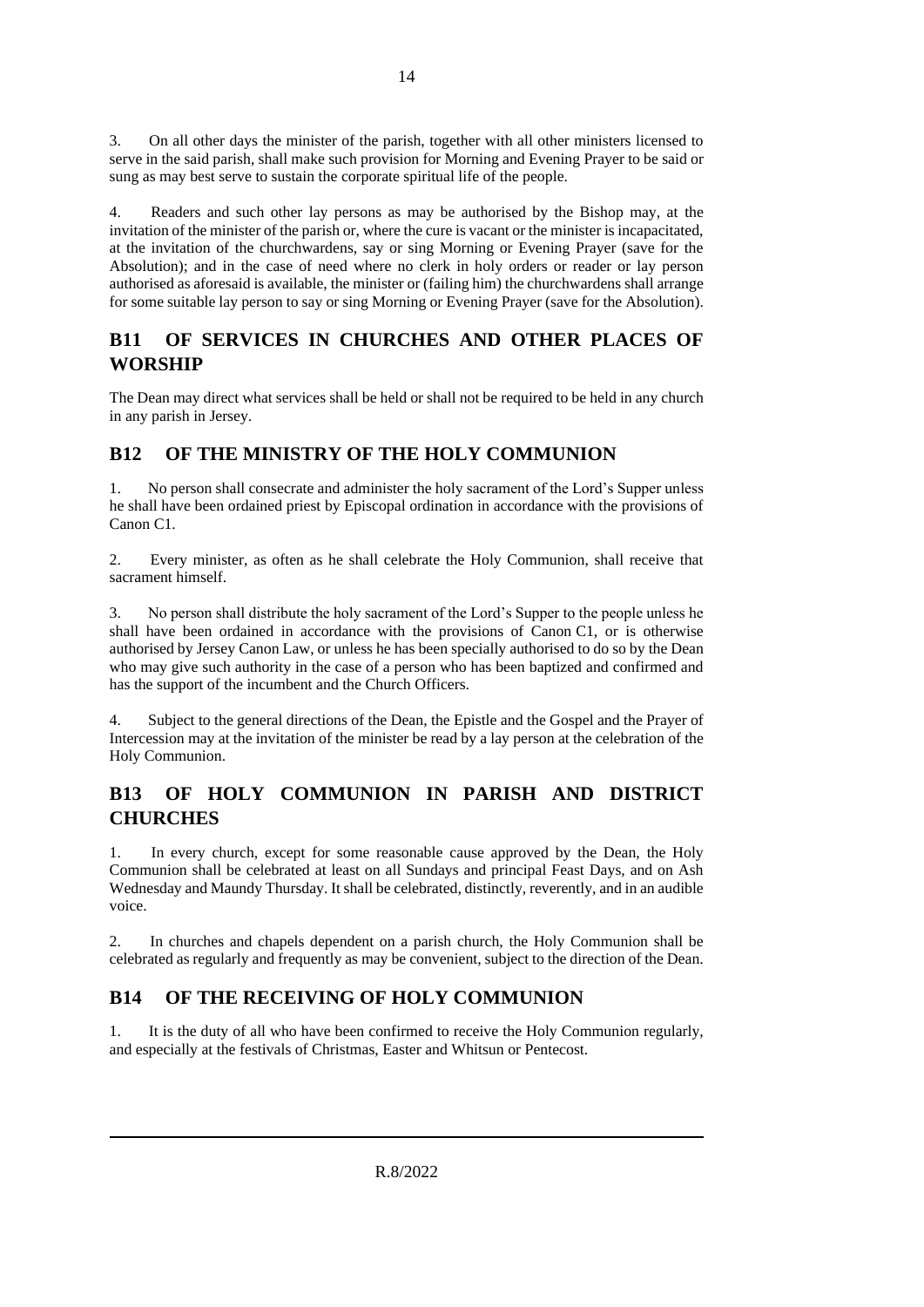3. On all other days the minister of the parish, together with all other ministers licensed to serve in the said parish, shall make such provision for Morning and Evening Prayer to be said or sung as may best serve to sustain the corporate spiritual life of the people.

4. Readers and such other lay persons as may be authorised by the Bishop may, at the invitation of the minister of the parish or, where the cure is vacant or the minister is incapacitated, at the invitation of the churchwardens, say or sing Morning or Evening Prayer (save for the Absolution); and in the case of need where no clerk in holy orders or reader or lay person authorised as aforesaid is available, the minister or (failing him) the churchwardens shall arrange for some suitable lay person to say or sing Morning or Evening Prayer (save for the Absolution).

#### <span id="page-13-0"></span>**B11 OF SERVICES IN CHURCHES AND OTHER PLACES OF WORSHIP**

The Dean may direct what services shall be held or shall not be required to be held in any church in any parish in Jersey.

#### <span id="page-13-1"></span>**B12 OF THE MINISTRY OF THE HOLY COMMUNION**

1. No person shall consecrate and administer the holy sacrament of the Lord's Supper unless he shall have been ordained priest by Episcopal ordination in accordance with the provisions of Canon C1.

2. Every minister, as often as he shall celebrate the Holy Communion, shall receive that sacrament himself.

3. No person shall distribute the holy sacrament of the Lord's Supper to the people unless he shall have been ordained in accordance with the provisions of Canon C1, or is otherwise authorised by Jersey Canon Law, or unless he has been specially authorised to do so by the Dean who may give such authority in the case of a person who has been baptized and confirmed and has the support of the incumbent and the Church Officers.

4. Subject to the general directions of the Dean, the Epistle and the Gospel and the Prayer of Intercession may at the invitation of the minister be read by a lay person at the celebration of the Holy Communion.

#### <span id="page-13-2"></span>**B13 OF HOLY COMMUNION IN PARISH AND DISTRICT CHURCHES**

1. In every church, except for some reasonable cause approved by the Dean, the Holy Communion shall be celebrated at least on all Sundays and principal Feast Days, and on Ash Wednesday and Maundy Thursday. It shall be celebrated, distinctly, reverently, and in an audible voice.

2. In churches and chapels dependent on a parish church, the Holy Communion shall be celebrated as regularly and frequently as may be convenient, subject to the direction of the Dean.

#### <span id="page-13-3"></span>**B14 OF THE RECEIVING OF HOLY COMMUNION**

1. It is the duty of all who have been confirmed to receive the Holy Communion regularly, and especially at the festivals of Christmas, Easter and Whitsun or Pentecost.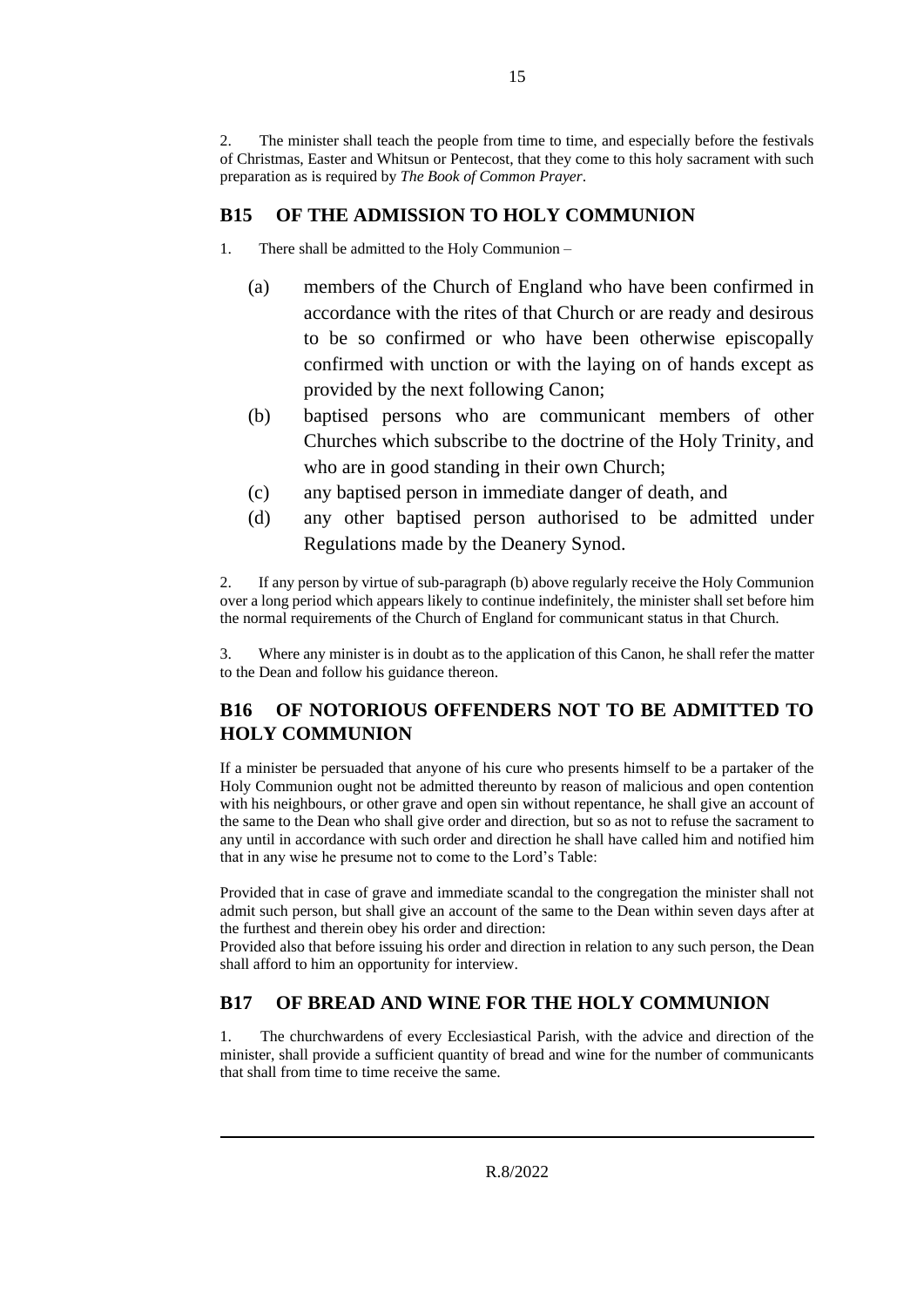### <span id="page-14-0"></span>**B15 OF THE ADMISSION TO HOLY COMMUNION**

- 1. There shall be admitted to the Holy Communion
	- (a) members of the Church of England who have been confirmed in accordance with the rites of that Church or are ready and desirous to be so confirmed or who have been otherwise episcopally confirmed with unction or with the laying on of hands except as provided by the next following Canon;
	- (b) baptised persons who are communicant members of other Churches which subscribe to the doctrine of the Holy Trinity, and who are in good standing in their own Church;
	- (c) any baptised person in immediate danger of death, and
	- (d) any other baptised person authorised to be admitted under Regulations made by the Deanery Synod.

2. If any person by virtue of sub-paragraph (b) above regularly receive the Holy Communion over a long period which appears likely to continue indefinitely, the minister shall set before him the normal requirements of the Church of England for communicant status in that Church.

3. Where any minister is in doubt as to the application of this Canon, he shall refer the matter to the Dean and follow his guidance thereon.

## <span id="page-14-1"></span>**B16 OF NOTORIOUS OFFENDERS NOT TO BE ADMITTED TO HOLY COMMUNION**

If a minister be persuaded that anyone of his cure who presents himself to be a partaker of the Holy Communion ought not be admitted thereunto by reason of malicious and open contention with his neighbours, or other grave and open sin without repentance, he shall give an account of the same to the Dean who shall give order and direction, but so as not to refuse the sacrament to any until in accordance with such order and direction he shall have called him and notified him that in any wise he presume not to come to the Lord's Table:

Provided that in case of grave and immediate scandal to the congregation the minister shall not admit such person, but shall give an account of the same to the Dean within seven days after at the furthest and therein obey his order and direction:

Provided also that before issuing his order and direction in relation to any such person, the Dean shall afford to him an opportunity for interview.

## <span id="page-14-2"></span>**B17 OF BREAD AND WINE FOR THE HOLY COMMUNION**

1. The churchwardens of every Ecclesiastical Parish, with the advice and direction of the minister, shall provide a sufficient quantity of bread and wine for the number of communicants that shall from time to time receive the same.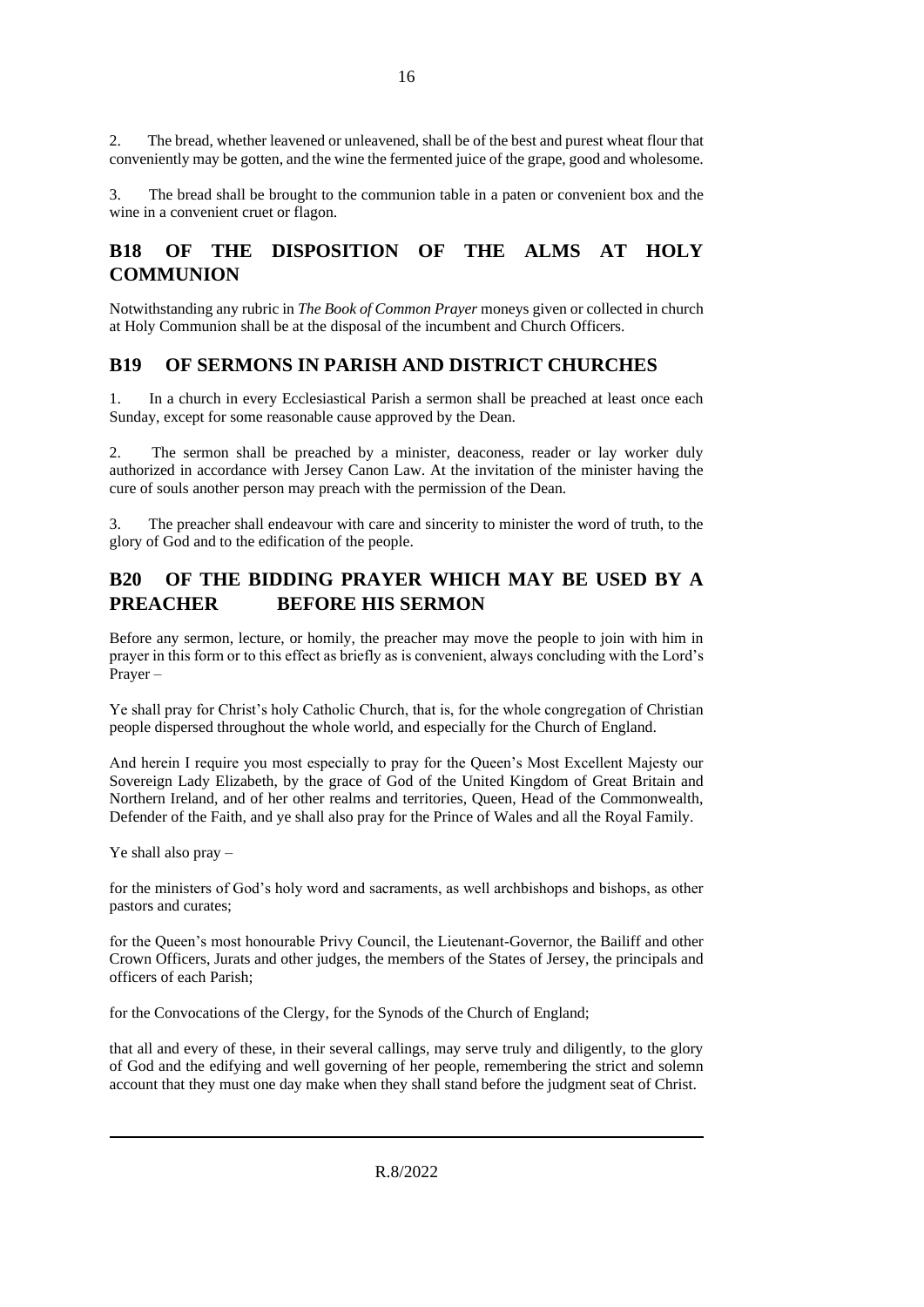2. The bread, whether leavened or unleavened, shall be of the best and purest wheat flour that conveniently may be gotten, and the wine the fermented juice of the grape, good and wholesome.

3. The bread shall be brought to the communion table in a paten or convenient box and the wine in a convenient cruet or flagon.

## <span id="page-15-0"></span>**B18 OF THE DISPOSITION OF THE ALMS AT HOLY COMMUNION**

Notwithstanding any rubric in *The Book of Common Prayer* moneys given or collected in church at Holy Communion shall be at the disposal of the incumbent and Church Officers.

#### <span id="page-15-1"></span>**B19 OF SERMONS IN PARISH AND DISTRICT CHURCHES**

1. In a church in every Ecclesiastical Parish a sermon shall be preached at least once each Sunday, except for some reasonable cause approved by the Dean.

The sermon shall be preached by a minister, deaconess, reader or lay worker duly authorized in accordance with Jersey Canon Law. At the invitation of the minister having the cure of souls another person may preach with the permission of the Dean.

3. The preacher shall endeavour with care and sincerity to minister the word of truth, to the glory of God and to the edification of the people.

#### <span id="page-15-2"></span>**B20 OF THE BIDDING PRAYER WHICH MAY BE USED BY A PREACHER BEFORE HIS SERMON**

Before any sermon, lecture, or homily, the preacher may move the people to join with him in prayer in this form or to this effect as briefly as is convenient, always concluding with the Lord's Prayer –

Ye shall pray for Christ's holy Catholic Church, that is, for the whole congregation of Christian people dispersed throughout the whole world, and especially for the Church of England.

And herein I require you most especially to pray for the Queen's Most Excellent Majesty our Sovereign Lady Elizabeth, by the grace of God of the United Kingdom of Great Britain and Northern Ireland, and of her other realms and territories, Queen, Head of the Commonwealth, Defender of the Faith, and ye shall also pray for the Prince of Wales and all the Royal Family.

Ye shall also pray –

for the ministers of God's holy word and sacraments, as well archbishops and bishops, as other pastors and curates;

for the Queen's most honourable Privy Council, the Lieutenant-Governor, the Bailiff and other Crown Officers, Jurats and other judges, the members of the States of Jersey, the principals and officers of each Parish;

for the Convocations of the Clergy, for the Synods of the Church of England;

that all and every of these, in their several callings, may serve truly and diligently, to the glory of God and the edifying and well governing of her people, remembering the strict and solemn account that they must one day make when they shall stand before the judgment seat of Christ.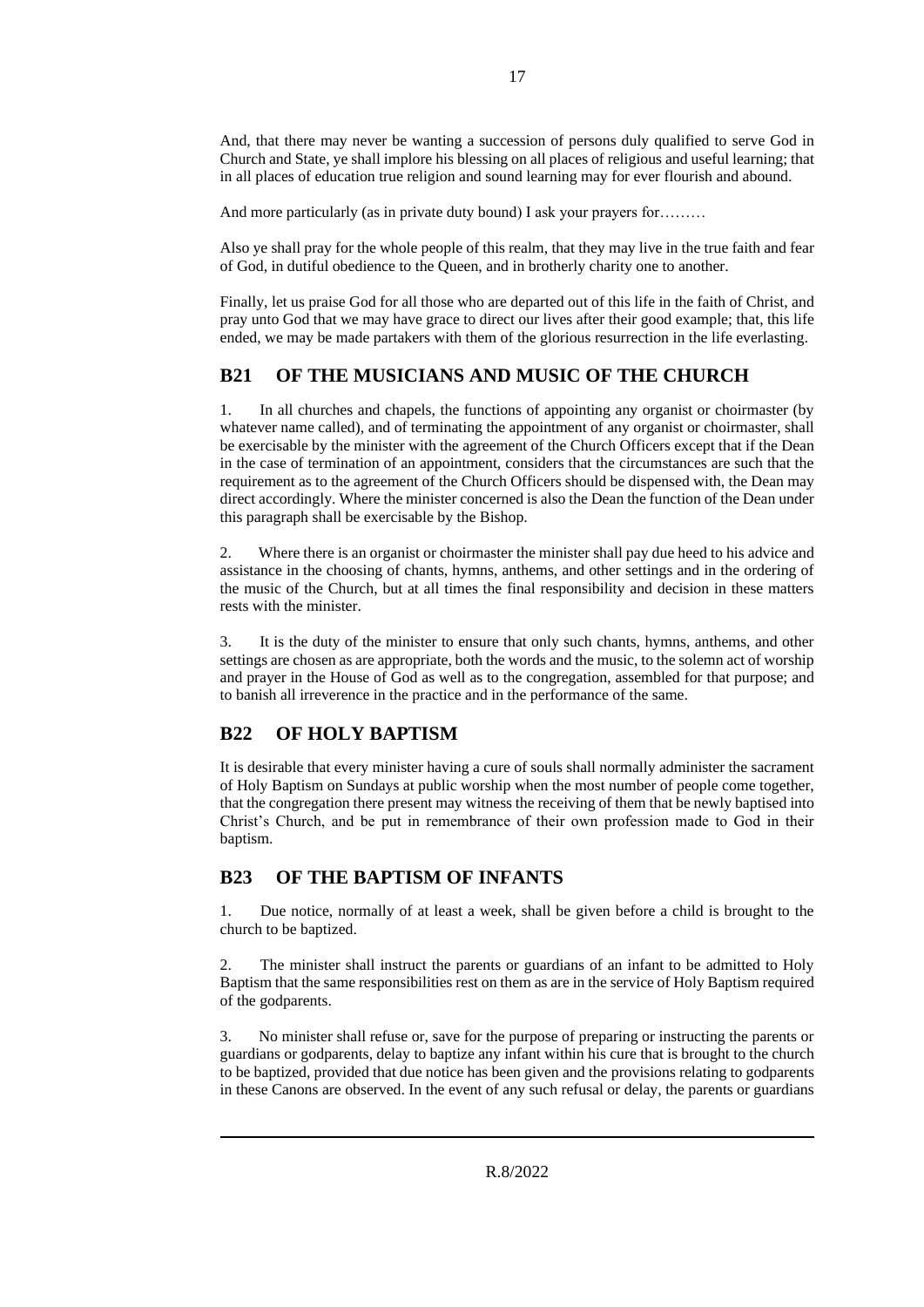And, that there may never be wanting a succession of persons duly qualified to serve God in Church and State, ye shall implore his blessing on all places of religious and useful learning; that in all places of education true religion and sound learning may for ever flourish and abound.

And more particularly (as in private duty bound) I ask your prayers for………

Also ye shall pray for the whole people of this realm, that they may live in the true faith and fear of God, in dutiful obedience to the Queen, and in brotherly charity one to another.

Finally, let us praise God for all those who are departed out of this life in the faith of Christ, and pray unto God that we may have grace to direct our lives after their good example; that, this life ended, we may be made partakers with them of the glorious resurrection in the life everlasting.

#### <span id="page-16-0"></span>**B21 OF THE MUSICIANS AND MUSIC OF THE CHURCH**

1. In all churches and chapels, the functions of appointing any organist or choirmaster (by whatever name called), and of terminating the appointment of any organist or choirmaster, shall be exercisable by the minister with the agreement of the Church Officers except that if the Dean in the case of termination of an appointment, considers that the circumstances are such that the requirement as to the agreement of the Church Officers should be dispensed with, the Dean may direct accordingly. Where the minister concerned is also the Dean the function of the Dean under this paragraph shall be exercisable by the Bishop.

2. Where there is an organist or choirmaster the minister shall pay due heed to his advice and assistance in the choosing of chants, hymns, anthems, and other settings and in the ordering of the music of the Church, but at all times the final responsibility and decision in these matters rests with the minister.

3. It is the duty of the minister to ensure that only such chants, hymns, anthems, and other settings are chosen as are appropriate, both the words and the music, to the solemn act of worship and prayer in the House of God as well as to the congregation, assembled for that purpose; and to banish all irreverence in the practice and in the performance of the same.

#### <span id="page-16-1"></span>**B22 OF HOLY BAPTISM**

It is desirable that every minister having a cure of souls shall normally administer the sacrament of Holy Baptism on Sundays at public worship when the most number of people come together, that the congregation there present may witness the receiving of them that be newly baptised into Christ's Church, and be put in remembrance of their own profession made to God in their baptism.

#### <span id="page-16-2"></span>**B23 OF THE BAPTISM OF INFANTS**

1. Due notice, normally of at least a week, shall be given before a child is brought to the church to be baptized.

The minister shall instruct the parents or guardians of an infant to be admitted to Holy Baptism that the same responsibilities rest on them as are in the service of Holy Baptism required of the godparents.

3. No minister shall refuse or, save for the purpose of preparing or instructing the parents or guardians or godparents, delay to baptize any infant within his cure that is brought to the church to be baptized, provided that due notice has been given and the provisions relating to godparents in these Canons are observed. In the event of any such refusal or delay, the parents or guardians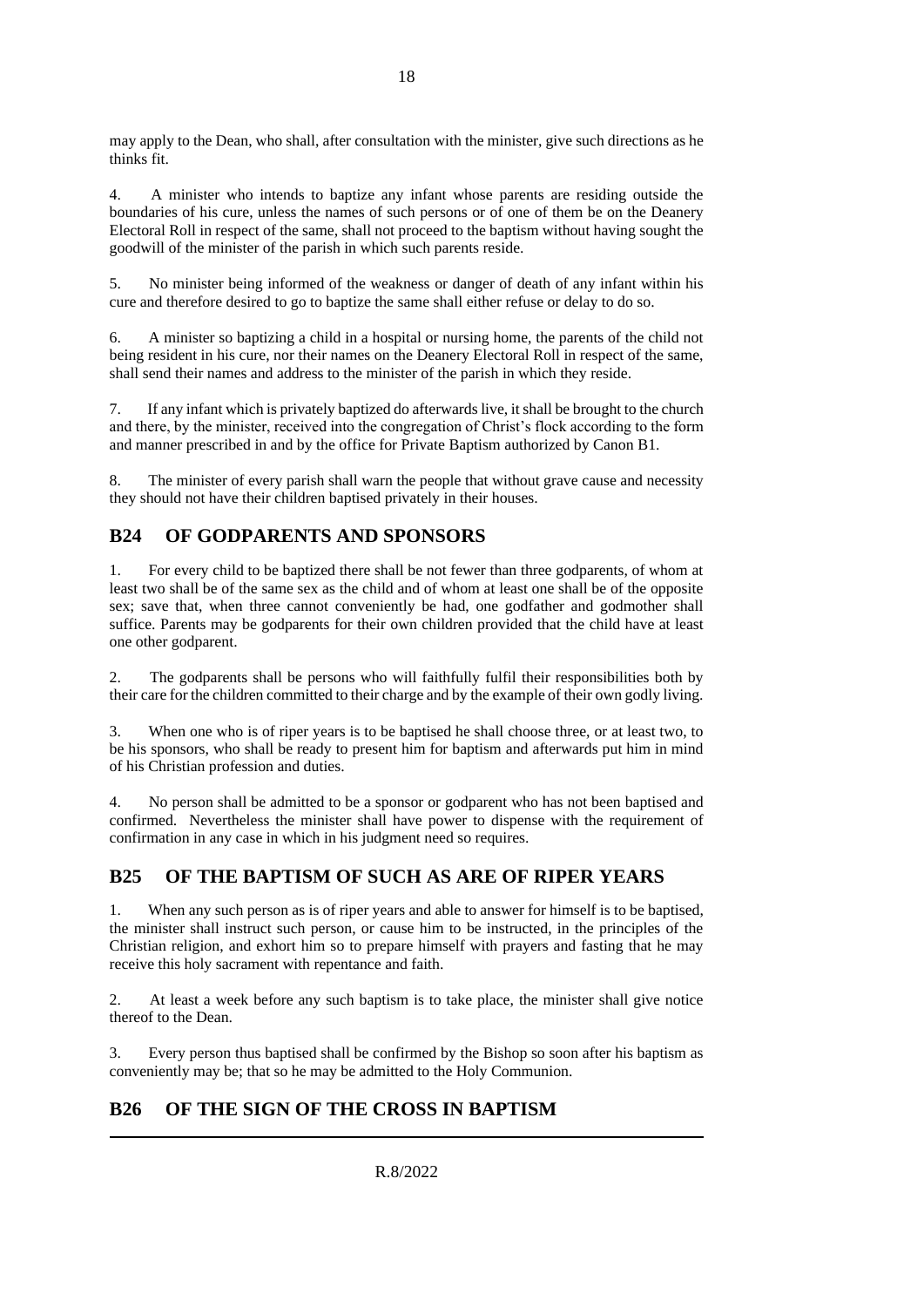may apply to the Dean, who shall, after consultation with the minister, give such directions as he thinks fit.

4. A minister who intends to baptize any infant whose parents are residing outside the boundaries of his cure, unless the names of such persons or of one of them be on the Deanery Electoral Roll in respect of the same, shall not proceed to the baptism without having sought the goodwill of the minister of the parish in which such parents reside.

5. No minister being informed of the weakness or danger of death of any infant within his cure and therefore desired to go to baptize the same shall either refuse or delay to do so.

6. A minister so baptizing a child in a hospital or nursing home, the parents of the child not being resident in his cure, nor their names on the Deanery Electoral Roll in respect of the same, shall send their names and address to the minister of the parish in which they reside.

7. If any infant which is privately baptized do afterwards live, it shall be brought to the church and there, by the minister, received into the congregation of Christ's flock according to the form and manner prescribed in and by the office for Private Baptism authorized by Canon B1.

8. The minister of every parish shall warn the people that without grave cause and necessity they should not have their children baptised privately in their houses.

## <span id="page-17-0"></span>**B24 OF GODPARENTS AND SPONSORS**

1. For every child to be baptized there shall be not fewer than three godparents, of whom at least two shall be of the same sex as the child and of whom at least one shall be of the opposite sex; save that, when three cannot conveniently be had, one godfather and godmother shall suffice. Parents may be godparents for their own children provided that the child have at least one other godparent.

2. The godparents shall be persons who will faithfully fulfil their responsibilities both by their care for the children committed to their charge and by the example of their own godly living.

3. When one who is of riper years is to be baptised he shall choose three, or at least two, to be his sponsors, who shall be ready to present him for baptism and afterwards put him in mind of his Christian profession and duties.

4. No person shall be admitted to be a sponsor or godparent who has not been baptised and confirmed. Nevertheless the minister shall have power to dispense with the requirement of confirmation in any case in which in his judgment need so requires.

#### <span id="page-17-1"></span>**B25 OF THE BAPTISM OF SUCH AS ARE OF RIPER YEARS**

1. When any such person as is of riper years and able to answer for himself is to be baptised, the minister shall instruct such person, or cause him to be instructed, in the principles of the Christian religion, and exhort him so to prepare himself with prayers and fasting that he may receive this holy sacrament with repentance and faith.

2. At least a week before any such baptism is to take place, the minister shall give notice thereof to the Dean.

3. Every person thus baptised shall be confirmed by the Bishop so soon after his baptism as conveniently may be; that so he may be admitted to the Holy Communion.

#### <span id="page-17-2"></span>**B26 OF THE SIGN OF THE CROSS IN BAPTISM**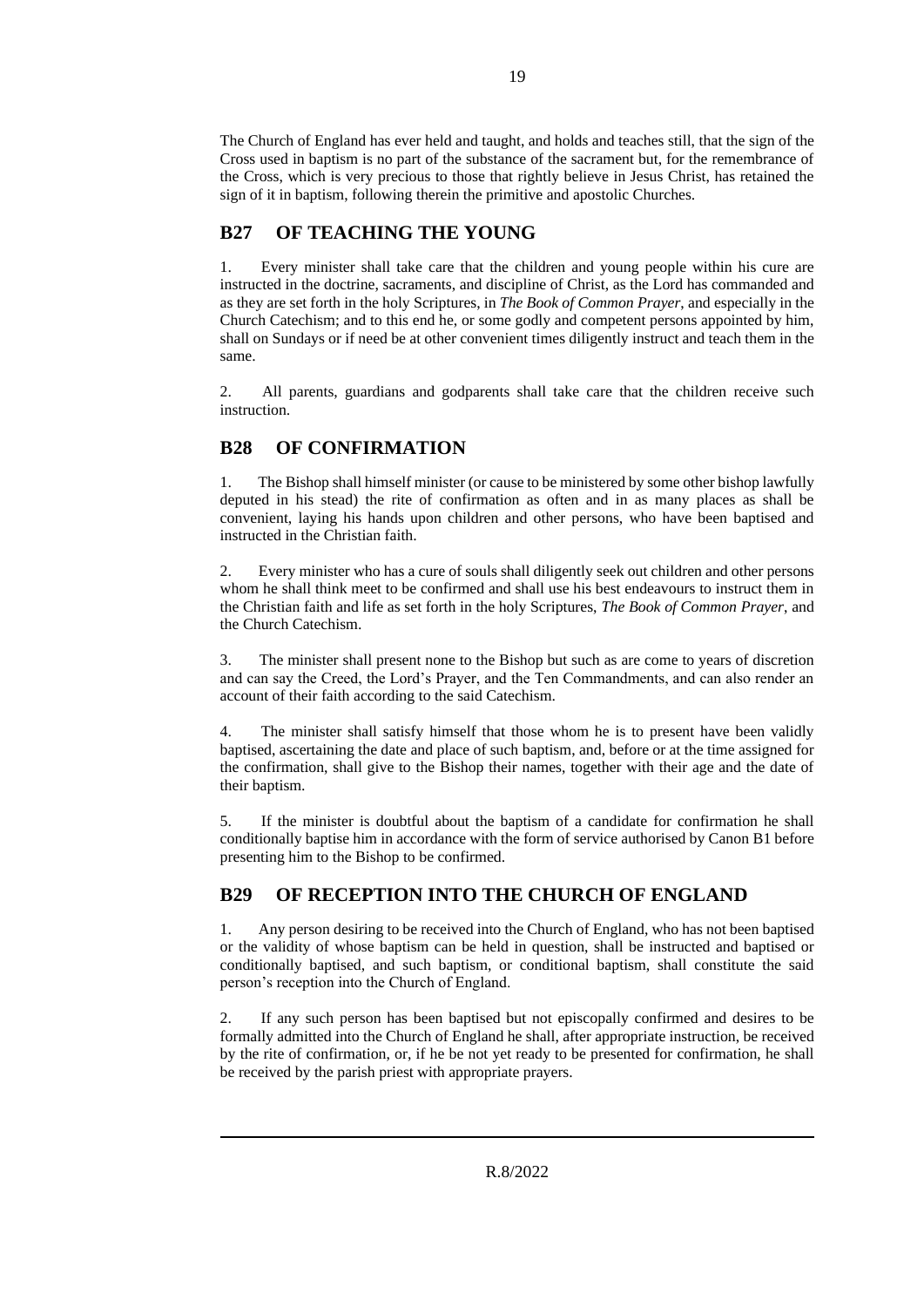The Church of England has ever held and taught, and holds and teaches still, that the sign of the Cross used in baptism is no part of the substance of the sacrament but, for the remembrance of the Cross, which is very precious to those that rightly believe in Jesus Christ, has retained the sign of it in baptism, following therein the primitive and apostolic Churches.

### <span id="page-18-0"></span>**B27 OF TEACHING THE YOUNG**

1. Every minister shall take care that the children and young people within his cure are instructed in the doctrine, sacraments, and discipline of Christ, as the Lord has commanded and as they are set forth in the holy Scriptures, in *The Book of Common Prayer*, and especially in the Church Catechism; and to this end he, or some godly and competent persons appointed by him, shall on Sundays or if need be at other convenient times diligently instruct and teach them in the same.

2. All parents, guardians and godparents shall take care that the children receive such instruction.

## <span id="page-18-1"></span>**B28 OF CONFIRMATION**

1. The Bishop shall himself minister (or cause to be ministered by some other bishop lawfully deputed in his stead) the rite of confirmation as often and in as many places as shall be convenient, laying his hands upon children and other persons, who have been baptised and instructed in the Christian faith.

2. Every minister who has a cure of souls shall diligently seek out children and other persons whom he shall think meet to be confirmed and shall use his best endeavours to instruct them in the Christian faith and life as set forth in the holy Scriptures, *The Book of Common Prayer*, and the Church Catechism.

3. The minister shall present none to the Bishop but such as are come to years of discretion and can say the Creed, the Lord's Prayer, and the Ten Commandments, and can also render an account of their faith according to the said Catechism.

4. The minister shall satisfy himself that those whom he is to present have been validly baptised, ascertaining the date and place of such baptism, and, before or at the time assigned for the confirmation, shall give to the Bishop their names, together with their age and the date of their baptism.

5. If the minister is doubtful about the baptism of a candidate for confirmation he shall conditionally baptise him in accordance with the form of service authorised by Canon B1 before presenting him to the Bishop to be confirmed.

#### <span id="page-18-2"></span>**B29 OF RECEPTION INTO THE CHURCH OF ENGLAND**

1. Any person desiring to be received into the Church of England, who has not been baptised or the validity of whose baptism can be held in question, shall be instructed and baptised or conditionally baptised, and such baptism, or conditional baptism, shall constitute the said person's reception into the Church of England.

2. If any such person has been baptised but not episcopally confirmed and desires to be formally admitted into the Church of England he shall, after appropriate instruction, be received by the rite of confirmation, or, if he be not yet ready to be presented for confirmation, he shall be received by the parish priest with appropriate prayers.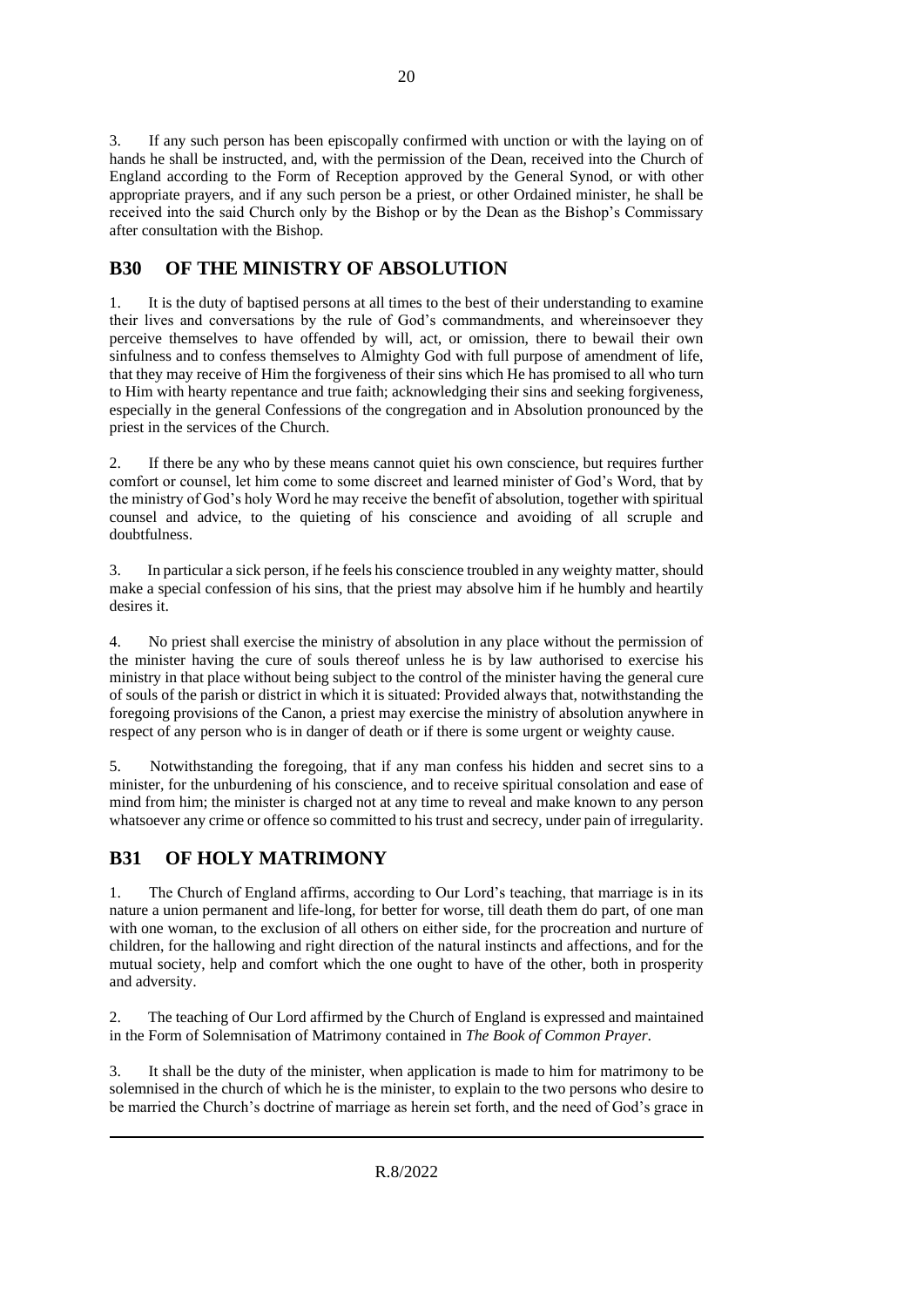3. If any such person has been episcopally confirmed with unction or with the laying on of hands he shall be instructed, and, with the permission of the Dean, received into the Church of England according to the Form of Reception approved by the General Synod, or with other appropriate prayers, and if any such person be a priest, or other Ordained minister, he shall be received into the said Church only by the Bishop or by the Dean as the Bishop's Commissary after consultation with the Bishop.

#### <span id="page-19-0"></span>**B30 OF THE MINISTRY OF ABSOLUTION**

1. It is the duty of baptised persons at all times to the best of their understanding to examine their lives and conversations by the rule of God's commandments, and whereinsoever they perceive themselves to have offended by will, act, or omission, there to bewail their own sinfulness and to confess themselves to Almighty God with full purpose of amendment of life, that they may receive of Him the forgiveness of their sins which He has promised to all who turn to Him with hearty repentance and true faith; acknowledging their sins and seeking forgiveness, especially in the general Confessions of the congregation and in Absolution pronounced by the priest in the services of the Church.

2. If there be any who by these means cannot quiet his own conscience, but requires further comfort or counsel, let him come to some discreet and learned minister of God's Word, that by the ministry of God's holy Word he may receive the benefit of absolution, together with spiritual counsel and advice, to the quieting of his conscience and avoiding of all scruple and doubtfulness.

3. In particular a sick person, if he feels his conscience troubled in any weighty matter, should make a special confession of his sins, that the priest may absolve him if he humbly and heartily desires it.

4. No priest shall exercise the ministry of absolution in any place without the permission of the minister having the cure of souls thereof unless he is by law authorised to exercise his ministry in that place without being subject to the control of the minister having the general cure of souls of the parish or district in which it is situated: Provided always that, notwithstanding the foregoing provisions of the Canon, a priest may exercise the ministry of absolution anywhere in respect of any person who is in danger of death or if there is some urgent or weighty cause.

5. Notwithstanding the foregoing, that if any man confess his hidden and secret sins to a minister, for the unburdening of his conscience, and to receive spiritual consolation and ease of mind from him; the minister is charged not at any time to reveal and make known to any person whatsoever any crime or offence so committed to his trust and secrecy, under pain of irregularity.

#### <span id="page-19-1"></span>**B31 OF HOLY MATRIMONY**

1. The Church of England affirms, according to Our Lord's teaching, that marriage is in its nature a union permanent and life-long, for better for worse, till death them do part, of one man with one woman, to the exclusion of all others on either side, for the procreation and nurture of children, for the hallowing and right direction of the natural instincts and affections, and for the mutual society, help and comfort which the one ought to have of the other, both in prosperity and adversity.

2. The teaching of Our Lord affirmed by the Church of England is expressed and maintained in the Form of Solemnisation of Matrimony contained in *The Book of Common Prayer*.

3. It shall be the duty of the minister, when application is made to him for matrimony to be solemnised in the church of which he is the minister, to explain to the two persons who desire to be married the Church's doctrine of marriage as herein set forth, and the need of God's grace in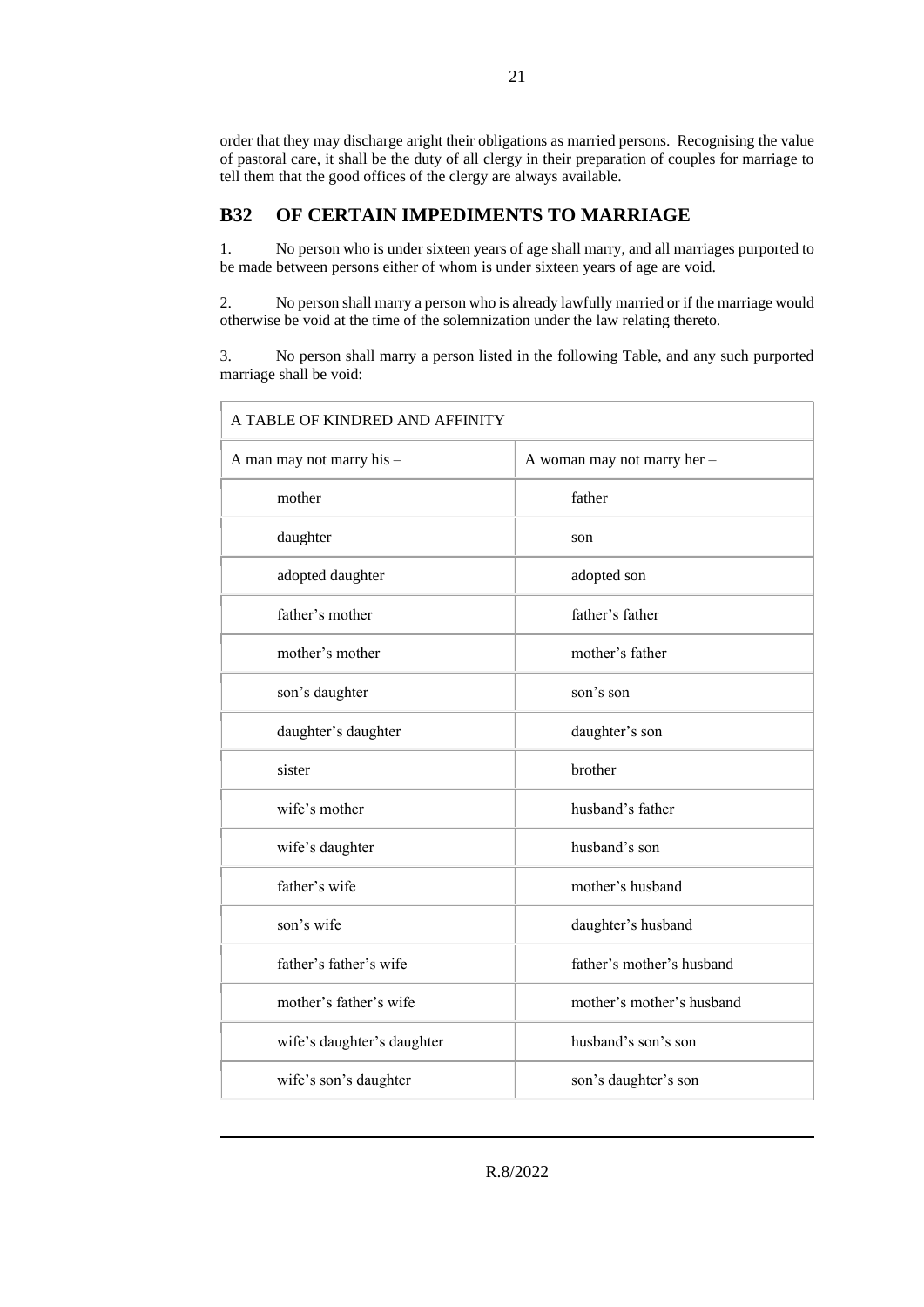order that they may discharge aright their obligations as married persons. Recognising the value of pastoral care, it shall be the duty of all clergy in their preparation of couples for marriage to tell them that the good offices of the clergy are always available.

#### <span id="page-20-0"></span>**B32 OF CERTAIN IMPEDIMENTS TO MARRIAGE**

1. No person who is under sixteen years of age shall marry, and all marriages purported to be made between persons either of whom is under sixteen years of age are void.

2. No person shall marry a person who is already lawfully married or if the marriage would otherwise be void at the time of the solemnization under the law relating thereto.

3. No person shall marry a person listed in the following Table, and any such purported marriage shall be void:

| A TABLE OF KINDRED AND AFFINITY |                             |  |  |  |
|---------------------------------|-----------------------------|--|--|--|
| A man may not marry his -       | A woman may not marry her - |  |  |  |
| mother                          | father                      |  |  |  |
| daughter                        | son                         |  |  |  |
| adopted daughter                | adopted son                 |  |  |  |
| father's mother                 | father's father             |  |  |  |
| mother's mother                 | mother's father             |  |  |  |
| son's daughter                  | son's son                   |  |  |  |
| daughter's daughter             | daughter's son              |  |  |  |
| sister                          | brother                     |  |  |  |
| wife's mother                   | husband's father            |  |  |  |
| wife's daughter                 | husband's son               |  |  |  |
| father's wife                   | mother's husband            |  |  |  |
| son's wife                      | daughter's husband          |  |  |  |
| father's father's wife          | father's mother's husband   |  |  |  |
| mother's father's wife          | mother's mother's husband   |  |  |  |
| wife's daughter's daughter      | husband's son's son         |  |  |  |
| wife's son's daughter           | son's daughter's son        |  |  |  |

R.8/2022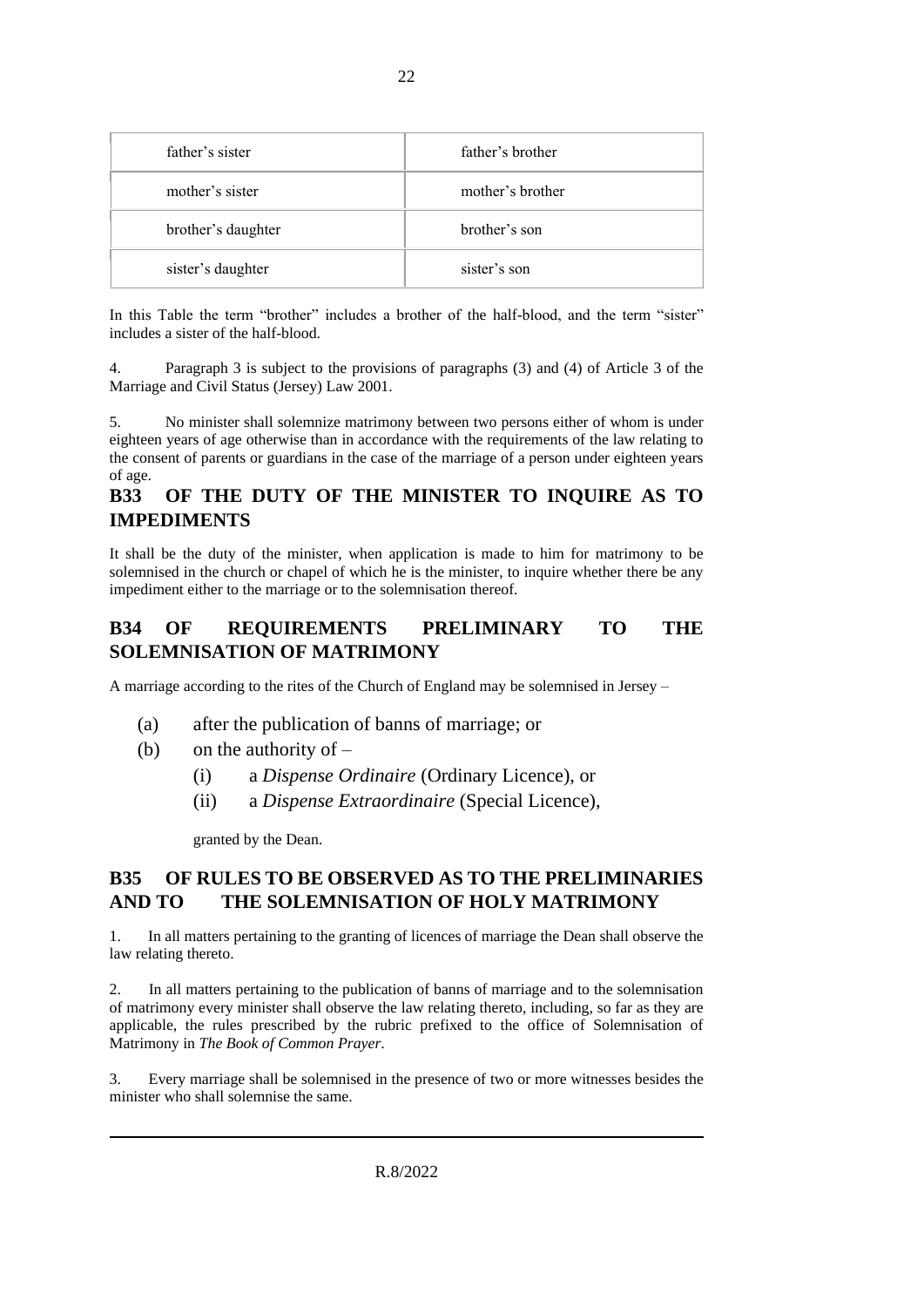| father's sister    | father's brother |
|--------------------|------------------|
| mother's sister    | mother's brother |
| brother's daughter | brother's son    |
| sister's daughter  | sister's son     |

In this Table the term "brother" includes a brother of the half-blood, and the term "sister" includes a sister of the half-blood.

4. Paragraph 3 is subject to the provisions of paragraphs (3) and (4) of Article 3 of the Marriage and Civil Status (Jersey) Law 2001.

5. No minister shall solemnize matrimony between two persons either of whom is under eighteen years of age otherwise than in accordance with the requirements of the law relating to the consent of parents or guardians in the case of the marriage of a person under eighteen years of age.

#### <span id="page-21-0"></span>**B33 OF THE DUTY OF THE MINISTER TO INQUIRE AS TO IMPEDIMENTS**

It shall be the duty of the minister, when application is made to him for matrimony to be solemnised in the church or chapel of which he is the minister, to inquire whether there be any impediment either to the marriage or to the solemnisation thereof.

#### <span id="page-21-1"></span>**B34 OF REQUIREMENTS PRELIMINARY TO THE SOLEMNISATION OF MATRIMONY**

A marriage according to the rites of the Church of England may be solemnised in Jersey –

- (a) after the publication of banns of marriage; or
- (b) on the authority of  $-$ 
	- (i) a *Dispense Ordinaire* (Ordinary Licence), or
	- (ii) a *Dispense Extraordinaire* (Special Licence),

granted by the Dean.

#### <span id="page-21-2"></span>**B35 OF RULES TO BE OBSERVED AS TO THE PRELIMINARIES AND TO THE SOLEMNISATION OF HOLY MATRIMONY**

1. In all matters pertaining to the granting of licences of marriage the Dean shall observe the law relating thereto.

2. In all matters pertaining to the publication of banns of marriage and to the solemnisation of matrimony every minister shall observe the law relating thereto, including, so far as they are applicable, the rules prescribed by the rubric prefixed to the office of Solemnisation of Matrimony in *The Book of Common Prayer*.

3. Every marriage shall be solemnised in the presence of two or more witnesses besides the minister who shall solemnise the same.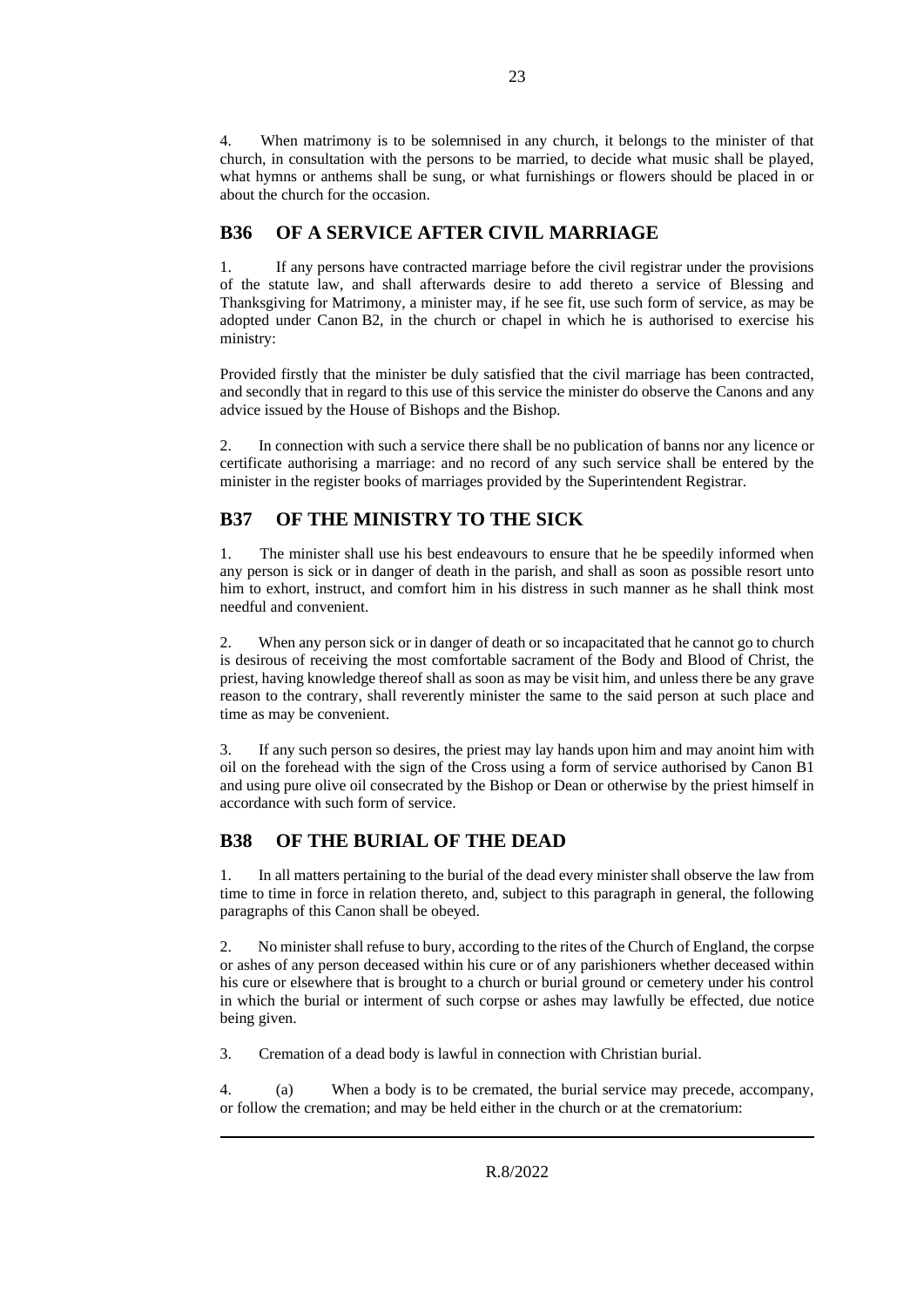4. When matrimony is to be solemnised in any church, it belongs to the minister of that church, in consultation with the persons to be married, to decide what music shall be played, what hymns or anthems shall be sung, or what furnishings or flowers should be placed in or about the church for the occasion.

### <span id="page-22-0"></span>**B36 OF A SERVICE AFTER CIVIL MARRIAGE**

1. If any persons have contracted marriage before the civil registrar under the provisions of the statute law, and shall afterwards desire to add thereto a service of Blessing and Thanksgiving for Matrimony, a minister may, if he see fit, use such form of service, as may be adopted under Canon B2, in the church or chapel in which he is authorised to exercise his ministry:

Provided firstly that the minister be duly satisfied that the civil marriage has been contracted, and secondly that in regard to this use of this service the minister do observe the Canons and any advice issued by the House of Bishops and the Bishop.

2. In connection with such a service there shall be no publication of banns nor any licence or certificate authorising a marriage: and no record of any such service shall be entered by the minister in the register books of marriages provided by the Superintendent Registrar.

## <span id="page-22-1"></span>**B37 OF THE MINISTRY TO THE SICK**

1. The minister shall use his best endeavours to ensure that he be speedily informed when any person is sick or in danger of death in the parish, and shall as soon as possible resort unto him to exhort, instruct, and comfort him in his distress in such manner as he shall think most needful and convenient.

2. When any person sick or in danger of death or so incapacitated that he cannot go to church is desirous of receiving the most comfortable sacrament of the Body and Blood of Christ, the priest, having knowledge thereof shall as soon as may be visit him, and unless there be any grave reason to the contrary, shall reverently minister the same to the said person at such place and time as may be convenient.

3. If any such person so desires, the priest may lay hands upon him and may anoint him with oil on the forehead with the sign of the Cross using a form of service authorised by Canon B1 and using pure olive oil consecrated by the Bishop or Dean or otherwise by the priest himself in accordance with such form of service.

## <span id="page-22-2"></span>**B38 OF THE BURIAL OF THE DEAD**

1. In all matters pertaining to the burial of the dead every minister shall observe the law from time to time in force in relation thereto, and, subject to this paragraph in general, the following paragraphs of this Canon shall be obeyed.

2. No minister shall refuse to bury, according to the rites of the Church of England, the corpse or ashes of any person deceased within his cure or of any parishioners whether deceased within his cure or elsewhere that is brought to a church or burial ground or cemetery under his control in which the burial or interment of such corpse or ashes may lawfully be effected, due notice being given.

3. Cremation of a dead body is lawful in connection with Christian burial.

4. (a) When a body is to be cremated, the burial service may precede, accompany, or follow the cremation; and may be held either in the church or at the crematorium: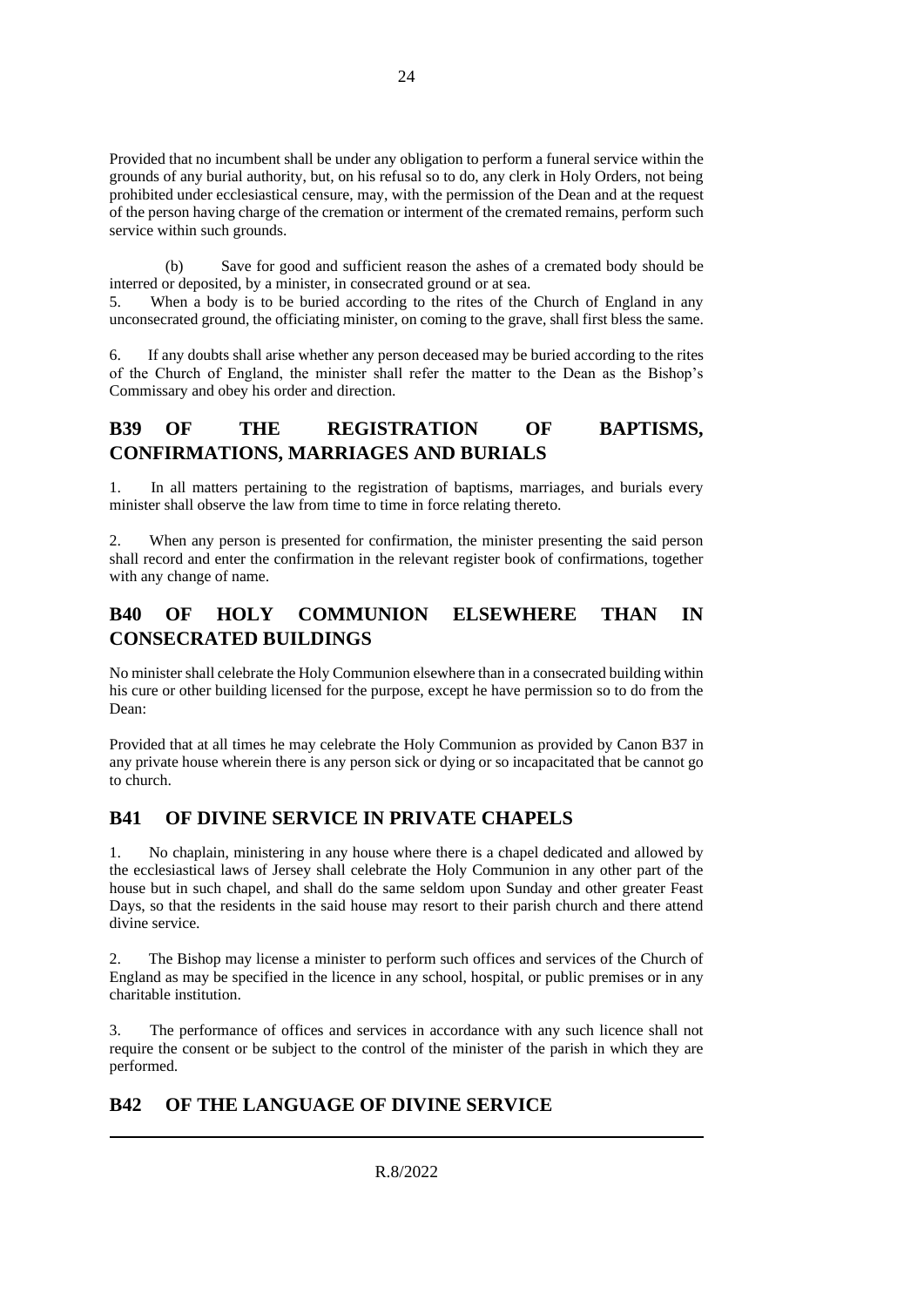Provided that no incumbent shall be under any obligation to perform a funeral service within the grounds of any burial authority, but, on his refusal so to do, any clerk in Holy Orders, not being prohibited under ecclesiastical censure, may, with the permission of the Dean and at the request of the person having charge of the cremation or interment of the cremated remains, perform such service within such grounds.

(b) Save for good and sufficient reason the ashes of a cremated body should be interred or deposited, by a minister, in consecrated ground or at sea.

5. When a body is to be buried according to the rites of the Church of England in any unconsecrated ground, the officiating minister, on coming to the grave, shall first bless the same.

6. If any doubts shall arise whether any person deceased may be buried according to the rites of the Church of England, the minister shall refer the matter to the Dean as the Bishop's Commissary and obey his order and direction.

#### <span id="page-23-0"></span>**B39 OF THE REGISTRATION OF BAPTISMS, CONFIRMATIONS, MARRIAGES AND BURIALS**

1. In all matters pertaining to the registration of baptisms, marriages, and burials every minister shall observe the law from time to time in force relating thereto.

2. When any person is presented for confirmation, the minister presenting the said person shall record and enter the confirmation in the relevant register book of confirmations, together with any change of name.

#### <span id="page-23-1"></span>**B40 OF HOLY COMMUNION ELSEWHERE THAN IN CONSECRATED BUILDINGS**

No minister shall celebrate the Holy Communion elsewhere than in a consecrated building within his cure or other building licensed for the purpose, except he have permission so to do from the Dean:

Provided that at all times he may celebrate the Holy Communion as provided by Canon B37 in any private house wherein there is any person sick or dying or so incapacitated that be cannot go to church.

#### <span id="page-23-2"></span>**B41 OF DIVINE SERVICE IN PRIVATE CHAPELS**

1. No chaplain, ministering in any house where there is a chapel dedicated and allowed by the ecclesiastical laws of Jersey shall celebrate the Holy Communion in any other part of the house but in such chapel, and shall do the same seldom upon Sunday and other greater Feast Days, so that the residents in the said house may resort to their parish church and there attend divine service.

2. The Bishop may license a minister to perform such offices and services of the Church of England as may be specified in the licence in any school, hospital, or public premises or in any charitable institution.

3. The performance of offices and services in accordance with any such licence shall not require the consent or be subject to the control of the minister of the parish in which they are performed.

#### <span id="page-23-3"></span>**B42 OF THE LANGUAGE OF DIVINE SERVICE**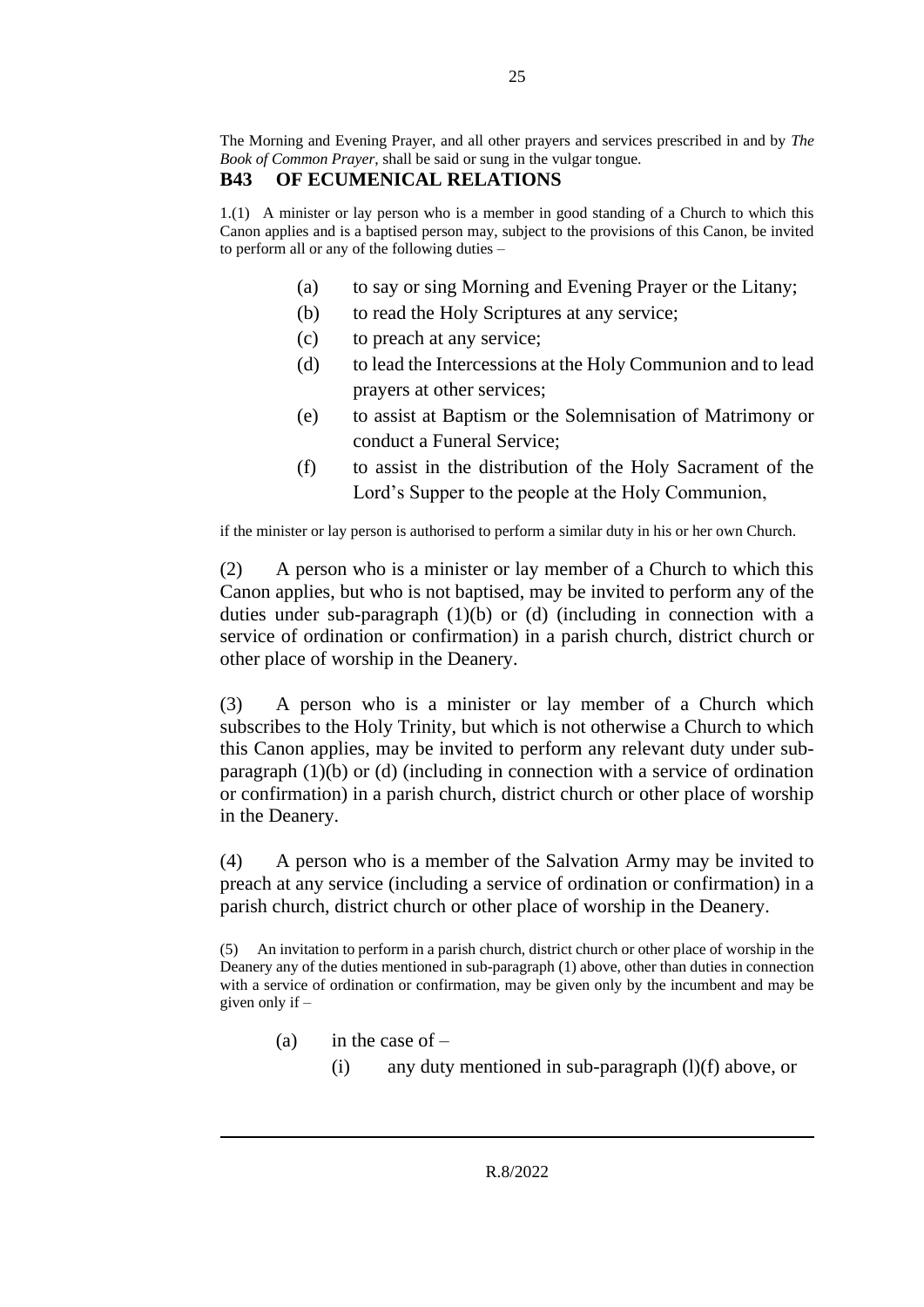The Morning and Evening Prayer, and all other prayers and services prescribed in and by *The Book of Common Prayer*, shall be said or sung in the vulgar tongue.

#### <span id="page-24-0"></span>**B43 OF ECUMENICAL RELATIONS**

1.(1) A minister or lay person who is a member in good standing of a Church to which this Canon applies and is a baptised person may, subject to the provisions of this Canon, be invited to perform all or any of the following duties –

- (a) to say or sing Morning and Evening Prayer or the Litany;
- (b) to read the Holy Scriptures at any service;
- (c) to preach at any service;
- (d) to lead the Intercessions at the Holy Communion and to lead prayers at other services;
- (e) to assist at Baptism or the Solemnisation of Matrimony or conduct a Funeral Service;
- (f) to assist in the distribution of the Holy Sacrament of the Lord's Supper to the people at the Holy Communion,

if the minister or lay person is authorised to perform a similar duty in his or her own Church.

(2) A person who is a minister or lay member of a Church to which this Canon applies, but who is not baptised, may be invited to perform any of the duties under sub-paragraph (1)(b) or (d) (including in connection with a service of ordination or confirmation) in a parish church, district church or other place of worship in the Deanery.

(3) A person who is a minister or lay member of a Church which subscribes to the Holy Trinity, but which is not otherwise a Church to which this Canon applies, may be invited to perform any relevant duty under subparagraph (1)(b) or (d) (including in connection with a service of ordination or confirmation) in a parish church, district church or other place of worship in the Deanery.

(4) A person who is a member of the Salvation Army may be invited to preach at any service (including a service of ordination or confirmation) in a parish church, district church or other place of worship in the Deanery.

(5) An invitation to perform in a parish church, district church or other place of worship in the Deanery any of the duties mentioned in sub-paragraph (1) above, other than duties in connection with a service of ordination or confirmation, may be given only by the incumbent and may be given only if –

- (a) in the case of  $-$ 
	- (i) any duty mentioned in sub-paragraph (l)(f) above, or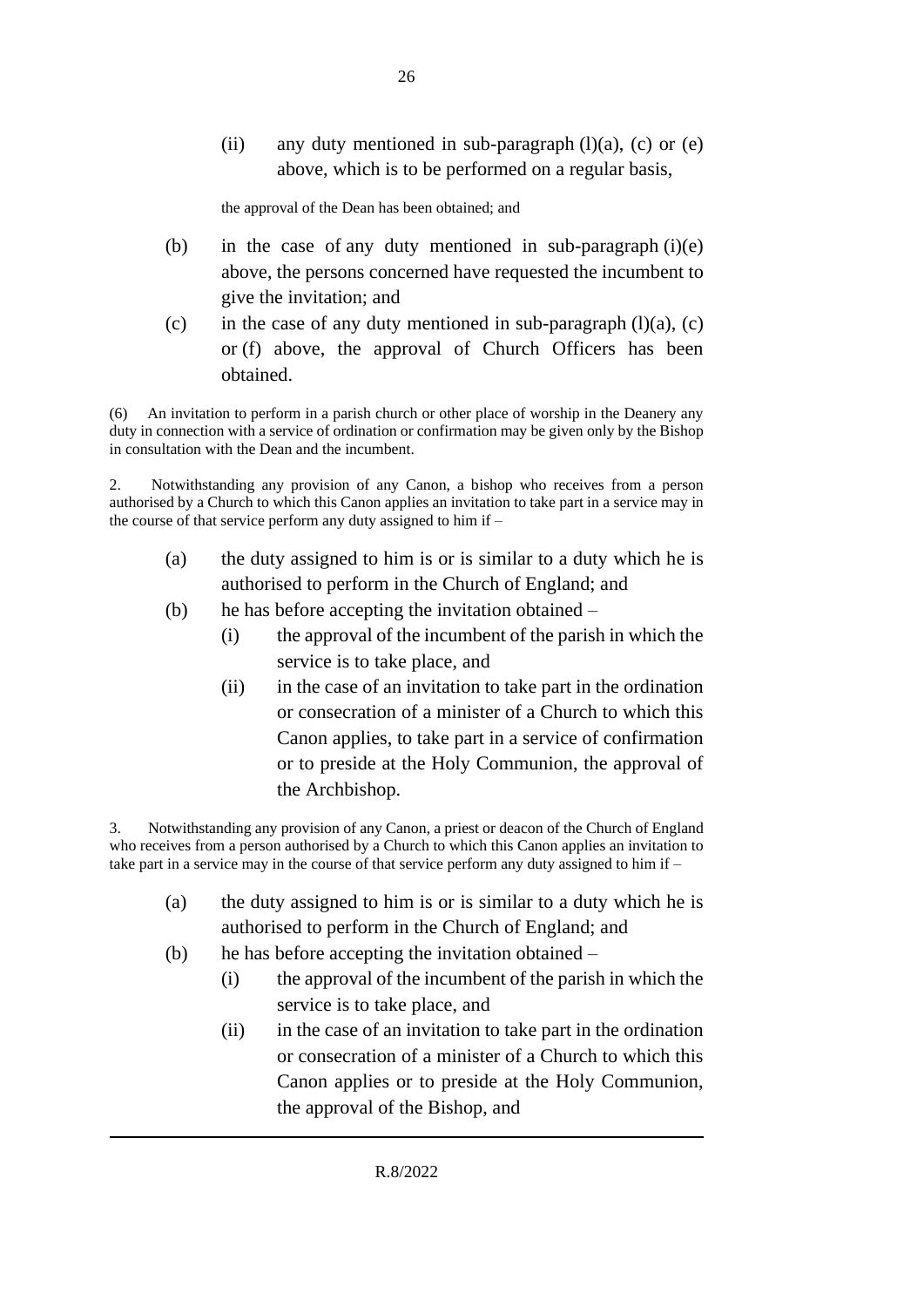(ii) any duty mentioned in sub-paragraph  $(l)(a)$ ,  $(c)$  or  $(e)$ above, which is to be performed on a regular basis,

the approval of the Dean has been obtained; and

- (b) in the case of any duty mentioned in sub-paragraph  $(i)(e)$ above, the persons concerned have requested the incumbent to give the invitation; and
- (c) in the case of any duty mentioned in sub-paragraph  $(l)(a)$ ,  $(c)$ or (f) above, the approval of Church Officers has been obtained.

(6) An invitation to perform in a parish church or other place of worship in the Deanery any duty in connection with a service of ordination or confirmation may be given only by the Bishop in consultation with the Dean and the incumbent.

2. Notwithstanding any provision of any Canon, a bishop who receives from a person authorised by a Church to which this Canon applies an invitation to take part in a service may in the course of that service perform any duty assigned to him if –

- (a) the duty assigned to him is or is similar to a duty which he is authorised to perform in the Church of England; and
- (b) he has before accepting the invitation obtained
	- (i) the approval of the incumbent of the parish in which the service is to take place, and
	- (ii) in the case of an invitation to take part in the ordination or consecration of a minister of a Church to which this Canon applies, to take part in a service of confirmation or to preside at the Holy Communion, the approval of the Archbishop.

3. Notwithstanding any provision of any Canon, a priest or deacon of the Church of England who receives from a person authorised by a Church to which this Canon applies an invitation to take part in a service may in the course of that service perform any duty assigned to him if –

- (a) the duty assigned to him is or is similar to a duty which he is authorised to perform in the Church of England; and
- (b) he has before accepting the invitation obtained
	- (i) the approval of the incumbent of the parish in which the service is to take place, and
	- (ii) in the case of an invitation to take part in the ordination or consecration of a minister of a Church to which this Canon applies or to preside at the Holy Communion, the approval of the Bishop, and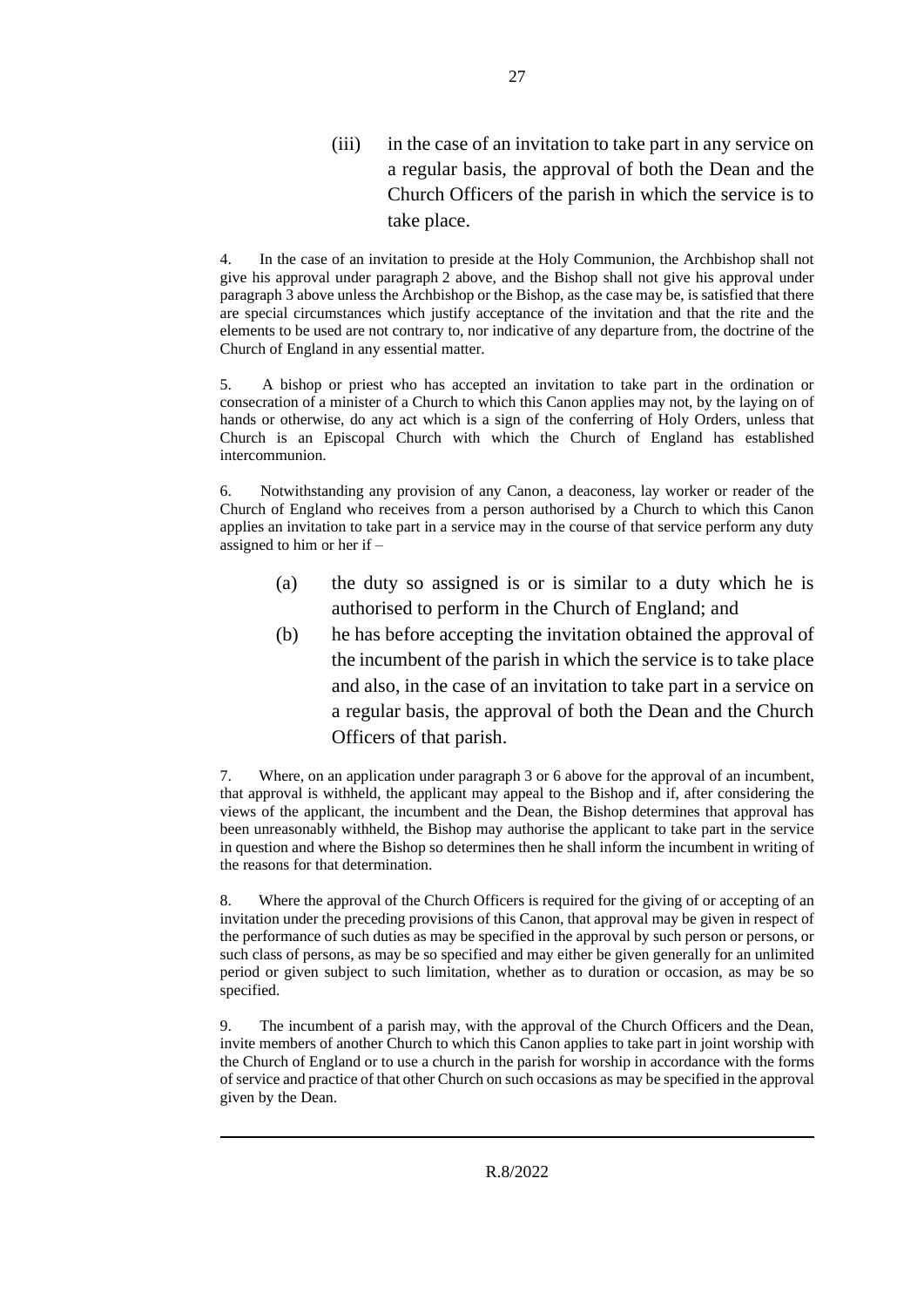## (iii) in the case of an invitation to take part in any service on a regular basis, the approval of both the Dean and the Church Officers of the parish in which the service is to take place.

4. In the case of an invitation to preside at the Holy Communion, the Archbishop shall not give his approval under paragraph 2 above, and the Bishop shall not give his approval under paragraph 3 above unless the Archbishop or the Bishop, as the case may be, is satisfied that there are special circumstances which justify acceptance of the invitation and that the rite and the elements to be used are not contrary to, nor indicative of any departure from, the doctrine of the Church of England in any essential matter.

5. A bishop or priest who has accepted an invitation to take part in the ordination or consecration of a minister of a Church to which this Canon applies may not, by the laying on of hands or otherwise, do any act which is a sign of the conferring of Holy Orders, unless that Church is an Episcopal Church with which the Church of England has established intercommunion.

6. Notwithstanding any provision of any Canon, a deaconess, lay worker or reader of the Church of England who receives from a person authorised by a Church to which this Canon applies an invitation to take part in a service may in the course of that service perform any duty assigned to him or her if –

- (a) the duty so assigned is or is similar to a duty which he is authorised to perform in the Church of England; and
- (b) he has before accepting the invitation obtained the approval of the incumbent of the parish in which the service is to take place and also, in the case of an invitation to take part in a service on a regular basis, the approval of both the Dean and the Church Officers of that parish.

7. Where, on an application under paragraph 3 or 6 above for the approval of an incumbent, that approval is withheld, the applicant may appeal to the Bishop and if, after considering the views of the applicant, the incumbent and the Dean, the Bishop determines that approval has been unreasonably withheld, the Bishop may authorise the applicant to take part in the service in question and where the Bishop so determines then he shall inform the incumbent in writing of the reasons for that determination.

8. Where the approval of the Church Officers is required for the giving of or accepting of an invitation under the preceding provisions of this Canon, that approval may be given in respect of the performance of such duties as may be specified in the approval by such person or persons, or such class of persons, as may be so specified and may either be given generally for an unlimited period or given subject to such limitation, whether as to duration or occasion, as may be so specified.

9. The incumbent of a parish may, with the approval of the Church Officers and the Dean, invite members of another Church to which this Canon applies to take part in joint worship with the Church of England or to use a church in the parish for worship in accordance with the forms of service and practice of that other Church on such occasions as may be specified in the approval given by the Dean.

R.8/2022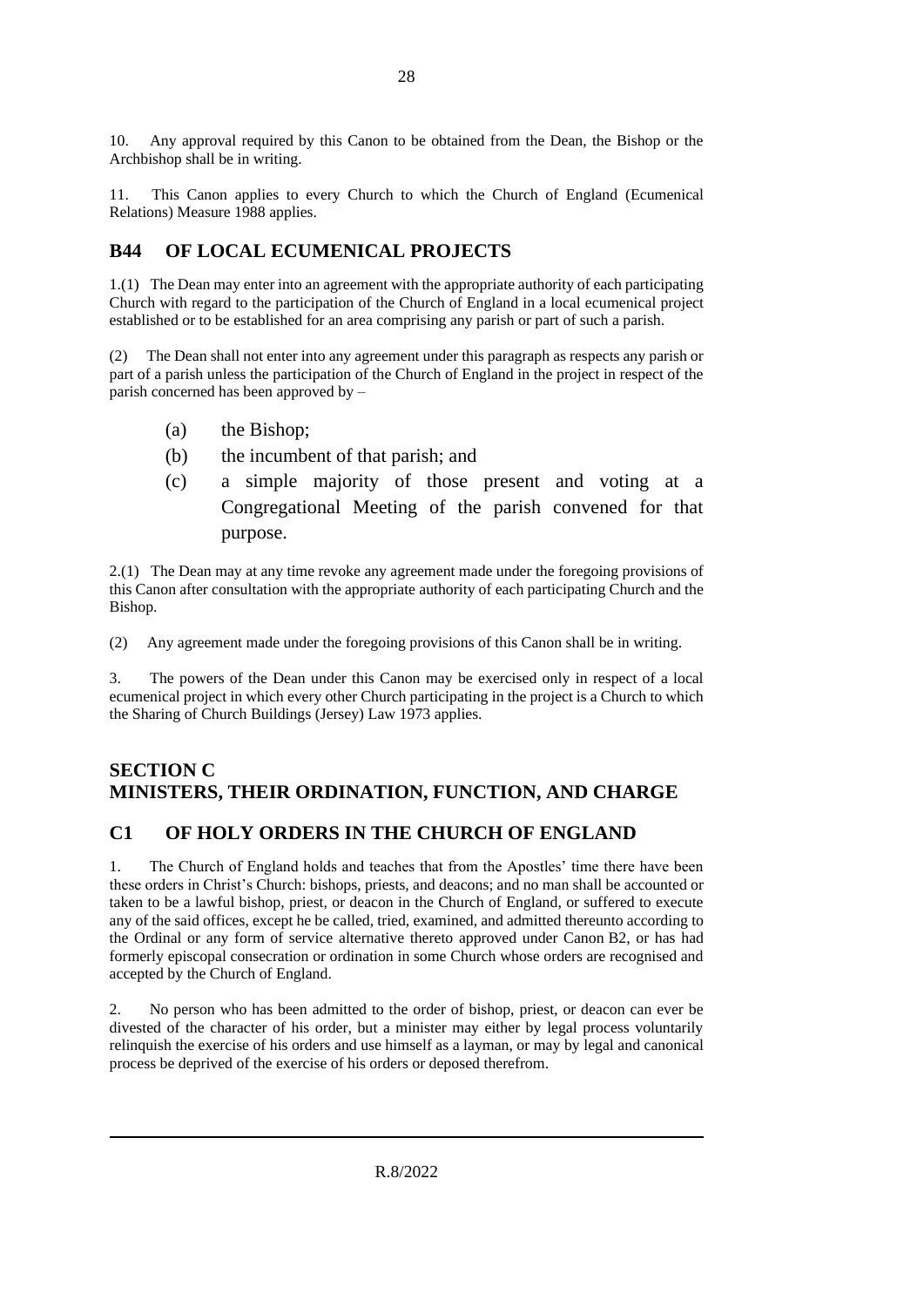10. Any approval required by this Canon to be obtained from the Dean, the Bishop or the Archbishop shall be in writing.

11. This Canon applies to every Church to which the Church of England (Ecumenical Relations) Measure 1988 applies.

## <span id="page-27-0"></span>**B44 OF LOCAL ECUMENICAL PROJECTS**

1.(1) The Dean may enter into an agreement with the appropriate authority of each participating Church with regard to the participation of the Church of England in a local ecumenical project established or to be established for an area comprising any parish or part of such a parish.

(2) The Dean shall not enter into any agreement under this paragraph as respects any parish or part of a parish unless the participation of the Church of England in the project in respect of the parish concerned has been approved by –

- (a) the Bishop;
- (b) the incumbent of that parish; and
- (c) a simple majority of those present and voting at a Congregational Meeting of the parish convened for that purpose.

2.(1) The Dean may at any time revoke any agreement made under the foregoing provisions of this Canon after consultation with the appropriate authority of each participating Church and the Bishop.

(2) Any agreement made under the foregoing provisions of this Canon shall be in writing.

3. The powers of the Dean under this Canon may be exercised only in respect of a local ecumenical project in which every other Church participating in the project is a Church to which the Sharing of Church Buildings (Jersey) Law 1973 applies.

#### <span id="page-27-2"></span><span id="page-27-1"></span>**SECTION C MINISTERS, THEIR ORDINATION, FUNCTION, AND CHARGE**

#### <span id="page-27-3"></span>**C1 OF HOLY ORDERS IN THE CHURCH OF ENGLAND**

1. The Church of England holds and teaches that from the Apostles' time there have been these orders in Christ's Church: bishops, priests, and deacons; and no man shall be accounted or taken to be a lawful bishop, priest, or deacon in the Church of England, or suffered to execute any of the said offices, except he be called, tried, examined, and admitted thereunto according to the Ordinal or any form of service alternative thereto approved under Canon B2, or has had formerly episcopal consecration or ordination in some Church whose orders are recognised and accepted by the Church of England.

2. No person who has been admitted to the order of bishop, priest, or deacon can ever be divested of the character of his order, but a minister may either by legal process voluntarily relinquish the exercise of his orders and use himself as a layman, or may by legal and canonical process be deprived of the exercise of his orders or deposed therefrom.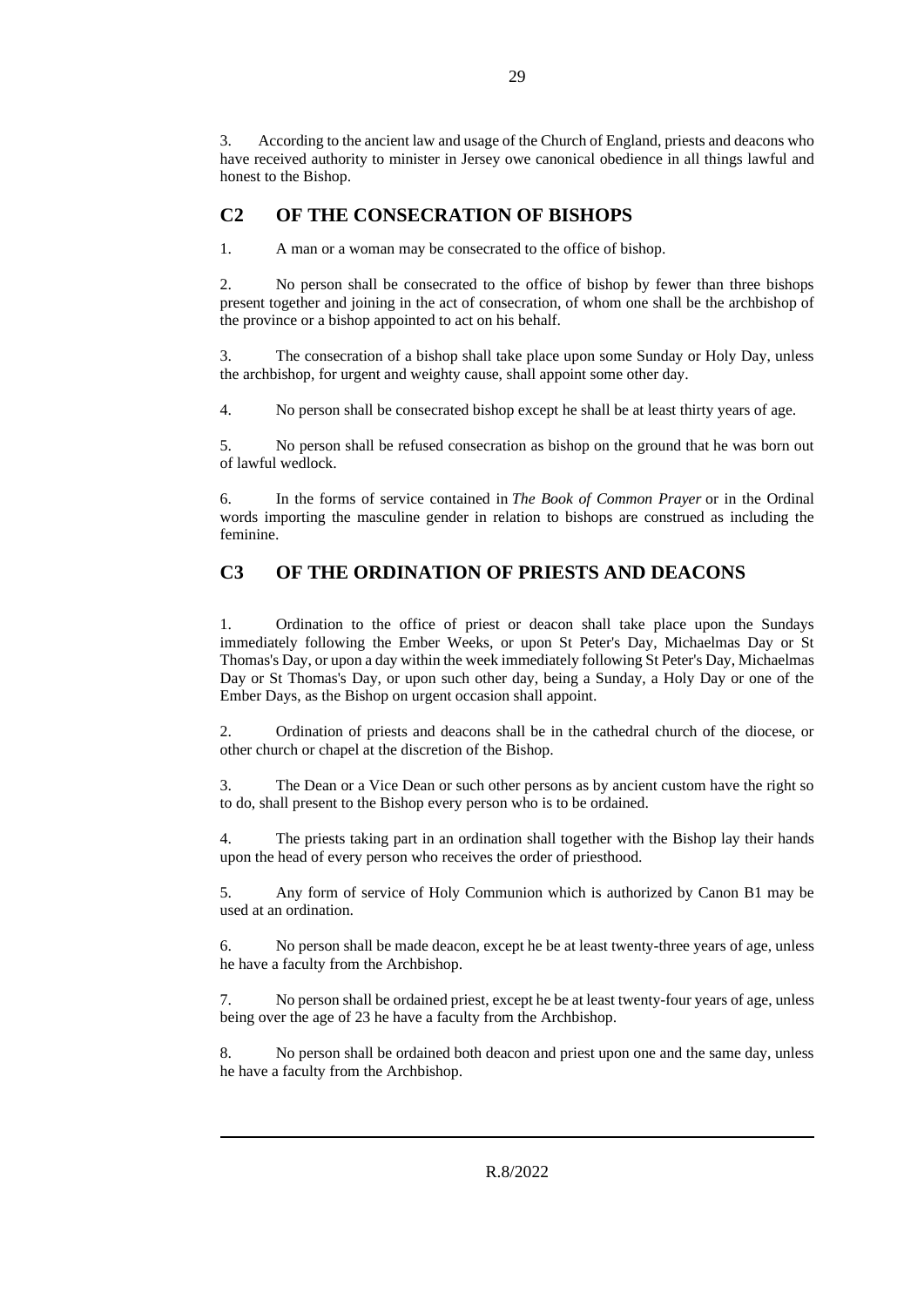3. According to the ancient law and usage of the Church of England, priests and deacons who have received authority to minister in Jersey owe canonical obedience in all things lawful and honest to the Bishop.

#### <span id="page-28-0"></span>**C2 OF THE CONSECRATION OF BISHOPS**

1. A man or a woman may be consecrated to the office of bishop.

2. No person shall be consecrated to the office of bishop by fewer than three bishops present together and joining in the act of consecration, of whom one shall be the archbishop of the province or a bishop appointed to act on his behalf.

3. The consecration of a bishop shall take place upon some Sunday or Holy Day, unless the archbishop, for urgent and weighty cause, shall appoint some other day.

4. No person shall be consecrated bishop except he shall be at least thirty years of age.

5. No person shall be refused consecration as bishop on the ground that he was born out of lawful wedlock.

6. In the forms of service contained in *The Book of Common Prayer* or in the Ordinal words importing the masculine gender in relation to bishops are construed as including the feminine.

#### <span id="page-28-1"></span>**C3 OF THE ORDINATION OF PRIESTS AND DEACONS**

1. Ordination to the office of priest or deacon shall take place upon the Sundays immediately following the Ember Weeks, or upon St Peter's Day, Michaelmas Day or St Thomas's Day, or upon a day within the week immediately following St Peter's Day, Michaelmas Day or St Thomas's Day, or upon such other day, being a Sunday, a Holy Day or one of the Ember Days, as the Bishop on urgent occasion shall appoint.

2. Ordination of priests and deacons shall be in the cathedral church of the diocese, or other church or chapel at the discretion of the Bishop.

3. The Dean or a Vice Dean or such other persons as by ancient custom have the right so to do, shall present to the Bishop every person who is to be ordained.

4. The priests taking part in an ordination shall together with the Bishop lay their hands upon the head of every person who receives the order of priesthood.

5. Any form of service of Holy Communion which is authorized by Canon B1 may be used at an ordination.

6. No person shall be made deacon, except he be at least twenty-three years of age, unless he have a faculty from the Archbishop.

7. No person shall be ordained priest, except he be at least twenty-four years of age, unless being over the age of 23 he have a faculty from the Archbishop.

8. No person shall be ordained both deacon and priest upon one and the same day, unless he have a faculty from the Archbishop.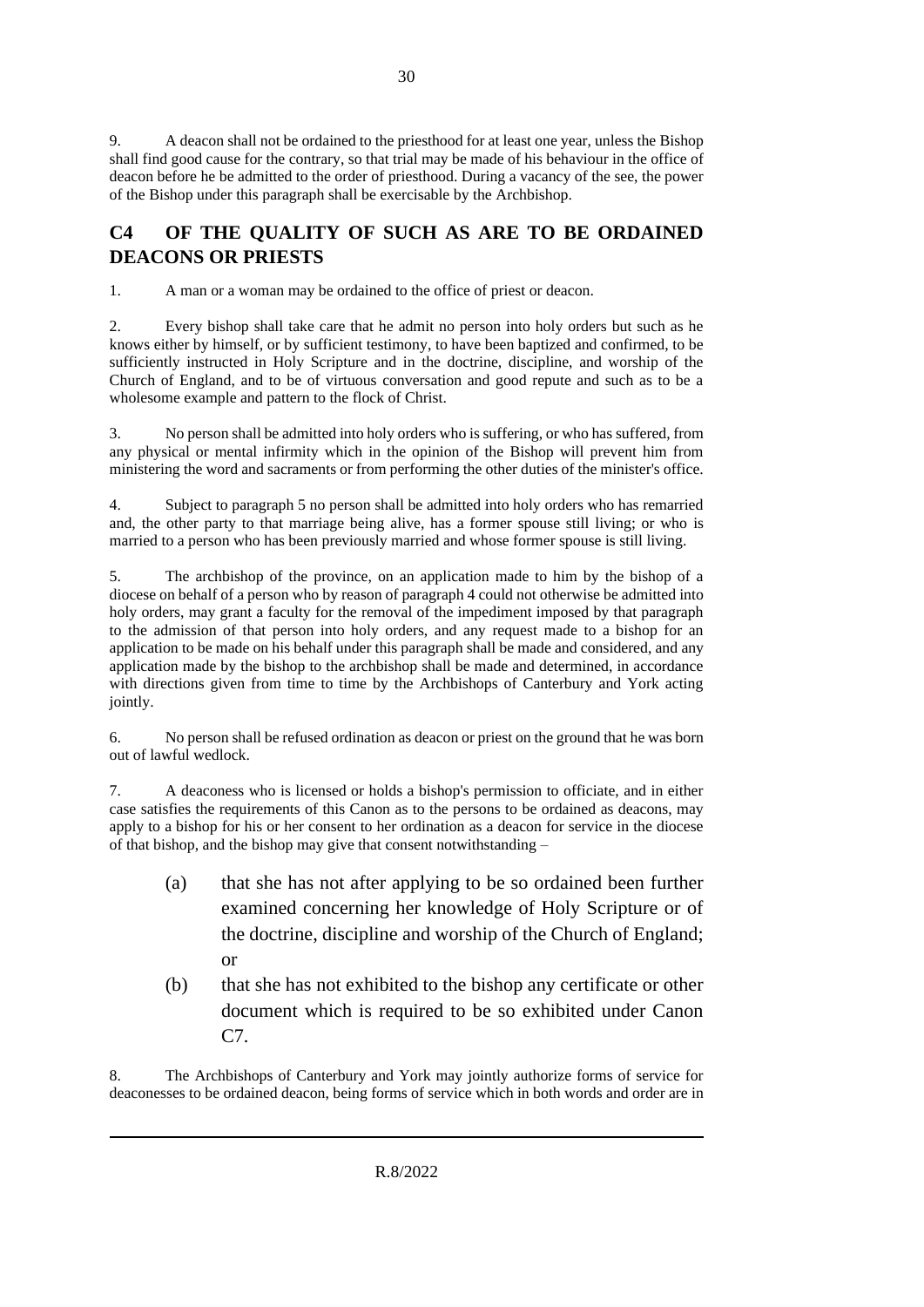9. A deacon shall not be ordained to the priesthood for at least one year, unless the Bishop shall find good cause for the contrary, so that trial may be made of his behaviour in the office of deacon before he be admitted to the order of priesthood. During a vacancy of the see, the power of the Bishop under this paragraph shall be exercisable by the Archbishop.

## <span id="page-29-0"></span>**C4 OF THE QUALITY OF SUCH AS ARE TO BE ORDAINED DEACONS OR PRIESTS**

1. A man or a woman may be ordained to the office of priest or deacon.

2. Every bishop shall take care that he admit no person into holy orders but such as he knows either by himself, or by sufficient testimony, to have been baptized and confirmed, to be sufficiently instructed in Holy Scripture and in the doctrine, discipline, and worship of the Church of England, and to be of virtuous conversation and good repute and such as to be a wholesome example and pattern to the flock of Christ.

3. No person shall be admitted into holy orders who is suffering, or who has suffered, from any physical or mental infirmity which in the opinion of the Bishop will prevent him from ministering the word and sacraments or from performing the other duties of the minister's office.

4. Subject to paragraph 5 no person shall be admitted into holy orders who has remarried and, the other party to that marriage being alive, has a former spouse still living; or who is married to a person who has been previously married and whose former spouse is still living.

5. The archbishop of the province, on an application made to him by the bishop of a diocese on behalf of a person who by reason of paragraph 4 could not otherwise be admitted into holy orders, may grant a faculty for the removal of the impediment imposed by that paragraph to the admission of that person into holy orders, and any request made to a bishop for an application to be made on his behalf under this paragraph shall be made and considered, and any application made by the bishop to the archbishop shall be made and determined, in accordance with directions given from time to time by the Archbishops of Canterbury and York acting jointly.

6. No person shall be refused ordination as deacon or priest on the ground that he was born out of lawful wedlock.

7. A deaconess who is licensed or holds a bishop's permission to officiate, and in either case satisfies the requirements of this Canon as to the persons to be ordained as deacons, may apply to a bishop for his or her consent to her ordination as a deacon for service in the diocese of that bishop, and the bishop may give that consent notwithstanding –

- (a) that she has not after applying to be so ordained been further examined concerning her knowledge of Holy Scripture or of the doctrine, discipline and worship of the Church of England; or
- (b) that she has not exhibited to the bishop any certificate or other document which is required to be so exhibited under Canon C7.

8. The Archbishops of Canterbury and York may jointly authorize forms of service for deaconesses to be ordained deacon, being forms of service which in both words and order are in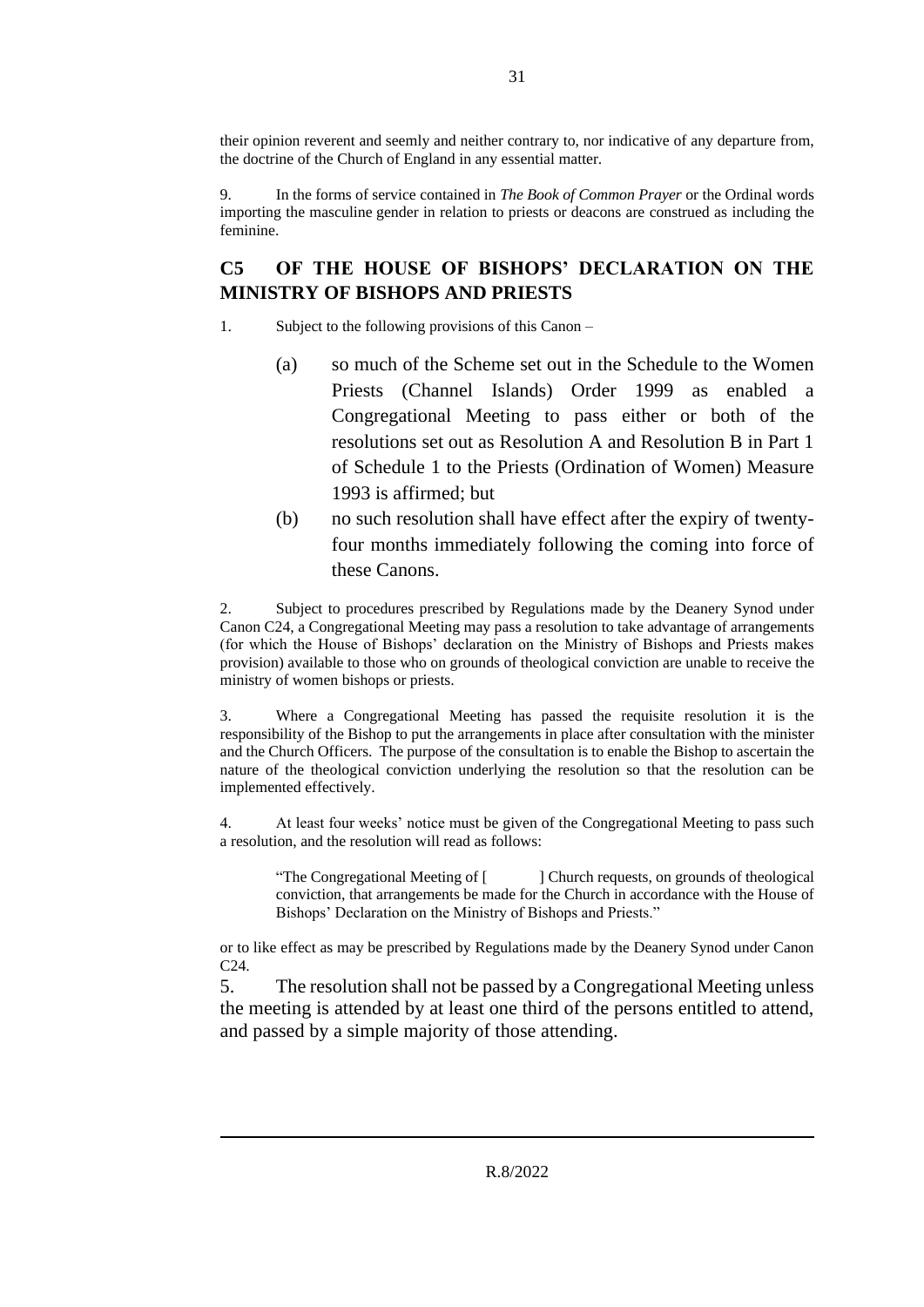their opinion reverent and seemly and neither contrary to, nor indicative of any departure from, the doctrine of the Church of England in any essential matter.

9. In the forms of service contained in *The Book of Common Prayer* or the Ordinal words importing the masculine gender in relation to priests or deacons are construed as including the feminine.

### <span id="page-30-0"></span>**C5 OF THE HOUSE OF BISHOPS' DECLARATION ON THE MINISTRY OF BISHOPS AND PRIESTS**

- 1. Subject to the following provisions of this Canon
	- (a) so much of the Scheme set out in the Schedule to the Women Priests (Channel Islands) Order 1999 as enabled a Congregational Meeting to pass either or both of the resolutions set out as Resolution A and Resolution B in Part 1 of Schedule 1 to the Priests (Ordination of Women) Measure 1993 is affirmed; but
	- (b) no such resolution shall have effect after the expiry of twentyfour months immediately following the coming into force of these Canons.

2. Subject to procedures prescribed by Regulations made by the Deanery Synod under Canon C24, a Congregational Meeting may pass a resolution to take advantage of arrangements (for which the House of Bishops' declaration on the Ministry of Bishops and Priests makes provision) available to those who on grounds of theological conviction are unable to receive the ministry of women bishops or priests.

3. Where a Congregational Meeting has passed the requisite resolution it is the responsibility of the Bishop to put the arrangements in place after consultation with the minister and the Church Officers. The purpose of the consultation is to enable the Bishop to ascertain the nature of the theological conviction underlying the resolution so that the resolution can be implemented effectively.

4. At least four weeks' notice must be given of the Congregational Meeting to pass such a resolution, and the resolution will read as follows:

"The Congregational Meeting of [ ] Church requests, on grounds of theological conviction, that arrangements be made for the Church in accordance with the House of Bishops' Declaration on the Ministry of Bishops and Priests."

or to like effect as may be prescribed by Regulations made by the Deanery Synod under Canon C24.

5. The resolution shall not be passed by a Congregational Meeting unless the meeting is attended by at least one third of the persons entitled to attend, and passed by a simple majority of those attending.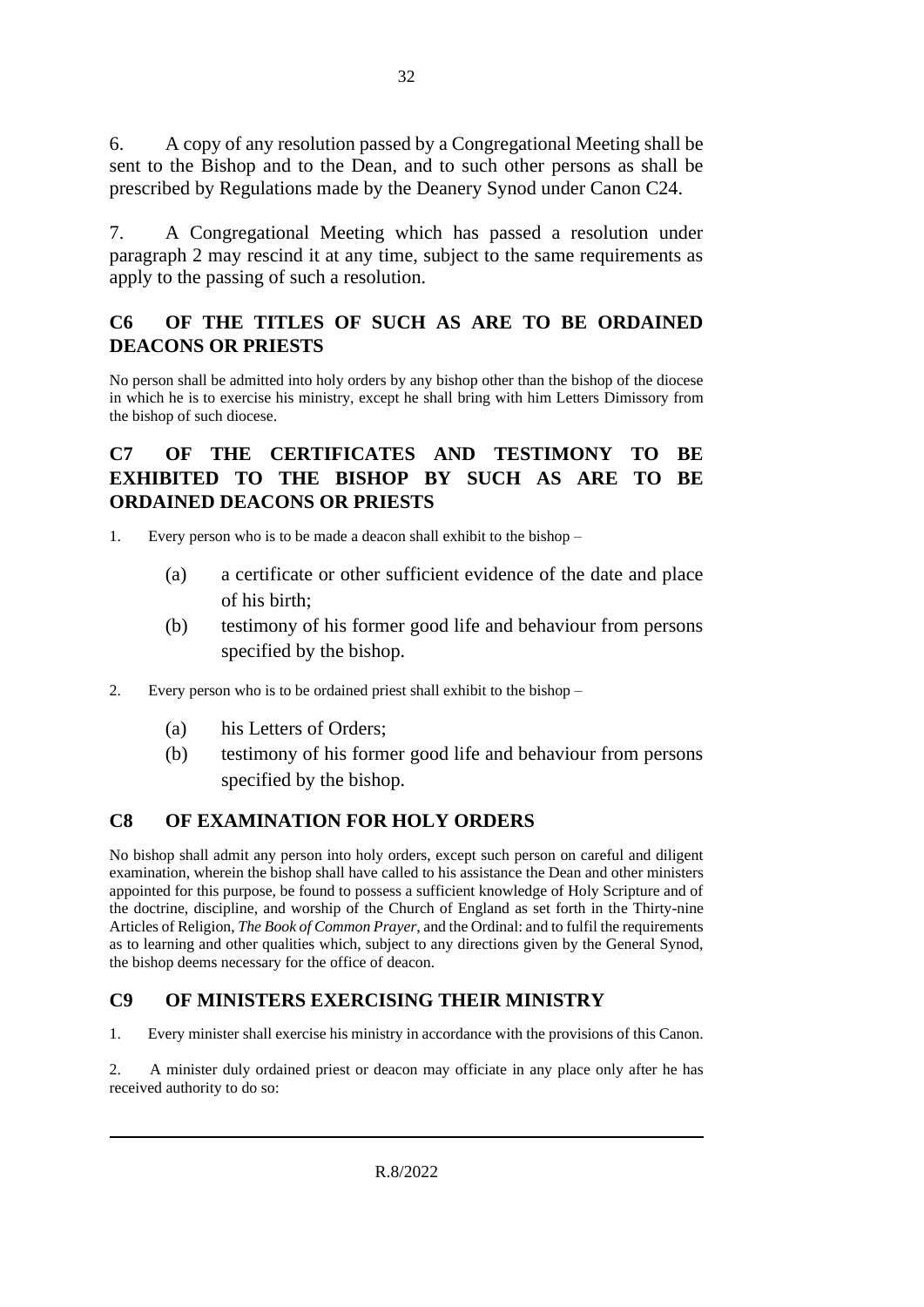6. A copy of any resolution passed by a Congregational Meeting shall be sent to the Bishop and to the Dean, and to such other persons as shall be prescribed by Regulations made by the Deanery Synod under Canon C24.

7. A Congregational Meeting which has passed a resolution under paragraph 2 may rescind it at any time, subject to the same requirements as apply to the passing of such a resolution.

## <span id="page-31-0"></span>**C6 OF THE TITLES OF SUCH AS ARE TO BE ORDAINED DEACONS OR PRIESTS**

No person shall be admitted into holy orders by any bishop other than the bishop of the diocese in which he is to exercise his ministry, except he shall bring with him Letters Dimissory from the bishop of such diocese.

## <span id="page-31-1"></span>**C7 OF THE CERTIFICATES AND TESTIMONY TO BE EXHIBITED TO THE BISHOP BY SUCH AS ARE TO BE ORDAINED DEACONS OR PRIESTS**

- 1. Every person who is to be made a deacon shall exhibit to the bishop
	- (a) a certificate or other sufficient evidence of the date and place of his birth;
	- (b) testimony of his former good life and behaviour from persons specified by the bishop.
- 2. Every person who is to be ordained priest shall exhibit to the bishop
	- (a) his Letters of Orders;
	- (b) testimony of his former good life and behaviour from persons specified by the bishop.

#### <span id="page-31-2"></span>**C8 OF EXAMINATION FOR HOLY ORDERS**

No bishop shall admit any person into holy orders, except such person on careful and diligent examination, wherein the bishop shall have called to his assistance the Dean and other ministers appointed for this purpose, be found to possess a sufficient knowledge of Holy Scripture and of the doctrine, discipline, and worship of the Church of England as set forth in the Thirty-nine Articles of Religion, *The Book of Common Prayer*, and the Ordinal: and to fulfil the requirements as to learning and other qualities which, subject to any directions given by the General Synod, the bishop deems necessary for the office of deacon.

#### <span id="page-31-3"></span>**C9 OF MINISTERS EXERCISING THEIR MINISTRY**

1. Every minister shall exercise his ministry in accordance with the provisions of this Canon.

2. A minister duly ordained priest or deacon may officiate in any place only after he has received authority to do so: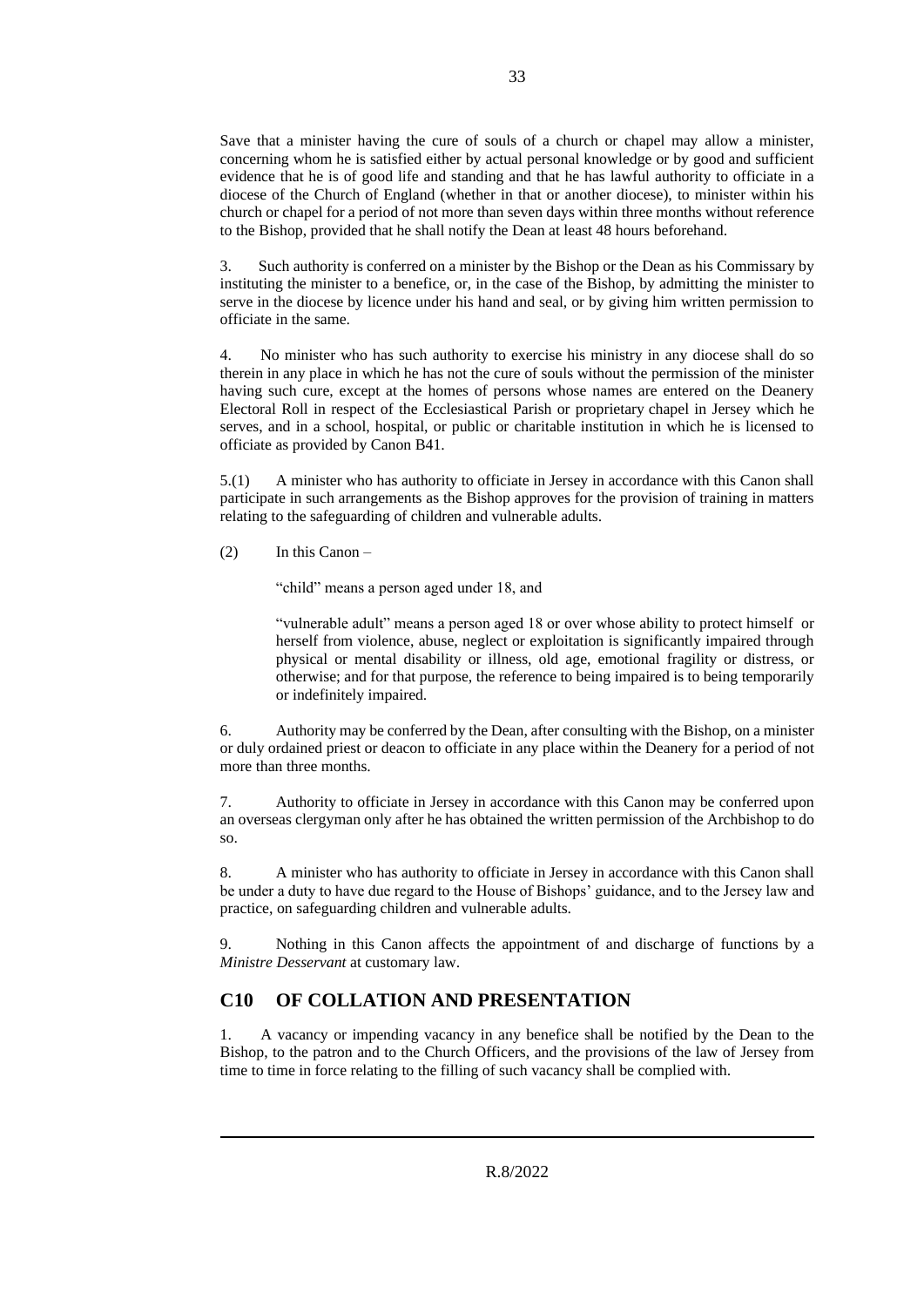Save that a minister having the cure of souls of a church or chapel may allow a minister, concerning whom he is satisfied either by actual personal knowledge or by good and sufficient evidence that he is of good life and standing and that he has lawful authority to officiate in a diocese of the Church of England (whether in that or another diocese), to minister within his church or chapel for a period of not more than seven days within three months without reference to the Bishop, provided that he shall notify the Dean at least 48 hours beforehand.

3. Such authority is conferred on a minister by the Bishop or the Dean as his Commissary by instituting the minister to a benefice, or, in the case of the Bishop, by admitting the minister to serve in the diocese by licence under his hand and seal, or by giving him written permission to officiate in the same.

4. No minister who has such authority to exercise his ministry in any diocese shall do so therein in any place in which he has not the cure of souls without the permission of the minister having such cure, except at the homes of persons whose names are entered on the Deanery Electoral Roll in respect of the Ecclesiastical Parish or proprietary chapel in Jersey which he serves, and in a school, hospital, or public or charitable institution in which he is licensed to officiate as provided by Canon B41.

5.(1) A minister who has authority to officiate in Jersey in accordance with this Canon shall participate in such arrangements as the Bishop approves for the provision of training in matters relating to the safeguarding of children and vulnerable adults.

(2) In this Canon –

"child" means a person aged under 18, and

"vulnerable adult" means a person aged 18 or over whose ability to protect himself or herself from violence, abuse, neglect or exploitation is significantly impaired through physical or mental disability or illness, old age, emotional fragility or distress, or otherwise; and for that purpose, the reference to being impaired is to being temporarily or indefinitely impaired.

6. Authority may be conferred by the Dean, after consulting with the Bishop, on a minister or duly ordained priest or deacon to officiate in any place within the Deanery for a period of not more than three months.

7. Authority to officiate in Jersey in accordance with this Canon may be conferred upon an overseas clergyman only after he has obtained the written permission of the Archbishop to do so.

8. A minister who has authority to officiate in Jersey in accordance with this Canon shall be under a duty to have due regard to the House of Bishops' guidance, and to the Jersey law and practice, on safeguarding children and vulnerable adults.

9. Nothing in this Canon affects the appointment of and discharge of functions by a *Ministre Desservant* at customary law.

#### <span id="page-32-0"></span>**C10 OF COLLATION AND PRESENTATION**

1. A vacancy or impending vacancy in any benefice shall be notified by the Dean to the Bishop, to the patron and to the Church Officers, and the provisions of the law of Jersey from time to time in force relating to the filling of such vacancy shall be complied with.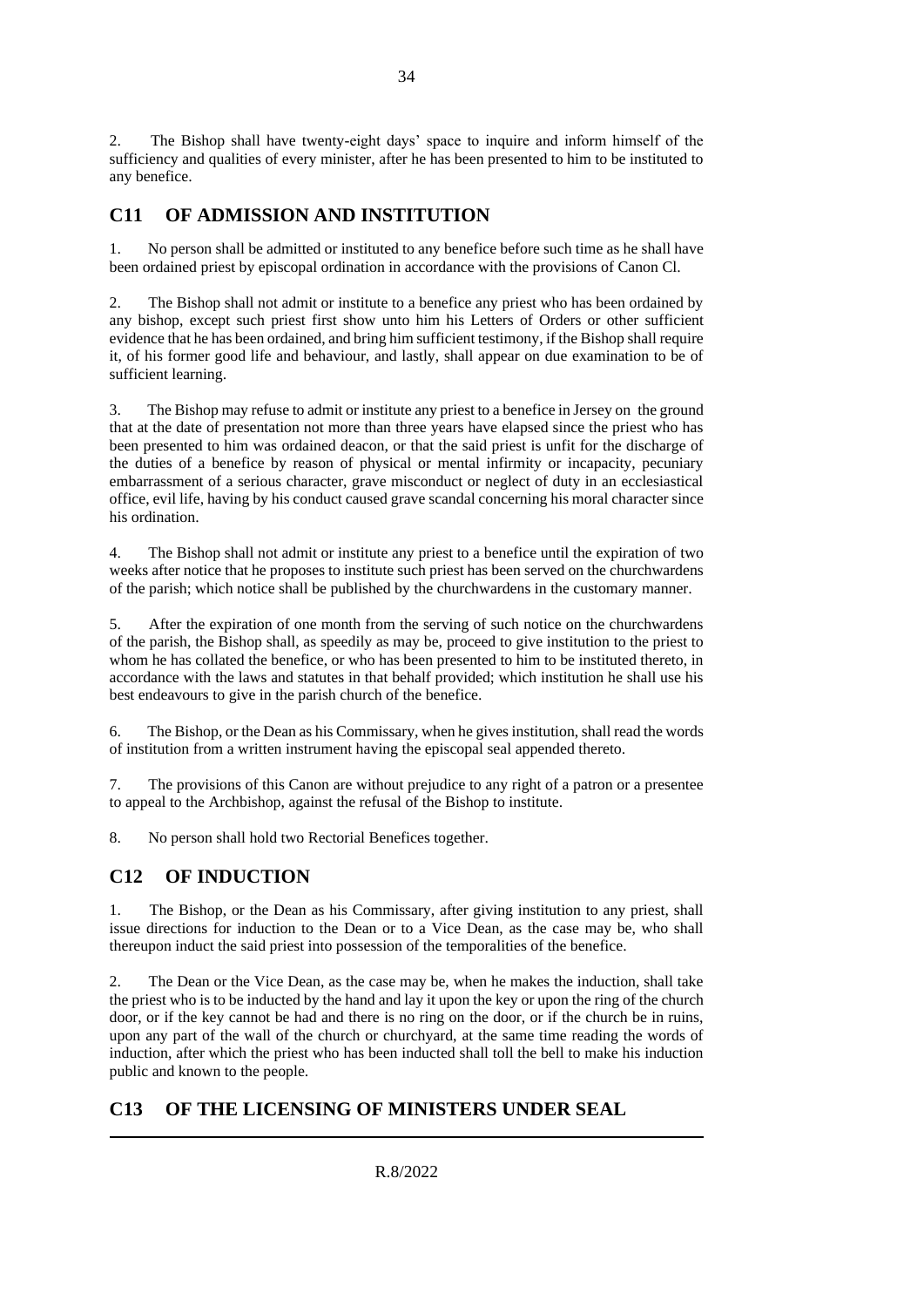2. The Bishop shall have twenty-eight days' space to inquire and inform himself of the sufficiency and qualities of every minister, after he has been presented to him to be instituted to any benefice.

#### <span id="page-33-0"></span>**C11 OF ADMISSION AND INSTITUTION**

1. No person shall be admitted or instituted to any benefice before such time as he shall have been ordained priest by episcopal ordination in accordance with the provisions of Canon Cl.

2. The Bishop shall not admit or institute to a benefice any priest who has been ordained by any bishop, except such priest first show unto him his Letters of Orders or other sufficient evidence that he has been ordained, and bring him sufficient testimony, if the Bishop shall require it, of his former good life and behaviour, and lastly, shall appear on due examination to be of sufficient learning.

3. The Bishop may refuse to admit or institute any priest to a benefice in Jersey on the ground that at the date of presentation not more than three years have elapsed since the priest who has been presented to him was ordained deacon, or that the said priest is unfit for the discharge of the duties of a benefice by reason of physical or mental infirmity or incapacity, pecuniary embarrassment of a serious character, grave misconduct or neglect of duty in an ecclesiastical office, evil life, having by his conduct caused grave scandal concerning his moral character since his ordination.

4. The Bishop shall not admit or institute any priest to a benefice until the expiration of two weeks after notice that he proposes to institute such priest has been served on the churchwardens of the parish; which notice shall be published by the churchwardens in the customary manner.

5. After the expiration of one month from the serving of such notice on the churchwardens of the parish, the Bishop shall, as speedily as may be, proceed to give institution to the priest to whom he has collated the benefice, or who has been presented to him to be instituted thereto, in accordance with the laws and statutes in that behalf provided; which institution he shall use his best endeavours to give in the parish church of the benefice.

6. The Bishop, or the Dean as his Commissary, when he gives institution, shall read the words of institution from a written instrument having the episcopal seal appended thereto.

7. The provisions of this Canon are without prejudice to any right of a patron or a presentee to appeal to the Archbishop, against the refusal of the Bishop to institute.

8. No person shall hold two Rectorial Benefices together.

#### <span id="page-33-1"></span>**C12 OF INDUCTION**

1. The Bishop, or the Dean as his Commissary, after giving institution to any priest, shall issue directions for induction to the Dean or to a Vice Dean, as the case may be, who shall thereupon induct the said priest into possession of the temporalities of the benefice.

2. The Dean or the Vice Dean, as the case may be, when he makes the induction, shall take the priest who is to be inducted by the hand and lay it upon the key or upon the ring of the church door, or if the key cannot be had and there is no ring on the door, or if the church be in ruins, upon any part of the wall of the church or churchyard, at the same time reading the words of induction, after which the priest who has been inducted shall toll the bell to make his induction public and known to the people.

#### <span id="page-33-2"></span>**C13 OF THE LICENSING OF MINISTERS UNDER SEAL**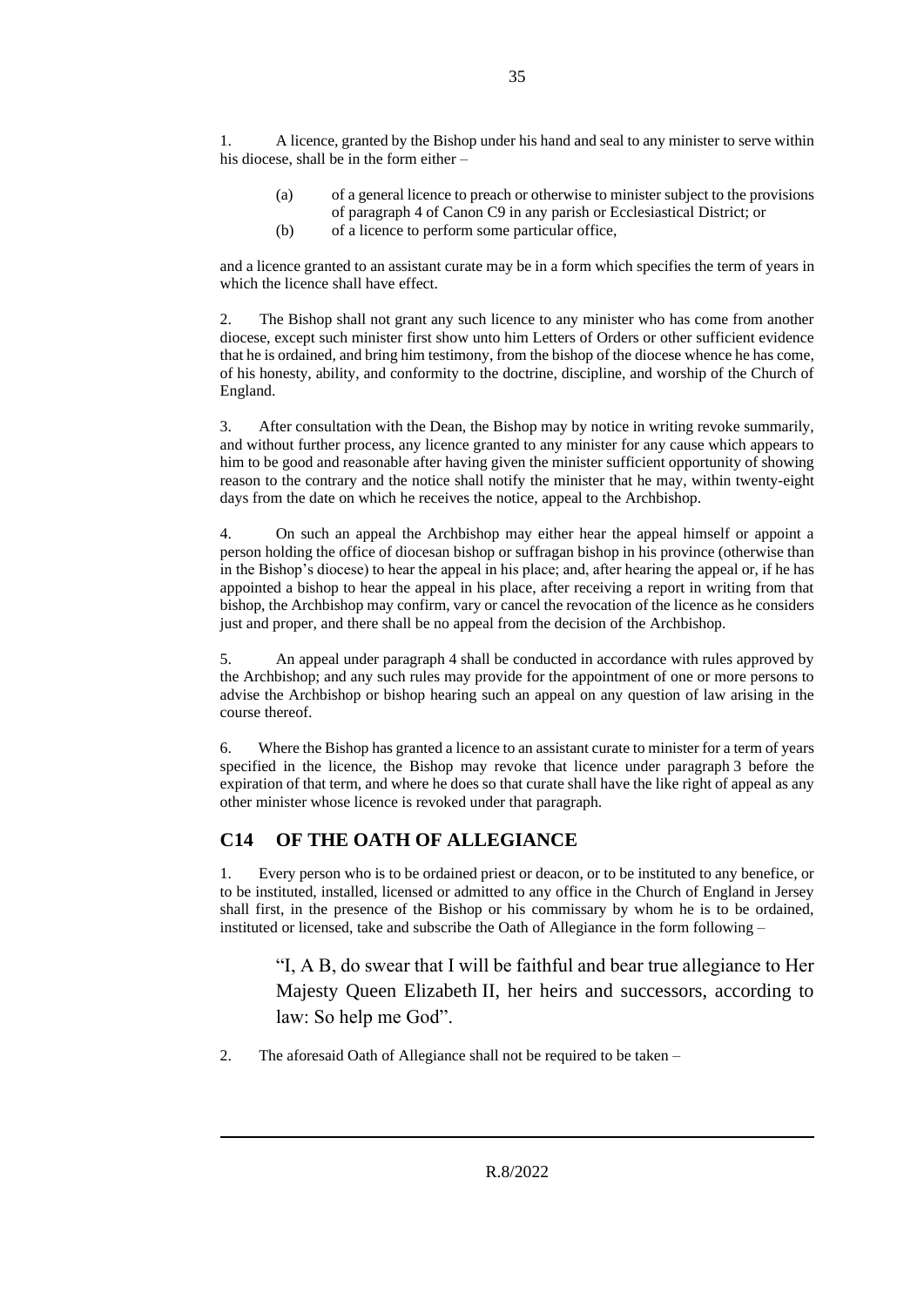1. A licence, granted by the Bishop under his hand and seal to any minister to serve within his diocese, shall be in the form either –

- (a) of a general licence to preach or otherwise to minister subject to the provisions of paragraph 4 of Canon C9 in any parish or Ecclesiastical District; or
- (b) of a licence to perform some particular office,

and a licence granted to an assistant curate may be in a form which specifies the term of years in which the licence shall have effect.

2. The Bishop shall not grant any such licence to any minister who has come from another diocese, except such minister first show unto him Letters of Orders or other sufficient evidence that he is ordained, and bring him testimony, from the bishop of the diocese whence he has come, of his honesty, ability, and conformity to the doctrine, discipline, and worship of the Church of England.

3. After consultation with the Dean, the Bishop may by notice in writing revoke summarily, and without further process, any licence granted to any minister for any cause which appears to him to be good and reasonable after having given the minister sufficient opportunity of showing reason to the contrary and the notice shall notify the minister that he may, within twenty-eight days from the date on which he receives the notice, appeal to the Archbishop.

4. On such an appeal the Archbishop may either hear the appeal himself or appoint a person holding the office of diocesan bishop or suffragan bishop in his province (otherwise than in the Bishop's diocese) to hear the appeal in his place; and, after hearing the appeal or, if he has appointed a bishop to hear the appeal in his place, after receiving a report in writing from that bishop, the Archbishop may confirm, vary or cancel the revocation of the licence as he considers just and proper, and there shall be no appeal from the decision of the Archbishop.

5. An appeal under paragraph 4 shall be conducted in accordance with rules approved by the Archbishop; and any such rules may provide for the appointment of one or more persons to advise the Archbishop or bishop hearing such an appeal on any question of law arising in the course thereof.

6. Where the Bishop has granted a licence to an assistant curate to minister for a term of years specified in the licence, the Bishop may revoke that licence under paragraph 3 before the expiration of that term, and where he does so that curate shall have the like right of appeal as any other minister whose licence is revoked under that paragraph.

#### <span id="page-34-0"></span>**C14 OF THE OATH OF ALLEGIANCE**

1. Every person who is to be ordained priest or deacon, or to be instituted to any benefice, or to be instituted, installed, licensed or admitted to any office in the Church of England in Jersey shall first, in the presence of the Bishop or his commissary by whom he is to be ordained, instituted or licensed, take and subscribe the Oath of Allegiance in the form following –

"I, A B, do swear that I will be faithful and bear true allegiance to Her Majesty Queen Elizabeth II, her heirs and successors, according to law: So help me God".

2. The aforesaid Oath of Allegiance shall not be required to be taken –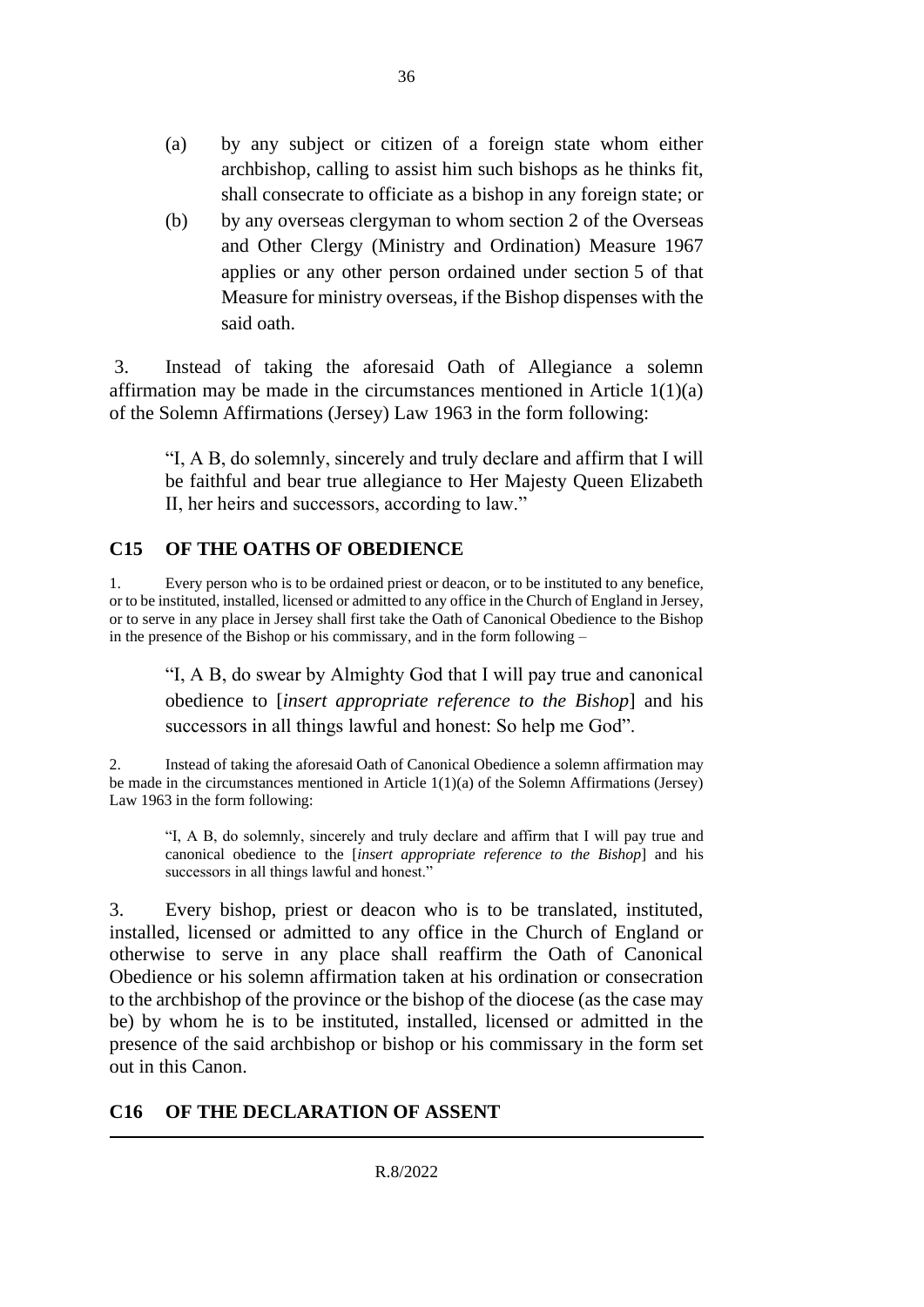- (a) by any subject or citizen of a foreign state whom either archbishop, calling to assist him such bishops as he thinks fit, shall consecrate to officiate as a bishop in any foreign state; or
- (b) by any overseas clergyman to whom section 2 of the Overseas and Other Clergy (Ministry and Ordination) Measure 1967 applies or any other person ordained under section 5 of that Measure for ministry overseas, if the Bishop dispenses with the said oath.

3. Instead of taking the aforesaid Oath of Allegiance a solemn affirmation may be made in the circumstances mentioned in Article  $1(1)(a)$ of the Solemn Affirmations (Jersey) Law 1963 in the form following:

"I, A B, do solemnly, sincerely and truly declare and affirm that I will be faithful and bear true allegiance to Her Majesty Queen Elizabeth II, her heirs and successors, according to law."

#### <span id="page-35-0"></span>**C15 OF THE OATHS OF OBEDIENCE**

1. Every person who is to be ordained priest or deacon, or to be instituted to any benefice, or to be instituted, installed, licensed or admitted to any office in the Church of England in Jersey, or to serve in any place in Jersey shall first take the Oath of Canonical Obedience to the Bishop in the presence of the Bishop or his commissary, and in the form following –

"I, A B, do swear by Almighty God that I will pay true and canonical obedience to [*insert appropriate reference to the Bishop*] and his successors in all things lawful and honest: So help me God".

2. Instead of taking the aforesaid Oath of Canonical Obedience a solemn affirmation may be made in the circumstances mentioned in Article  $1(1)(a)$  of the Solemn Affirmations (Jersey) Law 1963 in the form following:

"I, Α B, do solemnly, sincerely and truly declare and affirm that I will pay true and canonical obedience to the [*insert appropriate reference to the Bishop*] and his successors in all things lawful and honest."

3. Every bishop, priest or deacon who is to be translated, instituted, installed, licensed or admitted to any office in the Church of England or otherwise to serve in any place shall reaffirm the Oath of Canonical Obedience or his solemn affirmation taken at his ordination or consecration to the archbishop of the province or the bishop of the diocese (as the case may be) by whom he is to be instituted, installed, licensed or admitted in the presence of the said archbishop or bishop or his commissary in the form set out in this Canon.

#### <span id="page-35-1"></span>**C16 OF THE DECLARATION OF ASSENT**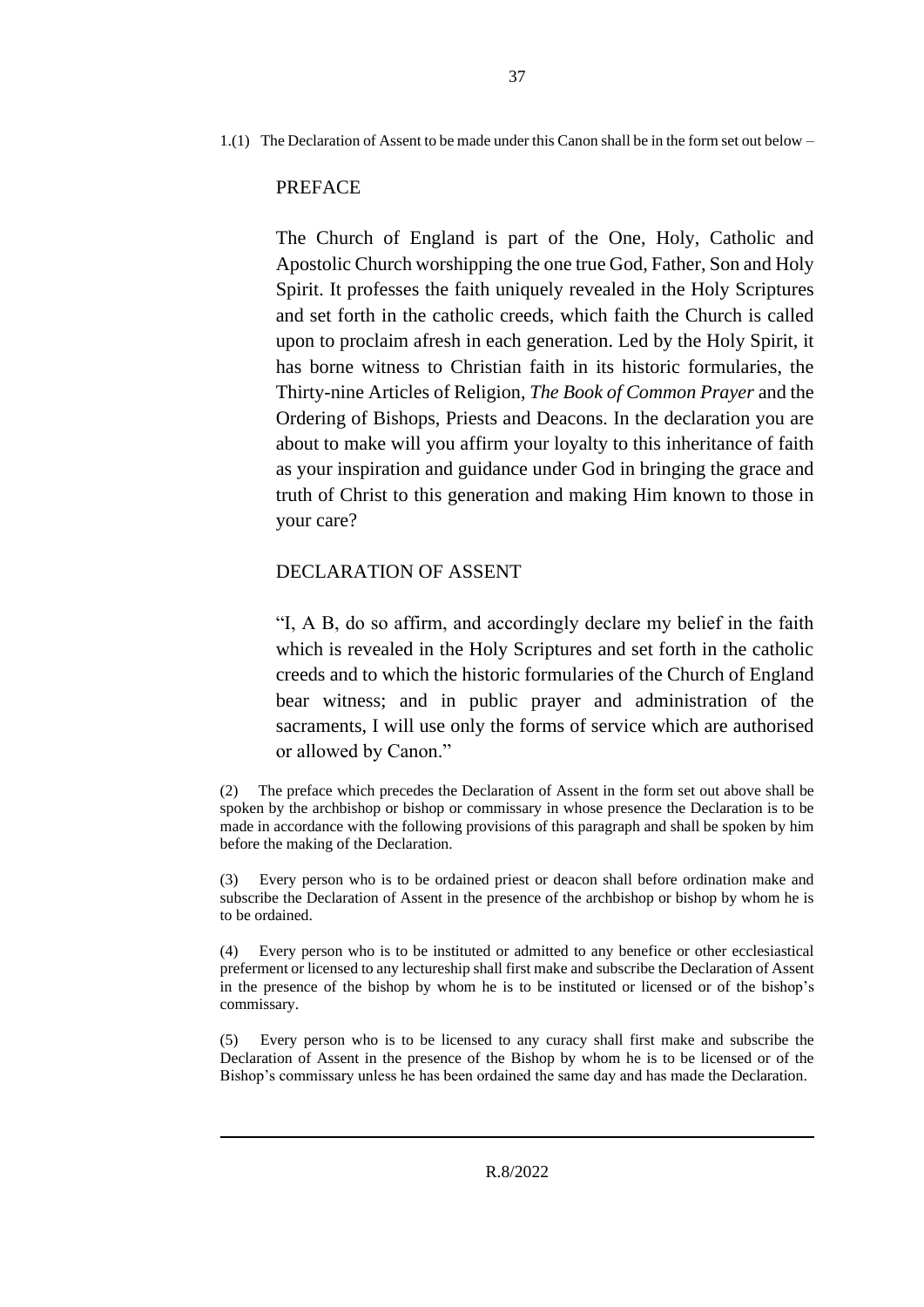## PREFACE

The Church of England is part of the One, Holy, Catholic and Apostolic Church worshipping the one true God, Father, Son and Holy Spirit. It professes the faith uniquely revealed in the Holy Scriptures and set forth in the catholic creeds, which faith the Church is called upon to proclaim afresh in each generation. Led by the Holy Spirit, it has borne witness to Christian faith in its historic formularies, the Thirty-nine Articles of Religion, *The Book of Common Prayer* and the Ordering of Bishops, Priests and Deacons. In the declaration you are about to make will you affirm your loyalty to this inheritance of faith as your inspiration and guidance under God in bringing the grace and truth of Christ to this generation and making Him known to those in your care?

## DECLARATION OF ASSENT

"I, A B, do so affirm, and accordingly declare my belief in the faith which is revealed in the Holy Scriptures and set forth in the catholic creeds and to which the historic formularies of the Church of England bear witness; and in public prayer and administration of the sacraments, I will use only the forms of service which are authorised or allowed by Canon."

(2) The preface which precedes the Declaration of Assent in the form set out above shall be spoken by the archbishop or bishop or commissary in whose presence the Declaration is to be made in accordance with the following provisions of this paragraph and shall be spoken by him before the making of the Declaration.

(3) Every person who is to be ordained priest or deacon shall before ordination make and subscribe the Declaration of Assent in the presence of the archbishop or bishop by whom he is to be ordained.

(4) Every person who is to be instituted or admitted to any benefice or other ecclesiastical preferment or licensed to any lectureship shall first make and subscribe the Declaration of Assent in the presence of the bishop by whom he is to be instituted or licensed or of the bishop's commissary.

(5) Every person who is to be licensed to any curacy shall first make and subscribe the Declaration of Assent in the presence of the Bishop by whom he is to be licensed or of the Bishop's commissary unless he has been ordained the same day and has made the Declaration.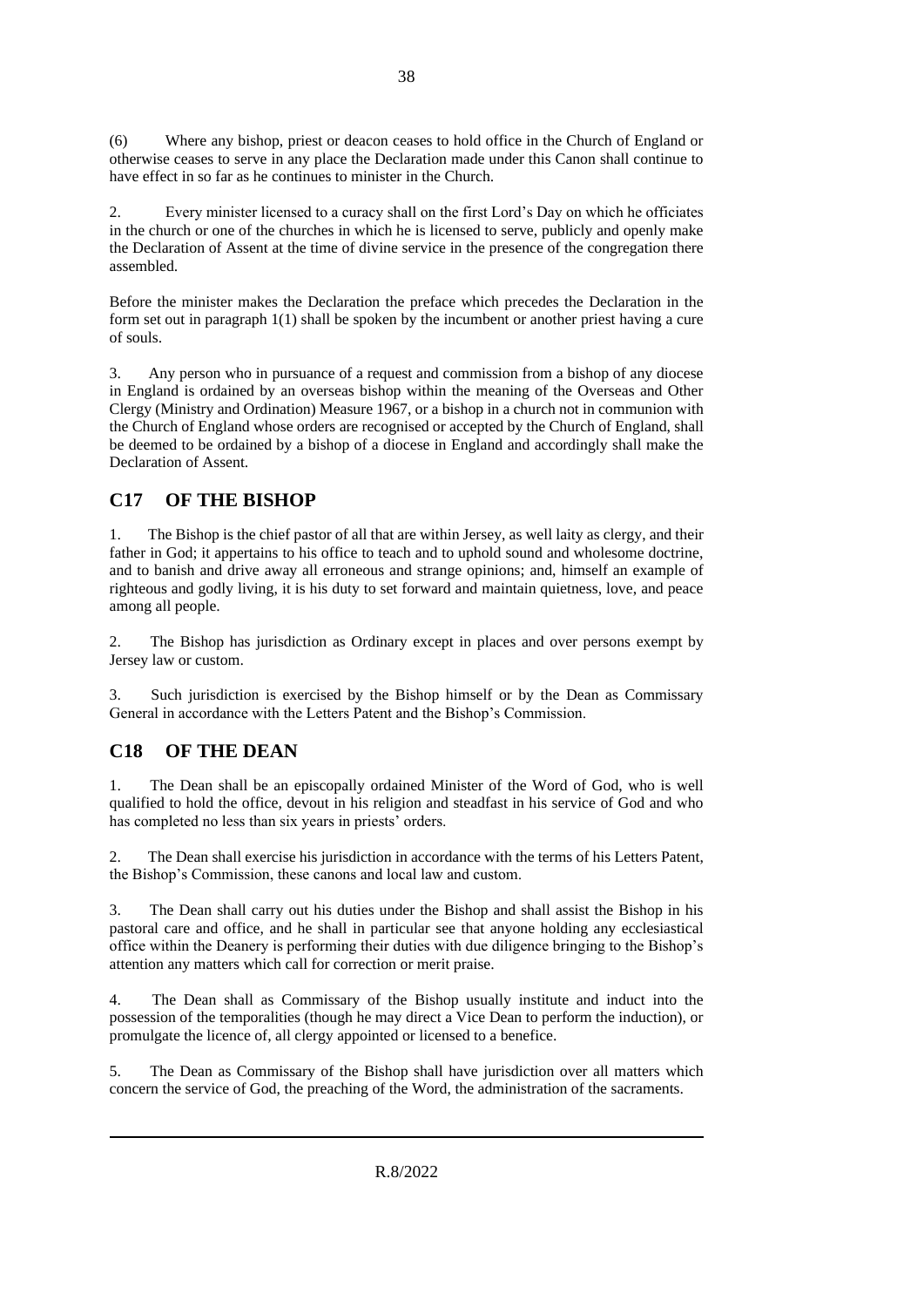(6) Where any bishop, priest or deacon ceases to hold office in the Church of England or otherwise ceases to serve in any place the Declaration made under this Canon shall continue to have effect in so far as he continues to minister in the Church.

2. Every minister licensed to a curacy shall on the first Lord's Day on which he officiates in the church or one of the churches in which he is licensed to serve, publicly and openly make the Declaration of Assent at the time of divine service in the presence of the congregation there assembled.

Before the minister makes the Declaration the preface which precedes the Declaration in the form set out in paragraph 1(1) shall be spoken by the incumbent or another priest having a cure of souls.

3. Any person who in pursuance of a request and commission from a bishop of any diocese in England is ordained by an overseas bishop within the meaning of the Overseas and Other Clergy (Ministry and Ordination) Measure 1967, or a bishop in a church not in communion with the Church of England whose orders are recognised or accepted by the Church of England, shall be deemed to be ordained by a bishop of a diocese in England and accordingly shall make the Declaration of Assent.

# **C17 OF THE BISHOP**

1. The Bishop is the chief pastor of all that are within Jersey, as well laity as clergy, and their father in God; it appertains to his office to teach and to uphold sound and wholesome doctrine, and to banish and drive away all erroneous and strange opinions; and, himself an example of righteous and godly living, it is his duty to set forward and maintain quietness, love, and peace among all people.

2. The Bishop has jurisdiction as Ordinary except in places and over persons exempt by Jersey law or custom.

3. Such jurisdiction is exercised by the Bishop himself or by the Dean as Commissary General in accordance with the Letters Patent and the Bishop's Commission.

# **C18 OF THE DEAN**

1. The Dean shall be an episcopally ordained Minister of the Word of God, who is well qualified to hold the office, devout in his religion and steadfast in his service of God and who has completed no less than six years in priests' orders.

2. The Dean shall exercise his jurisdiction in accordance with the terms of his Letters Patent, the Bishop's Commission, these canons and local law and custom.

3. The Dean shall carry out his duties under the Bishop and shall assist the Bishop in his pastoral care and office, and he shall in particular see that anyone holding any ecclesiastical office within the Deanery is performing their duties with due diligence bringing to the Bishop's attention any matters which call for correction or merit praise.

4. The Dean shall as Commissary of the Bishop usually institute and induct into the possession of the temporalities (though he may direct a Vice Dean to perform the induction), or promulgate the licence of, all clergy appointed or licensed to a benefice.

5. The Dean as Commissary of the Bishop shall have jurisdiction over all matters which concern the service of God, the preaching of the Word, the administration of the sacraments.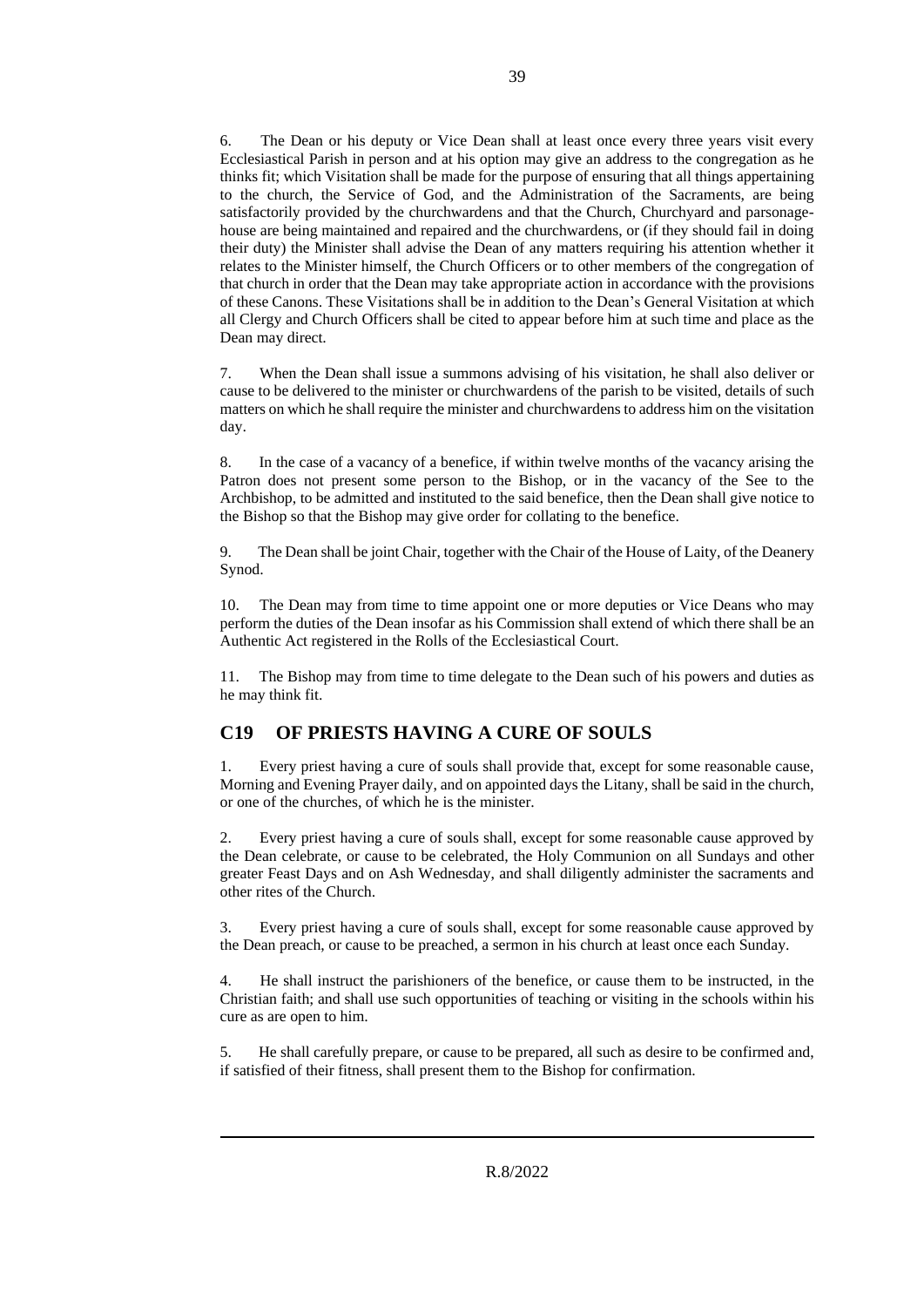6. The Dean or his deputy or Vice Dean shall at least once every three years visit every Ecclesiastical Parish in person and at his option may give an address to the congregation as he thinks fit; which Visitation shall be made for the purpose of ensuring that all things appertaining to the church, the Service of God, and the Administration of the Sacraments, are being satisfactorily provided by the churchwardens and that the Church, Churchyard and parsonagehouse are being maintained and repaired and the churchwardens, or (if they should fail in doing their duty) the Minister shall advise the Dean of any matters requiring his attention whether it relates to the Minister himself, the Church Officers or to other members of the congregation of that church in order that the Dean may take appropriate action in accordance with the provisions of these Canons. These Visitations shall be in addition to the Dean's General Visitation at which all Clergy and Church Officers shall be cited to appear before him at such time and place as the Dean may direct.

7. When the Dean shall issue a summons advising of his visitation, he shall also deliver or cause to be delivered to the minister or churchwardens of the parish to be visited, details of such matters on which he shall require the minister and churchwardens to address him on the visitation day.

8. In the case of a vacancy of a benefice, if within twelve months of the vacancy arising the Patron does not present some person to the Bishop, or in the vacancy of the See to the Archbishop, to be admitted and instituted to the said benefice, then the Dean shall give notice to the Bishop so that the Bishop may give order for collating to the benefice.

9. The Dean shall be joint Chair, together with the Chair of the House of Laity, of the Deanery Synod.

10. The Dean may from time to time appoint one or more deputies or Vice Deans who may perform the duties of the Dean insofar as his Commission shall extend of which there shall be an Authentic Act registered in the Rolls of the Ecclesiastical Court.

11. The Bishop may from time to time delegate to the Dean such of his powers and duties as he may think fit.

# **C19 OF PRIESTS HAVING A CURE OF SOULS**

1. Every priest having a cure of souls shall provide that, except for some reasonable cause, Morning and Evening Prayer daily, and on appointed days the Litany, shall be said in the church, or one of the churches, of which he is the minister.

2. Every priest having a cure of souls shall, except for some reasonable cause approved by the Dean celebrate, or cause to be celebrated, the Holy Communion on all Sundays and other greater Feast Days and on Ash Wednesday, and shall diligently administer the sacraments and other rites of the Church.

3. Every priest having a cure of souls shall, except for some reasonable cause approved by the Dean preach, or cause to be preached, a sermon in his church at least once each Sunday.

4. He shall instruct the parishioners of the benefice, or cause them to be instructed, in the Christian faith; and shall use such opportunities of teaching or visiting in the schools within his cure as are open to him.

5. He shall carefully prepare, or cause to be prepared, all such as desire to be confirmed and, if satisfied of their fitness, shall present them to the Bishop for confirmation.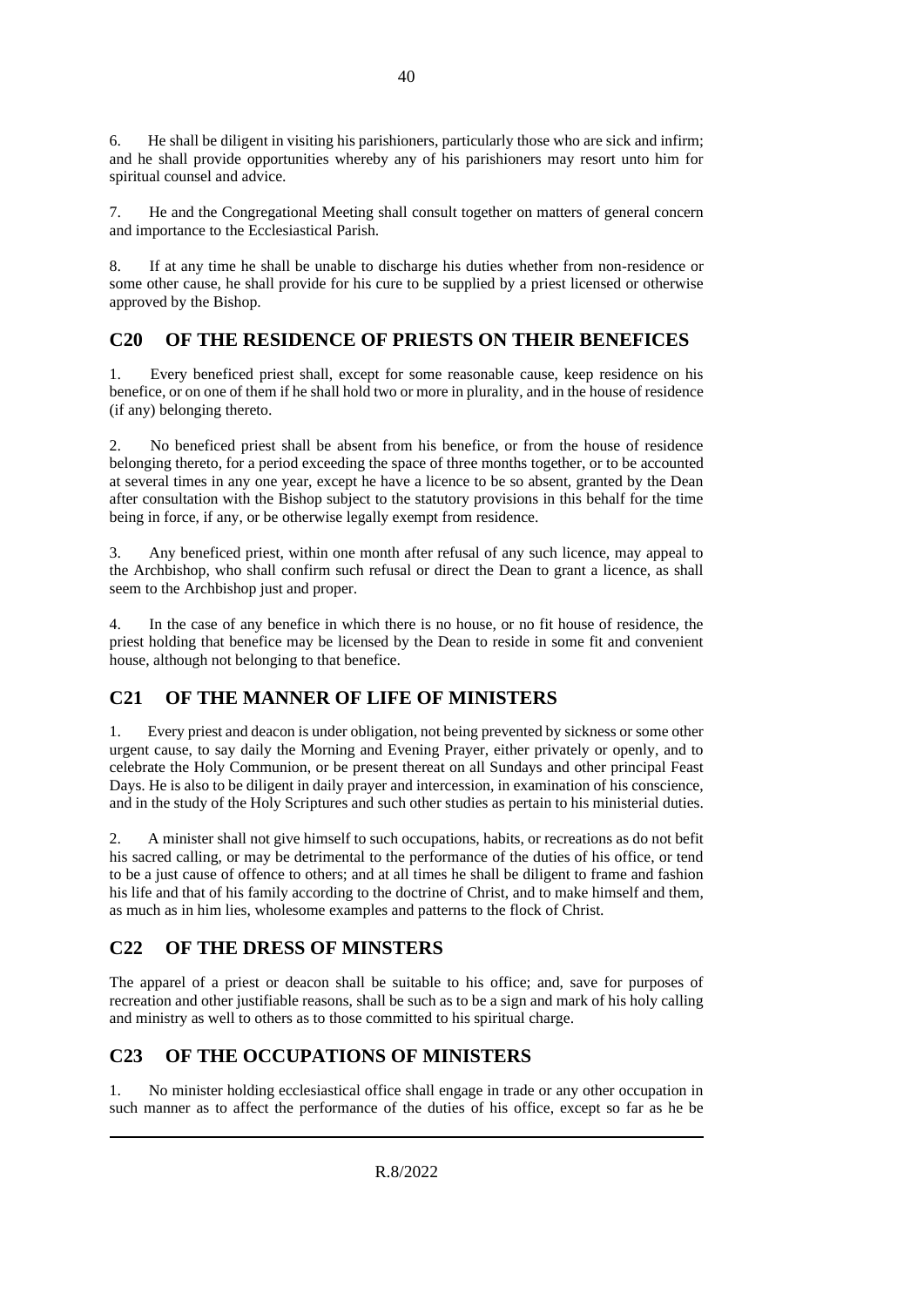6. He shall be diligent in visiting his parishioners, particularly those who are sick and infirm; and he shall provide opportunities whereby any of his parishioners may resort unto him for spiritual counsel and advice.

7. He and the Congregational Meeting shall consult together on matters of general concern and importance to the Ecclesiastical Parish.

8. If at any time he shall be unable to discharge his duties whether from non-residence or some other cause, he shall provide for his cure to be supplied by a priest licensed or otherwise approved by the Bishop.

# **C20 OF THE RESIDENCE OF PRIESTS ON THEIR BENEFICES**

1. Every beneficed priest shall, except for some reasonable cause, keep residence on his benefice, or on one of them if he shall hold two or more in plurality, and in the house of residence (if any) belonging thereto.

2. No beneficed priest shall be absent from his benefice, or from the house of residence belonging thereto, for a period exceeding the space of three months together, or to be accounted at several times in any one year, except he have a licence to be so absent, granted by the Dean after consultation with the Bishop subject to the statutory provisions in this behalf for the time being in force, if any, or be otherwise legally exempt from residence.

3. Any beneficed priest, within one month after refusal of any such licence, may appeal to the Archbishop, who shall confirm such refusal or direct the Dean to grant a licence, as shall seem to the Archbishop just and proper.

4. In the case of any benefice in which there is no house, or no fit house of residence, the priest holding that benefice may be licensed by the Dean to reside in some fit and convenient house, although not belonging to that benefice.

# **C21 OF THE MANNER OF LIFE OF MINISTERS**

1. Every priest and deacon is under obligation, not being prevented by sickness or some other urgent cause, to say daily the Morning and Evening Prayer, either privately or openly, and to celebrate the Holy Communion, or be present thereat on all Sundays and other principal Feast Days. He is also to be diligent in daily prayer and intercession, in examination of his conscience, and in the study of the Holy Scriptures and such other studies as pertain to his ministerial duties.

2. A minister shall not give himself to such occupations, habits, or recreations as do not befit his sacred calling, or may be detrimental to the performance of the duties of his office, or tend to be a just cause of offence to others; and at all times he shall be diligent to frame and fashion his life and that of his family according to the doctrine of Christ, and to make himself and them, as much as in him lies, wholesome examples and patterns to the flock of Christ.

# **C22 OF THE DRESS OF MINSTERS**

The apparel of a priest or deacon shall be suitable to his office; and, save for purposes of recreation and other justifiable reasons, shall be such as to be a sign and mark of his holy calling and ministry as well to others as to those committed to his spiritual charge.

# **C23 OF THE OCCUPATIONS OF MINISTERS**

1. No minister holding ecclesiastical office shall engage in trade or any other occupation in such manner as to affect the performance of the duties of his office, except so far as he be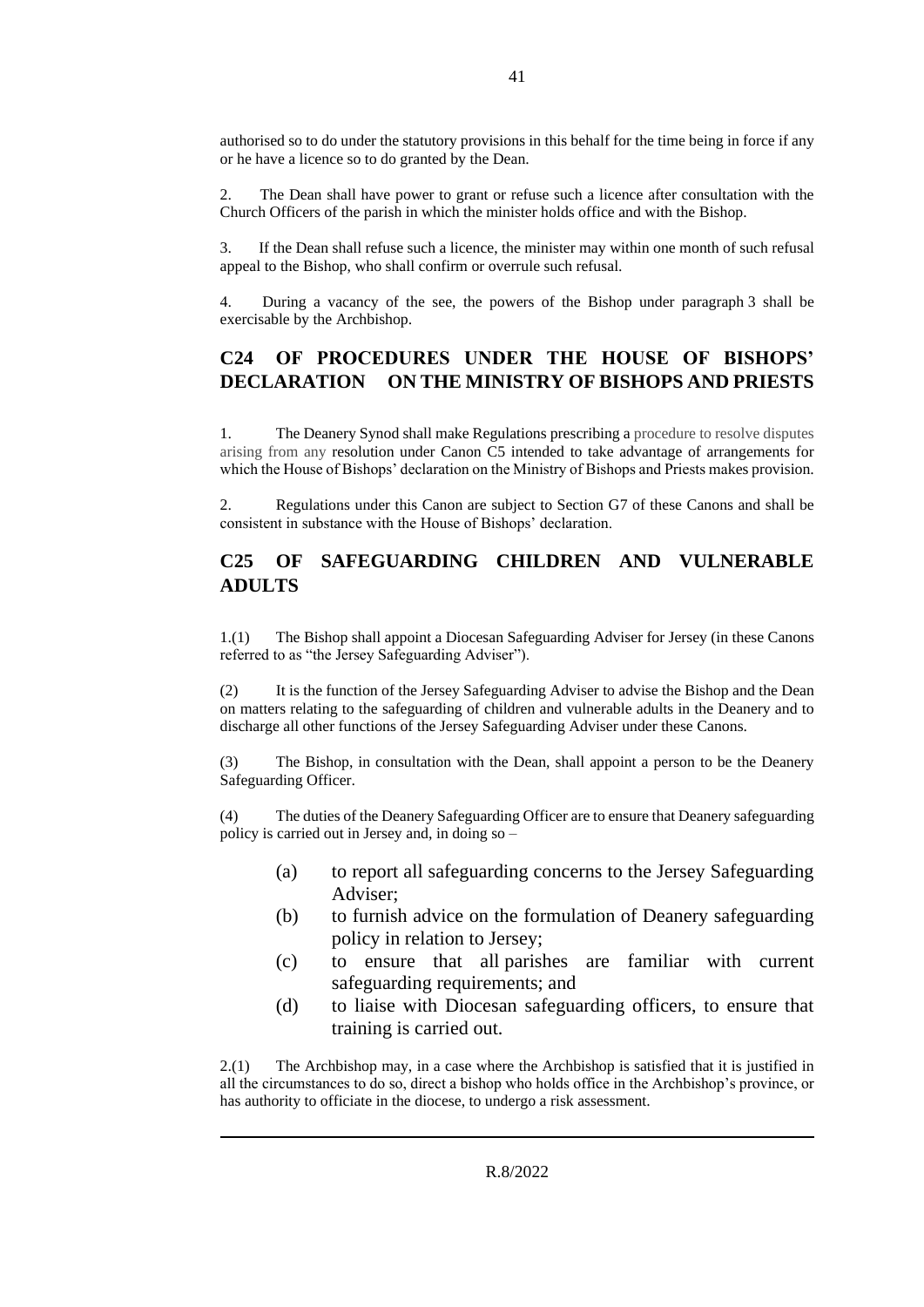authorised so to do under the statutory provisions in this behalf for the time being in force if any or he have a licence so to do granted by the Dean.

The Dean shall have power to grant or refuse such a licence after consultation with the Church Officers of the parish in which the minister holds office and with the Bishop.

3. If the Dean shall refuse such a licence, the minister may within one month of such refusal appeal to the Bishop, who shall confirm or overrule such refusal.

4. During a vacancy of the see, the powers of the Bishop under paragraph 3 shall be exercisable by the Archbishop.

# **C24 OF PROCEDURES UNDER THE HOUSE OF BISHOPS' DECLARATION ON THE MINISTRY OF BISHOPS AND PRIESTS**

1. The Deanery Synod shall make Regulations prescribing a procedure to resolve disputes arising from any resolution under Canon C5 intended to take advantage of arrangements for which the House of Bishops' declaration on the Ministry of Bishops and Priests makes provision.

2. Regulations under this Canon are subject to Section G7 of these Canons and shall be consistent in substance with the House of Bishops' declaration.

## **C25 OF SAFEGUARDING CHILDREN AND VULNERABLE ADULTS**

1.(1) The Bishop shall appoint a Diocesan Safeguarding Adviser for Jersey (in these Canons referred to as "the Jersey Safeguarding Adviser").

(2) It is the function of the Jersey Safeguarding Adviser to advise the Bishop and the Dean on matters relating to the safeguarding of children and vulnerable adults in the Deanery and to discharge all other functions of the Jersey Safeguarding Adviser under these Canons.

(3) The Bishop, in consultation with the Dean, shall appoint a person to be the Deanery Safeguarding Officer.

(4) The duties of the Deanery Safeguarding Officer are to ensure that Deanery safeguarding policy is carried out in Jersey and, in doing so –

- (a) to report all safeguarding concerns to the Jersey Safeguarding Adviser;
- (b) to furnish advice on the formulation of Deanery safeguarding policy in relation to Jersey;
- (c) to ensure that all parishes are familiar with current safeguarding requirements; and
- (d) to liaise with Diocesan safeguarding officers, to ensure that training is carried out.

2.(1) The Archbishop may, in a case where the Archbishop is satisfied that it is justified in all the circumstances to do so, direct a bishop who holds office in the Archbishop's province, or has authority to officiate in the diocese, to undergo a risk assessment.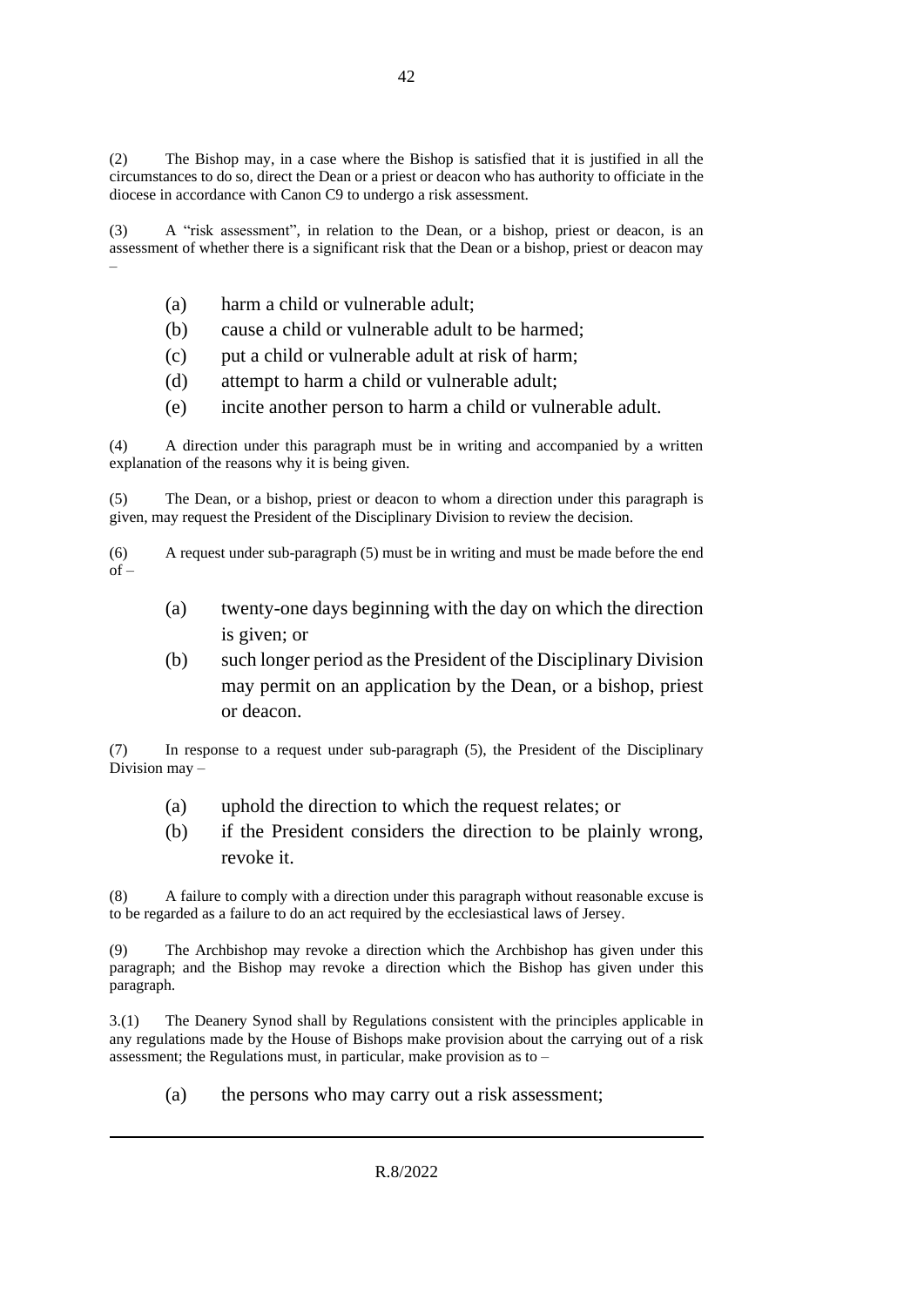(2) The Bishop may, in a case where the Bishop is satisfied that it is justified in all the circumstances to do so, direct the Dean or a priest or deacon who has authority to officiate in the diocese in accordance with Canon C9 to undergo a risk assessment.

(3) A "risk assessment", in relation to the Dean, or a bishop, priest or deacon, is an assessment of whether there is a significant risk that the Dean or a bishop, priest or deacon may –

- (a) harm a child or vulnerable adult;
- (b) cause a child or vulnerable adult to be harmed;
- (c) put a child or vulnerable adult at risk of harm;
- (d) attempt to harm a child or vulnerable adult;
- (e) incite another person to harm a child or vulnerable adult.

(4) A direction under this paragraph must be in writing and accompanied by a written explanation of the reasons why it is being given.

(5) The Dean, or a bishop, priest or deacon to whom a direction under this paragraph is given, may request the President of the Disciplinary Division to review the decision.

(6) A request under sub-paragraph (5) must be in writing and must be made before the end  $of -$ 

- (a) twenty-one days beginning with the day on which the direction is given; or
- (b) such longer period as the President of the Disciplinary Division may permit on an application by the Dean, or a bishop, priest or deacon.

(7) In response to a request under sub-paragraph (5), the President of the Disciplinary Division may  $-$ 

- (a) uphold the direction to which the request relates; or
- (b) if the President considers the direction to be plainly wrong, revoke it.

(8) A failure to comply with a direction under this paragraph without reasonable excuse is to be regarded as a failure to do an act required by the ecclesiastical laws of Jersey.

(9) The Archbishop may revoke a direction which the Archbishop has given under this paragraph; and the Bishop may revoke a direction which the Bishop has given under this paragraph.

3.(1) The Deanery Synod shall by Regulations consistent with the principles applicable in any regulations made by the House of Bishops make provision about the carrying out of a risk assessment; the Regulations must, in particular, make provision as to –

(a) the persons who may carry out a risk assessment;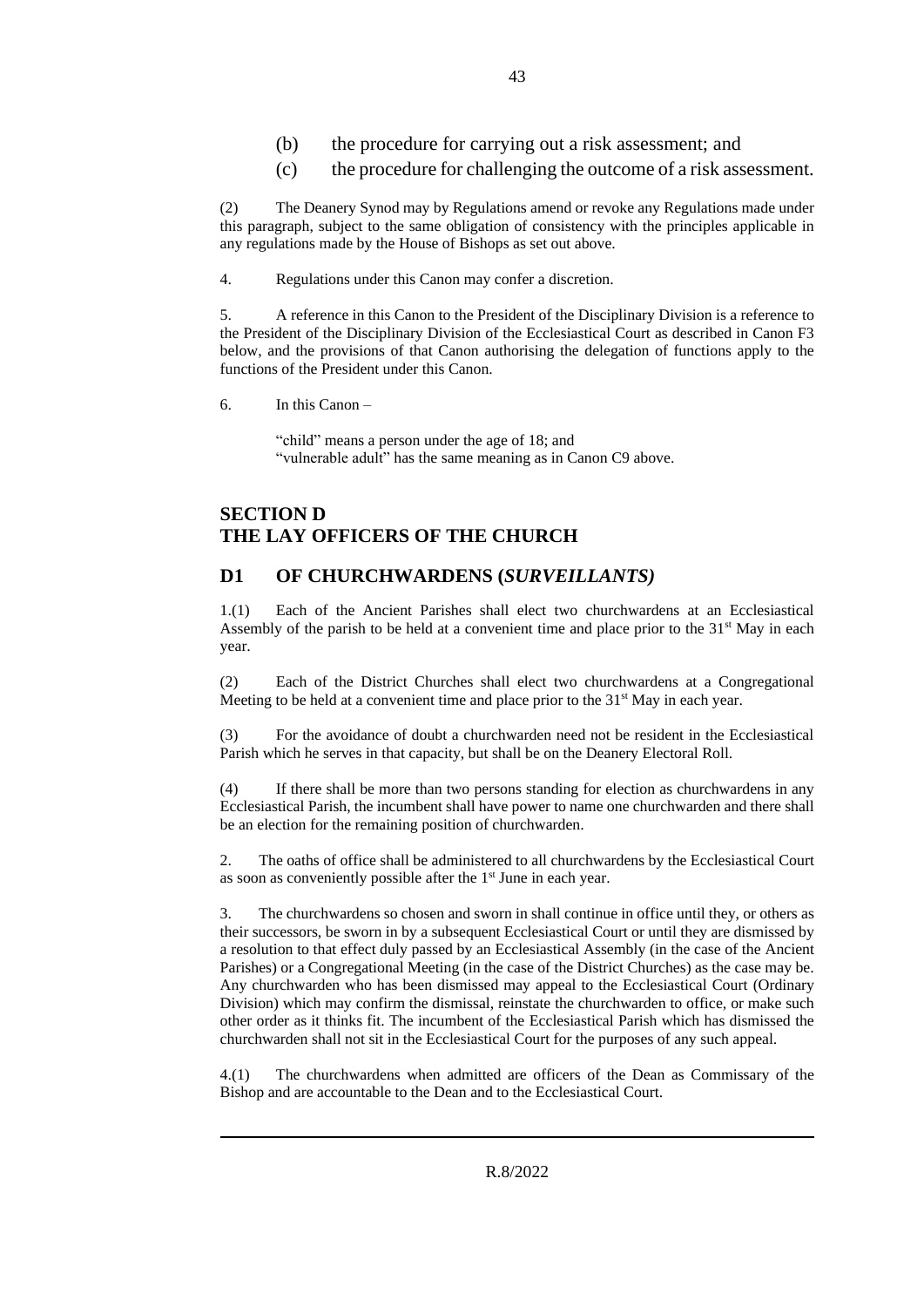- (b) the procedure for carrying out a risk assessment; and
- (c) the procedure for challenging the outcome of a risk assessment.

(2) The Deanery Synod may by Regulations amend or revoke any Regulations made under this paragraph, subject to the same obligation of consistency with the principles applicable in any regulations made by the House of Bishops as set out above.

4. Regulations under this Canon may confer a discretion.

5. A reference in this Canon to the President of the Disciplinary Division is a reference to the President of the Disciplinary Division of the Ecclesiastical Court as described in Canon F3 below, and the provisions of that Canon authorising the delegation of functions apply to the functions of the President under this Canon.

6. In this Canon –

"child" means a person under the age of 18; and "vulnerable adult" has the same meaning as in Canon C9 above.

## **SECTION D THE LAY OFFICERS OF THE CHURCH**

## **D1 OF CHURCHWARDENS (***SURVEILLANTS)*

1.(1) Each of the Ancient Parishes shall elect two churchwardens at an Ecclesiastical Assembly of the parish to be held at a convenient time and place prior to the  $31<sup>st</sup>$  May in each year.

(2) Each of the District Churches shall elect two churchwardens at a Congregational Meeting to be held at a convenient time and place prior to the  $31<sup>st</sup>$  May in each year.

(3) For the avoidance of doubt a churchwarden need not be resident in the Ecclesiastical Parish which he serves in that capacity, but shall be on the Deanery Electoral Roll.

(4) If there shall be more than two persons standing for election as churchwardens in any Ecclesiastical Parish, the incumbent shall have power to name one churchwarden and there shall be an election for the remaining position of churchwarden.

2. The oaths of office shall be administered to all churchwardens by the Ecclesiastical Court as soon as conveniently possible after the  $1<sup>st</sup>$  June in each year.

3. The churchwardens so chosen and sworn in shall continue in office until they, or others as their successors, be sworn in by a subsequent Ecclesiastical Court or until they are dismissed by a resolution to that effect duly passed by an Ecclesiastical Assembly (in the case of the Ancient Parishes) or a Congregational Meeting (in the case of the District Churches) as the case may be. Any churchwarden who has been dismissed may appeal to the Ecclesiastical Court (Ordinary Division) which may confirm the dismissal, reinstate the churchwarden to office, or make such other order as it thinks fit. The incumbent of the Ecclesiastical Parish which has dismissed the churchwarden shall not sit in the Ecclesiastical Court for the purposes of any such appeal.

4.(1) The churchwardens when admitted are officers of the Dean as Commissary of the Bishop and are accountable to the Dean and to the Ecclesiastical Court.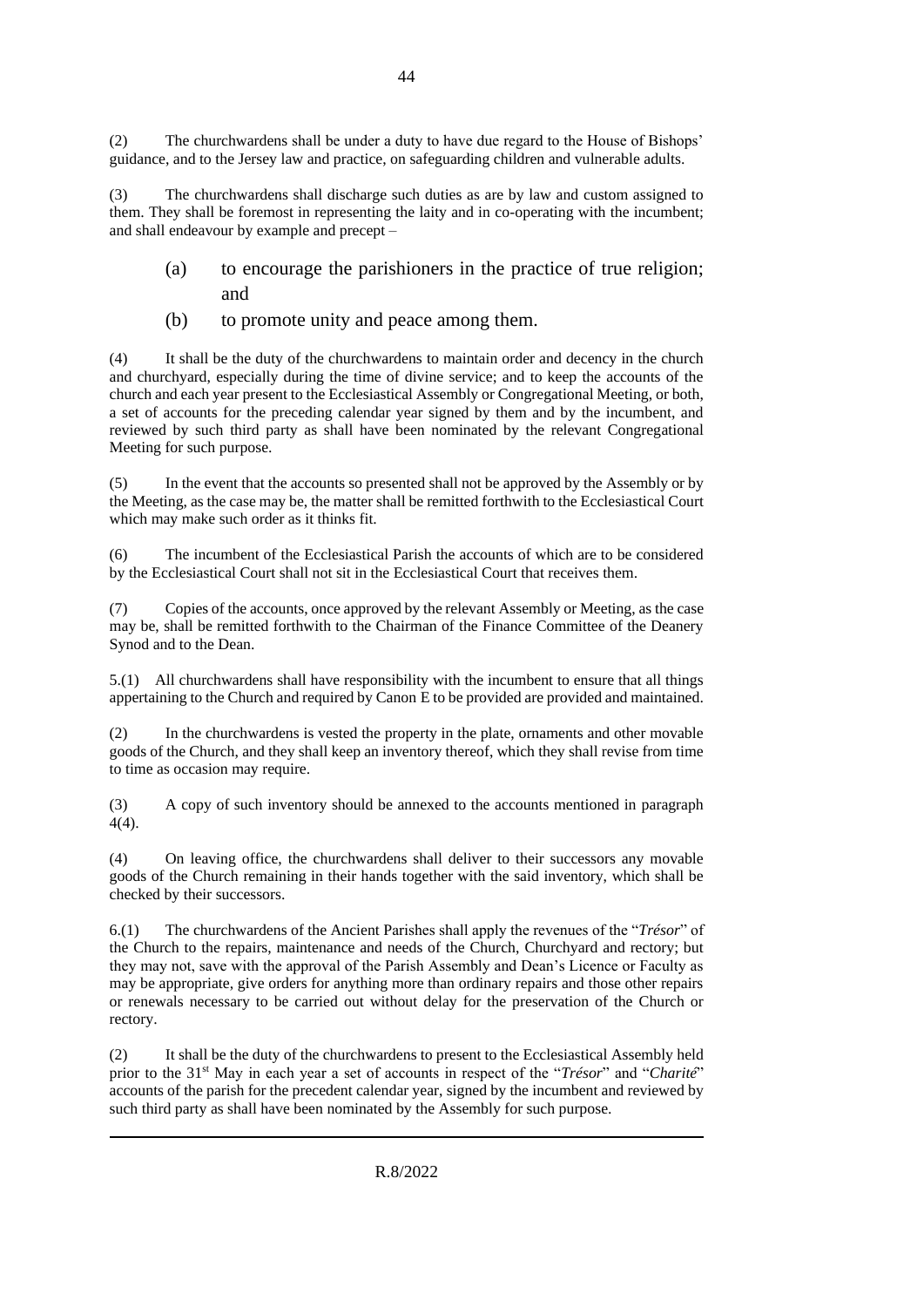(2) The churchwardens shall be under a duty to have due regard to the House of Bishops' guidance, and to the Jersey law and practice, on safeguarding children and vulnerable adults.

(3) The churchwardens shall discharge such duties as are by law and custom assigned to them. They shall be foremost in representing the laity and in co-operating with the incumbent; and shall endeavour by example and precept –

- (a) to encourage the parishioners in the practice of true religion; and
- (b) to promote unity and peace among them.

(4) It shall be the duty of the churchwardens to maintain order and decency in the church and churchyard, especially during the time of divine service; and to keep the accounts of the church and each year present to the Ecclesiastical Assembly or Congregational Meeting, or both, a set of accounts for the preceding calendar year signed by them and by the incumbent, and reviewed by such third party as shall have been nominated by the relevant Congregational Meeting for such purpose.

(5) In the event that the accounts so presented shall not be approved by the Assembly or by the Meeting, as the case may be, the matter shall be remitted forthwith to the Ecclesiastical Court which may make such order as it thinks fit.

(6) The incumbent of the Ecclesiastical Parish the accounts of which are to be considered by the Ecclesiastical Court shall not sit in the Ecclesiastical Court that receives them.

(7) Copies of the accounts, once approved by the relevant Assembly or Meeting, as the case may be, shall be remitted forthwith to the Chairman of the Finance Committee of the Deanery Synod and to the Dean.

5.(1) All churchwardens shall have responsibility with the incumbent to ensure that all things appertaining to the Church and required by Canon E to be provided are provided and maintained.

(2) In the churchwardens is vested the property in the plate, ornaments and other movable goods of the Church, and they shall keep an inventory thereof, which they shall revise from time to time as occasion may require.

(3) A copy of such inventory should be annexed to the accounts mentioned in paragraph 4(4).

(4) On leaving office, the churchwardens shall deliver to their successors any movable goods of the Church remaining in their hands together with the said inventory, which shall be checked by their successors.

6.(1) The churchwardens of the Ancient Parishes shall apply the revenues of the "*Trésor*" of the Church to the repairs, maintenance and needs of the Church, Churchyard and rectory; but they may not, save with the approval of the Parish Assembly and Dean's Licence or Faculty as may be appropriate, give orders for anything more than ordinary repairs and those other repairs or renewals necessary to be carried out without delay for the preservation of the Church or rectory.

(2) It shall be the duty of the churchwardens to present to the Ecclesiastical Assembly held prior to the 31st May in each year a set of accounts in respect of the "*Trésor*" and "*Charité*" accounts of the parish for the precedent calendar year, signed by the incumbent and reviewed by such third party as shall have been nominated by the Assembly for such purpose.

R.8/2022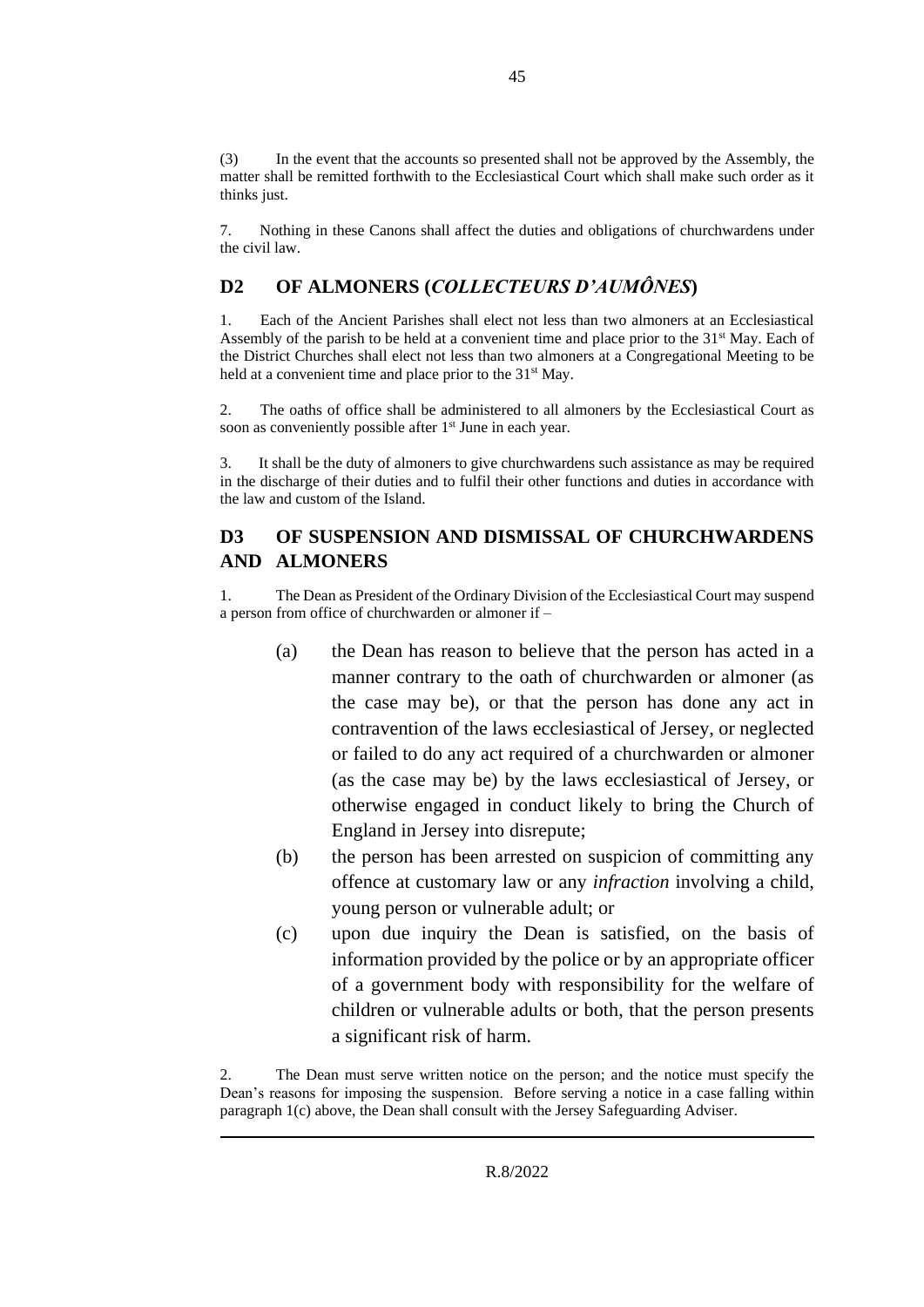(3) In the event that the accounts so presented shall not be approved by the Assembly, the matter shall be remitted forthwith to the Ecclesiastical Court which shall make such order as it thinks just.

7. Nothing in these Canons shall affect the duties and obligations of churchwardens under the civil law.

## **D2 OF ALMONERS (***COLLECTEURS D'AUMÔNES***)**

1. Each of the Ancient Parishes shall elect not less than two almoners at an Ecclesiastical Assembly of the parish to be held at a convenient time and place prior to the  $31<sup>st</sup>$  May. Each of the District Churches shall elect not less than two almoners at a Congregational Meeting to be held at a convenient time and place prior to the 31<sup>st</sup> May.

2. The oaths of office shall be administered to all almoners by the Ecclesiastical Court as soon as conveniently possible after  $1<sup>st</sup>$  June in each year.

3. It shall be the duty of almoners to give churchwardens such assistance as may be required in the discharge of their duties and to fulfil their other functions and duties in accordance with the law and custom of the Island.

## **D3 OF SUSPENSION AND DISMISSAL OF CHURCHWARDENS AND ALMONERS**

1. The Dean as President of the Ordinary Division of the Ecclesiastical Court may suspend a person from office of churchwarden or almoner if –

- (a) the Dean has reason to believe that the person has acted in a manner contrary to the oath of churchwarden or almoner (as the case may be), or that the person has done any act in contravention of the laws ecclesiastical of Jersey, or neglected or failed to do any act required of a churchwarden or almoner (as the case may be) by the laws ecclesiastical of Jersey, or otherwise engaged in conduct likely to bring the Church of England in Jersey into disrepute;
- (b) the person has been arrested on suspicion of committing any offence at customary law or any *infraction* involving a child, young person or vulnerable adult; or
- (c) upon due inquiry the Dean is satisfied, on the basis of information provided by the police or by an appropriate officer of a government body with responsibility for the welfare of children or vulnerable adults or both, that the person presents a significant risk of harm.

The Dean must serve written notice on the person; and the notice must specify the Dean's reasons for imposing the suspension. Before serving a notice in a case falling within paragraph 1(c) above, the Dean shall consult with the Jersey Safeguarding Adviser.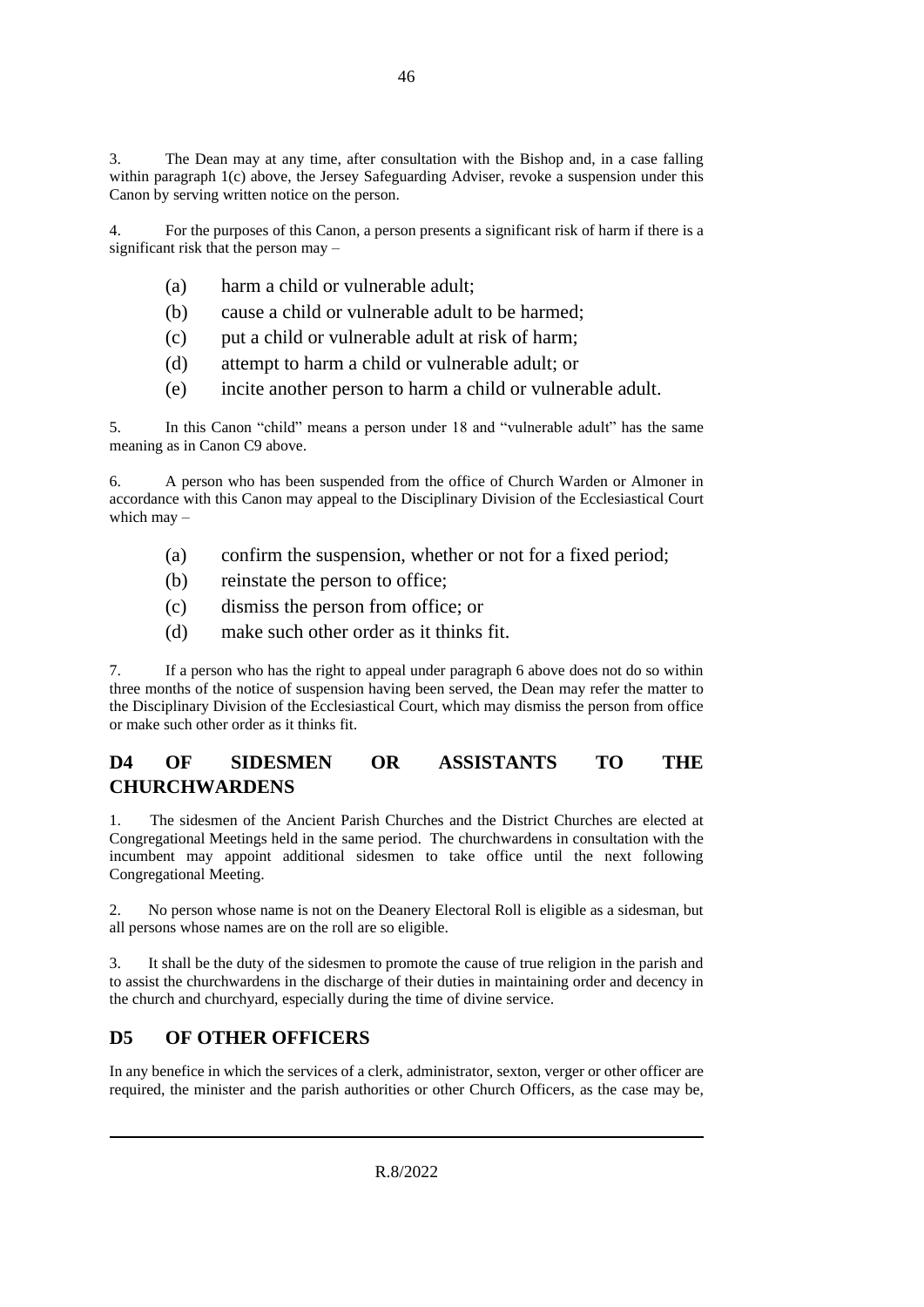3. The Dean may at any time, after consultation with the Bishop and, in a case falling within paragraph 1(c) above, the Jersey Safeguarding Adviser, revoke a suspension under this Canon by serving written notice on the person.

4. For the purposes of this Canon, a person presents a significant risk of harm if there is a significant risk that the person may –

- (a) harm a child or vulnerable adult;
- (b) cause a child or vulnerable adult to be harmed;
- (c) put a child or vulnerable adult at risk of harm;
- (d) attempt to harm a child or vulnerable adult; or
- (e) incite another person to harm a child or vulnerable adult.

5. In this Canon "child" means a person under 18 and "vulnerable adult" has the same meaning as in Canon C9 above.

6. A person who has been suspended from the office of Church Warden or Almoner in accordance with this Canon may appeal to the Disciplinary Division of the Ecclesiastical Court which may –

- (a) confirm the suspension, whether or not for a fixed period;
- (b) reinstate the person to office;
- (c) dismiss the person from office; or
- (d) make such other order as it thinks fit.

7. If a person who has the right to appeal under paragraph 6 above does not do so within three months of the notice of suspension having been served, the Dean may refer the matter to the Disciplinary Division of the Ecclesiastical Court, which may dismiss the person from office or make such other order as it thinks fit.

# **D4 OF SIDESMEN OR ASSISTANTS TO THE CHURCHWARDENS**

1. The sidesmen of the Ancient Parish Churches and the District Churches are elected at Congregational Meetings held in the same period. The churchwardens in consultation with the incumbent may appoint additional sidesmen to take office until the next following Congregational Meeting.

2. No person whose name is not on the Deanery Electoral Roll is eligible as a sidesman, but all persons whose names are on the roll are so eligible.

3. It shall be the duty of the sidesmen to promote the cause of true religion in the parish and to assist the churchwardens in the discharge of their duties in maintaining order and decency in the church and churchyard, especially during the time of divine service.

# **D5 OF OTHER OFFICERS**

In any benefice in which the services of a clerk, administrator, sexton, verger or other officer are required, the minister and the parish authorities or other Church Officers, as the case may be,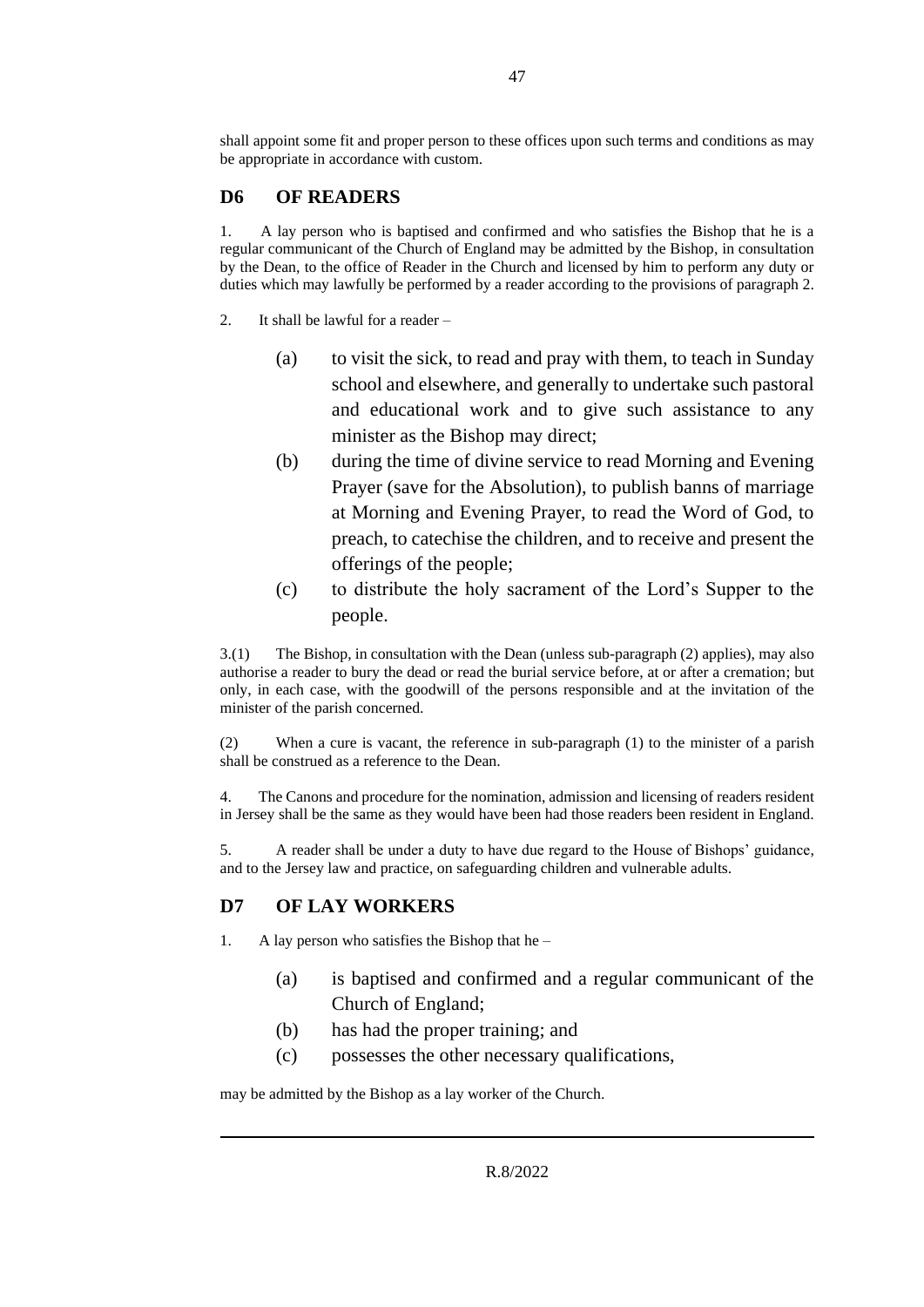shall appoint some fit and proper person to these offices upon such terms and conditions as may be appropriate in accordance with custom.

## **D6 OF READERS**

1. A lay person who is baptised and confirmed and who satisfies the Bishop that he is a regular communicant of the Church of England may be admitted by the Bishop, in consultation by the Dean, to the office of Reader in the Church and licensed by him to perform any duty or duties which may lawfully be performed by a reader according to the provisions of paragraph 2.

- 2. It shall be lawful for a reader
	- (a) to visit the sick, to read and pray with them, to teach in Sunday school and elsewhere, and generally to undertake such pastoral and educational work and to give such assistance to any minister as the Bishop may direct;
	- (b) during the time of divine service to read Morning and Evening Prayer (save for the Absolution), to publish banns of marriage at Morning and Evening Prayer, to read the Word of God, to preach, to catechise the children, and to receive and present the offerings of the people;
	- (c) to distribute the holy sacrament of the Lord's Supper to the people.

3.(1) The Bishop, in consultation with the Dean (unless sub-paragraph (2) applies), may also authorise a reader to bury the dead or read the burial service before, at or after a cremation; but only, in each case, with the goodwill of the persons responsible and at the invitation of the minister of the parish concerned.

(2) When a cure is vacant, the reference in sub-paragraph (1) to the minister of a parish shall be construed as a reference to the Dean.

4. The Canons and procedure for the nomination, admission and licensing of readers resident in Jersey shall be the same as they would have been had those readers been resident in England.

5. A reader shall be under a duty to have due regard to the House of Bishops' guidance, and to the Jersey law and practice, on safeguarding children and vulnerable adults.

## **D7 OF LAY WORKERS**

- 1. A lay person who satisfies the Bishop that he
	- (a) is baptised and confirmed and a regular communicant of the Church of England;
	- (b) has had the proper training; and
	- (c) possesses the other necessary qualifications,

may be admitted by the Bishop as a lay worker of the Church.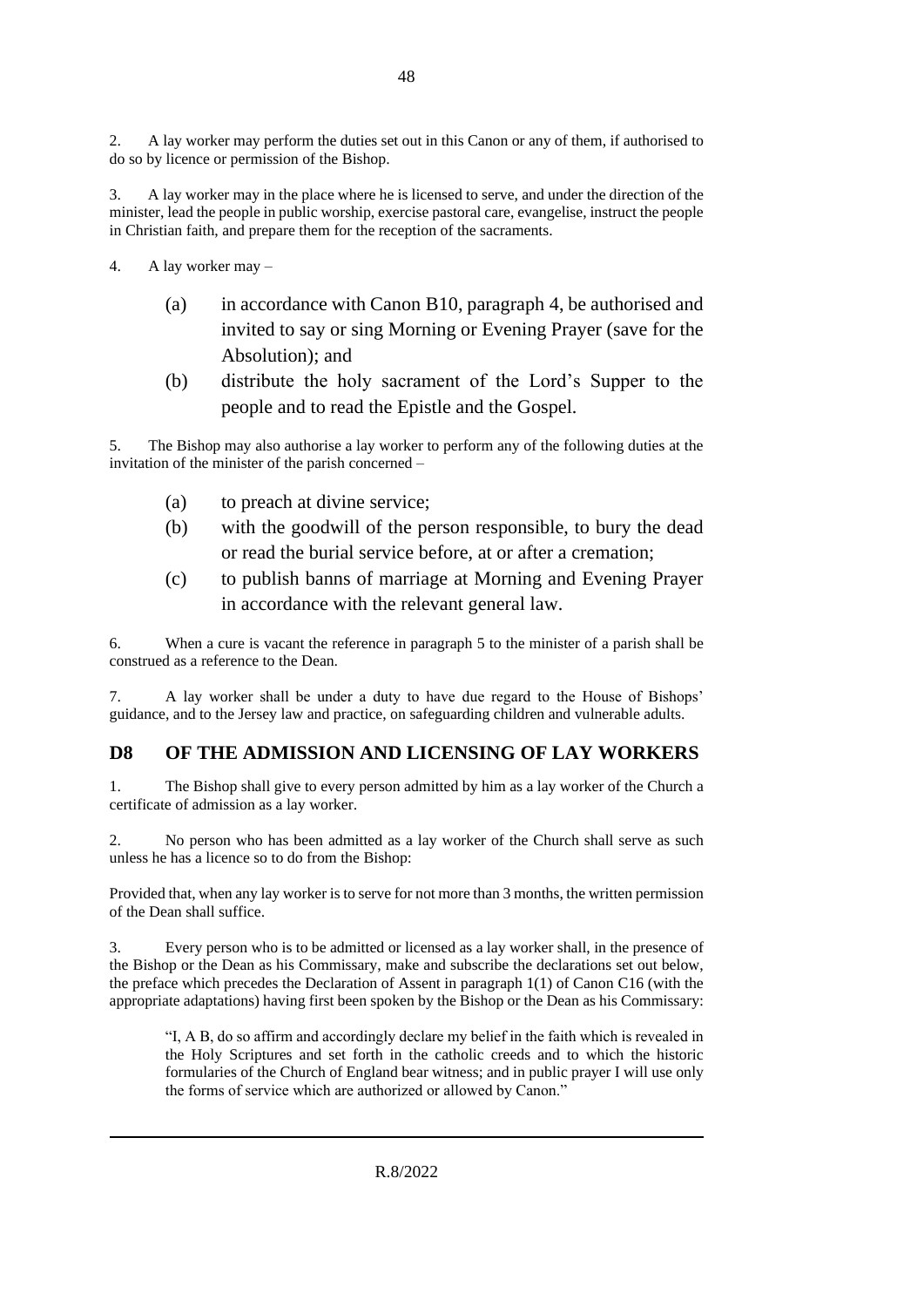2. A lay worker may perform the duties set out in this Canon or any of them, if authorised to do so by licence or permission of the Bishop.

3. A lay worker may in the place where he is licensed to serve, and under the direction of the minister, lead the people in public worship, exercise pastoral care, evangelise, instruct the people in Christian faith, and prepare them for the reception of the sacraments.

- 4. A lay worker may
	- (a) in accordance with Canon B10, paragraph 4, be authorised and invited to say or sing Morning or Evening Prayer (save for the Absolution); and
	- (b) distribute the holy sacrament of the Lord's Supper to the people and to read the Epistle and the Gospel.

5. The Bishop may also authorise a lay worker to perform any of the following duties at the invitation of the minister of the parish concerned –

- (a) to preach at divine service;
- (b) with the goodwill of the person responsible, to bury the dead or read the burial service before, at or after a cremation;
- (c) to publish banns of marriage at Morning and Evening Prayer in accordance with the relevant general law.

6. When a cure is vacant the reference in paragraph 5 to the minister of a parish shall be construed as a reference to the Dean.

7. A lay worker shall be under a duty to have due regard to the House of Bishops' guidance, and to the Jersey law and practice, on safeguarding children and vulnerable adults.

# **D8 OF THE ADMISSION AND LICENSING OF LAY WORKERS**

1. The Bishop shall give to every person admitted by him as a lay worker of the Church a certificate of admission as a lay worker.

2. No person who has been admitted as a lay worker of the Church shall serve as such unless he has a licence so to do from the Bishop:

Provided that, when any lay worker is to serve for not more than 3 months, the written permission of the Dean shall suffice.

3. Every person who is to be admitted or licensed as a lay worker shall, in the presence of the Bishop or the Dean as his Commissary, make and subscribe the declarations set out below, the preface which precedes the Declaration of Assent in paragraph 1(1) of Canon C16 (with the appropriate adaptations) having first been spoken by the Bishop or the Dean as his Commissary:

"I, A B, do so affirm and accordingly declare my belief in the faith which is revealed in the Holy Scriptures and set forth in the catholic creeds and to which the historic formularies of the Church of England bear witness; and in public prayer I will use only the forms of service which are authorized or allowed by Canon."

R.8/2022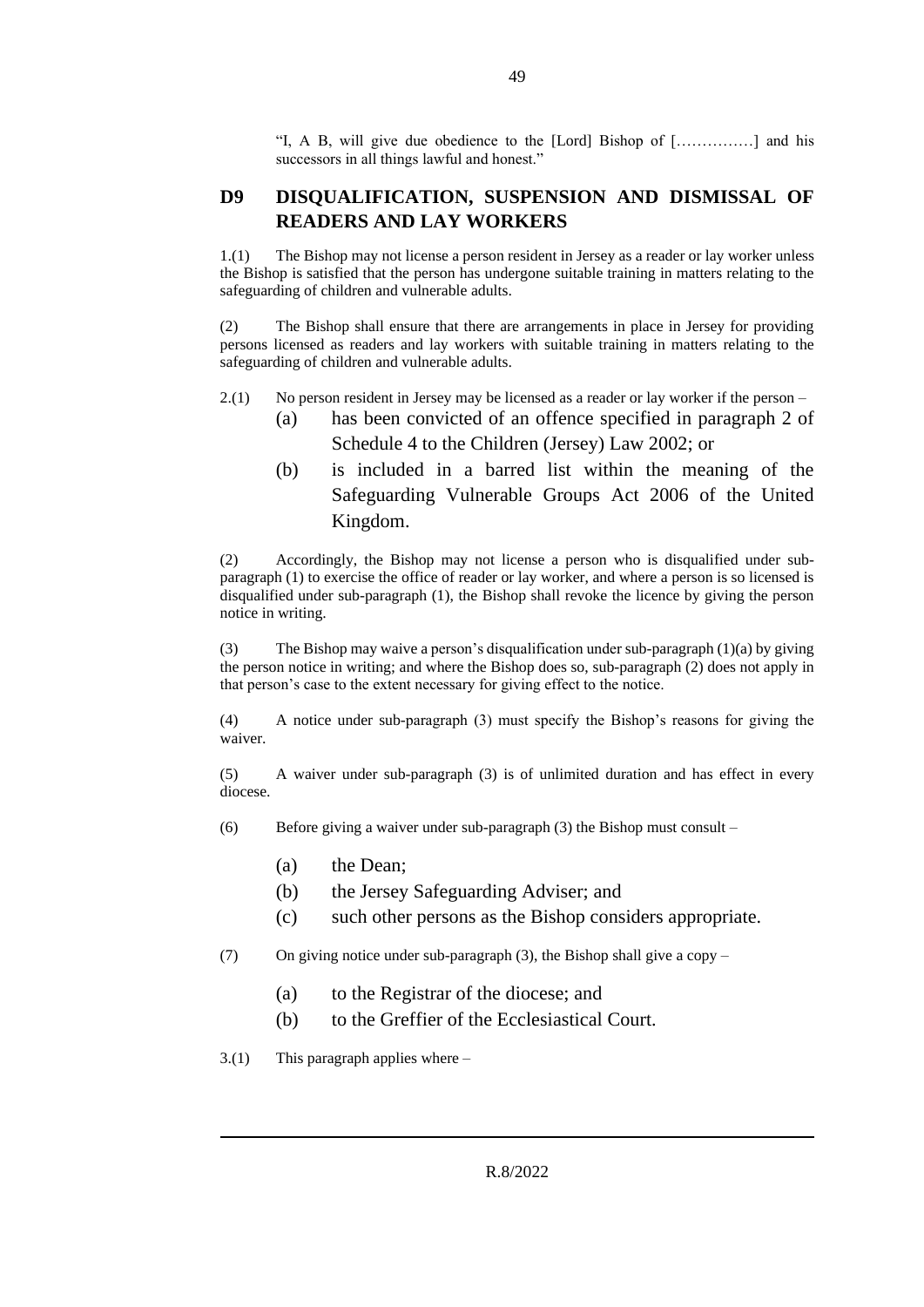"I, A B, will give due obedience to the [Lord] Bishop of [……………] and his successors in all things lawful and honest."

## **D9 DISQUALIFICATION, SUSPENSION AND DISMISSAL OF READERS AND LAY WORKERS**

1.(1) The Bishop may not license a person resident in Jersey as a reader or lay worker unless the Bishop is satisfied that the person has undergone suitable training in matters relating to the safeguarding of children and vulnerable adults.

(2) The Bishop shall ensure that there are arrangements in place in Jersey for providing persons licensed as readers and lay workers with suitable training in matters relating to the safeguarding of children and vulnerable adults.

- 2.(1) No person resident in Jersey may be licensed as a reader or lay worker if the person
	- (a) has been convicted of an offence specified in paragraph 2 of Schedule 4 to the Children (Jersey) Law 2002; or
	- (b) is included in a barred list within the meaning of the Safeguarding Vulnerable Groups Act 2006 of the United Kingdom.

(2) Accordingly, the Bishop may not license a person who is disqualified under subparagraph (1) to exercise the office of reader or lay worker, and where a person is so licensed is disqualified under sub-paragraph (1), the Bishop shall revoke the licence by giving the person notice in writing.

(3) The Bishop may waive a person's disqualification under sub-paragraph (1)(a) by giving the person notice in writing; and where the Bishop does so, sub-paragraph (2) does not apply in that person's case to the extent necessary for giving effect to the notice.

(4) A notice under sub-paragraph (3) must specify the Bishop's reasons for giving the waiver.

(5) A waiver under sub-paragraph (3) is of unlimited duration and has effect in every diocese.

- (6) Before giving a waiver under sub-paragraph (3) the Bishop must consult
	- (a) the Dean;
	- (b) the Jersey Safeguarding Adviser; and
	- (c) such other persons as the Bishop considers appropriate.
- (7) On giving notice under sub-paragraph (3), the Bishop shall give a copy
	- (a) to the Registrar of the diocese; and
	- (b) to the Greffier of the Ecclesiastical Court.
- 3.(1) This paragraph applies where –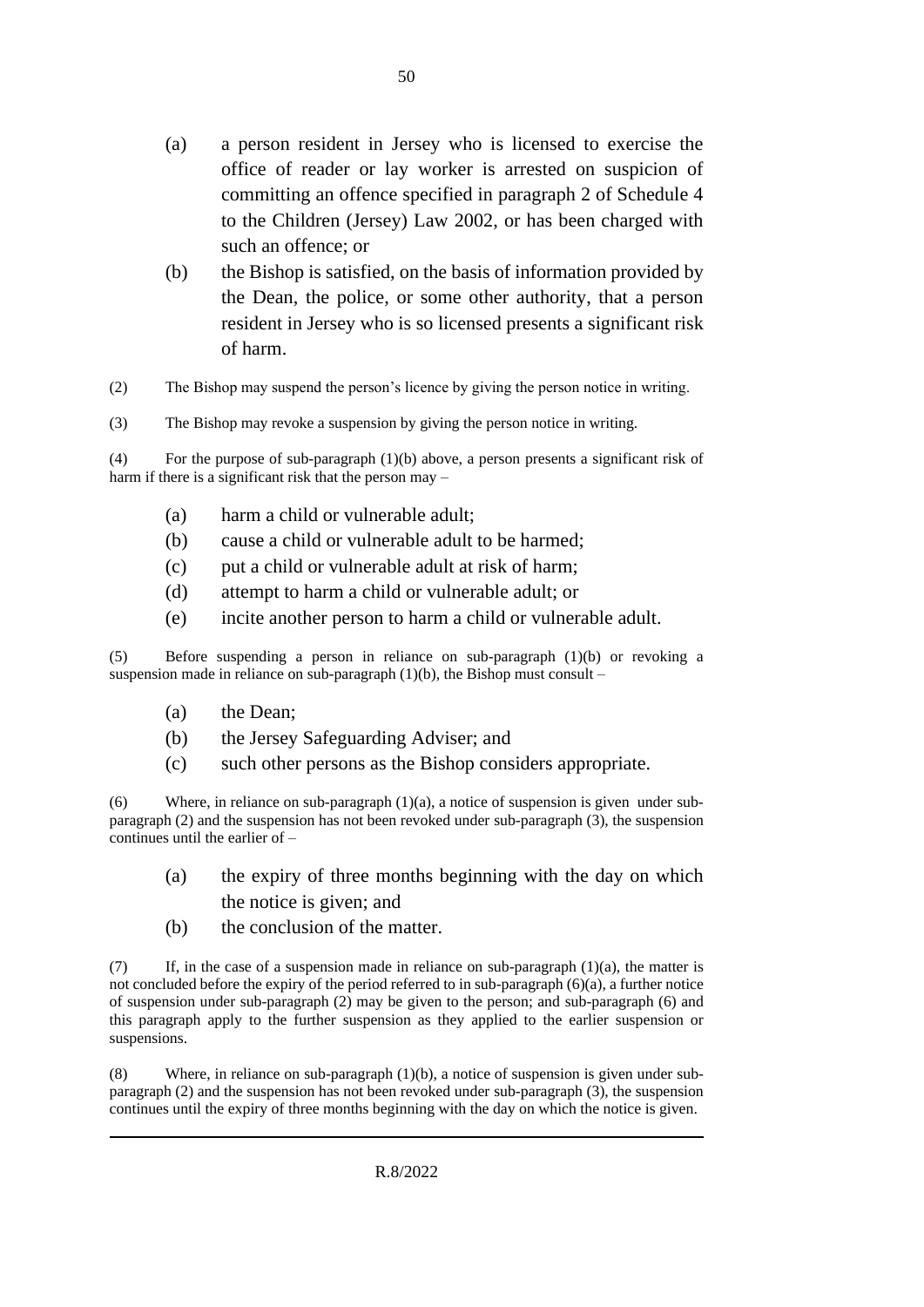- (a) a person resident in Jersey who is licensed to exercise the office of reader or lay worker is arrested on suspicion of committing an offence specified in paragraph 2 of Schedule 4 to the Children (Jersey) Law 2002, or has been charged with such an offence; or
- (b) the Bishop is satisfied, on the basis of information provided by the Dean, the police, or some other authority, that a person resident in Jersey who is so licensed presents a significant risk of harm.
- (2) The Bishop may suspend the person's licence by giving the person notice in writing.
- (3) The Bishop may revoke a suspension by giving the person notice in writing.

(4) For the purpose of sub-paragraph (1)(b) above, a person presents a significant risk of harm if there is a significant risk that the person may –

- (a) harm a child or vulnerable adult;
- (b) cause a child or vulnerable adult to be harmed;
- (c) put a child or vulnerable adult at risk of harm;
- (d) attempt to harm a child or vulnerable adult; or
- (e) incite another person to harm a child or vulnerable adult.

(5) Before suspending a person in reliance on sub-paragraph (1)(b) or revoking a suspension made in reliance on sub-paragraph  $(1)(b)$ , the Bishop must consult –

- (a) the Dean;
- (b) the Jersey Safeguarding Adviser; and
- (c) such other persons as the Bishop considers appropriate.

(6) Where, in reliance on sub-paragraph  $(1)(a)$ , a notice of suspension is given under subparagraph (2) and the suspension has not been revoked under sub-paragraph (3), the suspension continues until the earlier of –

- (a) the expiry of three months beginning with the day on which the notice is given; and
- (b) the conclusion of the matter.

(7) If, in the case of a suspension made in reliance on sub-paragraph  $(1)(a)$ , the matter is not concluded before the expiry of the period referred to in sub-paragraph (6)(a), a further notice of suspension under sub-paragraph (2) may be given to the person; and sub-paragraph (6) and this paragraph apply to the further suspension as they applied to the earlier suspension or suspensions.

(8) Where, in reliance on sub-paragraph (1)(b), a notice of suspension is given under subparagraph (2) and the suspension has not been revoked under sub-paragraph (3), the suspension continues until the expiry of three months beginning with the day on which the notice is given.

R.8/2022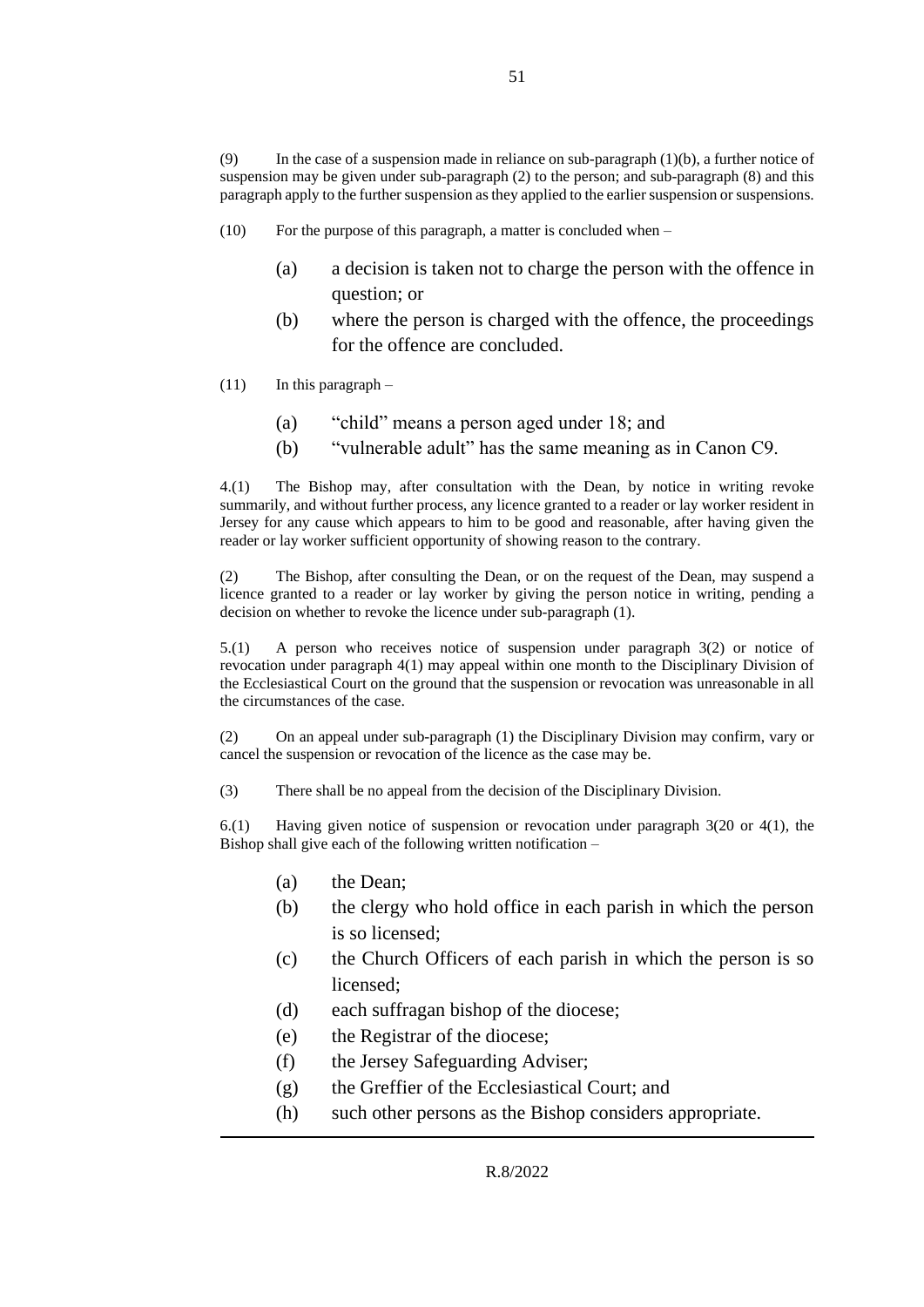(9) In the case of a suspension made in reliance on sub-paragraph (1)(b), a further notice of suspension may be given under sub-paragraph (2) to the person; and sub-paragraph (8) and this paragraph apply to the further suspension as they applied to the earlier suspension or suspensions.

- (10) For the purpose of this paragraph, a matter is concluded when
	- (a) a decision is taken not to charge the person with the offence in question; or
	- (b) where the person is charged with the offence, the proceedings for the offence are concluded.
- $(11)$  In this paragraph
	- (a) "child" means a person aged under 18; and
	- (b) "vulnerable adult" has the same meaning as in Canon C9.

4.(1) The Bishop may, after consultation with the Dean, by notice in writing revoke summarily, and without further process, any licence granted to a reader or lay worker resident in Jersey for any cause which appears to him to be good and reasonable, after having given the reader or lay worker sufficient opportunity of showing reason to the contrary.

(2) The Bishop, after consulting the Dean, or on the request of the Dean, may suspend a licence granted to a reader or lay worker by giving the person notice in writing, pending a decision on whether to revoke the licence under sub-paragraph (1).

5.(1) A person who receives notice of suspension under paragraph 3(2) or notice of revocation under paragraph 4(1) may appeal within one month to the Disciplinary Division of the Ecclesiastical Court on the ground that the suspension or revocation was unreasonable in all the circumstances of the case.

(2) On an appeal under sub-paragraph (1) the Disciplinary Division may confirm, vary or cancel the suspension or revocation of the licence as the case may be.

(3) There shall be no appeal from the decision of the Disciplinary Division.

6.(1) Having given notice of suspension or revocation under paragraph 3(20 or 4(1), the Bishop shall give each of the following written notification –

- (a) the Dean;
- (b) the clergy who hold office in each parish in which the person is so licensed;
- (c) the Church Officers of each parish in which the person is so licensed;
- (d) each suffragan bishop of the diocese;
- (e) the Registrar of the diocese;
- (f) the Jersey Safeguarding Adviser;
- (g) the Greffier of the Ecclesiastical Court; and
- (h) such other persons as the Bishop considers appropriate.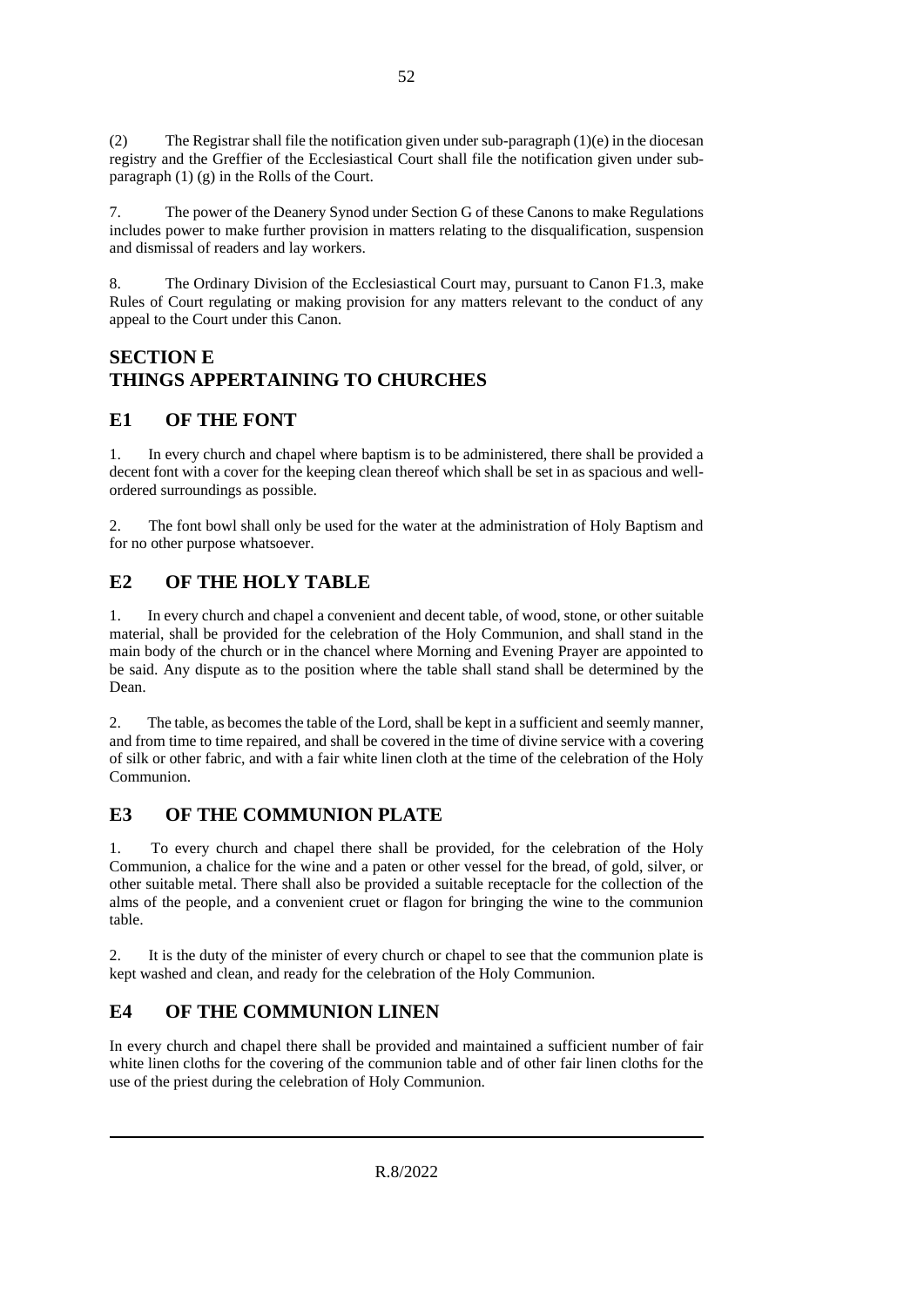(2) The Registrar shall file the notification given under sub-paragraph  $(1)(e)$  in the diocesan registry and the Greffier of the Ecclesiastical Court shall file the notification given under subparagraph (1) (g) in the Rolls of the Court.

7. The power of the Deanery Synod under Section G of these Canons to make Regulations includes power to make further provision in matters relating to the disqualification, suspension and dismissal of readers and lay workers.

8. The Ordinary Division of the Ecclesiastical Court may, pursuant to Canon F1.3, make Rules of Court regulating or making provision for any matters relevant to the conduct of any appeal to the Court under this Canon.

# **SECTION E THINGS APPERTAINING TO CHURCHES**

# **E1 OF THE FONT**

1. In every church and chapel where baptism is to be administered, there shall be provided a decent font with a cover for the keeping clean thereof which shall be set in as spacious and wellordered surroundings as possible.

2. The font bowl shall only be used for the water at the administration of Holy Baptism and for no other purpose whatsoever.

# **E2 OF THE HOLY TABLE**

1. In every church and chapel a convenient and decent table, of wood, stone, or other suitable material, shall be provided for the celebration of the Holy Communion, and shall stand in the main body of the church or in the chancel where Morning and Evening Prayer are appointed to be said. Any dispute as to the position where the table shall stand shall be determined by the Dean.

2. The table, as becomes the table of the Lord, shall be kept in a sufficient and seemly manner, and from time to time repaired, and shall be covered in the time of divine service with a covering of silk or other fabric, and with a fair white linen cloth at the time of the celebration of the Holy Communion.

# **E3 OF THE COMMUNION PLATE**

1. To every church and chapel there shall be provided, for the celebration of the Holy Communion, a chalice for the wine and a paten or other vessel for the bread, of gold, silver, or other suitable metal. There shall also be provided a suitable receptacle for the collection of the alms of the people, and a convenient cruet or flagon for bringing the wine to the communion table.

2. It is the duty of the minister of every church or chapel to see that the communion plate is kept washed and clean, and ready for the celebration of the Holy Communion.

# **E4 OF THE COMMUNION LINEN**

In every church and chapel there shall be provided and maintained a sufficient number of fair white linen cloths for the covering of the communion table and of other fair linen cloths for the use of the priest during the celebration of Holy Communion.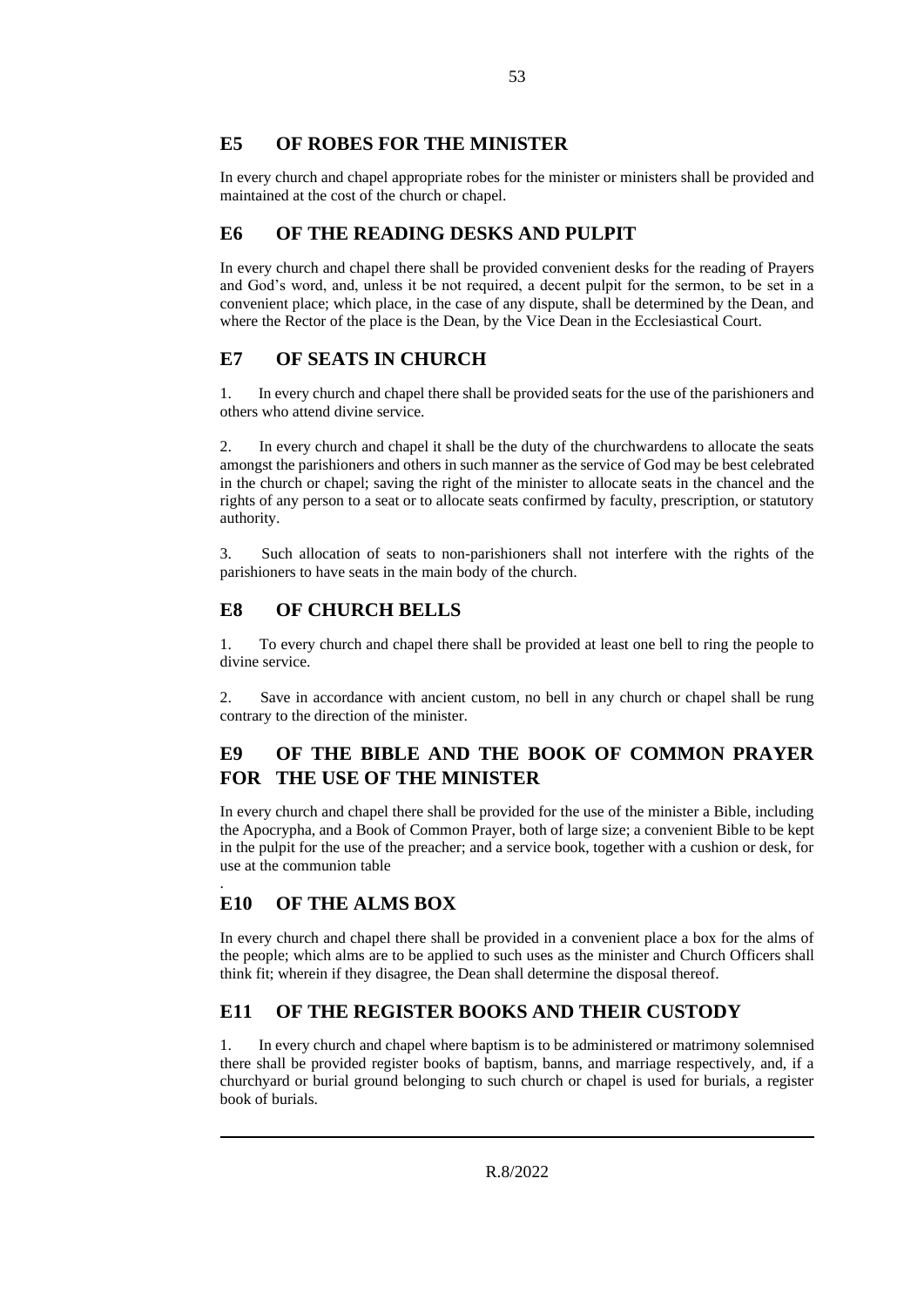## **E5 OF ROBES FOR THE MINISTER**

In every church and chapel appropriate robes for the minister or ministers shall be provided and maintained at the cost of the church or chapel.

## **E6 OF THE READING DESKS AND PULPIT**

In every church and chapel there shall be provided convenient desks for the reading of Prayers and God's word, and, unless it be not required, a decent pulpit for the sermon, to be set in a convenient place; which place, in the case of any dispute, shall be determined by the Dean, and where the Rector of the place is the Dean, by the Vice Dean in the Ecclesiastical Court.

# **E7 OF SEATS IN CHURCH**

1. In every church and chapel there shall be provided seats for the use of the parishioners and others who attend divine service.

2. In every church and chapel it shall be the duty of the churchwardens to allocate the seats amongst the parishioners and others in such manner as the service of God may be best celebrated in the church or chapel; saving the right of the minister to allocate seats in the chancel and the rights of any person to a seat or to allocate seats confirmed by faculty, prescription, or statutory authority.

3. Such allocation of seats to non-parishioners shall not interfere with the rights of the parishioners to have seats in the main body of the church.

# **E8 OF CHURCH BELLS**

1. To every church and chapel there shall be provided at least one bell to ring the people to divine service.

2. Save in accordance with ancient custom, no bell in any church or chapel shall be rung contrary to the direction of the minister.

# **E9 OF THE BIBLE AND THE BOOK OF COMMON PRAYER FOR THE USE OF THE MINISTER**

In every church and chapel there shall be provided for the use of the minister a Bible, including the Apocrypha, and a Book of Common Prayer, both of large size; a convenient Bible to be kept in the pulpit for the use of the preacher; and a service book, together with a cushion or desk, for use at the communion table

## . **E10 OF THE ALMS BOX**

In every church and chapel there shall be provided in a convenient place a box for the alms of the people; which alms are to be applied to such uses as the minister and Church Officers shall think fit; wherein if they disagree, the Dean shall determine the disposal thereof.

# **E11 OF THE REGISTER BOOKS AND THEIR CUSTODY**

1. In every church and chapel where baptism is to be administered or matrimony solemnised there shall be provided register books of baptism, banns, and marriage respectively, and, if a churchyard or burial ground belonging to such church or chapel is used for burials, a register book of burials.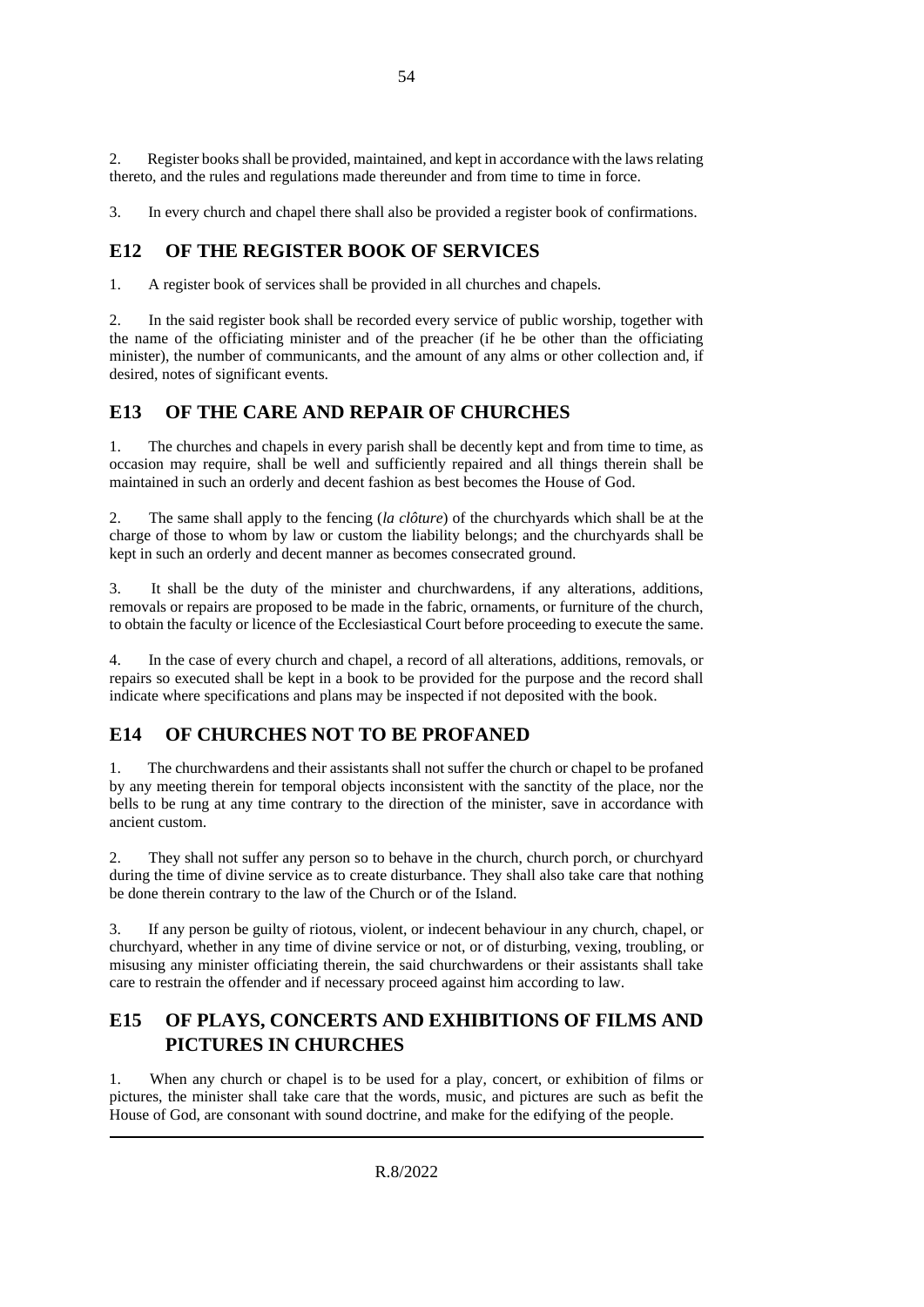2. Register books shall be provided, maintained, and kept in accordance with the laws relating thereto, and the rules and regulations made thereunder and from time to time in force.

3. In every church and chapel there shall also be provided a register book of confirmations.

## **E12 OF THE REGISTER BOOK OF SERVICES**

1. A register book of services shall be provided in all churches and chapels.

2. In the said register book shall be recorded every service of public worship, together with the name of the officiating minister and of the preacher (if he be other than the officiating minister), the number of communicants, and the amount of any alms or other collection and, if desired, notes of significant events.

# **E13 OF THE CARE AND REPAIR OF CHURCHES**

1. The churches and chapels in every parish shall be decently kept and from time to time, as occasion may require, shall be well and sufficiently repaired and all things therein shall be maintained in such an orderly and decent fashion as best becomes the House of God.

2. The same shall apply to the fencing (*la clôture*) of the churchyards which shall be at the charge of those to whom by law or custom the liability belongs; and the churchyards shall be kept in such an orderly and decent manner as becomes consecrated ground.

3. It shall be the duty of the minister and churchwardens, if any alterations, additions, removals or repairs are proposed to be made in the fabric, ornaments, or furniture of the church, to obtain the faculty or licence of the Ecclesiastical Court before proceeding to execute the same.

4. In the case of every church and chapel, a record of all alterations, additions, removals, or repairs so executed shall be kept in a book to be provided for the purpose and the record shall indicate where specifications and plans may be inspected if not deposited with the book.

# **E14 OF CHURCHES NOT TO BE PROFANED**

1. The churchwardens and their assistants shall not suffer the church or chapel to be profaned by any meeting therein for temporal objects inconsistent with the sanctity of the place, nor the bells to be rung at any time contrary to the direction of the minister, save in accordance with ancient custom.

2. They shall not suffer any person so to behave in the church, church porch, or churchyard during the time of divine service as to create disturbance. They shall also take care that nothing be done therein contrary to the law of the Church or of the Island.

If any person be guilty of riotous, violent, or indecent behaviour in any church, chapel, or churchyard, whether in any time of divine service or not, or of disturbing, vexing, troubling, or misusing any minister officiating therein, the said churchwardens or their assistants shall take care to restrain the offender and if necessary proceed against him according to law.

# **E15 OF PLAYS, CONCERTS AND EXHIBITIONS OF FILMS AND PICTURES IN CHURCHES**

1. When any church or chapel is to be used for a play, concert, or exhibition of films or pictures, the minister shall take care that the words, music, and pictures are such as befit the House of God, are consonant with sound doctrine, and make for the edifying of the people.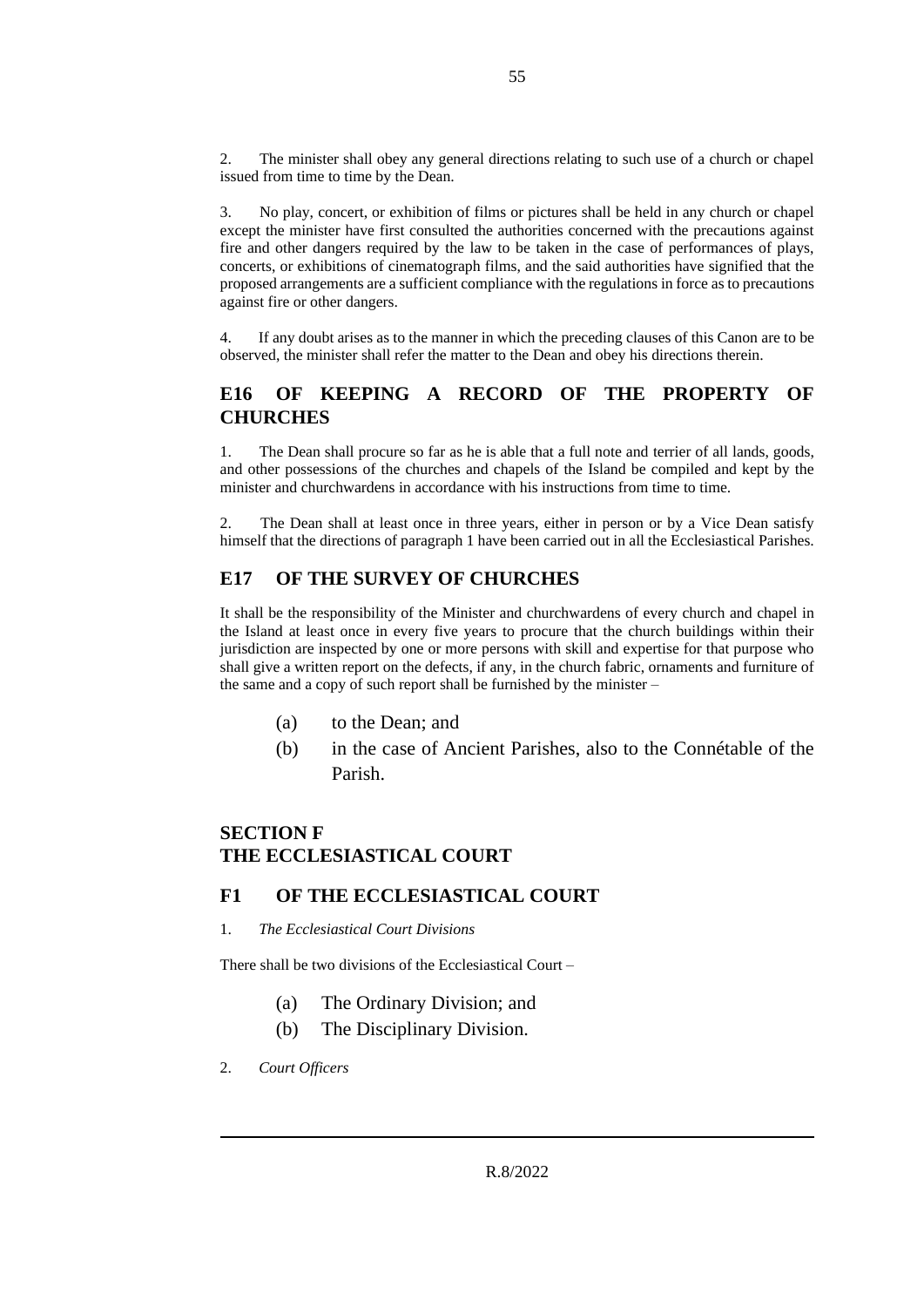2. The minister shall obey any general directions relating to such use of a church or chapel issued from time to time by the Dean.

3. No play, concert, or exhibition of films or pictures shall be held in any church or chapel except the minister have first consulted the authorities concerned with the precautions against fire and other dangers required by the law to be taken in the case of performances of plays, concerts, or exhibitions of cinematograph films, and the said authorities have signified that the proposed arrangements are a sufficient compliance with the regulations in force as to precautions against fire or other dangers.

4. If any doubt arises as to the manner in which the preceding clauses of this Canon are to be observed, the minister shall refer the matter to the Dean and obey his directions therein.

## **E16 OF KEEPING A RECORD OF THE PROPERTY OF CHURCHES**

1. The Dean shall procure so far as he is able that a full note and terrier of all lands, goods, and other possessions of the churches and chapels of the Island be compiled and kept by the minister and churchwardens in accordance with his instructions from time to time.

2. The Dean shall at least once in three years, either in person or by a Vice Dean satisfy himself that the directions of paragraph 1 have been carried out in all the Ecclesiastical Parishes.

## **E17 OF THE SURVEY OF CHURCHES**

It shall be the responsibility of the Minister and churchwardens of every church and chapel in the Island at least once in every five years to procure that the church buildings within their jurisdiction are inspected by one or more persons with skill and expertise for that purpose who shall give a written report on the defects, if any, in the church fabric, ornaments and furniture of the same and a copy of such report shall be furnished by the minister –

- (a) to the Dean; and
- (b) in the case of Ancient Parishes, also to the Connétable of the Parish.

## **SECTION F THE ECCLESIASTICAL COURT**

## **F1 OF THE ECCLESIASTICAL COURT**

## 1. *The Ecclesiastical Court Divisions*

There shall be two divisions of the Ecclesiastical Court –

- (a) The Ordinary Division; and
- (b) The Disciplinary Division.
- 2. *Court Officers*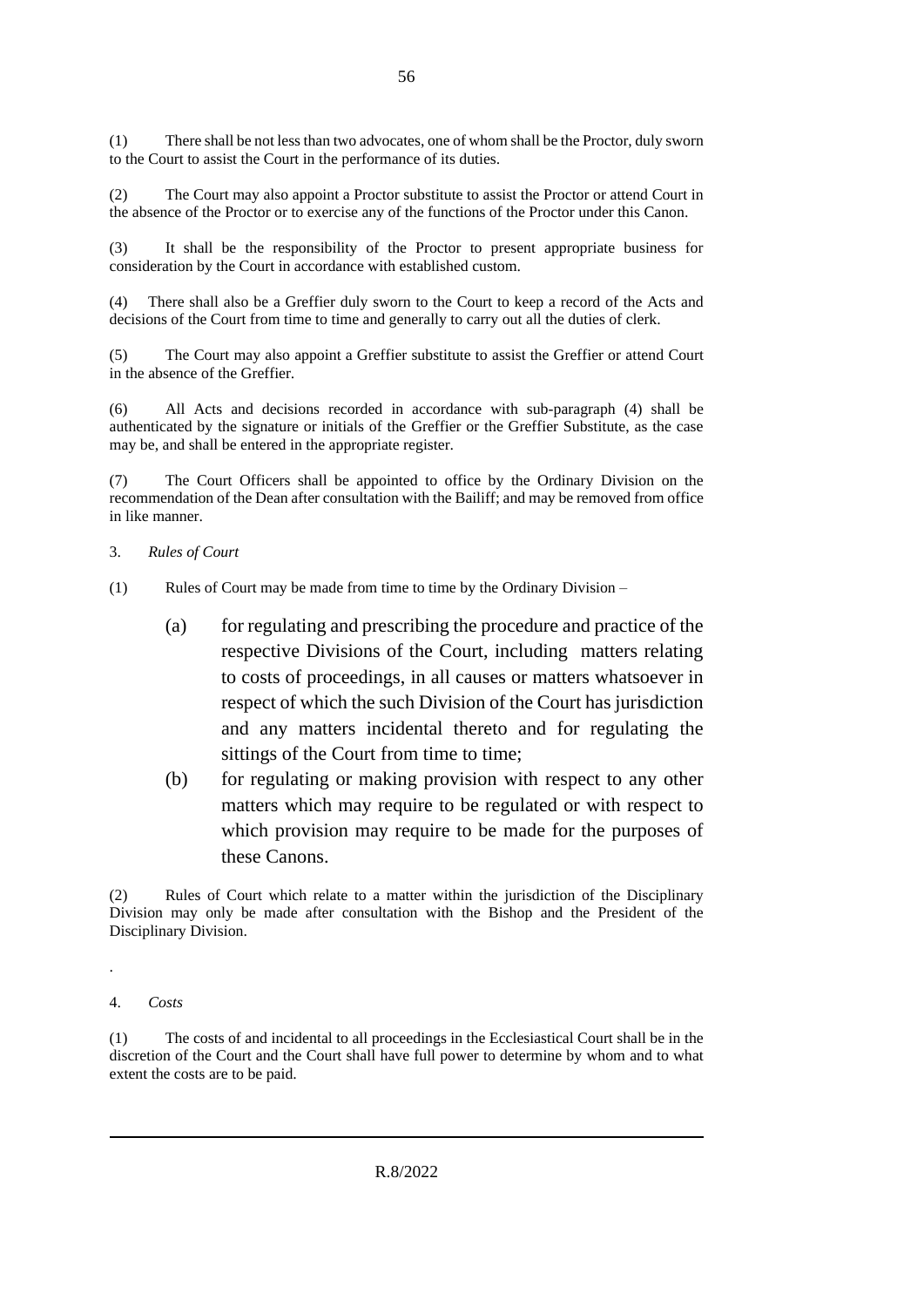(1) There shall be not less than two advocates, one of whom shall be the Proctor, duly sworn to the Court to assist the Court in the performance of its duties.

(2) The Court may also appoint a Proctor substitute to assist the Proctor or attend Court in the absence of the Proctor or to exercise any of the functions of the Proctor under this Canon.

(3) It shall be the responsibility of the Proctor to present appropriate business for consideration by the Court in accordance with established custom.

(4) There shall also be a Greffier duly sworn to the Court to keep a record of the Acts and decisions of the Court from time to time and generally to carry out all the duties of clerk.

(5) The Court may also appoint a Greffier substitute to assist the Greffier or attend Court in the absence of the Greffier.

(6) All Acts and decisions recorded in accordance with sub-paragraph (4) shall be authenticated by the signature or initials of the Greffier or the Greffier Substitute, as the case may be, and shall be entered in the appropriate register.

(7) The Court Officers shall be appointed to office by the Ordinary Division on the recommendation of the Dean after consultation with the Bailiff; and may be removed from office in like manner.

- 3. *Rules of Court*
- (1) Rules of Court may be made from time to time by the Ordinary Division
	- (a) for regulating and prescribing the procedure and practice of the respective Divisions of the Court, including matters relating to costs of proceedings, in all causes or matters whatsoever in respect of which the such Division of the Court has jurisdiction and any matters incidental thereto and for regulating the sittings of the Court from time to time;
	- (b) for regulating or making provision with respect to any other matters which may require to be regulated or with respect to which provision may require to be made for the purposes of these Canons.

(2) Rules of Court which relate to a matter within the jurisdiction of the Disciplinary Division may only be made after consultation with the Bishop and the President of the Disciplinary Division.

4. *Costs*

.

(1) The costs of and incidental to all proceedings in the Ecclesiastical Court shall be in the discretion of the Court and the Court shall have full power to determine by whom and to what extent the costs are to be paid.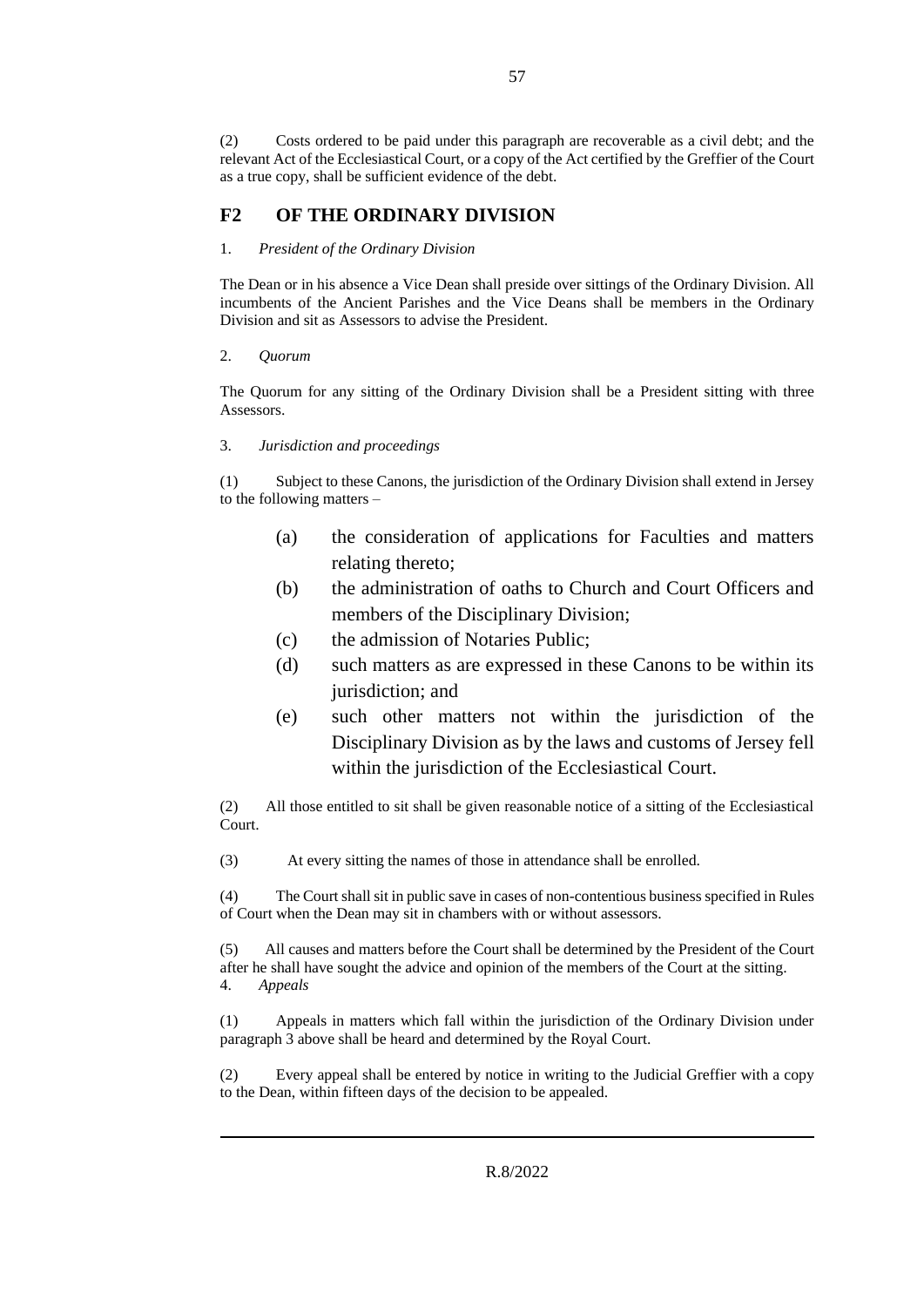(2) Costs ordered to be paid under this paragraph are recoverable as a civil debt; and the relevant Act of the Ecclesiastical Court, or a copy of the Act certified by the Greffier of the Court as a true copy, shall be sufficient evidence of the debt.

## **F2 OF THE ORDINARY DIVISION**

### 1. *President of the Ordinary Division*

The Dean or in his absence a Vice Dean shall preside over sittings of the Ordinary Division. All incumbents of the Ancient Parishes and the Vice Deans shall be members in the Ordinary Division and sit as Assessors to advise the President.

## 2. *Quorum*

The Quorum for any sitting of the Ordinary Division shall be a President sitting with three Assessors.

### 3. *Jurisdiction and proceedings*

(1) Subject to these Canons, the jurisdiction of the Ordinary Division shall extend in Jersey to the following matters –

- (a) the consideration of applications for Faculties and matters relating thereto;
- (b) the administration of oaths to Church and Court Officers and members of the Disciplinary Division;
- (c) the admission of Notaries Public;
- (d) such matters as are expressed in these Canons to be within its jurisdiction; and
- (e) such other matters not within the jurisdiction of the Disciplinary Division as by the laws and customs of Jersey fell within the jurisdiction of the Ecclesiastical Court.

(2) All those entitled to sit shall be given reasonable notice of a sitting of the Ecclesiastical Court.

(3) At every sitting the names of those in attendance shall be enrolled.

(4) The Court shall sit in public save in cases of non-contentious business specified in Rules of Court when the Dean may sit in chambers with or without assessors.

(5) All causes and matters before the Court shall be determined by the President of the Court after he shall have sought the advice and opinion of the members of the Court at the sitting. 4. *Appeals*

(1) Appeals in matters which fall within the jurisdiction of the Ordinary Division under paragraph 3 above shall be heard and determined by the Royal Court.

(2) Every appeal shall be entered by notice in writing to the Judicial Greffier with a copy to the Dean, within fifteen days of the decision to be appealed.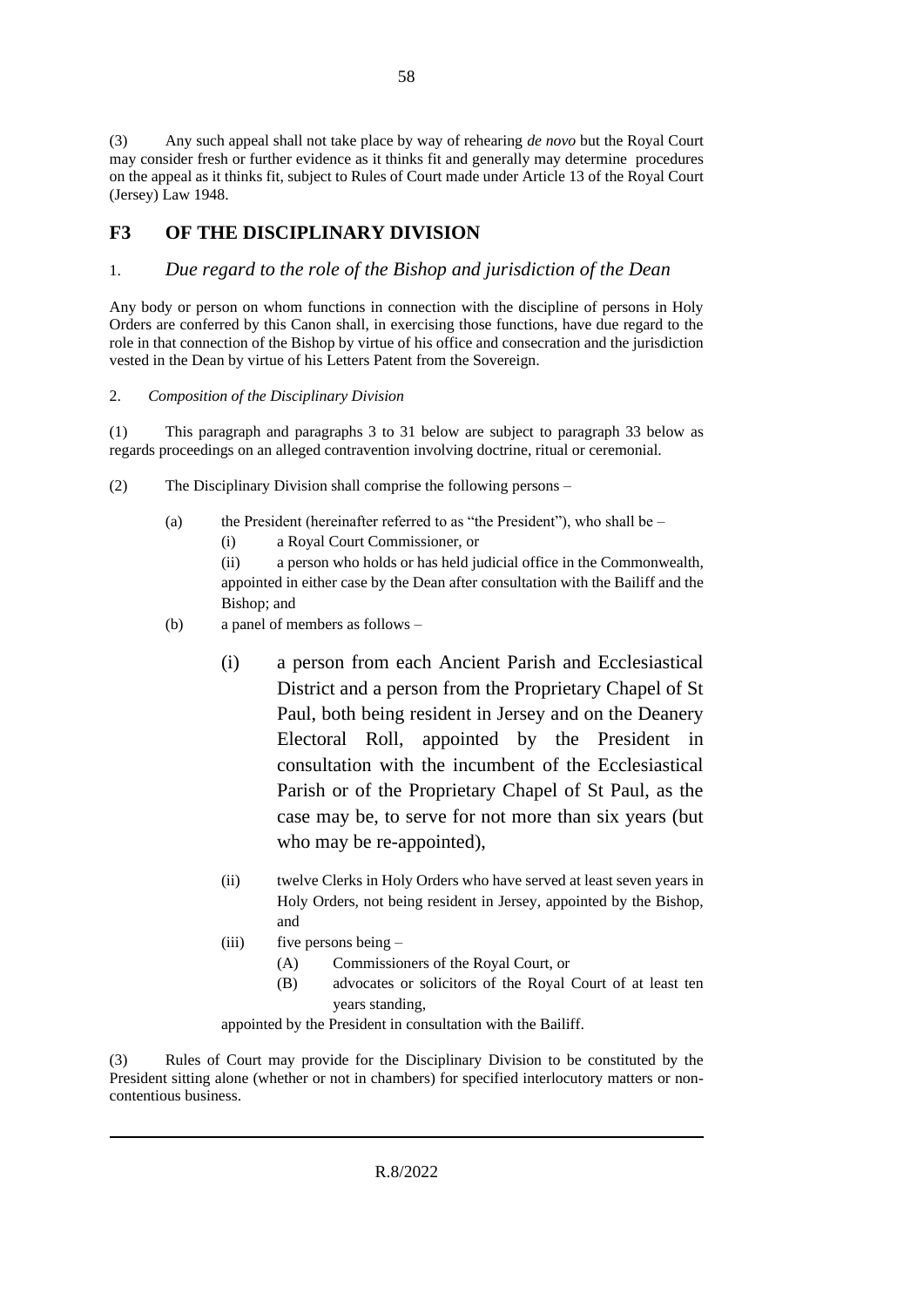(3) Any such appeal shall not take place by way of rehearing *de novo* but the Royal Court may consider fresh or further evidence as it thinks fit and generally may determine procedures on the appeal as it thinks fit, subject to Rules of Court made under Article 13 of the Royal Court (Jersey) Law 1948.

# **F3 OF THE DISCIPLINARY DIVISION**

1. *Due regard to the role of the Bishop and jurisdiction of the Dean*

Any body or person on whom functions in connection with the discipline of persons in Holy Orders are conferred by this Canon shall, in exercising those functions, have due regard to the role in that connection of the Bishop by virtue of his office and consecration and the jurisdiction vested in the Dean by virtue of his Letters Patent from the Sovereign.

## 2. *Composition of the Disciplinary Division*

(1) This paragraph and paragraphs 3 to 31 below are subject to paragraph 33 below as regards proceedings on an alleged contravention involving doctrine, ritual or ceremonial.

- (2) The Disciplinary Division shall comprise the following persons
	- (a) the President (hereinafter referred to as "the President"), who shall be  $-$ 
		- (i) a Royal Court Commissioner, or

(ii) a person who holds or has held judicial office in the Commonwealth, appointed in either case by the Dean after consultation with the Bailiff and the Bishop; and

- (b) a panel of members as follows
	- (i) a person from each Ancient Parish and Ecclesiastical District and a person from the Proprietary Chapel of St Paul, both being resident in Jersey and on the Deanery Electoral Roll, appointed by the President in consultation with the incumbent of the Ecclesiastical Parish or of the Proprietary Chapel of St Paul, as the case may be, to serve for not more than six years (but who may be re-appointed),
	- (ii) twelve Clerks in Holy Orders who have served at least seven years in Holy Orders, not being resident in Jersey, appointed by the Bishop, and
	- (iii) five persons being  $-$ 
		- (A) Commissioners of the Royal Court, or
		- (B) advocates or solicitors of the Royal Court of at least ten years standing,

appointed by the President in consultation with the Bailiff.

(3) Rules of Court may provide for the Disciplinary Division to be constituted by the President sitting alone (whether or not in chambers) for specified interlocutory matters or noncontentious business.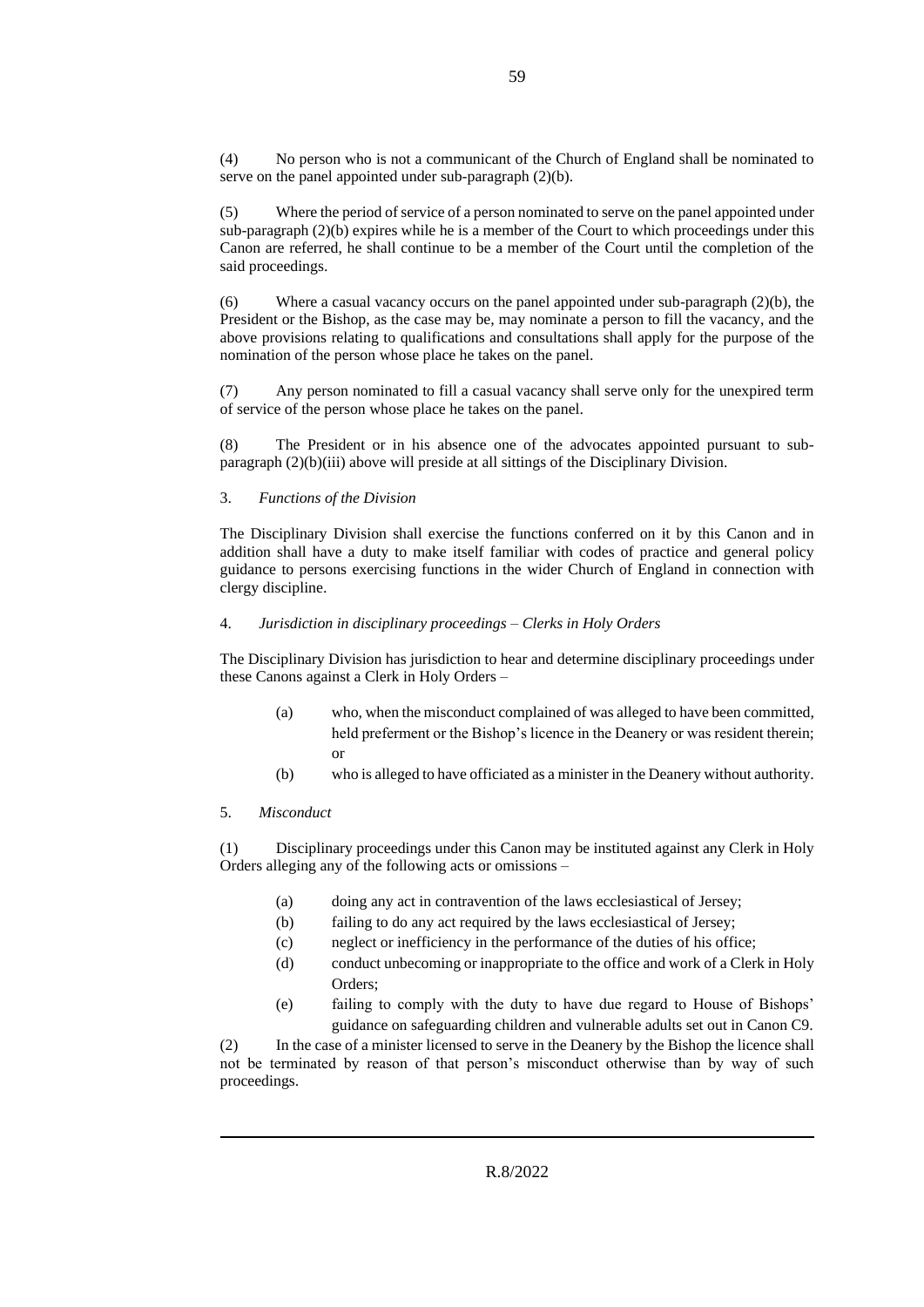(4) No person who is not a communicant of the Church of England shall be nominated to serve on the panel appointed under sub-paragraph (2)(b).

(5) Where the period of service of a person nominated to serve on the panel appointed under sub-paragraph  $(2)(b)$  expires while he is a member of the Court to which proceedings under this Canon are referred, he shall continue to be a member of the Court until the completion of the said proceedings.

(6) Where a casual vacancy occurs on the panel appointed under sub-paragraph (2)(b), the President or the Bishop, as the case may be, may nominate a person to fill the vacancy, and the above provisions relating to qualifications and consultations shall apply for the purpose of the nomination of the person whose place he takes on the panel.

(7) Any person nominated to fill a casual vacancy shall serve only for the unexpired term of service of the person whose place he takes on the panel.

(8) The President or in his absence one of the advocates appointed pursuant to subparagraph (2)(b)(iii) above will preside at all sittings of the Disciplinary Division.

### 3. *Functions of the Division*

The Disciplinary Division shall exercise the functions conferred on it by this Canon and in addition shall have a duty to make itself familiar with codes of practice and general policy guidance to persons exercising functions in the wider Church of England in connection with clergy discipline.

### 4. *Jurisdiction in disciplinary proceedings – Clerks in Holy Orders*

The Disciplinary Division has jurisdiction to hear and determine disciplinary proceedings under these Canons against a Clerk in Holy Orders –

- (a) who, when the misconduct complained of was alleged to have been committed, held preferment or the Bishop's licence in the Deanery or was resident therein; or
- (b) who is alleged to have officiated as a minister in the Deanery without authority.

### 5. *Misconduct*

(1) Disciplinary proceedings under this Canon may be instituted against any Clerk in Holy Orders alleging any of the following acts or omissions –

- (a) doing any act in contravention of the laws ecclesiastical of Jersey;
- (b) failing to do any act required by the laws ecclesiastical of Jersey;
- (c) neglect or inefficiency in the performance of the duties of his office;
- (d) conduct unbecoming or inappropriate to the office and work of a Clerk in Holy Orders;
- (e) failing to comply with the duty to have due regard to House of Bishops' guidance on safeguarding children and vulnerable adults set out in Canon C9.

(2) In the case of a minister licensed to serve in the Deanery by the Bishop the licence shall not be terminated by reason of that person's misconduct otherwise than by way of such proceedings.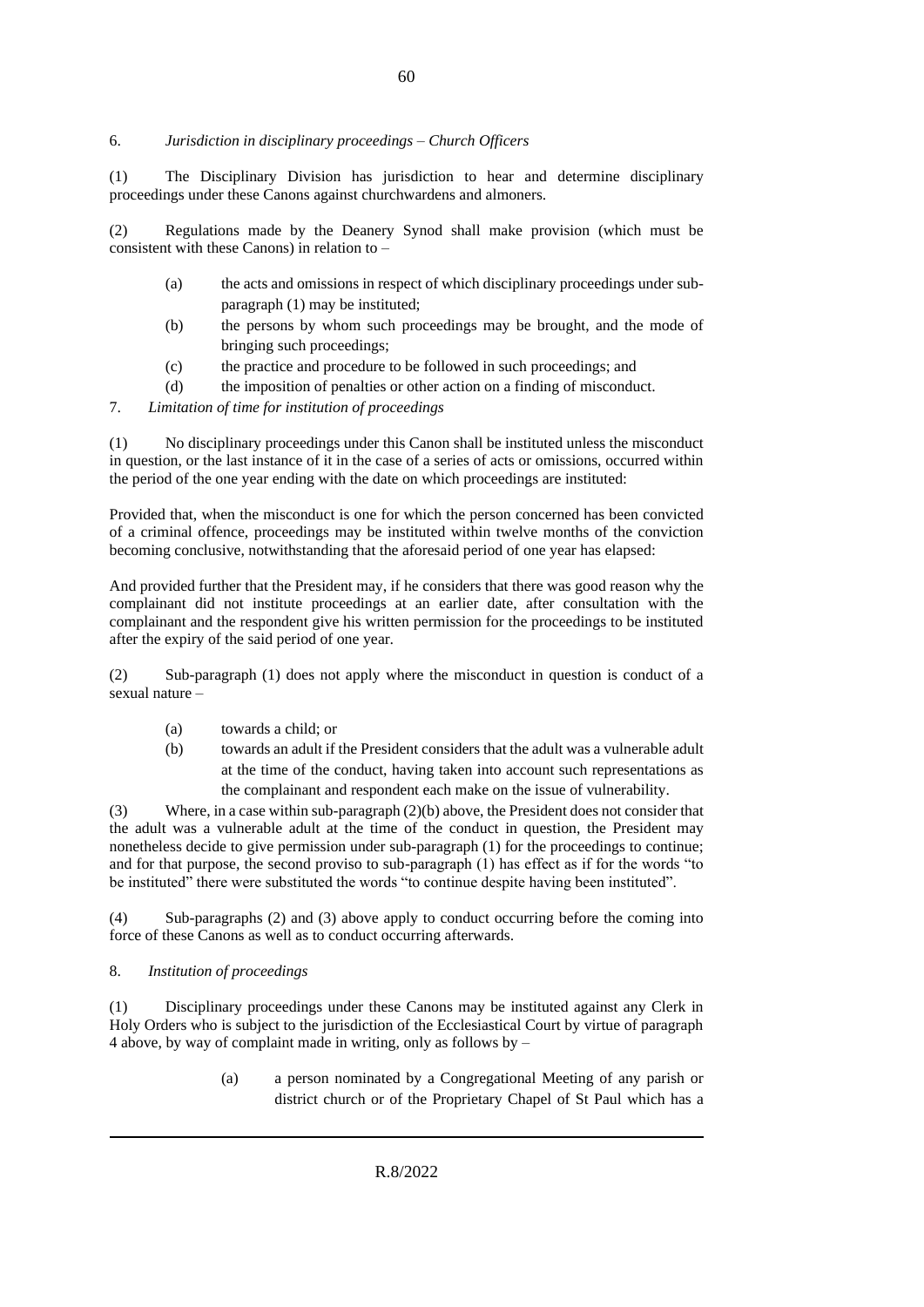### 6. *Jurisdiction in disciplinary proceedings – Church Officers*

(1) The Disciplinary Division has jurisdiction to hear and determine disciplinary proceedings under these Canons against churchwardens and almoners.

(2) Regulations made by the Deanery Synod shall make provision (which must be consistent with these Canons) in relation to –

- (a) the acts and omissions in respect of which disciplinary proceedings under subparagraph (1) may be instituted;
- (b) the persons by whom such proceedings may be brought, and the mode of bringing such proceedings;
- (c) the practice and procedure to be followed in such proceedings; and
- (d) the imposition of penalties or other action on a finding of misconduct.
- 7. *Limitation of time for institution of proceedings*

(1) No disciplinary proceedings under this Canon shall be instituted unless the misconduct in question, or the last instance of it in the case of a series of acts or omissions, occurred within the period of the one year ending with the date on which proceedings are instituted:

Provided that, when the misconduct is one for which the person concerned has been convicted of a criminal offence, proceedings may be instituted within twelve months of the conviction becoming conclusive, notwithstanding that the aforesaid period of one year has elapsed:

And provided further that the President may, if he considers that there was good reason why the complainant did not institute proceedings at an earlier date, after consultation with the complainant and the respondent give his written permission for the proceedings to be instituted after the expiry of the said period of one year.

(2) Sub-paragraph (1) does not apply where the misconduct in question is conduct of a sexual nature –

- (a) towards a child; or
- (b) towards an adult if the President considers that the adult was a vulnerable adult at the time of the conduct, having taken into account such representations as the complainant and respondent each make on the issue of vulnerability.

(3) Where, in a case within sub-paragraph (2)(b) above, the President does not consider that the adult was a vulnerable adult at the time of the conduct in question, the President may nonetheless decide to give permission under sub-paragraph (1) for the proceedings to continue; and for that purpose, the second proviso to sub-paragraph (1) has effect as if for the words "to be instituted" there were substituted the words "to continue despite having been instituted".

(4) Sub-paragraphs (2) and (3) above apply to conduct occurring before the coming into force of these Canons as well as to conduct occurring afterwards.

### 8. *Institution of proceedings*

(1) Disciplinary proceedings under these Canons may be instituted against any Clerk in Holy Orders who is subject to the jurisdiction of the Ecclesiastical Court by virtue of paragraph 4 above, by way of complaint made in writing, only as follows by –

> (a) a person nominated by a Congregational Meeting of any parish or district church or of the Proprietary Chapel of St Paul which has a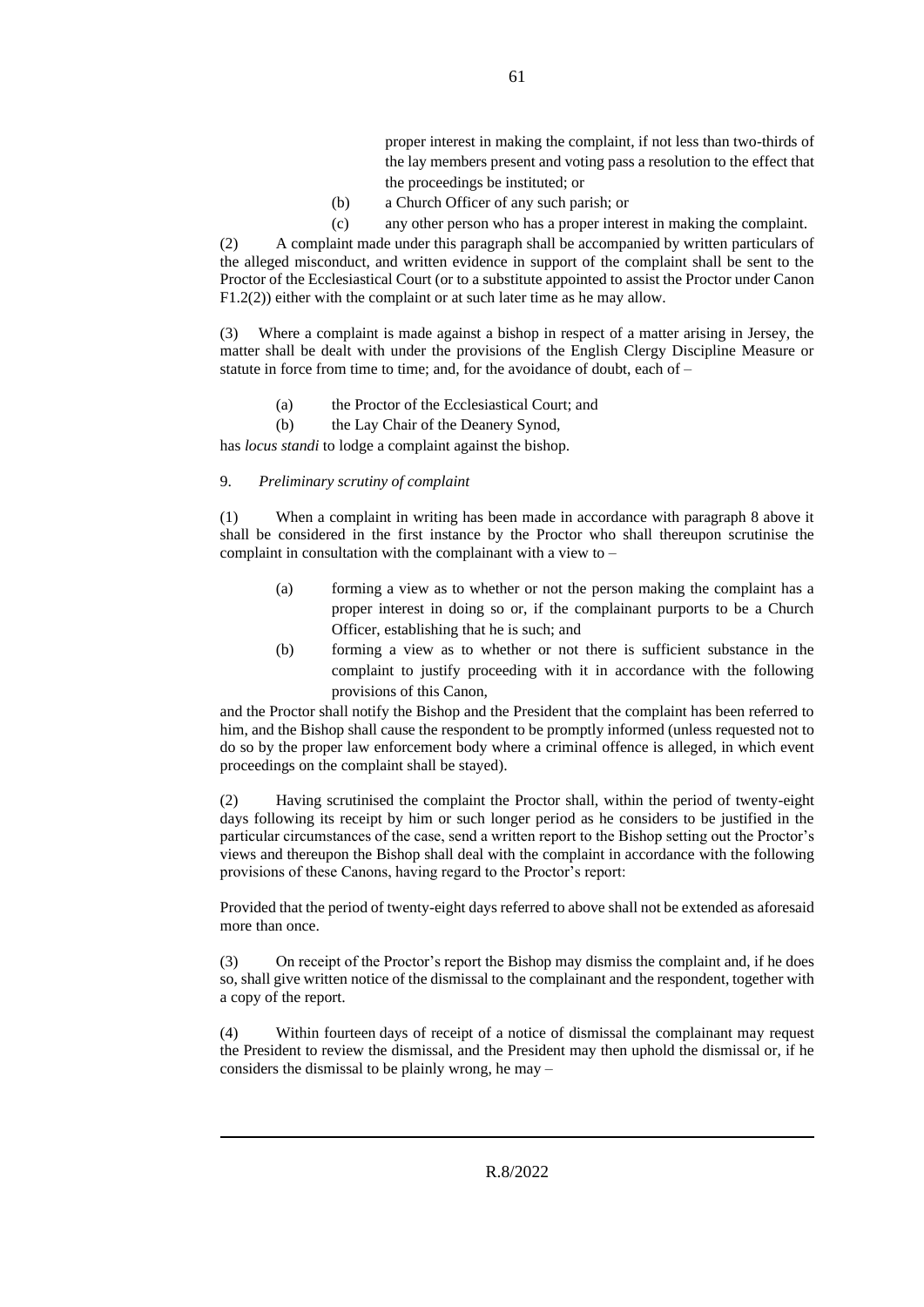proper interest in making the complaint, if not less than two-thirds of the lay members present and voting pass a resolution to the effect that the proceedings be instituted; or

- (b) a Church Officer of any such parish; or
- (c) any other person who has a proper interest in making the complaint.

(2) A complaint made under this paragraph shall be accompanied by written particulars of the alleged misconduct, and written evidence in support of the complaint shall be sent to the Proctor of the Ecclesiastical Court (or to a substitute appointed to assist the Proctor under Canon F1.2(2)) either with the complaint or at such later time as he may allow.

(3) Where a complaint is made against a bishop in respect of a matter arising in Jersey, the matter shall be dealt with under the provisions of the English Clergy Discipline Measure or statute in force from time to time; and, for the avoidance of doubt, each of  $-$ 

- (a) the Proctor of the Ecclesiastical Court; and
- (b) the Lay Chair of the Deanery Synod,

has *locus standi* to lodge a complaint against the bishop.

#### 9. *Preliminary scrutiny of complaint*

(1) When a complaint in writing has been made in accordance with paragraph 8 above it shall be considered in the first instance by the Proctor who shall thereupon scrutinise the complaint in consultation with the complainant with a view to –

- (a) forming a view as to whether or not the person making the complaint has a proper interest in doing so or, if the complainant purports to be a Church Officer, establishing that he is such; and
- (b) forming a view as to whether or not there is sufficient substance in the complaint to justify proceeding with it in accordance with the following provisions of this Canon,

and the Proctor shall notify the Bishop and the President that the complaint has been referred to him, and the Bishop shall cause the respondent to be promptly informed (unless requested not to do so by the proper law enforcement body where a criminal offence is alleged, in which event proceedings on the complaint shall be stayed).

(2) Having scrutinised the complaint the Proctor shall, within the period of twenty-eight days following its receipt by him or such longer period as he considers to be justified in the particular circumstances of the case, send a written report to the Bishop setting out the Proctor's views and thereupon the Bishop shall deal with the complaint in accordance with the following provisions of these Canons, having regard to the Proctor's report:

Provided that the period of twenty-eight days referred to above shall not be extended as aforesaid more than once.

(3) On receipt of the Proctor's report the Bishop may dismiss the complaint and, if he does so, shall give written notice of the dismissal to the complainant and the respondent, together with a copy of the report.

(4) Within fourteen days of receipt of a notice of dismissal the complainant may request the President to review the dismissal, and the President may then uphold the dismissal or, if he considers the dismissal to be plainly wrong, he may –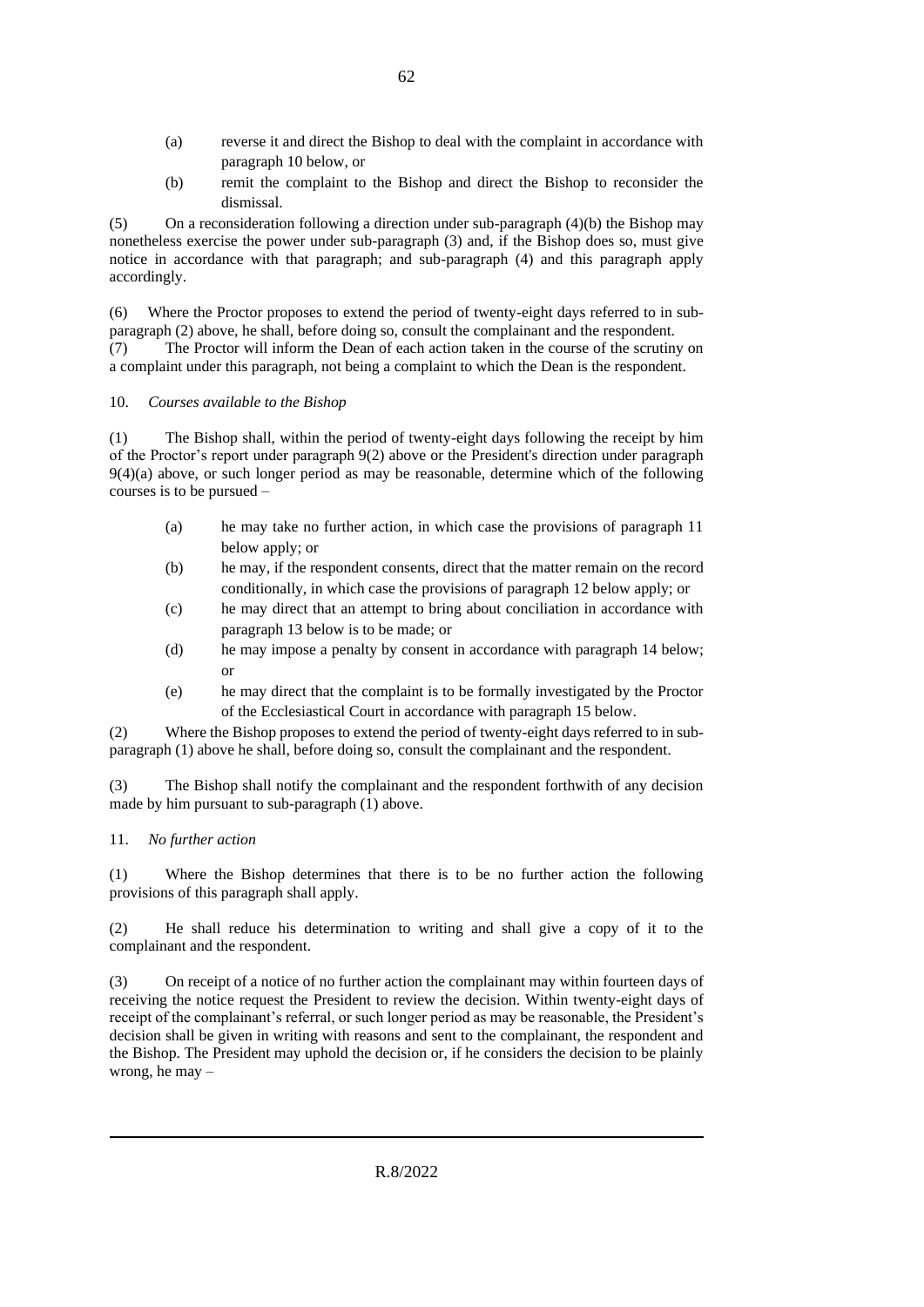- (a) reverse it and direct the Bishop to deal with the complaint in accordance with paragraph 10 below, or
- (b) remit the complaint to the Bishop and direct the Bishop to reconsider the dismissal.

(5) On a reconsideration following a direction under sub-paragraph (4)(b) the Bishop may nonetheless exercise the power under sub-paragraph (3) and, if the Bishop does so, must give notice in accordance with that paragraph; and sub-paragraph (4) and this paragraph apply accordingly.

(6) Where the Proctor proposes to extend the period of twenty-eight days referred to in subparagraph (2) above, he shall, before doing so, consult the complainant and the respondent. (7) The Proctor will inform the Dean of each action taken in the course of the scrutiny on a complaint under this paragraph, not being a complaint to which the Dean is the respondent.

### 10. *Courses available to the Bishop*

(1) The Bishop shall, within the period of twenty-eight days following the receipt by him of the Proctor's report under paragraph 9(2) above or the President's direction under paragraph 9(4)(a) above, or such longer period as may be reasonable, determine which of the following courses is to be pursued –

- (a) he may take no further action, in which case the provisions of paragraph 11 below apply; or
- (b) he may, if the respondent consents, direct that the matter remain on the record conditionally, in which case the provisions of paragraph 12 below apply; or
- (c) he may direct that an attempt to bring about conciliation in accordance with paragraph 13 below is to be made; or
- (d) he may impose a penalty by consent in accordance with paragraph 14 below; or
- (e) he may direct that the complaint is to be formally investigated by the Proctor of the Ecclesiastical Court in accordance with paragraph 15 below.

(2) Where the Bishop proposes to extend the period of twenty-eight days referred to in subparagraph (1) above he shall, before doing so, consult the complainant and the respondent.

(3) The Bishop shall notify the complainant and the respondent forthwith of any decision made by him pursuant to sub-paragraph (1) above.

## 11. *No further action*

(1) Where the Bishop determines that there is to be no further action the following provisions of this paragraph shall apply.

(2) He shall reduce his determination to writing and shall give a copy of it to the complainant and the respondent.

(3) On receipt of a notice of no further action the complainant may within fourteen days of receiving the notice request the President to review the decision. Within twenty-eight days of receipt of the complainant's referral, or such longer period as may be reasonable, the President's decision shall be given in writing with reasons and sent to the complainant, the respondent and the Bishop. The President may uphold the decision or, if he considers the decision to be plainly wrong, he may –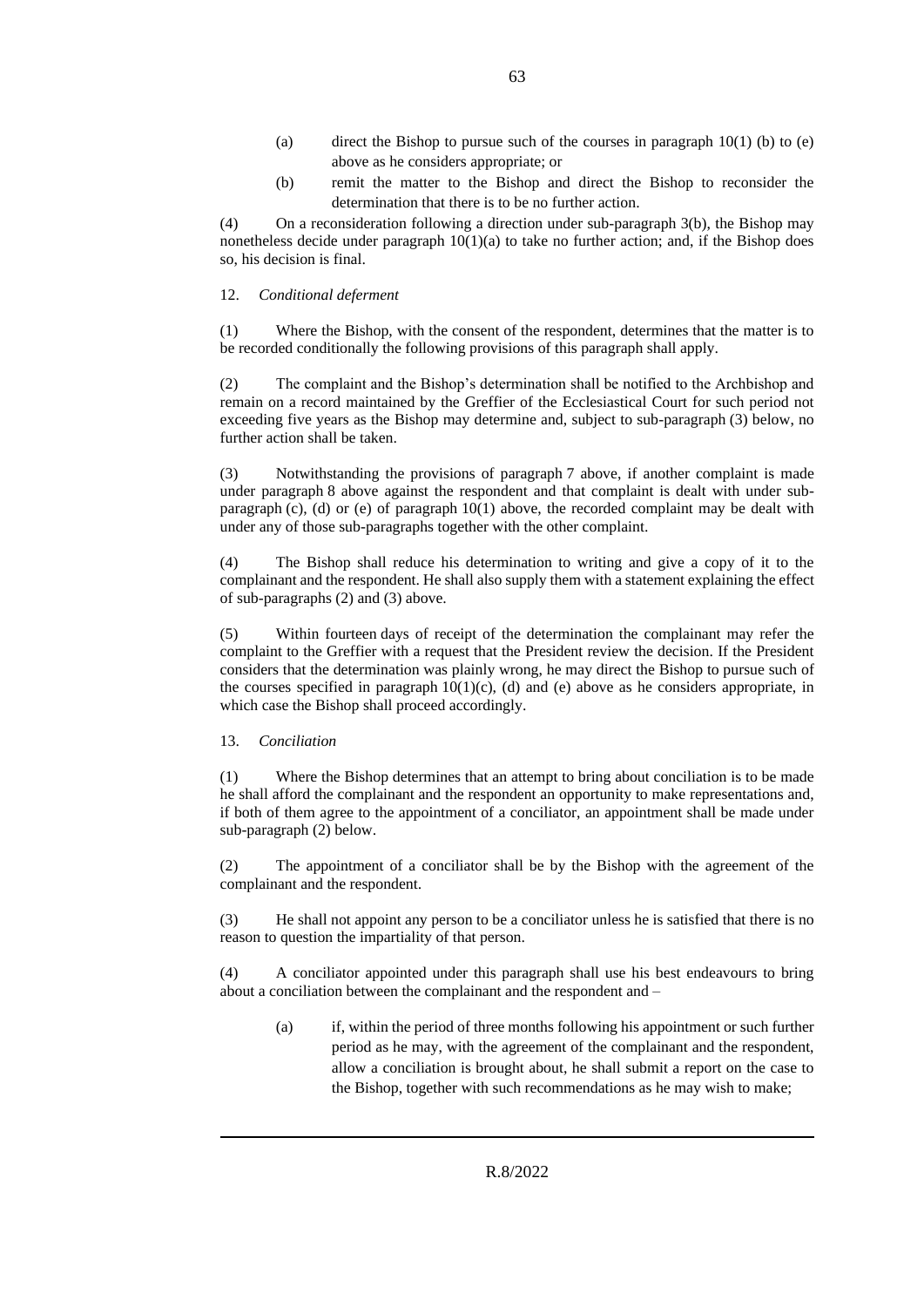- (a) direct the Bishop to pursue such of the courses in paragraph  $10(1)$  (b) to (e) above as he considers appropriate; or
- (b) remit the matter to the Bishop and direct the Bishop to reconsider the determination that there is to be no further action.

(4) On a reconsideration following a direction under sub-paragraph 3(b), the Bishop may nonetheless decide under paragraph  $10(1)(a)$  to take no further action; and, if the Bishop does so, his decision is final.

## 12. *Conditional deferment*

(1) Where the Bishop, with the consent of the respondent, determines that the matter is to be recorded conditionally the following provisions of this paragraph shall apply.

(2) The complaint and the Bishop's determination shall be notified to the Archbishop and remain on a record maintained by the Greffier of the Ecclesiastical Court for such period not exceeding five years as the Bishop may determine and, subject to sub-paragraph (3) below, no further action shall be taken.

(3) Notwithstanding the provisions of paragraph 7 above, if another complaint is made under paragraph 8 above against the respondent and that complaint is dealt with under subparagraph (c), (d) or (e) of paragraph  $10(1)$  above, the recorded complaint may be dealt with under any of those sub-paragraphs together with the other complaint.

(4) The Bishop shall reduce his determination to writing and give a copy of it to the complainant and the respondent. He shall also supply them with a statement explaining the effect of sub-paragraphs (2) and (3) above.

(5) Within fourteen days of receipt of the determination the complainant may refer the complaint to the Greffier with a request that the President review the decision. If the President considers that the determination was plainly wrong, he may direct the Bishop to pursue such of the courses specified in paragraph  $10(1)(c)$ , (d) and (e) above as he considers appropriate, in which case the Bishop shall proceed accordingly.

### 13. *Conciliation*

(1) Where the Bishop determines that an attempt to bring about conciliation is to be made he shall afford the complainant and the respondent an opportunity to make representations and, if both of them agree to the appointment of a conciliator, an appointment shall be made under sub-paragraph (2) below.

(2) The appointment of a conciliator shall be by the Bishop with the agreement of the complainant and the respondent.

(3) He shall not appoint any person to be a conciliator unless he is satisfied that there is no reason to question the impartiality of that person.

(4) A conciliator appointed under this paragraph shall use his best endeavours to bring about a conciliation between the complainant and the respondent and –

(a) if, within the period of three months following his appointment or such further period as he may, with the agreement of the complainant and the respondent, allow a conciliation is brought about, he shall submit a report on the case to the Bishop, together with such recommendations as he may wish to make;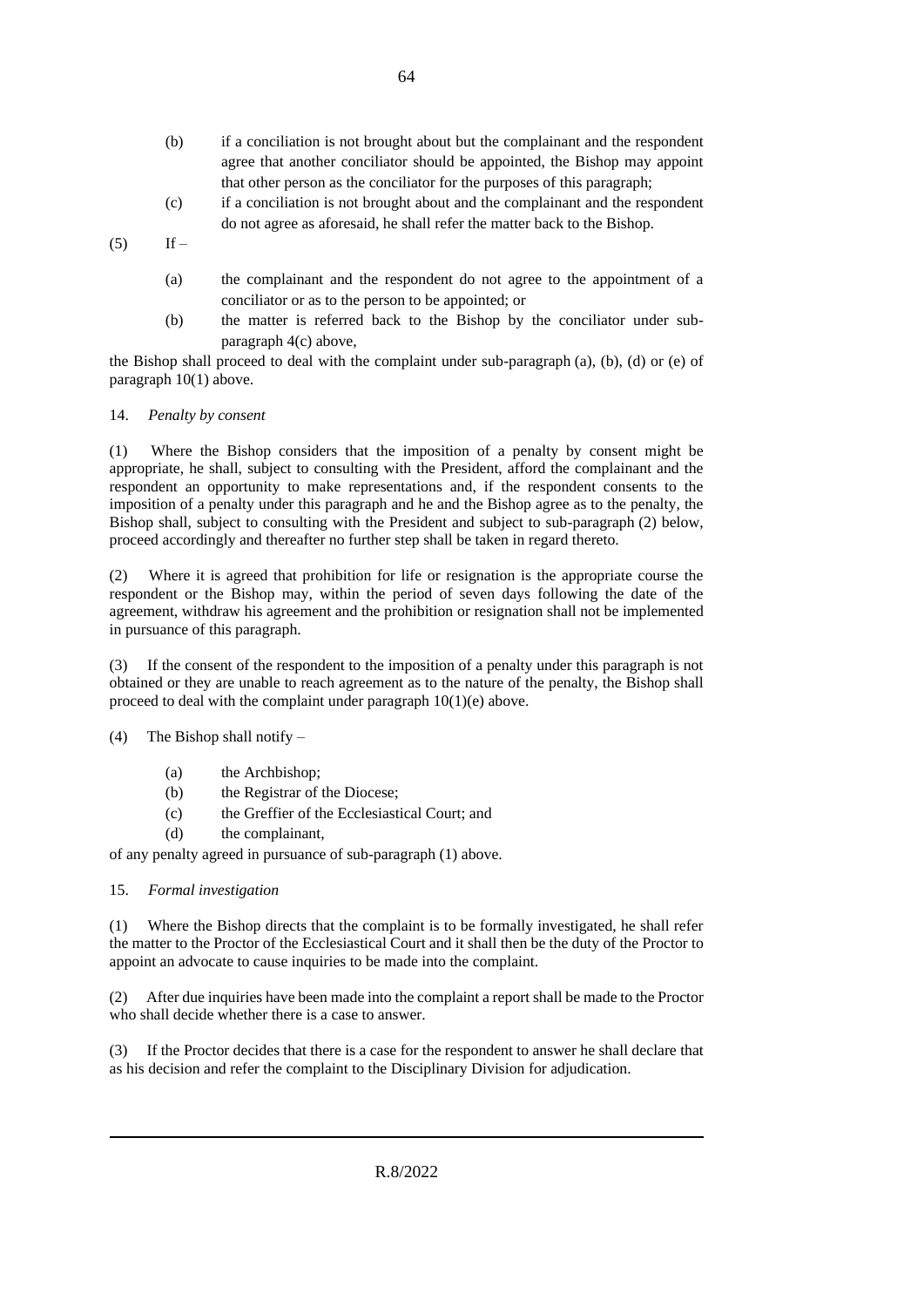- (b) if a conciliation is not brought about but the complainant and the respondent agree that another conciliator should be appointed, the Bishop may appoint that other person as the conciliator for the purposes of this paragraph;
- (c) if a conciliation is not brought about and the complainant and the respondent do not agree as aforesaid, he shall refer the matter back to the Bishop.
- $(5)$  If
	- (a) the complainant and the respondent do not agree to the appointment of a conciliator or as to the person to be appointed; or
	- (b) the matter is referred back to the Bishop by the conciliator under subparagraph 4(c) above,

the Bishop shall proceed to deal with the complaint under sub-paragraph (a), (b), (d) or (e) of paragraph 10(1) above.

### 14. *Penalty by consent*

(1) Where the Bishop considers that the imposition of a penalty by consent might be appropriate, he shall, subject to consulting with the President, afford the complainant and the respondent an opportunity to make representations and, if the respondent consents to the imposition of a penalty under this paragraph and he and the Bishop agree as to the penalty, the Bishop shall, subject to consulting with the President and subject to sub-paragraph (2) below, proceed accordingly and thereafter no further step shall be taken in regard thereto.

(2) Where it is agreed that prohibition for life or resignation is the appropriate course the respondent or the Bishop may, within the period of seven days following the date of the agreement, withdraw his agreement and the prohibition or resignation shall not be implemented in pursuance of this paragraph.

(3) If the consent of the respondent to the imposition of a penalty under this paragraph is not obtained or they are unable to reach agreement as to the nature of the penalty, the Bishop shall proceed to deal with the complaint under paragraph 10(1)(e) above.

(4) The Bishop shall notify –

- (a) the Archbishop;
- (b) the Registrar of the Diocese;
- (c) the Greffier of the Ecclesiastical Court; and
- (d) the complainant,

of any penalty agreed in pursuance of sub-paragraph (1) above.

### 15. *Formal investigation*

(1) Where the Bishop directs that the complaint is to be formally investigated, he shall refer the matter to the Proctor of the Ecclesiastical Court and it shall then be the duty of the Proctor to appoint an advocate to cause inquiries to be made into the complaint.

(2) After due inquiries have been made into the complaint a report shall be made to the Proctor who shall decide whether there is a case to answer.

(3) If the Proctor decides that there is a case for the respondent to answer he shall declare that as his decision and refer the complaint to the Disciplinary Division for adjudication.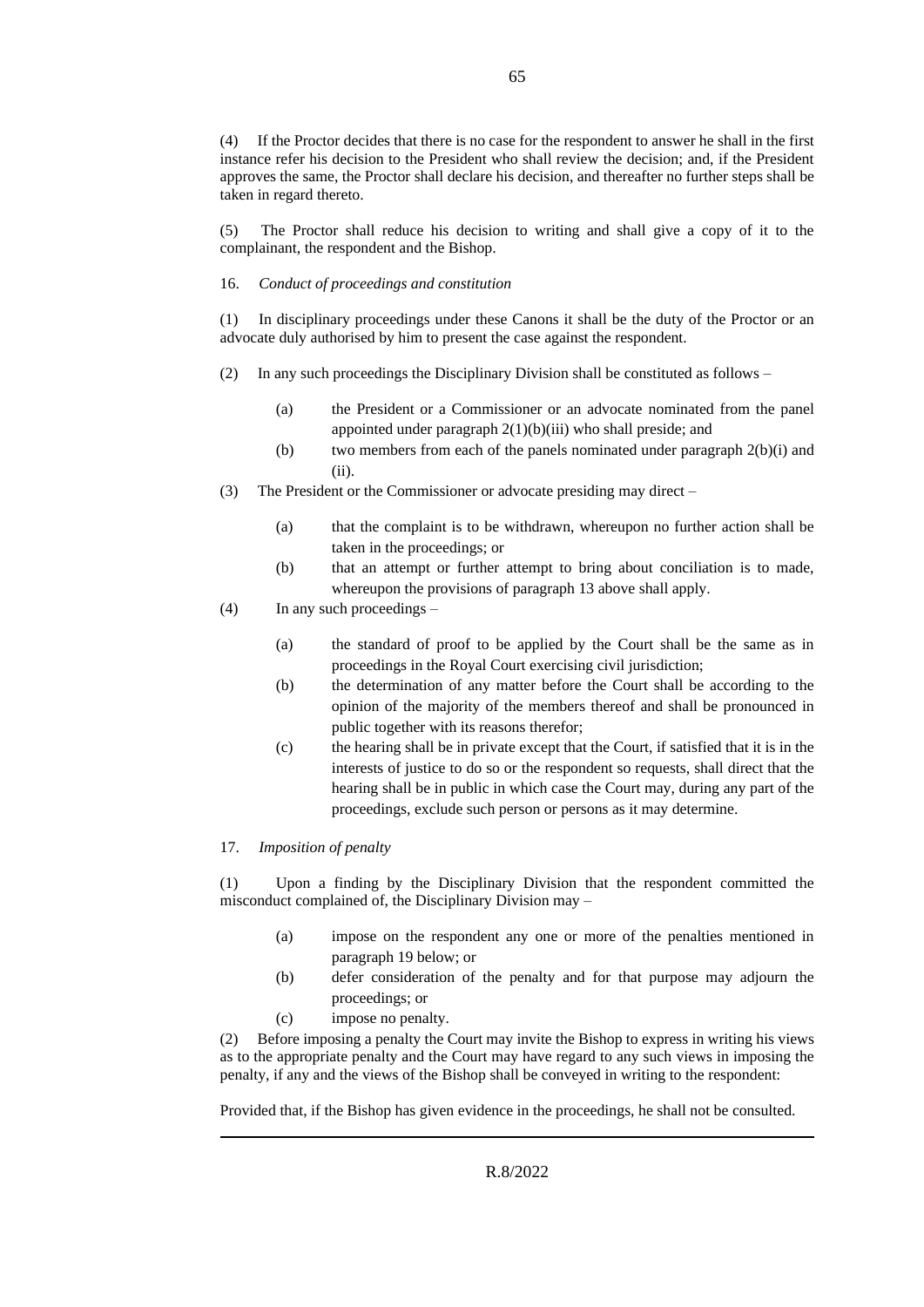(4) If the Proctor decides that there is no case for the respondent to answer he shall in the first instance refer his decision to the President who shall review the decision; and, if the President approves the same, the Proctor shall declare his decision, and thereafter no further steps shall be taken in regard thereto.

(5) The Proctor shall reduce his decision to writing and shall give a copy of it to the complainant, the respondent and the Bishop.

#### 16. *Conduct of proceedings and constitution*

(1) In disciplinary proceedings under these Canons it shall be the duty of the Proctor or an advocate duly authorised by him to present the case against the respondent.

- (2) In any such proceedings the Disciplinary Division shall be constituted as follows
	- (a) the President or a Commissioner or an advocate nominated from the panel appointed under paragraph  $2(1)(b)(iii)$  who shall preside; and
	- (b) two members from each of the panels nominated under paragraph 2(b)(i) and  $(ii)$ .
- (3) The President or the Commissioner or advocate presiding may direct
	- (a) that the complaint is to be withdrawn, whereupon no further action shall be taken in the proceedings; or
	- (b) that an attempt or further attempt to bring about conciliation is to made, whereupon the provisions of paragraph 13 above shall apply.
- (4) In any such proceedings
	- (a) the standard of proof to be applied by the Court shall be the same as in proceedings in the Royal Court exercising civil jurisdiction;
	- (b) the determination of any matter before the Court shall be according to the opinion of the majority of the members thereof and shall be pronounced in public together with its reasons therefor;
	- (c) the hearing shall be in private except that the Court, if satisfied that it is in the interests of justice to do so or the respondent so requests, shall direct that the hearing shall be in public in which case the Court may, during any part of the proceedings, exclude such person or persons as it may determine.

### 17. *Imposition of penalty*

(1) Upon a finding by the Disciplinary Division that the respondent committed the misconduct complained of, the Disciplinary Division may –

- (a) impose on the respondent any one or more of the penalties mentioned in paragraph 19 below; or
- (b) defer consideration of the penalty and for that purpose may adjourn the proceedings; or
- (c) impose no penalty.

(2) Before imposing a penalty the Court may invite the Bishop to express in writing his views as to the appropriate penalty and the Court may have regard to any such views in imposing the penalty, if any and the views of the Bishop shall be conveyed in writing to the respondent:

Provided that, if the Bishop has given evidence in the proceedings, he shall not be consulted.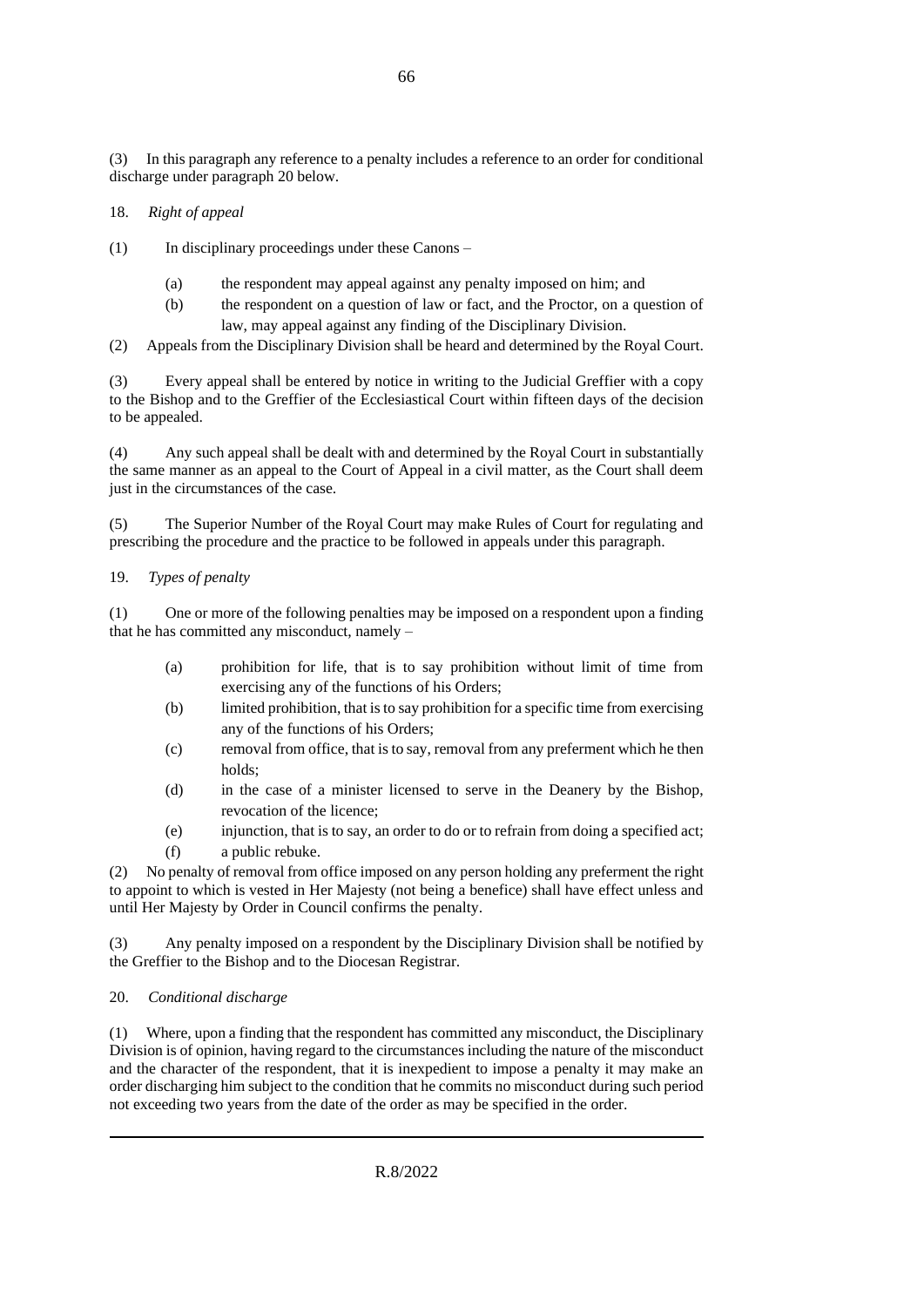(3) In this paragraph any reference to a penalty includes a reference to an order for conditional discharge under paragraph 20 below.

66

18. *Right of appeal*

(1) In disciplinary proceedings under these Canons –

- (a) the respondent may appeal against any penalty imposed on him; and
- (b) the respondent on a question of law or fact, and the Proctor, on a question of law, may appeal against any finding of the Disciplinary Division.
- (2) Appeals from the Disciplinary Division shall be heard and determined by the Royal Court.

(3) Every appeal shall be entered by notice in writing to the Judicial Greffier with a copy to the Bishop and to the Greffier of the Ecclesiastical Court within fifteen days of the decision to be appealed.

(4) Any such appeal shall be dealt with and determined by the Royal Court in substantially the same manner as an appeal to the Court of Appeal in a civil matter, as the Court shall deem just in the circumstances of the case.

(5) The Superior Number of the Royal Court may make Rules of Court for regulating and prescribing the procedure and the practice to be followed in appeals under this paragraph.

19. *Types of penalty*

(1) One or more of the following penalties may be imposed on a respondent upon a finding that he has committed any misconduct, namely –

- (a) prohibition for life, that is to say prohibition without limit of time from exercising any of the functions of his Orders;
- (b) limited prohibition, that is to say prohibition for a specific time from exercising any of the functions of his Orders;
- (c) removal from office, that is to say, removal from any preferment which he then holds;
- (d) in the case of a minister licensed to serve in the Deanery by the Bishop, revocation of the licence;
- (e) injunction, that is to say, an order to do or to refrain from doing a specified act;
- (f) a public rebuke.

(2) No penalty of removal from office imposed on any person holding any preferment the right to appoint to which is vested in Her Majesty (not being a benefice) shall have effect unless and until Her Majesty by Order in Council confirms the penalty.

(3) Any penalty imposed on a respondent by the Disciplinary Division shall be notified by the Greffier to the Bishop and to the Diocesan Registrar.

## 20. *Conditional discharge*

(1) Where, upon a finding that the respondent has committed any misconduct, the Disciplinary Division is of opinion, having regard to the circumstances including the nature of the misconduct and the character of the respondent, that it is inexpedient to impose a penalty it may make an order discharging him subject to the condition that he commits no misconduct during such period not exceeding two years from the date of the order as may be specified in the order.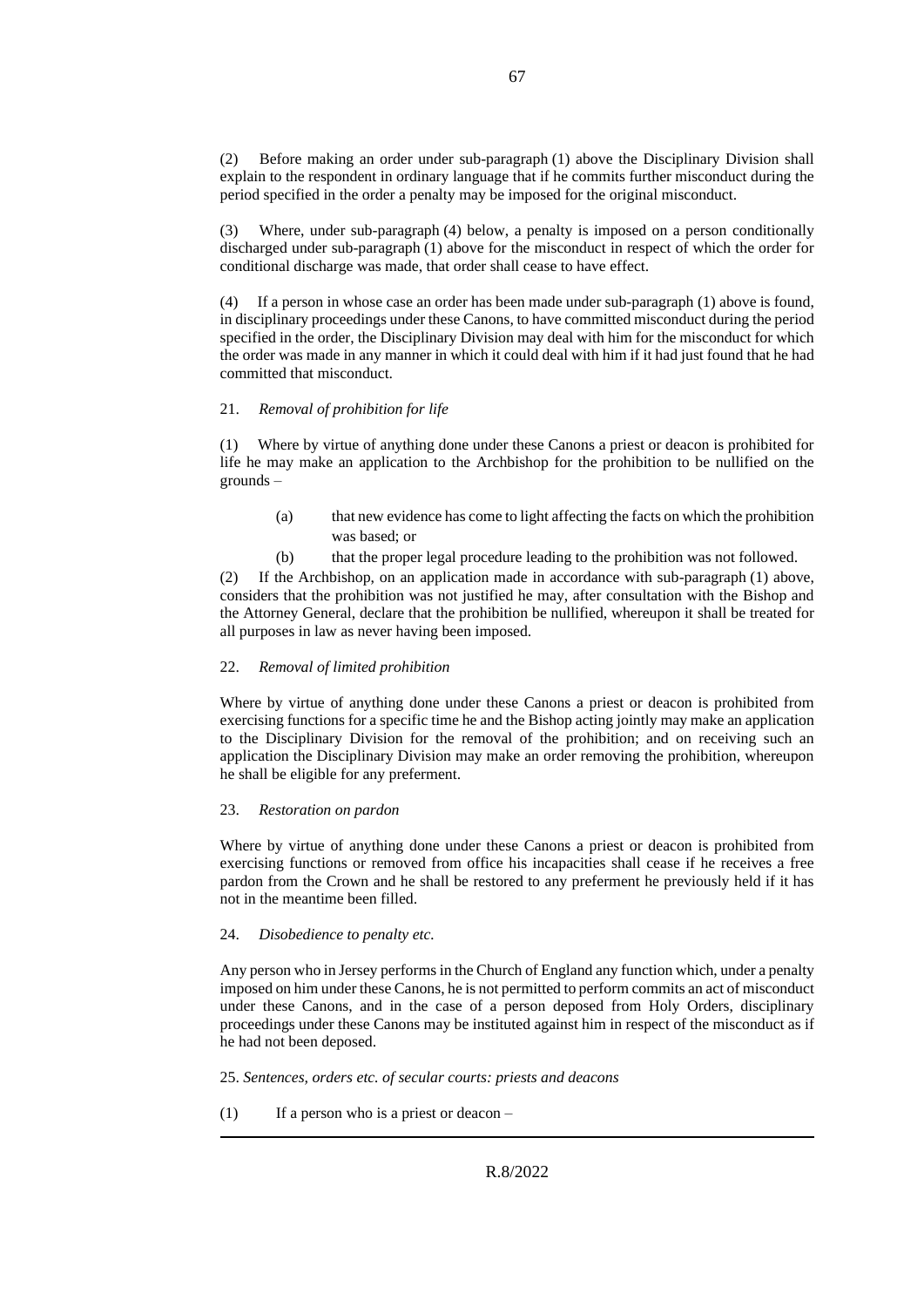(2) Before making an order under sub-paragraph (1) above the Disciplinary Division shall explain to the respondent in ordinary language that if he commits further misconduct during the period specified in the order a penalty may be imposed for the original misconduct.

Where, under sub-paragraph (4) below, a penalty is imposed on a person conditionally discharged under sub-paragraph (1) above for the misconduct in respect of which the order for conditional discharge was made, that order shall cease to have effect.

If a person in whose case an order has been made under sub-paragraph (1) above is found, in disciplinary proceedings under these Canons, to have committed misconduct during the period specified in the order, the Disciplinary Division may deal with him for the misconduct for which the order was made in any manner in which it could deal with him if it had just found that he had committed that misconduct.

#### 21. *Removal of prohibition for life*

(1) Where by virtue of anything done under these Canons a priest or deacon is prohibited for life he may make an application to the Archbishop for the prohibition to be nullified on the grounds –

- (a) that new evidence has come to light affecting the facts on which the prohibition was based; or
- (b) that the proper legal procedure leading to the prohibition was not followed.

(2) If the Archbishop, on an application made in accordance with sub-paragraph (1) above, considers that the prohibition was not justified he may, after consultation with the Bishop and the Attorney General, declare that the prohibition be nullified, whereupon it shall be treated for all purposes in law as never having been imposed.

#### 22. *Removal of limited prohibition*

Where by virtue of anything done under these Canons a priest or deacon is prohibited from exercising functions for a specific time he and the Bishop acting jointly may make an application to the Disciplinary Division for the removal of the prohibition; and on receiving such an application the Disciplinary Division may make an order removing the prohibition, whereupon he shall be eligible for any preferment.

### 23. *Restoration on pardon*

Where by virtue of anything done under these Canons a priest or deacon is prohibited from exercising functions or removed from office his incapacities shall cease if he receives a free pardon from the Crown and he shall be restored to any preferment he previously held if it has not in the meantime been filled.

### 24. *Disobedience to penalty etc.*

Any person who in Jersey performs in the Church of England any function which, under a penalty imposed on him under these Canons, he is not permitted to perform commits an act of misconduct under these Canons, and in the case of a person deposed from Holy Orders, disciplinary proceedings under these Canons may be instituted against him in respect of the misconduct as if he had not been deposed.

#### 25. *Sentences, orders etc. of secular courts: priests and deacons*

(1) If a person who is a priest or deacon –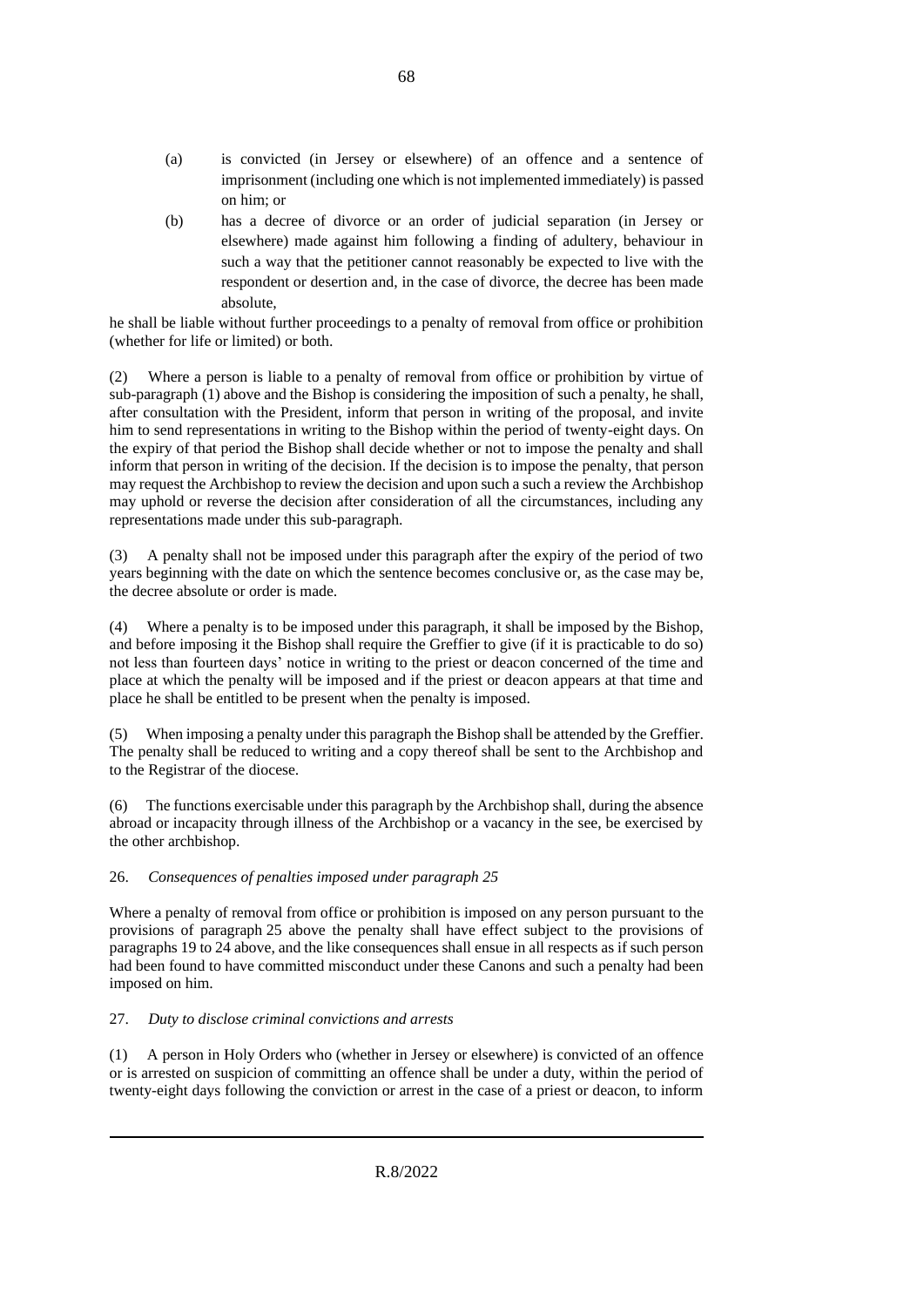- (a) is convicted (in Jersey or elsewhere) of an offence and a sentence of imprisonment (including one which is not implemented immediately) is passed on him; or
- (b) has a decree of divorce or an order of judicial separation (in Jersey or elsewhere) made against him following a finding of adultery, behaviour in such a way that the petitioner cannot reasonably be expected to live with the respondent or desertion and, in the case of divorce, the decree has been made absolute,

he shall be liable without further proceedings to a penalty of removal from office or prohibition (whether for life or limited) or both.

(2) Where a person is liable to a penalty of removal from office or prohibition by virtue of sub-paragraph (1) above and the Bishop is considering the imposition of such a penalty, he shall, after consultation with the President, inform that person in writing of the proposal, and invite him to send representations in writing to the Bishop within the period of twenty-eight days. On the expiry of that period the Bishop shall decide whether or not to impose the penalty and shall inform that person in writing of the decision. If the decision is to impose the penalty, that person may request the Archbishop to review the decision and upon such a such a review the Archbishop may uphold or reverse the decision after consideration of all the circumstances, including any representations made under this sub-paragraph.

(3) A penalty shall not be imposed under this paragraph after the expiry of the period of two years beginning with the date on which the sentence becomes conclusive or, as the case may be, the decree absolute or order is made.

Where a penalty is to be imposed under this paragraph, it shall be imposed by the Bishop, and before imposing it the Bishop shall require the Greffier to give (if it is practicable to do so) not less than fourteen days' notice in writing to the priest or deacon concerned of the time and place at which the penalty will be imposed and if the priest or deacon appears at that time and place he shall be entitled to be present when the penalty is imposed.

(5) When imposing a penalty under this paragraph the Bishop shall be attended by the Greffier. The penalty shall be reduced to writing and a copy thereof shall be sent to the Archbishop and to the Registrar of the diocese.

(6) The functions exercisable under this paragraph by the Archbishop shall, during the absence abroad or incapacity through illness of the Archbishop or a vacancy in the see, be exercised by the other archbishop.

## 26. *Consequences of penalties imposed under paragraph 25*

Where a penalty of removal from office or prohibition is imposed on any person pursuant to the provisions of paragraph 25 above the penalty shall have effect subject to the provisions of paragraphs 19 to 24 above, and the like consequences shall ensue in all respects as if such person had been found to have committed misconduct under these Canons and such a penalty had been imposed on him.

### 27. *Duty to disclose criminal convictions and arrests*

(1) A person in Holy Orders who (whether in Jersey or elsewhere) is convicted of an offence or is arrested on suspicion of committing an offence shall be under a duty, within the period of twenty-eight days following the conviction or arrest in the case of a priest or deacon, to inform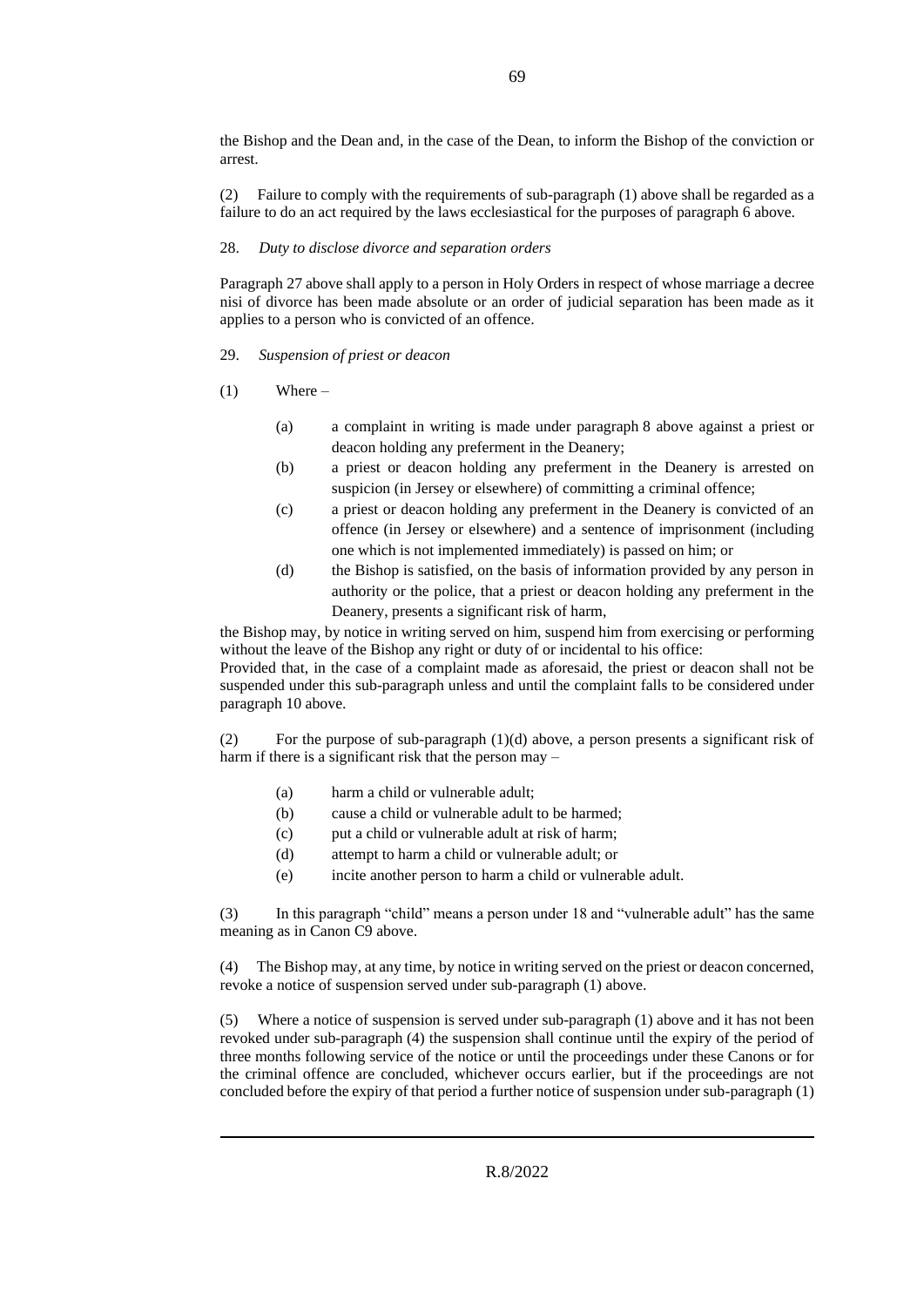the Bishop and the Dean and, in the case of the Dean, to inform the Bishop of the conviction or arrest.

(2) Failure to comply with the requirements of sub-paragraph (1) above shall be regarded as a failure to do an act required by the laws ecclesiastical for the purposes of paragraph 6 above.

### 28. *Duty to disclose divorce and separation orders*

Paragraph 27 above shall apply to a person in Holy Orders in respect of whose marriage a decree nisi of divorce has been made absolute or an order of judicial separation has been made as it applies to a person who is convicted of an offence.

### 29. *Suspension of priest or deacon*

- $(1)$  Where
	- (a) a complaint in writing is made under paragraph 8 above against a priest or deacon holding any preferment in the Deanery;
	- (b) a priest or deacon holding any preferment in the Deanery is arrested on suspicion (in Jersey or elsewhere) of committing a criminal offence;
	- (c) a priest or deacon holding any preferment in the Deanery is convicted of an offence (in Jersey or elsewhere) and a sentence of imprisonment (including one which is not implemented immediately) is passed on him; or
	- (d) the Bishop is satisfied, on the basis of information provided by any person in authority or the police, that a priest or deacon holding any preferment in the Deanery, presents a significant risk of harm,

the Bishop may, by notice in writing served on him, suspend him from exercising or performing without the leave of the Bishop any right or duty of or incidental to his office:

Provided that, in the case of a complaint made as aforesaid, the priest or deacon shall not be suspended under this sub-paragraph unless and until the complaint falls to be considered under paragraph 10 above.

(2) For the purpose of sub-paragraph (1)(d) above, a person presents a significant risk of harm if there is a significant risk that the person may –

- (a) harm a child or vulnerable adult;
- (b) cause a child or vulnerable adult to be harmed;
- (c) put a child or vulnerable adult at risk of harm;
- (d) attempt to harm a child or vulnerable adult; or
- (e) incite another person to harm a child or vulnerable adult.

(3) In this paragraph "child" means a person under 18 and "vulnerable adult" has the same meaning as in Canon C9 above.

(4) The Bishop may, at any time, by notice in writing served on the priest or deacon concerned, revoke a notice of suspension served under sub-paragraph (1) above.

(5) Where a notice of suspension is served under sub-paragraph (1) above and it has not been revoked under sub-paragraph (4) the suspension shall continue until the expiry of the period of three months following service of the notice or until the proceedings under these Canons or for the criminal offence are concluded, whichever occurs earlier, but if the proceedings are not concluded before the expiry of that period a further notice of suspension under sub-paragraph (1)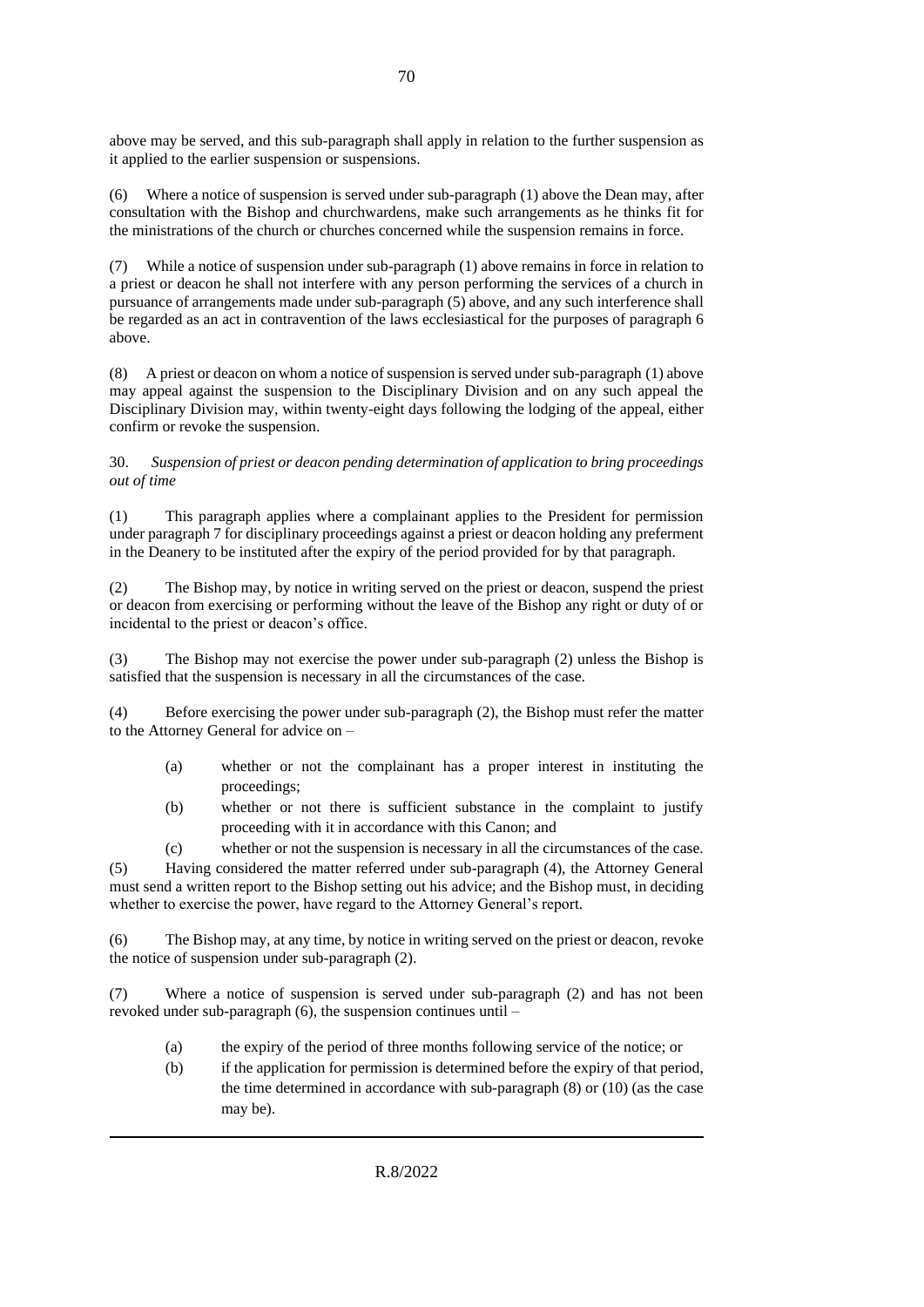above may be served, and this sub-paragraph shall apply in relation to the further suspension as it applied to the earlier suspension or suspensions.

Where a notice of suspension is served under sub-paragraph (1) above the Dean may, after consultation with the Bishop and churchwardens, make such arrangements as he thinks fit for the ministrations of the church or churches concerned while the suspension remains in force.

(7) While a notice of suspension under sub-paragraph (1) above remains in force in relation to a priest or deacon he shall not interfere with any person performing the services of a church in pursuance of arrangements made under sub-paragraph (5) above, and any such interference shall be regarded as an act in contravention of the laws ecclesiastical for the purposes of paragraph 6 above.

(8) A priest or deacon on whom a notice of suspension is served under sub-paragraph (1) above may appeal against the suspension to the Disciplinary Division and on any such appeal the Disciplinary Division may, within twenty-eight days following the lodging of the appeal, either confirm or revoke the suspension.

30. *Suspension of priest or deacon pending determination of application to bring proceedings out of time*

(1) This paragraph applies where a complainant applies to the President for permission under paragraph 7 for disciplinary proceedings against a priest or deacon holding any preferment in the Deanery to be instituted after the expiry of the period provided for by that paragraph.

(2) The Bishop may, by notice in writing served on the priest or deacon, suspend the priest or deacon from exercising or performing without the leave of the Bishop any right or duty of or incidental to the priest or deacon's office.

(3) The Bishop may not exercise the power under sub-paragraph (2) unless the Bishop is satisfied that the suspension is necessary in all the circumstances of the case.

(4) Before exercising the power under sub-paragraph (2), the Bishop must refer the matter to the Attorney General for advice on –

- (a) whether or not the complainant has a proper interest in instituting the proceedings;
- (b) whether or not there is sufficient substance in the complaint to justify proceeding with it in accordance with this Canon; and
- (c) whether or not the suspension is necessary in all the circumstances of the case.

(5) Having considered the matter referred under sub-paragraph (4), the Attorney General must send a written report to the Bishop setting out his advice; and the Bishop must, in deciding whether to exercise the power, have regard to the Attorney General's report.

(6) The Bishop may, at any time, by notice in writing served on the priest or deacon, revoke the notice of suspension under sub-paragraph (2).

(7) Where a notice of suspension is served under sub-paragraph (2) and has not been revoked under sub-paragraph (6), the suspension continues until –

- (a) the expiry of the period of three months following service of the notice; or
- (b) if the application for permission is determined before the expiry of that period, the time determined in accordance with sub-paragraph (8) or (10) (as the case may be).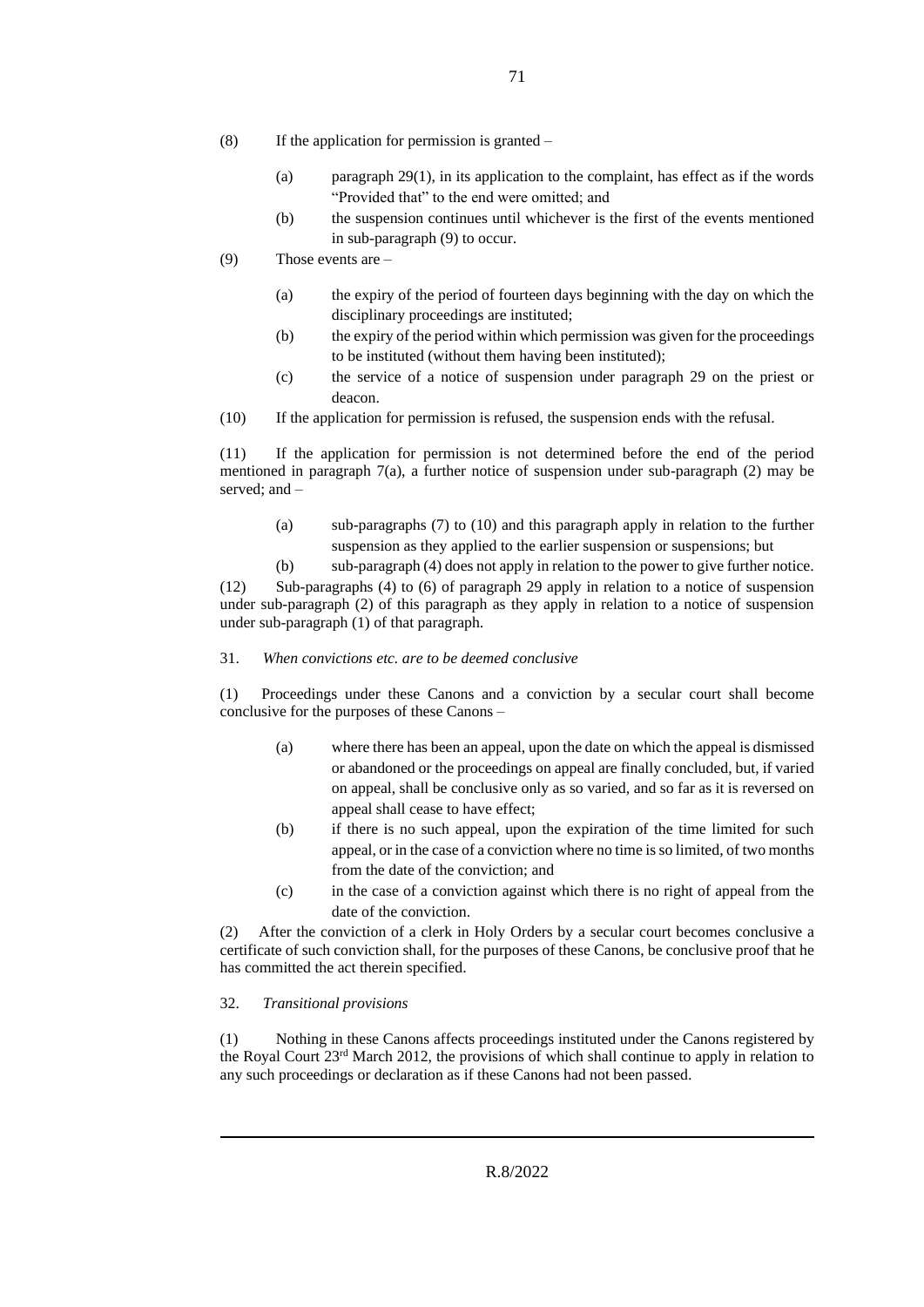- (8) If the application for permission is granted
	- (a) paragraph 29(1), in its application to the complaint, has effect as if the words "Provided that" to the end were omitted; and
	- (b) the suspension continues until whichever is the first of the events mentioned in sub-paragraph (9) to occur.
- (9) Those events are
	- (a) the expiry of the period of fourteen days beginning with the day on which the disciplinary proceedings are instituted;
	- (b) the expiry of the period within which permission was given for the proceedings to be instituted (without them having been instituted);
	- (c) the service of a notice of suspension under paragraph 29 on the priest or deacon.
- (10) If the application for permission is refused, the suspension ends with the refusal.

(11) If the application for permission is not determined before the end of the period mentioned in paragraph  $7(a)$ , a further notice of suspension under sub-paragraph  $(2)$  may be served; and –

(a) sub-paragraphs (7) to (10) and this paragraph apply in relation to the further suspension as they applied to the earlier suspension or suspensions; but

(b) sub-paragraph (4) does not apply in relation to the power to give further notice. (12) Sub-paragraphs (4) to (6) of paragraph 29 apply in relation to a notice of suspension under sub-paragraph (2) of this paragraph as they apply in relation to a notice of suspension under sub-paragraph (1) of that paragraph.

### 31. *When convictions etc. are to be deemed conclusive*

(1) Proceedings under these Canons and a conviction by a secular court shall become conclusive for the purposes of these Canons –

- (a) where there has been an appeal, upon the date on which the appeal is dismissed or abandoned or the proceedings on appeal are finally concluded, but, if varied on appeal, shall be conclusive only as so varied, and so far as it is reversed on appeal shall cease to have effect;
- (b) if there is no such appeal, upon the expiration of the time limited for such appeal, or in the case of a conviction where no time is so limited, of two months from the date of the conviction; and
- (c) in the case of a conviction against which there is no right of appeal from the date of the conviction.

(2) After the conviction of a clerk in Holy Orders by a secular court becomes conclusive a certificate of such conviction shall, for the purposes of these Canons, be conclusive proof that he has committed the act therein specified.

### 32. *Transitional provisions*

(1) Nothing in these Canons affects proceedings instituted under the Canons registered by the Royal Court 23rd March 2012, the provisions of which shall continue to apply in relation to any such proceedings or declaration as if these Canons had not been passed.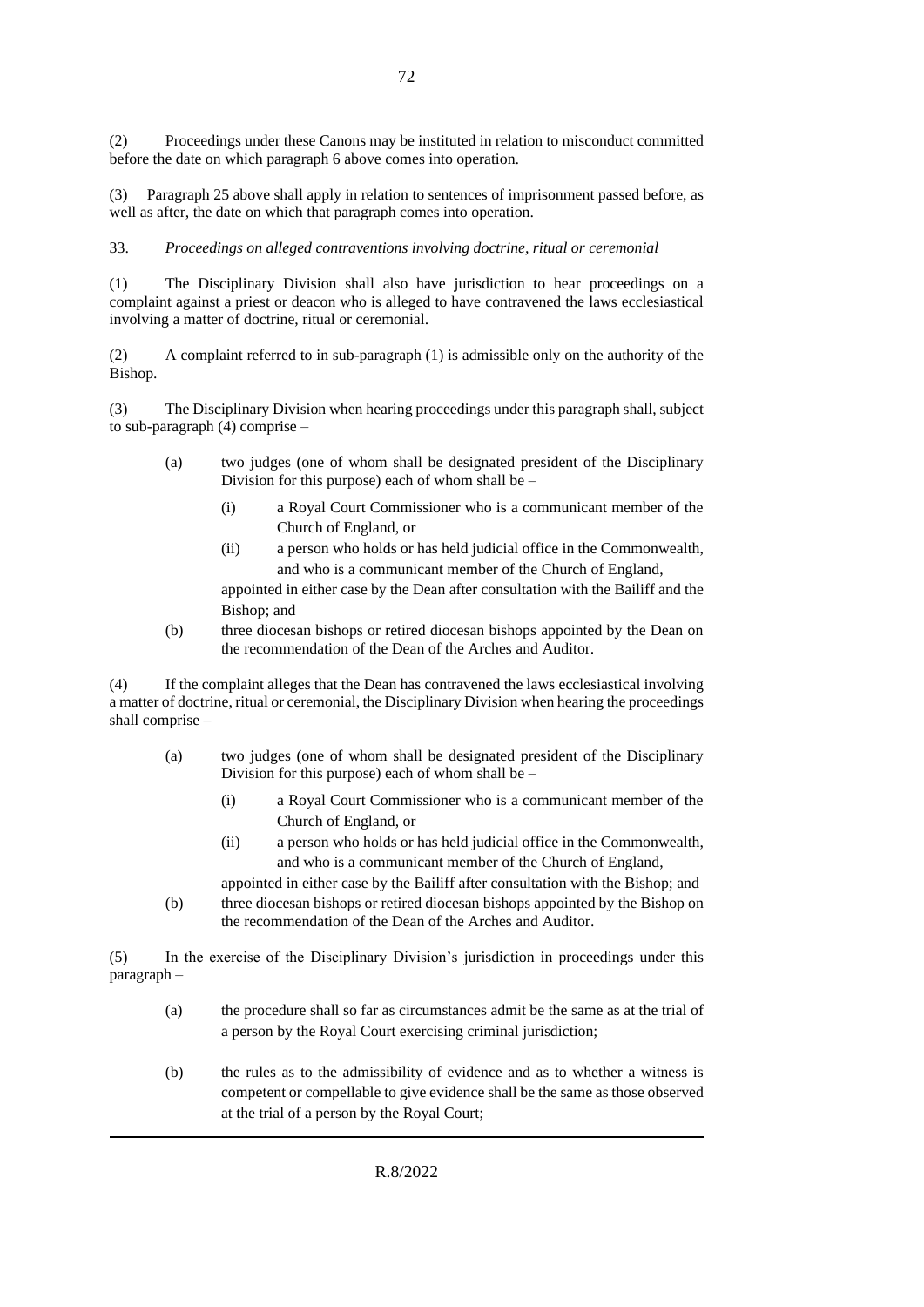(2) Proceedings under these Canons may be instituted in relation to misconduct committed before the date on which paragraph 6 above comes into operation.

Paragraph 25 above shall apply in relation to sentences of imprisonment passed before, as well as after, the date on which that paragraph comes into operation.

33. *Proceedings on alleged contraventions involving doctrine, ritual or ceremonial*

(1) The Disciplinary Division shall also have jurisdiction to hear proceedings on a complaint against a priest or deacon who is alleged to have contravened the laws ecclesiastical involving a matter of doctrine, ritual or ceremonial.

(2) A complaint referred to in sub-paragraph (1) is admissible only on the authority of the Bishop.

(3) The Disciplinary Division when hearing proceedings under this paragraph shall, subject to sub-paragraph (4) comprise –

- (a) two judges (one of whom shall be designated president of the Disciplinary Division for this purpose) each of whom shall be  $-$ 
	- (i) a Royal Court Commissioner who is a communicant member of the Church of England, or
	- (ii) a person who holds or has held judicial office in the Commonwealth, and who is a communicant member of the Church of England,

appointed in either case by the Dean after consultation with the Bailiff and the Bishop; and

(b) three diocesan bishops or retired diocesan bishops appointed by the Dean on the recommendation of the Dean of the Arches and Auditor.

(4) If the complaint alleges that the Dean has contravened the laws ecclesiastical involving a matter of doctrine, ritual or ceremonial, the Disciplinary Division when hearing the proceedings shall comprise –

- (a) two judges (one of whom shall be designated president of the Disciplinary Division for this purpose) each of whom shall be –
	- (i) a Royal Court Commissioner who is a communicant member of the Church of England, or
	- (ii) a person who holds or has held judicial office in the Commonwealth, and who is a communicant member of the Church of England,

appointed in either case by the Bailiff after consultation with the Bishop; and

(b) three diocesan bishops or retired diocesan bishops appointed by the Bishop on the recommendation of the Dean of the Arches and Auditor.

(5) In the exercise of the Disciplinary Division's jurisdiction in proceedings under this paragraph –

- (a) the procedure shall so far as circumstances admit be the same as at the trial of a person by the Royal Court exercising criminal jurisdiction;
- (b) the rules as to the admissibility of evidence and as to whether a witness is competent or compellable to give evidence shall be the same as those observed at the trial of a person by the Royal Court;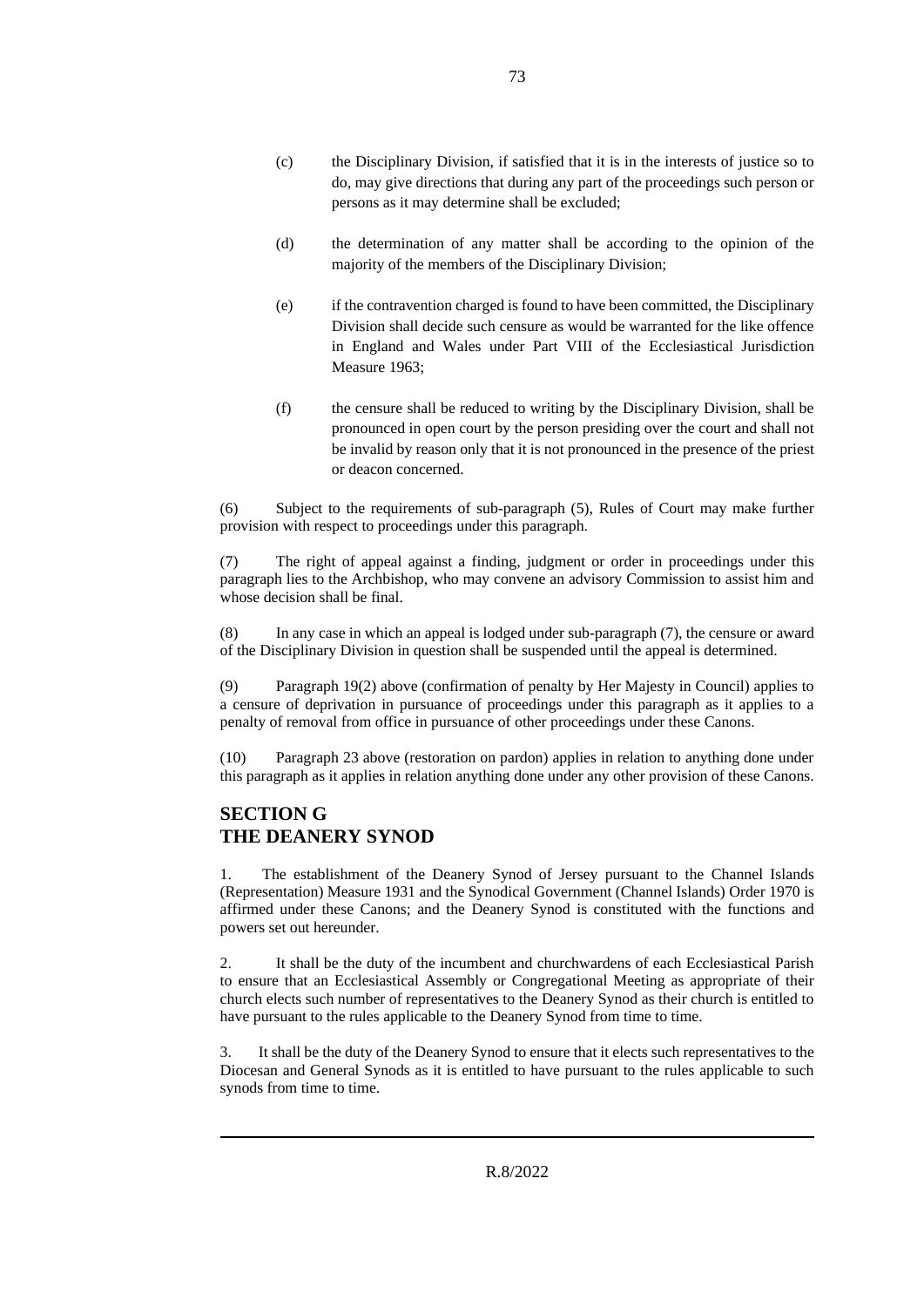- (c) the Disciplinary Division, if satisfied that it is in the interests of justice so to do, may give directions that during any part of the proceedings such person or persons as it may determine shall be excluded;
- (d) the determination of any matter shall be according to the opinion of the majority of the members of the Disciplinary Division;
- (e) if the contravention charged is found to have been committed, the Disciplinary Division shall decide such censure as would be warranted for the like offence in England and Wales under Part VIII of the Ecclesiastical Jurisdiction Measure 1963;
- (f) the censure shall be reduced to writing by the Disciplinary Division, shall be pronounced in open court by the person presiding over the court and shall not be invalid by reason only that it is not pronounced in the presence of the priest or deacon concerned.

(6) Subject to the requirements of sub-paragraph (5), Rules of Court may make further provision with respect to proceedings under this paragraph.

(7) The right of appeal against a finding, judgment or order in proceedings under this paragraph lies to the Archbishop, who may convene an advisory Commission to assist him and whose decision shall be final.

(8) In any case in which an appeal is lodged under sub-paragraph (7), the censure or award of the Disciplinary Division in question shall be suspended until the appeal is determined.

(9) Paragraph 19(2) above (confirmation of penalty by Her Majesty in Council) applies to a censure of deprivation in pursuance of proceedings under this paragraph as it applies to a penalty of removal from office in pursuance of other proceedings under these Canons.

(10) Paragraph 23 above (restoration on pardon) applies in relation to anything done under this paragraph as it applies in relation anything done under any other provision of these Canons.

## **SECTION G THE DEANERY SYNOD**

1. The establishment of the Deanery Synod of Jersey pursuant to the Channel Islands (Representation) Measure 1931 and the Synodical Government (Channel Islands) Order 1970 is affirmed under these Canons; and the Deanery Synod is constituted with the functions and powers set out hereunder.

2. It shall be the duty of the incumbent and churchwardens of each Ecclesiastical Parish to ensure that an Ecclesiastical Assembly or Congregational Meeting as appropriate of their church elects such number of representatives to the Deanery Synod as their church is entitled to have pursuant to the rules applicable to the Deanery Synod from time to time.

3. It shall be the duty of the Deanery Synod to ensure that it elects such representatives to the Diocesan and General Synods as it is entitled to have pursuant to the rules applicable to such synods from time to time.